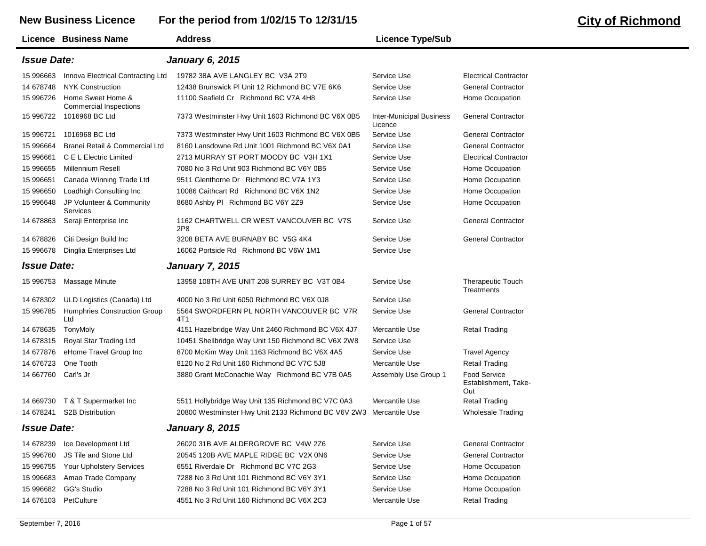## **New Business Licence For the period from 1/02/15 To 12/31/15 City of Richmond**

|                           | Licence Business Name                       | <b>Address</b>                                      | <b>Licence Type/Sub</b>                    |                                                    |
|---------------------------|---------------------------------------------|-----------------------------------------------------|--------------------------------------------|----------------------------------------------------|
| <b>Issue Date:</b>        |                                             | <b>January 6, 2015</b>                              |                                            |                                                    |
| 15 996663                 | Innova Electrical Contracting Ltd           | 19782 38A AVE LANGLEY BC V3A 2T9                    | Service Use                                | <b>Electrical Contractor</b>                       |
| 14 678748                 | <b>NYK Construction</b>                     | 12438 Brunswick PI Unit 12 Richmond BC V7E 6K6      | Service Use                                | <b>General Contractor</b>                          |
| 15 996726                 | Home Sweet Home &<br>Commercial Inspections | 11100 Seafield Cr Richmond BC V7A 4H8               | Service Use                                | Home Occupation                                    |
| 15 996722                 | 1016968 BC Ltd                              | 7373 Westminster Hwy Unit 1603 Richmond BC V6X 0B5  | <b>Inter-Municipal Business</b><br>Licence | <b>General Contractor</b>                          |
| 15 996721                 | 1016968 BC Ltd                              | 7373 Westminster Hwy Unit 1603 Richmond BC V6X 0B5  | Service Use                                | <b>General Contractor</b>                          |
| 15 996664                 | Branei Retail & Commercial Ltd              | 8160 Lansdowne Rd Unit 1001 Richmond BC V6X 0A1     | Service Use                                | <b>General Contractor</b>                          |
| 15 996661                 | C E L Electric Limited                      | 2713 MURRAY ST PORT MOODY BC V3H 1X1                | Service Use                                | <b>Electrical Contractor</b>                       |
| 15 996655                 | Millennium Resell                           | 7080 No 3 Rd Unit 903 Richmond BC V6Y 0B5           | Service Use                                | Home Occupation                                    |
| 15 996651                 | Canada Winning Trade Ltd                    | 9511 Glenthorne Dr Richmond BC V7A 1Y3              | Service Use                                | Home Occupation                                    |
| 15 996650                 | Loadhigh Consulting Inc                     | 10086 Caithcart Rd Richmond BC V6X 1N2              | Service Use                                | Home Occupation                                    |
| 15 996648                 | JP Volunteer & Community<br>Services        | 8680 Ashby PI Richmond BC V6Y 2Z9                   | Service Use                                | Home Occupation                                    |
| 14 678863                 | Seraji Enterprise Inc                       | 1162 CHARTWELL CR WEST VANCOUVER BC V7S<br>2P8      | Service Use                                | <b>General Contractor</b>                          |
| 14 678826                 | Citi Design Build Inc                       | 3208 BETA AVE BURNABY BC V5G 4K4                    | Service Use                                | <b>General Contractor</b>                          |
| 15 996678                 | Dinglia Enterprises Ltd                     | 16062 Portside Rd Richmond BC V6W 1M1               | Service Use                                |                                                    |
| <i><b>Issue Date:</b></i> |                                             | <b>January 7, 2015</b>                              |                                            |                                                    |
| 15 996753                 | Massage Minute                              | 13958 108TH AVE UNIT 208 SURREY BC V3T 0B4          | Service Use                                | <b>Therapeutic Touch</b><br><b>Treatments</b>      |
| 14 678302                 | ULD Logistics (Canada) Ltd                  | 4000 No 3 Rd Unit 6050 Richmond BC V6X 0J8          | Service Use                                |                                                    |
| 15 996785                 | <b>Humphries Construction Group</b><br>Ltd  | 5564 SWORDFERN PL NORTH VANCOUVER BC V7R<br>4T1     | Service Use                                | <b>General Contractor</b>                          |
| 14 678635                 | TonyMoly                                    | 4151 Hazelbridge Way Unit 2460 Richmond BC V6X 4J7  | Mercantile Use                             | <b>Retail Trading</b>                              |
| 14 678315                 | Royal Star Trading Ltd                      | 10451 Shellbridge Way Unit 150 Richmond BC V6X 2W8  | Service Use                                |                                                    |
| 14 677876                 | eHome Travel Group Inc                      | 8700 McKim Way Unit 1163 Richmond BC V6X 4A5        | Service Use                                | <b>Travel Agency</b>                               |
| 14 676723                 | One Tooth                                   | 8120 No 2 Rd Unit 160 Richmond BC V7C 5J8           | Mercantile Use                             | <b>Retail Trading</b>                              |
| 14 667760                 | Carl's Jr                                   | 3880 Grant McConachie Way Richmond BC V7B 0A5       | Assembly Use Group 1                       | <b>Food Service</b><br>Establishment, Take-<br>Out |
| 14 669730                 | T & T Supermarket Inc                       | 5511 Hollybridge Way Unit 135 Richmond BC V7C 0A3   | Mercantile Use                             | <b>Retail Trading</b>                              |
| 14 678241                 | <b>S2B Distribution</b>                     | 20800 Westminster Hwy Unit 2133 Richmond BC V6V 2W3 | Mercantile Use                             | <b>Wholesale Trading</b>                           |
| <i><b>Issue Date:</b></i> |                                             | <b>January 8, 2015</b>                              |                                            |                                                    |
| 14 678239                 | Ice Development Ltd                         | 26020 31B AVE ALDERGROVE BC V4W 2Z6                 | Service Use                                | <b>General Contractor</b>                          |
| 15 996760                 | JS Tile and Stone Ltd                       | 20545 120B AVE MAPLE RIDGE BC V2X 0N6               | Service Use                                | <b>General Contractor</b>                          |
| 15 996755                 | Your Upholstery Services                    | 6551 Riverdale Dr Richmond BC V7C 2G3               | Service Use                                | Home Occupation                                    |
| 15 996683                 | Amao Trade Company                          | 7288 No 3 Rd Unit 101 Richmond BC V6Y 3Y1           | Service Use                                | Home Occupation                                    |
| 15 996682                 | GG's Studio                                 | 7288 No 3 Rd Unit 101 Richmond BC V6Y 3Y1           | Service Use                                | Home Occupation                                    |
| 14 676103                 | PetCulture                                  | 4551 No 3 Rd Unit 160 Richmond BC V6X 2C3           | Mercantile Use                             | <b>Retail Trading</b>                              |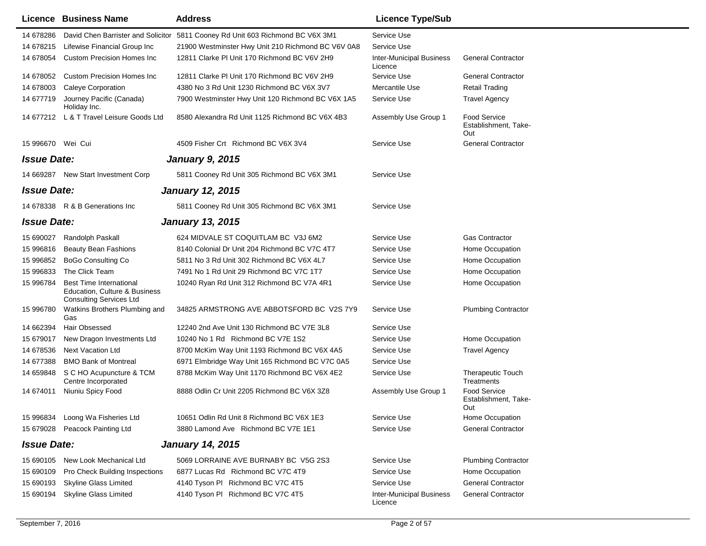|                    | Licence Business Name                                                                             | <b>Address</b>                                                                 | <b>Licence Type/Sub</b>                    |                                                    |
|--------------------|---------------------------------------------------------------------------------------------------|--------------------------------------------------------------------------------|--------------------------------------------|----------------------------------------------------|
| 14 678286          |                                                                                                   | David Chen Barrister and Solicitor 5811 Cooney Rd Unit 603 Richmond BC V6X 3M1 | Service Use                                |                                                    |
| 14 678215          | Lifewise Financial Group Inc                                                                      | 21900 Westminster Hwy Unit 210 Richmond BC V6V 0A8                             | Service Use                                |                                                    |
| 14 678054          | <b>Custom Precision Homes Inc.</b>                                                                | 12811 Clarke PI Unit 170 Richmond BC V6V 2H9                                   | <b>Inter-Municipal Business</b><br>Licence | <b>General Contractor</b>                          |
| 14 678052          | Custom Precision Homes Inc                                                                        | 12811 Clarke PI Unit 170 Richmond BC V6V 2H9                                   | Service Use                                | <b>General Contractor</b>                          |
| 14 678003          | <b>Caleye Corporation</b>                                                                         | 4380 No 3 Rd Unit 1230 Richmond BC V6X 3V7                                     | Mercantile Use                             | <b>Retail Trading</b>                              |
| 14 677719          | Journey Pacific (Canada)<br>Holiday Inc.                                                          | 7900 Westminster Hwy Unit 120 Richmond BC V6X 1A5                              | Service Use                                | <b>Travel Agency</b>                               |
|                    | 14 677212 L & T Travel Leisure Goods Ltd                                                          | 8580 Alexandra Rd Unit 1125 Richmond BC V6X 4B3                                | Assembly Use Group 1                       | <b>Food Service</b><br>Establishment, Take-<br>Out |
| 15 996670 Wei Cui  |                                                                                                   | 4509 Fisher Crt Richmond BC V6X 3V4                                            | Service Use                                | <b>General Contractor</b>                          |
| <b>Issue Date:</b> |                                                                                                   | <b>January 9, 2015</b>                                                         |                                            |                                                    |
|                    | 14 669287 New Start Investment Corp                                                               | 5811 Cooney Rd Unit 305 Richmond BC V6X 3M1                                    | Service Use                                |                                                    |
| <b>Issue Date:</b> |                                                                                                   | <b>January 12, 2015</b>                                                        |                                            |                                                    |
|                    | 14 678338 R & B Generations Inc                                                                   | 5811 Cooney Rd Unit 305 Richmond BC V6X 3M1                                    | Service Use                                |                                                    |
| <b>Issue Date:</b> |                                                                                                   | <b>January 13, 2015</b>                                                        |                                            |                                                    |
| 15 690027          | Randolph Paskall                                                                                  | 624 MIDVALE ST COQUITLAM BC V3J 6M2                                            | Service Use                                | <b>Gas Contractor</b>                              |
| 15 996816          | <b>Beauty Bean Fashions</b>                                                                       | 8140 Colonial Dr Unit 204 Richmond BC V7C 4T7                                  | Service Use                                | Home Occupation                                    |
| 15 996852          | <b>BoGo Consulting Co</b>                                                                         | 5811 No 3 Rd Unit 302 Richmond BC V6X 4L7                                      | Service Use                                | Home Occupation                                    |
| 15 996833          | The Click Team                                                                                    | 7491 No 1 Rd Unit 29 Richmond BC V7C 1T7                                       | Service Use                                | Home Occupation                                    |
| 15 996784          | <b>Best Time International</b><br>Education, Culture & Business<br><b>Consulting Services Ltd</b> | 10240 Ryan Rd Unit 312 Richmond BC V7A 4R1                                     | Service Use                                | Home Occupation                                    |
| 15 996780          | Watkins Brothers Plumbing and<br>Gas                                                              | 34825 ARMSTRONG AVE ABBOTSFORD BC V2S 7Y9                                      | Service Use                                | <b>Plumbing Contractor</b>                         |
| 14 662394          | Hair Obsessed                                                                                     | 12240 2nd Ave Unit 130 Richmond BC V7E 3L8                                     | Service Use                                |                                                    |
| 15 679017          | New Dragon Investments Ltd                                                                        | 10240 No 1 Rd Richmond BC V7E 1S2                                              | Service Use                                | Home Occupation                                    |
| 14 678536          | <b>Next Vacation Ltd</b>                                                                          | 8700 McKim Way Unit 1193 Richmond BC V6X 4A5                                   | Service Use                                | <b>Travel Agency</b>                               |
| 14 677388          | <b>BMO Bank of Montreal</b>                                                                       | 6971 Elmbridge Way Unit 165 Richmond BC V7C 0A5                                | Service Use                                |                                                    |
| 14 659848          | S C HO Acupuncture & TCM<br>Centre Incorporated                                                   | 8788 McKim Way Unit 1170 Richmond BC V6X 4E2                                   | Service Use                                | <b>Therapeutic Touch</b><br>Treatments             |
| 14 674011          | Niuniu Spicy Food                                                                                 | 8888 Odlin Cr Unit 2205 Richmond BC V6X 3Z8                                    | Assembly Use Group 1                       | <b>Food Service</b><br>Establishment, Take-<br>Out |
|                    | 15 996834 Loong Wa Fisheries Ltd                                                                  | 10651 Odlin Rd Unit 8 Richmond BC V6X 1E3                                      | Service Use                                | Home Occupation                                    |
|                    | 15 679028 Peacock Painting Ltd                                                                    | 3880 Lamond Ave Richmond BC V7E 1E1                                            | Service Use                                | <b>General Contractor</b>                          |
| <b>Issue Date:</b> |                                                                                                   | <b>January 14, 2015</b>                                                        |                                            |                                                    |
| 15 690105          | New Look Mechanical Ltd                                                                           | 5069 LORRAINE AVE BURNABY BC V5G 2S3                                           | Service Use                                | <b>Plumbing Contractor</b>                         |
| 15 690109          | Pro Check Building Inspections                                                                    | 6877 Lucas Rd Richmond BC V7C 4T9                                              | Service Use                                | Home Occupation                                    |
| 15 690193          | <b>Skyline Glass Limited</b>                                                                      | 4140 Tyson PI Richmond BC V7C 4T5                                              | Service Use                                | <b>General Contractor</b>                          |
| 15 690194          | Skyline Glass Limited                                                                             | 4140 Tyson PI Richmond BC V7C 4T5                                              | <b>Inter-Municipal Business</b><br>Licence | <b>General Contractor</b>                          |
|                    |                                                                                                   |                                                                                |                                            |                                                    |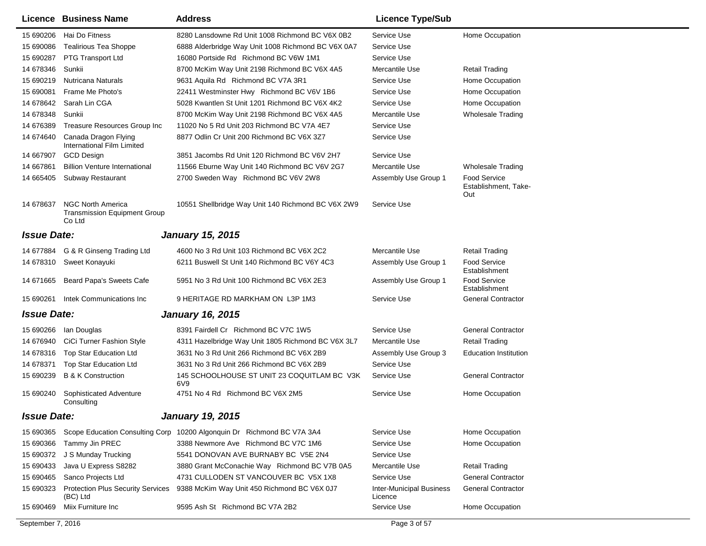|                    | Licence Business Name                                                     | <b>Address</b>                                     | <b>Licence Type/Sub</b>                    |                                                    |
|--------------------|---------------------------------------------------------------------------|----------------------------------------------------|--------------------------------------------|----------------------------------------------------|
| 15 690206          | Hai Do Fitness                                                            | 8280 Lansdowne Rd Unit 1008 Richmond BC V6X 0B2    | Service Use                                | Home Occupation                                    |
| 15 690086          | <b>Tealirious Tea Shoppe</b>                                              | 6888 Alderbridge Way Unit 1008 Richmond BC V6X 0A7 | Service Use                                |                                                    |
| 15 690287          | PTG Transport Ltd                                                         | 16080 Portside Rd Richmond BC V6W 1M1              | Service Use                                |                                                    |
| 14 678346          | Sunkii                                                                    | 8700 McKim Way Unit 2198 Richmond BC V6X 4A5       | Mercantile Use                             | <b>Retail Trading</b>                              |
| 15 690219          | Nutricana Naturals                                                        | 9631 Aquila Rd Richmond BC V7A 3R1                 | Service Use                                | Home Occupation                                    |
| 15 690081          | Frame Me Photo's                                                          | 22411 Westminster Hwy Richmond BC V6V 1B6          | Service Use                                | Home Occupation                                    |
| 14 678642          | Sarah Lin CGA                                                             | 5028 Kwantlen St Unit 1201 Richmond BC V6X 4K2     | Service Use                                | Home Occupation                                    |
| 14 678348          | Sunkii                                                                    | 8700 McKim Way Unit 2198 Richmond BC V6X 4A5       | Mercantile Use                             | <b>Wholesale Trading</b>                           |
| 14 676389          | Treasure Resources Group Inc                                              | 11020 No 5 Rd Unit 203 Richmond BC V7A 4E7         | Service Use                                |                                                    |
| 14 674 640         | Canada Dragon Flying<br>International Film Limited                        | 8877 Odlin Cr Unit 200 Richmond BC V6X 3Z7         | Service Use                                |                                                    |
| 14 667907          | <b>GCD Design</b>                                                         | 3851 Jacombs Rd Unit 120 Richmond BC V6V 2H7       | Service Use                                |                                                    |
| 14 667861          | <b>Billion Venture International</b>                                      | 11566 Eburne Way Unit 140 Richmond BC V6V 2G7      | Mercantile Use                             | <b>Wholesale Trading</b>                           |
| 14 665405          | <b>Subway Restaurant</b>                                                  | 2700 Sweden Way Richmond BC V6V 2W8                | Assembly Use Group 1                       | <b>Food Service</b><br>Establishment, Take-<br>Out |
| 14 678637          | <b>NGC North America</b><br><b>Transmission Equipment Group</b><br>Co Ltd | 10551 Shellbridge Way Unit 140 Richmond BC V6X 2W9 | Service Use                                |                                                    |
| <b>Issue Date:</b> |                                                                           | <b>January 15, 2015</b>                            |                                            |                                                    |
|                    | 14 677884 G & R Ginseng Trading Ltd                                       | 4600 No 3 Rd Unit 103 Richmond BC V6X 2C2          | Mercantile Use                             | <b>Retail Trading</b>                              |
| 14 678310          | Sweet Konayuki                                                            | 6211 Buswell St Unit 140 Richmond BC V6Y 4C3       | Assembly Use Group 1                       | Food Service                                       |
|                    |                                                                           |                                                    |                                            | Establishment                                      |
| 14 671 665         | Beard Papa's Sweets Cafe                                                  | 5951 No 3 Rd Unit 100 Richmond BC V6X 2E3          | Assembly Use Group 1                       | Food Service<br>Establishment                      |
| 15 690261          | Intek Communications Inc                                                  | 9 HERITAGE RD MARKHAM ON L3P 1M3                   | Service Use                                | <b>General Contractor</b>                          |
| <b>Issue Date:</b> |                                                                           | <b>January 16, 2015</b>                            |                                            |                                                    |
| 15 690266          | Ian Douglas                                                               | 8391 Fairdell Cr Richmond BC V7C 1W5               | Service Use                                | <b>General Contractor</b>                          |
| 14 676940          | CiCi Turner Fashion Style                                                 | 4311 Hazelbridge Way Unit 1805 Richmond BC V6X 3L7 | Mercantile Use                             | <b>Retail Trading</b>                              |
| 14 678316          | Top Star Education Ltd                                                    | 3631 No 3 Rd Unit 266 Richmond BC V6X 2B9          | Assembly Use Group 3                       | <b>Education Institution</b>                       |
| 14 678371          | Top Star Education Ltd                                                    | 3631 No 3 Rd Unit 266 Richmond BC V6X 2B9          | Service Use                                |                                                    |
| 15 690239          | <b>B &amp; K Construction</b>                                             | 145 SCHOOLHOUSE ST UNIT 23 COQUITLAM BC V3K<br>6V9 | Service Use                                | <b>General Contractor</b>                          |
| 15 690240          | Sophisticated Adventure<br>Consulting                                     | 4751 No 4 Rd Richmond BC V6X 2M5                   | Service Use                                | Home Occupation                                    |
| <b>Issue Date:</b> |                                                                           | <b>January 19, 2015</b>                            |                                            |                                                    |
| 15 690365          | Scope Education Consulting Corp                                           | 10200 Algonquin Dr Richmond BC V7A 3A4             | Service Use                                | Home Occupation                                    |
| 15 690366          | Tammy Jin PREC                                                            | 3388 Newmore Ave Richmond BC V7C 1M6               | Service Use                                | Home Occupation                                    |
| 15 690372          | J S Munday Trucking                                                       | 5541 DONOVAN AVE BURNABY BC V5E 2N4                | Service Use                                |                                                    |
| 15 690433          | Java U Express S8282                                                      | 3880 Grant McConachie Way Richmond BC V7B 0A5      | Mercantile Use                             | <b>Retail Trading</b>                              |
| 15 690465          | Sanco Projects Ltd                                                        | 4731 CULLODEN ST VANCOUVER BC V5X 1X8              | Service Use                                | <b>General Contractor</b>                          |
| 15 690323          | <b>Protection Plus Security Services</b><br>(BC) Ltd                      | 9388 McKim Way Unit 450 Richmond BC V6X 0J7        | <b>Inter-Municipal Business</b><br>Licence | <b>General Contractor</b>                          |
| 15 690469          | Miix Furniture Inc                                                        | 9595 Ash St Richmond BC V7A 2B2                    | Service Use                                | Home Occupation                                    |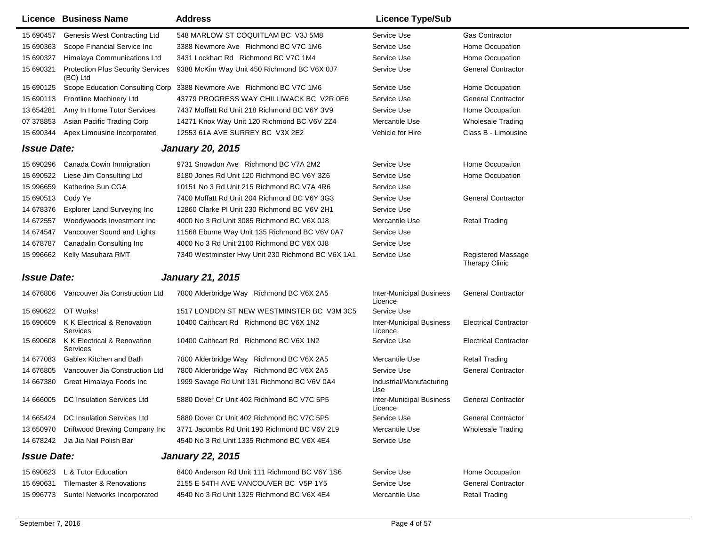|                    | <b>Licence Business Name</b>                         | <b>Address</b>                                    | <b>Licence Type/Sub</b>                    |                                             |
|--------------------|------------------------------------------------------|---------------------------------------------------|--------------------------------------------|---------------------------------------------|
| 15 690457          | Genesis West Contracting Ltd                         | 548 MARLOW ST COQUITLAM BC V3J 5M8                | Service Use                                | <b>Gas Contractor</b>                       |
| 15 690363          | Scope Financial Service Inc                          | 3388 Newmore Ave Richmond BC V7C 1M6              | Service Use                                | Home Occupation                             |
| 15 690327          | Himalaya Communications Ltd                          | 3431 Lockhart Rd Richmond BC V7C 1M4              | Service Use                                | Home Occupation                             |
| 15 690321          | <b>Protection Plus Security Services</b><br>(BC) Ltd | 9388 McKim Way Unit 450 Richmond BC V6X 0J7       | Service Use                                | <b>General Contractor</b>                   |
| 15 690125          | Scope Education Consulting Corp                      | 3388 Newmore Ave Richmond BC V7C 1M6              | Service Use                                | Home Occupation                             |
| 15 690113          | Frontline Machinery Ltd                              | 43779 PROGRESS WAY CHILLIWACK BC V2R 0E6          | Service Use                                | <b>General Contractor</b>                   |
| 13 654281          | Amy In Home Tutor Services                           | 7437 Moffatt Rd Unit 218 Richmond BC V6Y 3V9      | Service Use                                | Home Occupation                             |
| 07 378853          | Asian Pacific Trading Corp                           | 14271 Knox Way Unit 120 Richmond BC V6V 2Z4       | Mercantile Use                             | <b>Wholesale Trading</b>                    |
| 15 690344          | Apex Limousine Incorporated                          | 12553 61A AVE SURREY BC V3X 2E2                   | Vehicle for Hire                           | Class B - Limousine                         |
| <b>Issue Date:</b> |                                                      | <b>January 20, 2015</b>                           |                                            |                                             |
| 15 690296          | Canada Cowin Immigration                             | 9731 Snowdon Ave Richmond BC V7A 2M2              | Service Use                                | Home Occupation                             |
| 15 690522          | Liese Jim Consulting Ltd                             | 8180 Jones Rd Unit 120 Richmond BC V6Y 3Z6        | Service Use                                | Home Occupation                             |
| 15 996659          | Katherine Sun CGA                                    | 10151 No 3 Rd Unit 215 Richmond BC V7A 4R6        | Service Use                                |                                             |
| 15 690513          | Cody Ye                                              | 7400 Moffatt Rd Unit 204 Richmond BC V6Y 3G3      | Service Use                                | <b>General Contractor</b>                   |
| 14 678376          | <b>Explorer Land Surveying Inc</b>                   | 12860 Clarke PI Unit 230 Richmond BC V6V 2H1      | Service Use                                |                                             |
| 14 672557          | Woodywoods Investment Inc                            | 4000 No 3 Rd Unit 3085 Richmond BC V6X 0J8        | Mercantile Use                             | <b>Retail Trading</b>                       |
| 14 674547          | Vancouver Sound and Lights                           | 11568 Eburne Way Unit 135 Richmond BC V6V 0A7     | Service Use                                |                                             |
| 14 678787          | Canadalin Consulting Inc                             | 4000 No 3 Rd Unit 2100 Richmond BC V6X 0J8        | Service Use                                |                                             |
| 15 996662          | Kelly Masuhara RMT                                   | 7340 Westminster Hwy Unit 230 Richmond BC V6X 1A1 | Service Use                                | <b>Registered Massage</b><br>Therapy Clinic |
| <b>Issue Date:</b> |                                                      | <b>January 21, 2015</b>                           |                                            |                                             |
| 14 676806          | Vancouver Jia Construction Ltd                       | 7800 Alderbridge Way Richmond BC V6X 2A5          | <b>Inter-Municipal Business</b><br>Licence | <b>General Contractor</b>                   |
| 15 690622          | OT Works!                                            | 1517 LONDON ST NEW WESTMINSTER BC V3M 3C5         | Service Use                                |                                             |
| 15 690609          | K K Electrical & Renovation<br>Services              | 10400 Caithcart Rd Richmond BC V6X 1N2            | <b>Inter-Municipal Business</b><br>Licence | <b>Electrical Contractor</b>                |
| 15 690608          | K K Electrical & Renovation<br>Services              | 10400 Caithcart Rd Richmond BC V6X 1N2            | Service Use                                | <b>Electrical Contractor</b>                |
| 14 677083          | Gablex Kitchen and Bath                              | 7800 Alderbridge Way Richmond BC V6X 2A5          | Mercantile Use                             | <b>Retail Trading</b>                       |
| 14 676805          | Vancouver Jia Construction Ltd                       | 7800 Alderbridge Way Richmond BC V6X 2A5          | Service Use                                | <b>General Contractor</b>                   |
| 14 667380          | Great Himalaya Foods Inc                             | 1999 Savage Rd Unit 131 Richmond BC V6V 0A4       | Industrial/Manufacturing<br>Use            |                                             |
| 14 666005          | DC Insulation Services Ltd                           | 5880 Dover Cr Unit 402 Richmond BC V7C 5P5        | <b>Inter-Municipal Business</b><br>Licence | <b>General Contractor</b>                   |
|                    | 14 665424 DC Insulation Services Ltd                 | 5880 Dover Cr Unit 402 Richmond BC V7C 5P5        | Service Use                                | <b>General Contractor</b>                   |
| 13 650970          | Driftwood Brewing Company Inc                        | 3771 Jacombs Rd Unit 190 Richmond BC V6V 2L9      | Mercantile Use                             | <b>Wholesale Trading</b>                    |
| 14 678242          | Jia Jia Nail Polish Bar                              | 4540 No 3 Rd Unit 1335 Richmond BC V6X 4E4        | Service Use                                |                                             |
| <b>Issue Date:</b> |                                                      | <b>January 22, 2015</b>                           |                                            |                                             |
|                    | 15 690623 L & Tutor Education                        | 8400 Anderson Rd Unit 111 Richmond BC V6Y 1S6     | Service Use                                | Home Occupation                             |
| 15 690631          | <b>Tilemaster &amp; Renovations</b>                  | 2155 E 54TH AVE VANCOUVER BC V5P 1Y5              | Service Use                                | <b>General Contractor</b>                   |
| 15 996773          | Suntel Networks Incorporated                         | 4540 No 3 Rd Unit 1325 Richmond BC V6X 4E4        | Mercantile Use                             | <b>Retail Trading</b>                       |
|                    |                                                      |                                                   |                                            |                                             |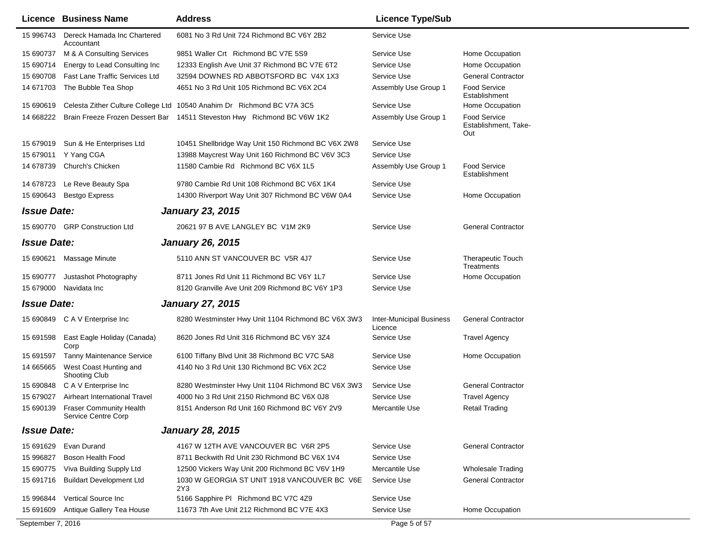|                    | Licence Business Name                                 | <b>Address</b>                                                          | <b>Licence Type/Sub</b>                    |                                                    |
|--------------------|-------------------------------------------------------|-------------------------------------------------------------------------|--------------------------------------------|----------------------------------------------------|
| 15 996743          | Dereck Hamada Inc Chartered<br>Accountant             | 6081 No 3 Rd Unit 724 Richmond BC V6Y 2B2                               | Service Use                                |                                                    |
| 15 690737          | M & A Consulting Services                             | 9851 Waller Crt Richmond BC V7E 5S9                                     | Service Use                                | Home Occupation                                    |
| 15 690714          | Energy to Lead Consulting Inc                         | 12333 English Ave Unit 37 Richmond BC V7E 6T2                           | Service Use                                | Home Occupation                                    |
| 15 690708          | <b>Fast Lane Traffic Services Ltd</b>                 | 32594 DOWNES RD ABBOTSFORD BC V4X 1X3                                   | Service Use                                | <b>General Contractor</b>                          |
| 14 671703          | The Bubble Tea Shop                                   | 4651 No 3 Rd Unit 105 Richmond BC V6X 2C4                               | Assembly Use Group 1                       | <b>Food Service</b><br>Establishment               |
| 15 690619          |                                                       | Celesta Zither Culture College Ltd 10540 Anahim Dr Richmond BC V7A 3C5  | Service Use                                | Home Occupation                                    |
| 14 668222          |                                                       | Brain Freeze Frozen Dessert Bar 14511 Steveston Hwy Richmond BC V6W 1K2 | Assembly Use Group 1                       | <b>Food Service</b><br>Establishment, Take-<br>Out |
| 15 679019          | Sun & He Enterprises Ltd                              | 10451 Shellbridge Way Unit 150 Richmond BC V6X 2W8                      | Service Use                                |                                                    |
| 15 679011          | Y Yang CGA                                            | 13988 Maycrest Way Unit 160 Richmond BC V6V 3C3                         | Service Use                                |                                                    |
| 14 678739          | Church's Chicken                                      | 11580 Cambie Rd Richmond BC V6X 1L5                                     | Assembly Use Group 1                       | <b>Food Service</b><br>Establishment               |
| 14 678723          | Le Reve Beauty Spa                                    | 9780 Cambie Rd Unit 108 Richmond BC V6X 1K4                             | Service Use                                |                                                    |
| 15 690643          | <b>Bestgo Express</b>                                 | 14300 Riverport Way Unit 307 Richmond BC V6W 0A4                        | Service Use                                | Home Occupation                                    |
| <b>Issue Date:</b> |                                                       | <b>January 23, 2015</b>                                                 |                                            |                                                    |
|                    | 15 690770 GRP Construction Ltd                        | 20621 97 B AVE LANGLEY BC V1M 2K9                                       | Service Use                                | <b>General Contractor</b>                          |
| <b>Issue Date:</b> |                                                       | <b>January 26, 2015</b>                                                 |                                            |                                                    |
|                    | 15 690621 Massage Minute                              | 5110 ANN ST VANCOUVER BC V5R 4J7                                        | Service Use                                | <b>Therapeutic Touch</b><br>Treatments             |
| 15 690777          | Justashot Photography                                 | 8711 Jones Rd Unit 11 Richmond BC V6Y 1L7                               | Service Use                                | Home Occupation                                    |
| 15 679000          | Navidata Inc                                          | 8120 Granville Ave Unit 209 Richmond BC V6Y 1P3                         | Service Use                                |                                                    |
| <b>Issue Date:</b> |                                                       | <b>January 27, 2015</b>                                                 |                                            |                                                    |
|                    | 15 690849 C A V Enterprise Inc                        | 8280 Westminster Hwy Unit 1104 Richmond BC V6X 3W3                      | <b>Inter-Municipal Business</b><br>Licence | <b>General Contractor</b>                          |
| 15 691598          | East Eagle Holiday (Canada)<br>Corp                   | 8620 Jones Rd Unit 316 Richmond BC V6Y 3Z4                              | Service Use                                | <b>Travel Agency</b>                               |
| 15 691597          | <b>Tanny Maintenance Service</b>                      | 6100 Tiffany Blvd Unit 38 Richmond BC V7C 5A8                           | Service Use                                | Home Occupation                                    |
| 14 665665          | West Coast Hunting and<br>Shooting Club               | 4140 No 3 Rd Unit 130 Richmond BC V6X 2C2                               | Service Use                                |                                                    |
| 15 690848          | C A V Enterprise Inc                                  | 8280 Westminster Hwy Unit 1104 Richmond BC V6X 3W3                      | Service Use                                | <b>General Contractor</b>                          |
| 15 679027          | Airheart International Travel                         | 4000 No 3 Rd Unit 2150 Richmond BC V6X 0J8                              | Service Use                                | <b>Travel Agency</b>                               |
| 15 690139          | <b>Fraser Community Health</b><br>Service Centre Corp | 8151 Anderson Rd Unit 160 Richmond BC V6Y 2V9                           | Mercantile Use                             | <b>Retail Trading</b>                              |
| <b>Issue Date:</b> |                                                       | <b>January 28, 2015</b>                                                 |                                            |                                                    |
| 15 691 629         | Evan Durand                                           | 4167 W 12TH AVE VANCOUVER BC V6R 2P5                                    | Service Use                                | <b>General Contractor</b>                          |
| 15 996827          | Boson Health Food                                     | 8711 Beckwith Rd Unit 230 Richmond BC V6X 1V4                           | Service Use                                |                                                    |
| 15 690775          | Viva Building Supply Ltd                              | 12500 Vickers Way Unit 200 Richmond BC V6V 1H9                          | Mercantile Use                             | <b>Wholesale Trading</b>                           |
| 15 691716          | <b>Buildart Development Ltd</b>                       | 1030 W GEORGIA ST UNIT 1918 VANCOUVER BC V6E<br>2Y3                     | Service Use                                | <b>General Contractor</b>                          |
| 15 996844          | Vertical Source Inc                                   | 5166 Sapphire PI Richmond BC V7C 4Z9                                    | Service Use                                |                                                    |
| 15 691609          | Antique Gallery Tea House                             | 11673 7th Ave Unit 212 Richmond BC V7E 4X3                              | Service Use                                | Home Occupation                                    |
| September 7, 2016  |                                                       |                                                                         | Page 5 of 57                               |                                                    |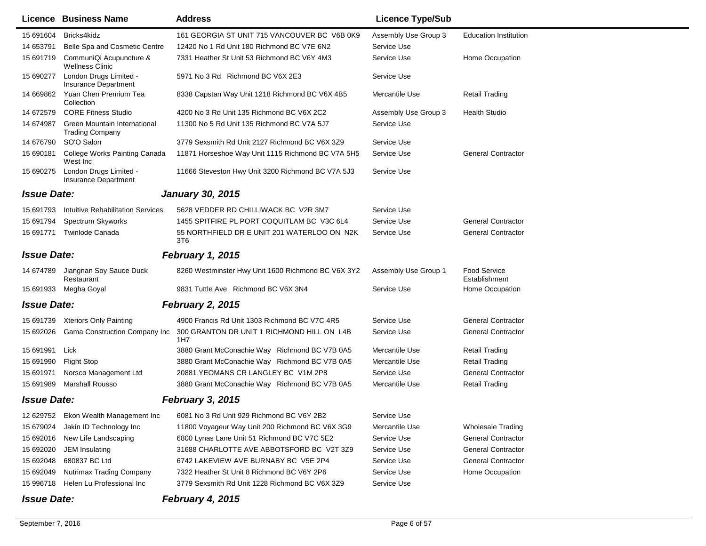|                    | Licence Business Name                                  | <b>Address</b>                                                 | <b>Licence Type/Sub</b> |                                      |
|--------------------|--------------------------------------------------------|----------------------------------------------------------------|-------------------------|--------------------------------------|
| 15 691604          | Bricks4kidz                                            | 161 GEORGIA ST UNIT 715 VANCOUVER BC V6B 0K9                   | Assembly Use Group 3    | <b>Education Institution</b>         |
| 14 653791          | Belle Spa and Cosmetic Centre                          | 12420 No 1 Rd Unit 180 Richmond BC V7E 6N2                     | Service Use             |                                      |
| 15 691719          | CommuniQi Acupuncture &<br><b>Wellness Clinic</b>      | 7331 Heather St Unit 53 Richmond BC V6Y 4M3                    | Service Use             | Home Occupation                      |
| 15 690277          | London Drugs Limited -<br><b>Insurance Department</b>  | 5971 No 3 Rd Richmond BC V6X 2E3                               | Service Use             |                                      |
| 14 669862          | Yuan Chen Premium Tea<br>Collection                    | 8338 Capstan Way Unit 1218 Richmond BC V6X 4B5                 | Mercantile Use          | Retail Trading                       |
| 14 672579          | <b>CORE Fitness Studio</b>                             | 4200 No 3 Rd Unit 135 Richmond BC V6X 2C2                      | Assembly Use Group 3    | <b>Health Studio</b>                 |
| 14 674987          | Green Mountain International<br><b>Trading Company</b> | 11300 No 5 Rd Unit 135 Richmond BC V7A 5J7                     | Service Use             |                                      |
| 14 676790          | SO'O Salon                                             | 3779 Sexsmith Rd Unit 2127 Richmond BC V6X 3Z9                 | Service Use             |                                      |
| 15 690181          | College Works Painting Canada<br>West Inc              | 11871 Horseshoe Way Unit 1115 Richmond BC V7A 5H5              | Service Use             | <b>General Contractor</b>            |
| 15 690275          | London Drugs Limited -<br><b>Insurance Department</b>  | 11666 Steveston Hwy Unit 3200 Richmond BC V7A 5J3              | Service Use             |                                      |
| <b>Issue Date:</b> |                                                        | <b>January 30, 2015</b>                                        |                         |                                      |
| 15 691793          | Intuitive Rehabilitation Services                      | 5628 VEDDER RD CHILLIWACK BC V2R 3M7                           | Service Use             |                                      |
| 15 691794          | <b>Spectrum Skyworks</b>                               | 1455 SPITFIRE PL PORT COQUITLAM BC V3C 6L4                     | Service Use             | <b>General Contractor</b>            |
| 15 691771          | <b>Twinlode Canada</b>                                 | 55 NORTHFIELD DR E UNIT 201 WATERLOO ON N2K<br>3T <sub>6</sub> | Service Use             | <b>General Contractor</b>            |
| <b>Issue Date:</b> |                                                        | <b>February 1, 2015</b>                                        |                         |                                      |
| 14 674789          | Jiangnan Soy Sauce Duck<br>Restaurant                  | 8260 Westminster Hwy Unit 1600 Richmond BC V6X 3Y2             | Assembly Use Group 1    | <b>Food Service</b><br>Establishment |
| 15 691933          | Megha Goyal                                            | 9831 Tuttle Ave Richmond BC V6X 3N4                            | Service Use             | Home Occupation                      |
| <b>Issue Date:</b> |                                                        | <b>February 2, 2015</b>                                        |                         |                                      |
| 15 691739          | <b>Xteriors Only Painting</b>                          | 4900 Francis Rd Unit 1303 Richmond BC V7C 4R5                  | Service Use             | <b>General Contractor</b>            |
| 15 692026          | <b>Gama Construction Company Inc</b>                   | 300 GRANTON DR UNIT 1 RICHMOND HILL ON L4B<br>1H7              | Service Use             | <b>General Contractor</b>            |
| 15 691991          | Lick                                                   | 3880 Grant McConachie Way Richmond BC V7B 0A5                  | Mercantile Use          | Retail Trading                       |
| 15 691990          | <b>Flight Stop</b>                                     | 3880 Grant McConachie Way Richmond BC V7B 0A5                  | Mercantile Use          | <b>Retail Trading</b>                |
| 15 691971          | Norsco Management Ltd                                  | 20881 YEOMANS CR LANGLEY BC V1M 2P8                            | Service Use             | <b>General Contractor</b>            |
| 15 691989          | <b>Marshall Rousso</b>                                 | 3880 Grant McConachie Way Richmond BC V7B 0A5                  | Mercantile Use          | <b>Retail Trading</b>                |
| <b>Issue Date:</b> |                                                        | February 3, 2015                                               |                         |                                      |
|                    | 12 629752 Ekon Wealth Management Inc                   | 6081 No 3 Rd Unit 929 Richmond BC V6Y 2B2                      | Service Use             |                                      |
| 15 679024          | Jakin ID Technology Inc                                | 11800 Voyageur Way Unit 200 Richmond BC V6X 3G9                | Mercantile Use          | <b>Wholesale Trading</b>             |
| 15 692016          | New Life Landscaping                                   | 6800 Lynas Lane Unit 51 Richmond BC V7C 5E2                    | Service Use             | <b>General Contractor</b>            |
| 15 692020          | JEM Insulating                                         | 31688 CHARLOTTE AVE ABBOTSFORD BC V2T 3Z9                      | Service Use             | <b>General Contractor</b>            |
| 15 692048          | 680837 BC Ltd                                          | 6742 LAKEVIEW AVE BURNABY BC V5E 2P4                           | Service Use             | <b>General Contractor</b>            |
| 15 692049          | <b>Nutrimax Trading Company</b>                        | 7322 Heather St Unit 8 Richmond BC V6Y 2P6                     | Service Use             | Home Occupation                      |
| 15 996718          | Helen Lu Professional Inc                              | 3779 Sexsmith Rd Unit 1228 Richmond BC V6X 3Z9                 | Service Use             |                                      |
| <b>Issue Date:</b> |                                                        | February 4, 2015                                               |                         |                                      |

 $\blacksquare$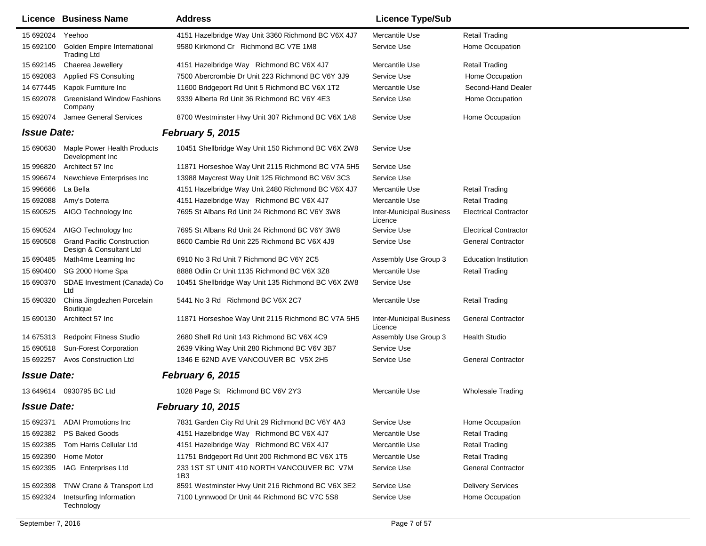|                    | <b>Licence Business Name</b>                                 | <b>Address</b>                                     | <b>Licence Type/Sub</b>                    |                              |
|--------------------|--------------------------------------------------------------|----------------------------------------------------|--------------------------------------------|------------------------------|
| 15 692024          | Yeehoo                                                       | 4151 Hazelbridge Way Unit 3360 Richmond BC V6X 4J7 | Mercantile Use                             | <b>Retail Trading</b>        |
| 15 692100          | Golden Empire International<br><b>Trading Ltd</b>            | 9580 Kirkmond Cr Richmond BC V7E 1M8               | Service Use                                | Home Occupation              |
| 15 692145          | Chaerea Jewellery                                            | 4151 Hazelbridge Way Richmond BC V6X 4J7           | Mercantile Use                             | <b>Retail Trading</b>        |
| 15 692083          | <b>Applied FS Consulting</b>                                 | 7500 Abercrombie Dr Unit 223 Richmond BC V6Y 3J9   | Service Use                                | Home Occupation              |
| 14 677445          | Kapok Furniture Inc                                          | 11600 Bridgeport Rd Unit 5 Richmond BC V6X 1T2     | Mercantile Use                             | Second-Hand Dealer           |
| 15 692078          | <b>Greenisland Window Fashions</b><br>Company                | 9339 Alberta Rd Unit 36 Richmond BC V6Y 4E3        | Service Use                                | Home Occupation              |
| 15 692074          | Jamee General Services                                       | 8700 Westminster Hwy Unit 307 Richmond BC V6X 1A8  | Service Use                                | Home Occupation              |
| <b>Issue Date:</b> |                                                              | <b>February 5, 2015</b>                            |                                            |                              |
| 15 690630          | <b>Maple Power Health Products</b><br>Development Inc.       | 10451 Shellbridge Way Unit 150 Richmond BC V6X 2W8 | Service Use                                |                              |
| 15 996820          | Architect 57 Inc                                             | 11871 Horseshoe Way Unit 2115 Richmond BC V7A 5H5  | Service Use                                |                              |
| 15 996674          | Newchieve Enterprises Inc                                    | 13988 Maycrest Way Unit 125 Richmond BC V6V 3C3    | Service Use                                |                              |
| 15 996666          | La Bella                                                     | 4151 Hazelbridge Way Unit 2480 Richmond BC V6X 4J7 | Mercantile Use                             | <b>Retail Trading</b>        |
| 15 692088          | Amy's Doterra                                                | 4151 Hazelbridge Way Richmond BC V6X 4J7           | Mercantile Use                             | <b>Retail Trading</b>        |
| 15 690525          | AIGO Technology Inc                                          | 7695 St Albans Rd Unit 24 Richmond BC V6Y 3W8      | <b>Inter-Municipal Business</b><br>Licence | <b>Electrical Contractor</b> |
| 15 690524          | AIGO Technology Inc                                          | 7695 St Albans Rd Unit 24 Richmond BC V6Y 3W8      | Service Use                                | <b>Electrical Contractor</b> |
| 15 690508          | <b>Grand Pacific Construction</b><br>Design & Consultant Ltd | 8600 Cambie Rd Unit 225 Richmond BC V6X 4J9        | Service Use                                | <b>General Contractor</b>    |
| 15 690485          | Math4me Learning Inc                                         | 6910 No 3 Rd Unit 7 Richmond BC V6Y 2C5            | Assembly Use Group 3                       | <b>Education Institution</b> |
| 15 690400          | SG 2000 Home Spa                                             | 8888 Odlin Cr Unit 1135 Richmond BC V6X 3Z8        | Mercantile Use                             | <b>Retail Trading</b>        |
| 15 690370          | SDAE Investment (Canada) Co<br>Ltd                           | 10451 Shellbridge Way Unit 135 Richmond BC V6X 2W8 | Service Use                                |                              |
| 15 690320          | China Jingdezhen Porcelain<br><b>Boutique</b>                | 5441 No 3 Rd Richmond BC V6X 2C7                   | Mercantile Use                             | <b>Retail Trading</b>        |
| 15 690130          | Architect 57 Inc                                             | 11871 Horseshoe Way Unit 2115 Richmond BC V7A 5H5  | <b>Inter-Municipal Business</b><br>Licence | <b>General Contractor</b>    |
| 14 675313          | <b>Redpoint Fitness Studio</b>                               | 2680 Shell Rd Unit 143 Richmond BC V6X 4C9         | Assembly Use Group 3                       | <b>Health Studio</b>         |
| 15 690518          | Sun-Forest Corporation                                       | 2639 Viking Way Unit 280 Richmond BC V6V 3B7       | Service Use                                |                              |
| 15 692257          | <b>Avos Construction Ltd</b>                                 | 1346 E 62ND AVE VANCOUVER BC V5X 2H5               | Service Use                                | <b>General Contractor</b>    |
| <b>Issue Date:</b> |                                                              | February 6, 2015                                   |                                            |                              |
|                    | 13 649614 0930795 BC Ltd                                     | 1028 Page St Richmond BC V6V 2Y3                   | Mercantile Use                             | <b>Wholesale Trading</b>     |
| <b>Issue Date:</b> |                                                              | <b>February 10, 2015</b>                           |                                            |                              |
| 15 692371          | <b>ADAI Promotions Inc</b>                                   | 7831 Garden City Rd Unit 29 Richmond BC V6Y 4A3    | Service Use                                | Home Occupation              |
| 15 692382          | PS Baked Goods                                               | 4151 Hazelbridge Way Richmond BC V6X 4J7           | Mercantile Use                             | <b>Retail Trading</b>        |
| 15 692385          | Tom Harris Cellular Ltd                                      | 4151 Hazelbridge Way Richmond BC V6X 4J7           | Mercantile Use                             | <b>Retail Trading</b>        |
| 15 692390          | Home Motor                                                   | 11751 Bridgeport Rd Unit 200 Richmond BC V6X 1T5   | Mercantile Use                             | <b>Retail Trading</b>        |
| 15 692395          | IAG Enterprises Ltd                                          | 233 1ST ST UNIT 410 NORTH VANCOUVER BC V7M<br>1B3  | Service Use                                | <b>General Contractor</b>    |
| 15 692398          | TNW Crane & Transport Ltd                                    | 8591 Westminster Hwy Unit 216 Richmond BC V6X 3E2  | Service Use                                | <b>Delivery Services</b>     |
| 15 692324          | Inetsurfing Information<br>Technology                        | 7100 Lynnwood Dr Unit 44 Richmond BC V7C 5S8       | Service Use                                | Home Occupation              |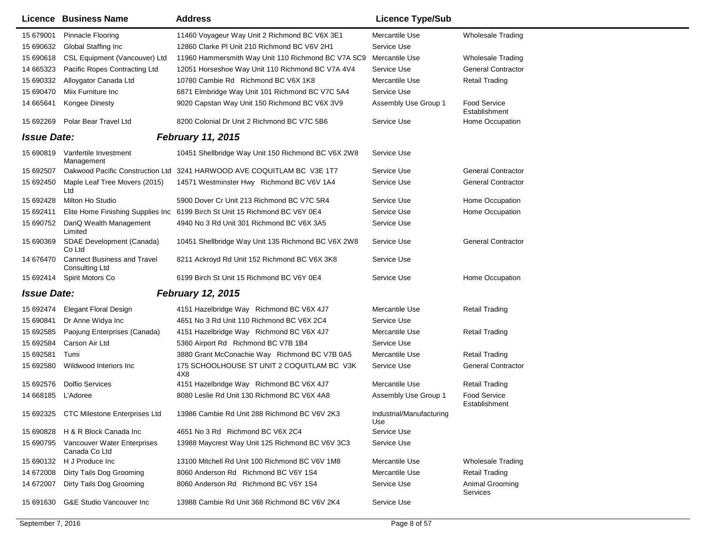|                    | <b>Licence Business Name</b>                                | <b>Address</b>                                                         | <b>Licence Type/Sub</b>         |                                      |
|--------------------|-------------------------------------------------------------|------------------------------------------------------------------------|---------------------------------|--------------------------------------|
| 15 679001          | <b>Pinnacle Flooring</b>                                    | 11460 Voyageur Way Unit 2 Richmond BC V6X 3E1                          | Mercantile Use                  | <b>Wholesale Trading</b>             |
| 15 690632          | <b>Global Staffing Inc</b>                                  | 12860 Clarke PI Unit 210 Richmond BC V6V 2H1                           | Service Use                     |                                      |
| 15 690618          | CSL Equipment (Vancouver) Ltd                               | 11960 Hammersmith Way Unit 110 Richmond BC V7A 5C9                     | Mercantile Use                  | <b>Wholesale Trading</b>             |
| 14 665323          | Pacific Ropes Contracting Ltd                               | 12051 Horseshoe Way Unit 110 Richmond BC V7A 4V4                       | Service Use                     | <b>General Contractor</b>            |
| 15 690332          | Alloygator Canada Ltd                                       | 10780 Cambie Rd Richmond BC V6X 1K8                                    | Mercantile Use                  | <b>Retail Trading</b>                |
| 15 690470          | Miix Furniture Inc                                          | 6871 Elmbridge Way Unit 101 Richmond BC V7C 5A4                        | Service Use                     |                                      |
| 14 665641          | Kongee Dinesty                                              | 9020 Capstan Way Unit 150 Richmond BC V6X 3V9                          | Assembly Use Group 1            | <b>Food Service</b><br>Establishment |
|                    | 15 692269 Polar Bear Travel Ltd                             | 8200 Colonial Dr Unit 2 Richmond BC V7C 5B6                            | Service Use                     | Home Occupation                      |
| <b>Issue Date:</b> |                                                             | <b>February 11, 2015</b>                                               |                                 |                                      |
| 15 690819          | Vanfertile Investment<br>Management                         | 10451 Shellbridge Way Unit 150 Richmond BC V6X 2W8                     | Service Use                     |                                      |
| 15 692507          |                                                             | Oakwood Pacific Construction Ltd 3241 HARWOOD AVE COQUITLAM BC V3E 1T7 | Service Use                     | <b>General Contractor</b>            |
| 15 692450          | Maple Leaf Tree Movers (2015)<br>Ltd                        | 14571 Westminster Hwy Richmond BC V6V 1A4                              | Service Use                     | <b>General Contractor</b>            |
| 15 692428          | Milton Ho Studio                                            | 5900 Dover Cr Unit 213 Richmond BC V7C 5R4                             | Service Use                     | Home Occupation                      |
| 15 692411          | Elite Home Finishing Supplies Inc                           | 6199 Birch St Unit 15 Richmond BC V6Y 0E4                              | Service Use                     | Home Occupation                      |
| 15 690752          | DanQ Wealth Management<br>Limited                           | 4940 No 3 Rd Unit 301 Richmond BC V6X 3A5                              | Service Use                     |                                      |
| 15 690369          | SDAE Development (Canada)<br>Co Ltd                         | 10451 Shellbridge Way Unit 135 Richmond BC V6X 2W8                     | Service Use                     | <b>General Contractor</b>            |
| 14 676470          | <b>Cannect Business and Travel</b><br><b>Consulting Ltd</b> | 8211 Ackroyd Rd Unit 152 Richmond BC V6X 3K8                           | Service Use                     |                                      |
|                    | 15 692414 Spirit Motors Co                                  | 6199 Birch St Unit 15 Richmond BC V6Y 0E4                              | Service Use                     | Home Occupation                      |
| <b>Issue Date:</b> |                                                             | <b>February 12, 2015</b>                                               |                                 |                                      |
| 15 692474          | <b>Elegant Floral Design</b>                                | 4151 Hazelbridge Way Richmond BC V6X 4J7                               | Mercantile Use                  | <b>Retail Trading</b>                |
| 15 690841          | Dr Anne Widya Inc                                           | 4651 No 3 Rd Unit 110 Richmond BC V6X 2C4                              | Service Use                     |                                      |
| 15 692585          | Paojung Enterprises (Canada)                                | 4151 Hazelbridge Way Richmond BC V6X 4J7                               | Mercantile Use                  | Retail Trading                       |
| 15 692584          | Carson Air Ltd                                              | 5360 Airport Rd Richmond BC V7B 1B4                                    | Service Use                     |                                      |
| 15 692581          | Tumi                                                        | 3880 Grant McConachie Way Richmond BC V7B 0A5                          | Mercantile Use                  | <b>Retail Trading</b>                |
| 15 692580          | Wildwood Interiors Inc                                      | 175 SCHOOLHOUSE ST UNIT 2 COQUITLAM BC V3K<br>4X8                      | Service Use                     | <b>General Contractor</b>            |
| 15 692576          | <b>Dolfio Services</b>                                      | 4151 Hazelbridge Way Richmond BC V6X 4J7                               | Mercantile Use                  | <b>Retail Trading</b>                |
| 14 668185          | L'Adoree                                                    | 8080 Leslie Rd Unit 130 Richmond BC V6X 4A8                            | Assembly Use Group 1            | Food Service<br>Establishment        |
|                    | 15 692325 CTC Milestone Enterprises Ltd                     | 13986 Cambie Rd Unit 288 Richmond BC V6V 2K3                           | Industrial/Manufacturing<br>Use |                                      |
| 15 690828          | H & R Block Canada Inc                                      | 4651 No 3 Rd Richmond BC V6X 2C4                                       | Service Use                     |                                      |
| 15 690795          | Vancouver Water Enterprises<br>Canada Co Ltd                | 13988 Maycrest Way Unit 125 Richmond BC V6V 3C3                        | Service Use                     |                                      |
| 15 690132          | H J Produce Inc                                             | 13100 Mitchell Rd Unit 100 Richmond BC V6V 1M8                         | Mercantile Use                  | <b>Wholesale Trading</b>             |
| 14 672008          | Dirty Tails Dog Grooming                                    | 8060 Anderson Rd Richmond BC V6Y 1S4                                   | Mercantile Use                  | <b>Retail Trading</b>                |
| 14 672007          | Dirty Tails Dog Grooming                                    | 8060 Anderson Rd Richmond BC V6Y 1S4                                   | Service Use                     | Animal Grooming<br>Services          |
| 15 691630          | <b>G&amp;E Studio Vancouver Inc</b>                         | 13988 Cambie Rd Unit 368 Richmond BC V6V 2K4                           | Service Use                     |                                      |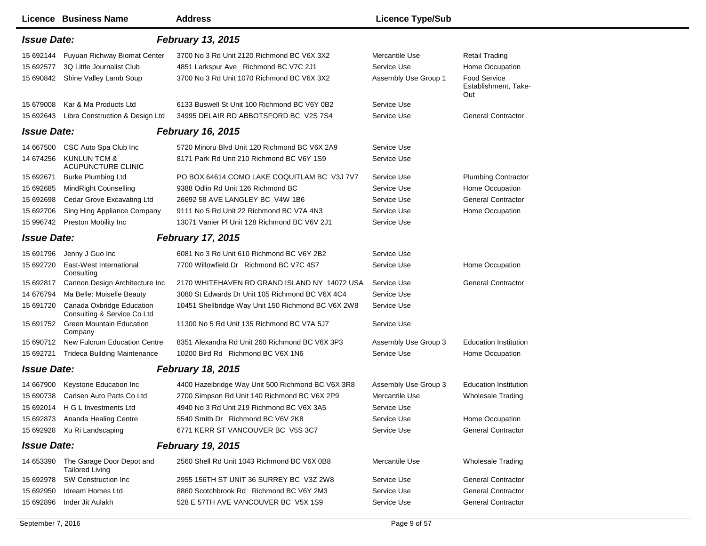|                    | <b>Licence Business Name</b>                                  | <b>Address</b>                                     | <b>Licence Type/Sub</b> |                                                    |
|--------------------|---------------------------------------------------------------|----------------------------------------------------|-------------------------|----------------------------------------------------|
| <b>Issue Date:</b> |                                                               | <b>February 13, 2015</b>                           |                         |                                                    |
| 15 692144          | Fuyuan Richway Biomat Center                                  | 3700 No 3 Rd Unit 2120 Richmond BC V6X 3X2         | Mercantile Use          | <b>Retail Trading</b>                              |
| 15 692577          | 3Q Little Journalist Club                                     | 4851 Larkspur Ave Richmond BC V7C 2J1              | Service Use             | Home Occupation                                    |
| 15 690842          | Shine Valley Lamb Soup                                        | 3700 No 3 Rd Unit 1070 Richmond BC V6X 3X2         | Assembly Use Group 1    | <b>Food Service</b><br>Establishment, Take-<br>Out |
| 15 679008          | Kar & Ma Products Ltd                                         | 6133 Buswell St Unit 100 Richmond BC V6Y 0B2       | Service Use             |                                                    |
| 15 692643          | Libra Construction & Design Ltd                               | 34995 DELAIR RD ABBOTSFORD BC V2S 7S4              | Service Use             | <b>General Contractor</b>                          |
| <b>Issue Date:</b> |                                                               | <b>February 16, 2015</b>                           |                         |                                                    |
| 14 667500          | CSC Auto Spa Club Inc                                         | 5720 Minoru Blvd Unit 120 Richmond BC V6X 2A9      | Service Use             |                                                    |
| 14 674256          | KUNLUN TCM &<br><b>ACUPUNCTURE CLINIC</b>                     | 8171 Park Rd Unit 210 Richmond BC V6Y 1S9          | Service Use             |                                                    |
| 15 692671          | <b>Burke Plumbing Ltd</b>                                     | PO BOX 64614 COMO LAKE COQUITLAM BC V3J 7V7        | Service Use             | <b>Plumbing Contractor</b>                         |
| 15 692685          | MindRight Counselling                                         | 9388 Odlin Rd Unit 126 Richmond BC                 | Service Use             | Home Occupation                                    |
| 15 692698          | Cedar Grove Excavating Ltd                                    | 26692 58 AVE LANGLEY BC V4W 1B6                    | Service Use             | <b>General Contractor</b>                          |
| 15 692706          | Sing Hing Appliance Company                                   | 9111 No 5 Rd Unit 22 Richmond BC V7A 4N3           | Service Use             | Home Occupation                                    |
| 15 996742          | <b>Preston Mobility Inc</b>                                   | 13071 Vanier PI Unit 128 Richmond BC V6V 2J1       | Service Use             |                                                    |
| <b>Issue Date:</b> |                                                               | <b>February 17, 2015</b>                           |                         |                                                    |
| 15 691796          | Jenny J Guo Inc                                               | 6081 No 3 Rd Unit 610 Richmond BC V6Y 2B2          | Service Use             |                                                    |
| 15 692720          | East-West International<br>Consulting                         | 7700 Willowfield Dr Richmond BC V7C 4S7            | Service Use             | Home Occupation                                    |
| 15 692817          | Cannon Design Architecture Inc                                | 2170 WHITEHAVEN RD GRAND ISLAND NY 14072 USA       | Service Use             | <b>General Contractor</b>                          |
| 14 676794          | Ma Belle: Moiselle Beauty                                     | 3080 St Edwards Dr Unit 105 Richmond BC V6X 4C4    | Service Use             |                                                    |
| 15 691720          | Canada Oxbridge Education<br>Consulting & Service Co Ltd      | 10451 Shellbridge Way Unit 150 Richmond BC V6X 2W8 | Service Use             |                                                    |
|                    | 15 691752 Green Mountain Education<br>Company                 | 11300 No 5 Rd Unit 135 Richmond BC V7A 5J7         | Service Use             |                                                    |
| 15 690712          | New Fulcrum Education Centre                                  | 8351 Alexandra Rd Unit 260 Richmond BC V6X 3P3     | Assembly Use Group 3    | <b>Education Institution</b>                       |
| 15 692721          | <b>Trideca Building Maintenance</b>                           | 10200 Bird Rd Richmond BC V6X 1N6                  | Service Use             | Home Occupation                                    |
| <b>Issue Date:</b> |                                                               | <b>February 18, 2015</b>                           |                         |                                                    |
| 14 667900          | Keystone Education Inc                                        | 4400 Hazelbridge Way Unit 500 Richmond BC V6X 3R8  | Assembly Use Group 3    | <b>Education Institution</b>                       |
| 15 690738          | Carlsen Auto Parts Co Ltd                                     | 2700 Simpson Rd Unit 140 Richmond BC V6X 2P9       | Mercantile Use          | <b>Wholesale Trading</b>                           |
| 15 692014          | H G L Investments Ltd                                         | 4940 No 3 Rd Unit 219 Richmond BC V6X 3A5          | Service Use             |                                                    |
|                    | 15 692873 Ananda Healing Centre                               | 5540 Smith Dr Richmond BC V6V 2K8                  | Service Use             | Home Occupation                                    |
|                    | 15 692928 Xu Ri Landscaping                                   | 6771 KERR ST VANCOUVER BC V5S 3C7                  | Service Use             | <b>General Contractor</b>                          |
| <b>Issue Date:</b> |                                                               | <b>February 19, 2015</b>                           |                         |                                                    |
|                    | 14 653390 The Garage Door Depot and<br><b>Tailored Living</b> | 2560 Shell Rd Unit 1043 Richmond BC V6X 0B8        | Mercantile Use          | <b>Wholesale Trading</b>                           |
| 15 692978          | SW Construction Inc                                           | 2955 156TH ST UNIT 36 SURREY BC V3Z 2W8            | Service Use             | <b>General Contractor</b>                          |
| 15 692950          | <b>Idream Homes Ltd</b>                                       | 8860 Scotchbrook Rd Richmond BC V6Y 2M3            | Service Use             | <b>General Contractor</b>                          |
| 15 692896          | Inder Jit Aulakh                                              | 528 E 57TH AVE VANCOUVER BC V5X 1S9                | Service Use             | <b>General Contractor</b>                          |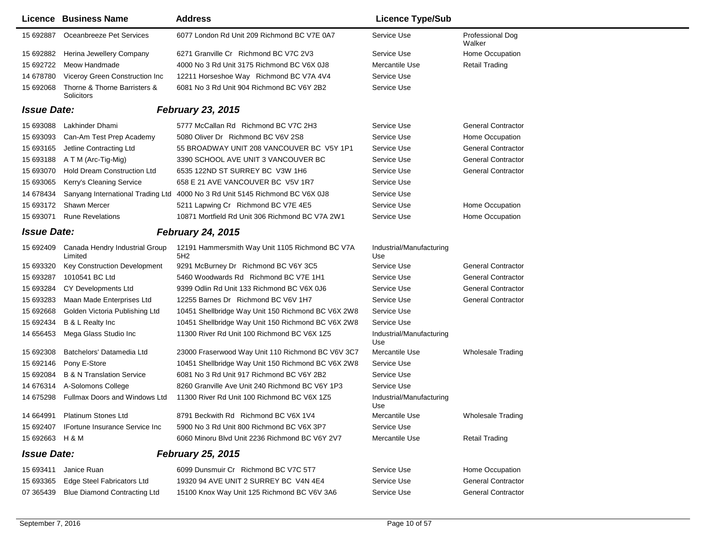|                    | <b>Licence Business Name</b>               | <b>Address</b>                                                               | <b>Licence Type/Sub</b>         |                            |
|--------------------|--------------------------------------------|------------------------------------------------------------------------------|---------------------------------|----------------------------|
| 15 692887          | Oceanbreeze Pet Services                   | 6077 London Rd Unit 209 Richmond BC V7E 0A7                                  | Service Use                     | Professional Dog<br>Walker |
|                    | 15 692882 Herina Jewellery Company         | 6271 Granville Cr Richmond BC V7C 2V3                                        | Service Use                     | Home Occupation            |
| 15 692722          | Meow Handmade                              | 4000 No 3 Rd Unit 3175 Richmond BC V6X 0J8                                   | Mercantile Use                  | <b>Retail Trading</b>      |
| 14 678780          | Viceroy Green Construction Inc             | 12211 Horseshoe Way Richmond BC V7A 4V4                                      | Service Use                     |                            |
| 15 692068          | Thorne & Thorne Barristers &<br>Solicitors | 6081 No 3 Rd Unit 904 Richmond BC V6Y 2B2                                    | Service Use                     |                            |
| <b>Issue Date:</b> |                                            | <b>February 23, 2015</b>                                                     |                                 |                            |
| 15 693088          | Lakhinder Dhami                            | 5777 McCallan Rd Richmond BC V7C 2H3                                         | Service Use                     | <b>General Contractor</b>  |
| 15 693093          | Can-Am Test Prep Academy                   | 5080 Oliver Dr Richmond BC V6V 2S8                                           | Service Use                     | Home Occupation            |
| 15 693165          | Jetline Contracting Ltd                    | 55 BROADWAY UNIT 208 VANCOUVER BC V5Y 1P1                                    | Service Use                     | <b>General Contractor</b>  |
| 15 693188          | A T M (Arc-Tig-Mig)                        | 3390 SCHOOL AVE UNIT 3 VANCOUVER BC                                          | Service Use                     | <b>General Contractor</b>  |
| 15 693070          | Hold Dream Construction Ltd                | 6535 122ND ST SURREY BC V3W 1H6                                              | Service Use                     | <b>General Contractor</b>  |
| 15 693065          | Kerry's Cleaning Service                   | 658 E 21 AVE VANCOUVER BC V5V 1R7                                            | Service Use                     |                            |
| 14 678434          |                                            | Sanyang International Trading Ltd 4000 No 3 Rd Unit 5145 Richmond BC V6X 0J8 | Service Use                     |                            |
| 15 693172          | Shawn Mercer                               | 5211 Lapwing Cr Richmond BC V7E 4E5                                          | Service Use                     | Home Occupation            |
| 15 693071          | <b>Rune Revelations</b>                    | 10871 Mortfield Rd Unit 306 Richmond BC V7A 2W1                              | Service Use                     | Home Occupation            |
| <b>Issue Date:</b> |                                            | <b>February 24, 2015</b>                                                     |                                 |                            |
| 15 692409          | Canada Hendry Industrial Group<br>Limited  | 12191 Hammersmith Way Unit 1105 Richmond BC V7A<br>5H <sub>2</sub>           | Industrial/Manufacturing<br>Use |                            |
| 15 693320          | Key Construction Development               | 9291 McBurney Dr Richmond BC V6Y 3C5                                         | Service Use                     | <b>General Contractor</b>  |
| 15 693287          | 1010541 BC Ltd                             | 5460 Woodwards Rd Richmond BC V7E 1H1                                        | Service Use                     | <b>General Contractor</b>  |
| 15 693284          | CY Developments Ltd                        | 9399 Odlin Rd Unit 133 Richmond BC V6X 0J6                                   | Service Use                     | <b>General Contractor</b>  |
| 15 693283          | Maan Made Enterprises Ltd                  | 12255 Barnes Dr Richmond BC V6V 1H7                                          | Service Use                     | <b>General Contractor</b>  |
| 15 692668          | Golden Victoria Publishing Ltd             | 10451 Shellbridge Way Unit 150 Richmond BC V6X 2W8                           | Service Use                     |                            |
| 15 692434          | B & L Realty Inc                           | 10451 Shellbridge Way Unit 150 Richmond BC V6X 2W8                           | Service Use                     |                            |
| 14 65 6453         | Mega Glass Studio Inc                      | 11300 River Rd Unit 100 Richmond BC V6X 1Z5                                  | Industrial/Manufacturing<br>Use |                            |
| 15 692308          | Batchelors' Datamedia Ltd                  | 23000 Fraserwood Way Unit 110 Richmond BC V6V 3C7                            | Mercantile Use                  | <b>Wholesale Trading</b>   |
| 15 692146          | Pony E-Store                               | 10451 Shellbridge Way Unit 150 Richmond BC V6X 2W8                           | Service Use                     |                            |
| 15 692084          | <b>B &amp; N Translation Service</b>       | 6081 No 3 Rd Unit 917 Richmond BC V6Y 2B2                                    | Service Use                     |                            |
| 14 676314          | A-Solomons College                         | 8260 Granville Ave Unit 240 Richmond BC V6Y 1P3                              | Service Use                     |                            |
| 14 675298          | Fullmax Doors and Windows Ltd              | 11300 River Rd Unit 100 Richmond BC V6X 1Z5                                  | Industrial/Manufacturing<br>Use |                            |
| 14 664991          | Platinum Stones Ltd                        | 8791 Beckwith Rd Richmond BC V6X 1V4                                         | Mercantile Use                  | <b>Wholesale Trading</b>   |
| 15 692407          | <b>IFortune Insurance Service Inc</b>      | 5900 No 3 Rd Unit 800 Richmond BC V6X 3P7                                    | Service Use                     |                            |
| 15 692663 H & M    |                                            | 6060 Minoru Blvd Unit 2236 Richmond BC V6Y 2V7                               | Mercantile Use                  | <b>Retail Trading</b>      |
| <b>Issue Date:</b> |                                            | <b>February 25, 2015</b>                                                     |                                 |                            |
| 15 693411          | Janice Ruan                                | 6099 Dunsmuir Cr Richmond BC V7C 5T7                                         | Service Use                     | Home Occupation            |
| 15 693365          | <b>Edge Steel Fabricators Ltd</b>          | 19320 94 AVE UNIT 2 SURREY BC V4N 4E4                                        | Service Use                     | <b>General Contractor</b>  |
| 07 365439          | <b>Blue Diamond Contracting Ltd</b>        | 15100 Knox Way Unit 125 Richmond BC V6V 3A6                                  | Service Use                     | <b>General Contractor</b>  |
|                    |                                            |                                                                              |                                 |                            |

 $\blacksquare$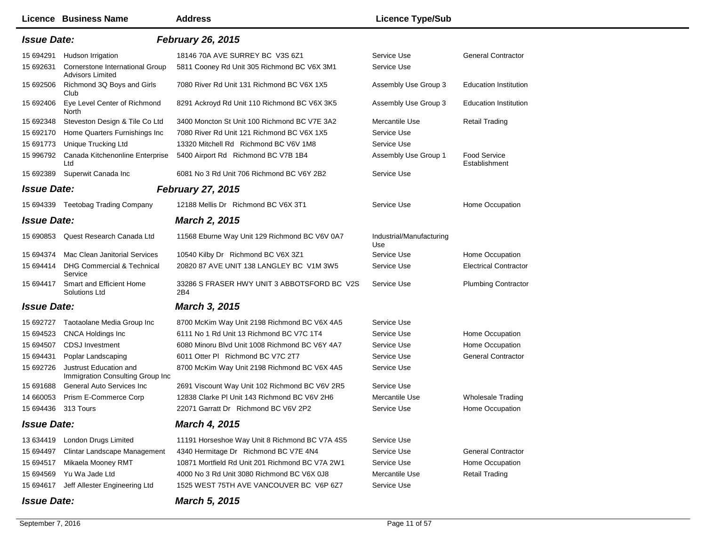|                    | Licence Business Name                                      | <b>Address</b>                                     | <b>Licence Type/Sub</b>         |                                      |
|--------------------|------------------------------------------------------------|----------------------------------------------------|---------------------------------|--------------------------------------|
| <b>Issue Date:</b> |                                                            | <b>February 26, 2015</b>                           |                                 |                                      |
| 15 694291          | Hudson Irrigation                                          | 18146 70A AVE SURREY BC V3S 6Z1                    | Service Use                     | <b>General Contractor</b>            |
| 15 692631          | Cornerstone International Group<br><b>Advisors Limited</b> | 5811 Cooney Rd Unit 305 Richmond BC V6X 3M1        | Service Use                     |                                      |
| 15 692506          | Richmond 3Q Boys and Girls<br>Club                         | 7080 River Rd Unit 131 Richmond BC V6X 1X5         | Assembly Use Group 3            | <b>Education Institution</b>         |
| 15 692406          | Eye Level Center of Richmond<br>North                      | 8291 Ackroyd Rd Unit 110 Richmond BC V6X 3K5       | Assembly Use Group 3            | <b>Education Institution</b>         |
| 15 692348          | Steveston Design & Tile Co Ltd                             | 3400 Moncton St Unit 100 Richmond BC V7E 3A2       | Mercantile Use                  | <b>Retail Trading</b>                |
| 15 692170          | Home Quarters Furnishings Inc                              | 7080 River Rd Unit 121 Richmond BC V6X 1X5         | Service Use                     |                                      |
| 15 691773          | Unique Trucking Ltd                                        | 13320 Mitchell Rd Richmond BC V6V 1M8              | Service Use                     |                                      |
| 15 996792          | Canada Kitchenonline Enterprise<br>Ltd                     | 5400 Airport Rd Richmond BC V7B 1B4                | Assembly Use Group 1            | <b>Food Service</b><br>Establishment |
| 15 692389          | Superwit Canada Inc                                        | 6081 No 3 Rd Unit 706 Richmond BC V6Y 2B2          | Service Use                     |                                      |
| <b>Issue Date:</b> |                                                            | <b>February 27, 2015</b>                           |                                 |                                      |
|                    | 15 694339 Teetobag Trading Company                         | 12188 Mellis Dr Richmond BC V6X 3T1                | Service Use                     | Home Occupation                      |
| <b>Issue Date:</b> |                                                            | <b>March 2, 2015</b>                               |                                 |                                      |
|                    | 15 690853 Quest Research Canada Ltd                        | 11568 Eburne Way Unit 129 Richmond BC V6V 0A7      | Industrial/Manufacturing<br>Use |                                      |
| 15 694374          | <b>Mac Clean Janitorial Services</b>                       | 10540 Kilby Dr Richmond BC V6X 3Z1                 | Service Use                     | Home Occupation                      |
| 15 694414          | <b>DHG Commercial &amp; Technical</b><br>Service           | 20820 87 AVE UNIT 138 LANGLEY BC V1M 3W5           | Service Use                     | <b>Electrical Contractor</b>         |
| 15 694417          | Smart and Efficient Home<br>Solutions Ltd                  | 33286 S FRASER HWY UNIT 3 ABBOTSFORD BC V2S<br>2B4 | Service Use                     | <b>Plumbing Contractor</b>           |
| <b>Issue Date:</b> |                                                            | <b>March 3, 2015</b>                               |                                 |                                      |
|                    | 15 692727 Taotaolane Media Group Inc                       | 8700 McKim Way Unit 2198 Richmond BC V6X 4A5       | Service Use                     |                                      |
| 15 694523          | <b>CNCA Holdings Inc</b>                                   | 6111 No 1 Rd Unit 13 Richmond BC V7C 1T4           | Service Use                     | Home Occupation                      |
| 15 694507          | <b>CDSJ</b> Investment                                     | 6080 Minoru Blvd Unit 1008 Richmond BC V6Y 4A7     | Service Use                     | Home Occupation                      |
| 15 694431          | Poplar Landscaping                                         | 6011 Otter PI Richmond BC V7C 2T7                  | Service Use                     | <b>General Contractor</b>            |
| 15 692726          | Justrust Education and<br>Immigration Consulting Group Inc | 8700 McKim Way Unit 2198 Richmond BC V6X 4A5       | Service Use                     |                                      |
| 15 691 688         | <b>General Auto Services Inc.</b>                          | 2691 Viscount Way Unit 102 Richmond BC V6V 2R5     | Service Use                     |                                      |
| 14 660053          | Prism E-Commerce Corp                                      | 12838 Clarke PI Unit 143 Richmond BC V6V 2H6       | Mercantile Use                  | <b>Wholesale Trading</b>             |
| 15 694436          | 313 Tours                                                  | 22071 Garratt Dr Richmond BC V6V 2P2               | Service Use                     | Home Occupation                      |
| <b>Issue Date:</b> |                                                            | <b>March 4, 2015</b>                               |                                 |                                      |
|                    | 13 634419 London Drugs Limited                             | 11191 Horseshoe Way Unit 8 Richmond BC V7A 4S5     | Service Use                     |                                      |
| 15 694497          | <b>Clintar Landscape Management</b>                        | 4340 Hermitage Dr Richmond BC V7E 4N4              | Service Use                     | <b>General Contractor</b>            |
| 15 694517          | Mikaela Mooney RMT                                         | 10871 Mortfield Rd Unit 201 Richmond BC V7A 2W1    | Service Use                     | Home Occupation                      |
| 15 694569          | Yu Wa Jade Ltd                                             | 4000 No 3 Rd Unit 3080 Richmond BC V6X 0J8         | Mercantile Use                  | <b>Retail Trading</b>                |
|                    | 15 694617 Jeff Allester Engineering Ltd                    | 1525 WEST 75TH AVE VANCOUVER BC V6P 6Z7            | Service Use                     |                                      |
| <b>Issue Date:</b> |                                                            | <b>March 5, 2015</b>                               |                                 |                                      |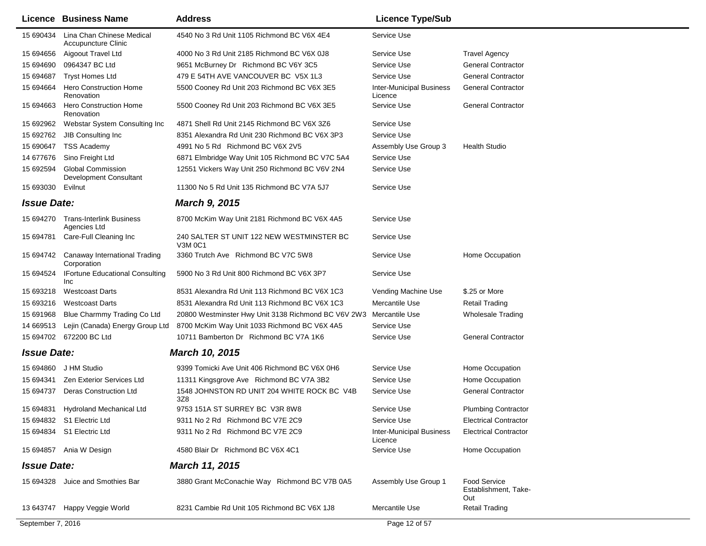|                    | Licence Business Name                                | <b>Address</b>                                              | <b>Licence Type/Sub</b>                    |                                                    |
|--------------------|------------------------------------------------------|-------------------------------------------------------------|--------------------------------------------|----------------------------------------------------|
| 15 690434          | Lina Chan Chinese Medical<br>Accupuncture Clinic     | 4540 No 3 Rd Unit 1105 Richmond BC V6X 4E4                  | Service Use                                |                                                    |
| 15 694656          | Aigoout Travel Ltd                                   | 4000 No 3 Rd Unit 2185 Richmond BC V6X 0J8                  | Service Use                                | <b>Travel Agency</b>                               |
| 15 694690          | 0964347 BC Ltd                                       | 9651 McBurney Dr Richmond BC V6Y 3C5                        | Service Use                                | <b>General Contractor</b>                          |
| 15 694687          | <b>Tryst Homes Ltd</b>                               | 479 E 54TH AVE VANCOUVER BC V5X 1L3                         | Service Use                                | <b>General Contractor</b>                          |
| 15 694664          | <b>Hero Construction Home</b><br>Renovation          | 5500 Cooney Rd Unit 203 Richmond BC V6X 3E5                 | <b>Inter-Municipal Business</b><br>Licence | <b>General Contractor</b>                          |
| 15 694663          | <b>Hero Construction Home</b><br>Renovation          | 5500 Cooney Rd Unit 203 Richmond BC V6X 3E5                 | Service Use                                | <b>General Contractor</b>                          |
| 15 692962          | Webstar System Consulting Inc                        | 4871 Shell Rd Unit 2145 Richmond BC V6X 3Z6                 | Service Use                                |                                                    |
| 15 692762          | JIB Consulting Inc                                   | 8351 Alexandra Rd Unit 230 Richmond BC V6X 3P3              | Service Use                                |                                                    |
| 15 690647          | <b>TSS Academy</b>                                   | 4991 No 5 Rd Richmond BC V6X 2V5                            | Assembly Use Group 3                       | <b>Health Studio</b>                               |
| 14 677676          | Sino Freight Ltd                                     | 6871 Elmbridge Way Unit 105 Richmond BC V7C 5A4             | Service Use                                |                                                    |
| 15 692594          | <b>Global Commission</b><br>Development Consultant   | 12551 Vickers Way Unit 250 Richmond BC V6V 2N4              | Service Use                                |                                                    |
| 15 693030 Evilnut  |                                                      | 11300 No 5 Rd Unit 135 Richmond BC V7A 5J7                  | Service Use                                |                                                    |
| <b>Issue Date:</b> |                                                      | <b>March 9, 2015</b>                                        |                                            |                                                    |
| 15 694270          | <b>Trans-Interlink Business</b><br>Agencies Ltd      | 8700 McKim Way Unit 2181 Richmond BC V6X 4A5                | Service Use                                |                                                    |
| 15 694781          | Care-Full Cleaning Inc                               | 240 SALTER ST UNIT 122 NEW WESTMINSTER BC<br><b>V3M 0C1</b> | Service Use                                |                                                    |
| 15 694742          | Canaway International Trading<br>Corporation         | 3360 Trutch Ave Richmond BC V7C 5W8                         | Service Use                                | Home Occupation                                    |
| 15 694524          | <b>IFortune Educational Consulting</b><br><b>Inc</b> | 5900 No 3 Rd Unit 800 Richmond BC V6X 3P7                   | Service Use                                |                                                    |
| 15 693218          | <b>Westcoast Darts</b>                               | 8531 Alexandra Rd Unit 113 Richmond BC V6X 1C3              | Vending Machine Use                        | \$.25 or More                                      |
| 15 693216          | <b>Westcoast Darts</b>                               | 8531 Alexandra Rd Unit 113 Richmond BC V6X 1C3              | Mercantile Use                             | Retail Trading                                     |
| 15 691968          | Blue Charmmy Trading Co Ltd                          | 20800 Westminster Hwy Unit 3138 Richmond BC V6V 2W3         | Mercantile Use                             | <b>Wholesale Trading</b>                           |
| 14 669513          | Lejin (Canada) Energy Group Ltd                      | 8700 McKim Way Unit 1033 Richmond BC V6X 4A5                | Service Use                                |                                                    |
|                    | 15 694702 672200 BC Ltd                              | 10711 Bamberton Dr Richmond BC V7A 1K6                      | Service Use                                | <b>General Contractor</b>                          |
| <b>Issue Date:</b> |                                                      | March 10, 2015                                              |                                            |                                                    |
| 15 694860          | J HM Studio                                          | 9399 Tomicki Ave Unit 406 Richmond BC V6X 0H6               | Service Use                                | Home Occupation                                    |
| 15 694341          | <b>Zen Exterior Services Ltd</b>                     | 11311 Kingsgrove Ave Richmond BC V7A 3B2                    | Service Use                                | Home Occupation                                    |
| 15 694737          | <b>Deras Construction Ltd</b>                        | 1548 JOHNSTON RD UNIT 204 WHITE ROCK BC V4B<br>3Z8          | Service Use                                | <b>General Contractor</b>                          |
| 15 694831          | Hydroland Mechanical Ltd                             | 9753 151A ST SURREY BC V3R 8W8                              | Service Use                                | <b>Plumbing Contractor</b>                         |
|                    | 15 694832 S1 Electric Ltd                            | 9311 No 2 Rd Richmond BC V7E 2C9                            | Service Use                                | <b>Electrical Contractor</b>                       |
|                    | 15 694834 S1 Electric Ltd                            | 9311 No 2 Rd Richmond BC V7E 2C9                            | <b>Inter-Municipal Business</b><br>Licence | <b>Electrical Contractor</b>                       |
|                    | 15 694857 Ania W Design                              | 4580 Blair Dr Richmond BC V6X 4C1                           | Service Use                                | Home Occupation                                    |
| <b>Issue Date:</b> |                                                      | <b>March 11, 2015</b>                                       |                                            |                                                    |
|                    | 15 694328 Juice and Smothies Bar                     | 3880 Grant McConachie Way Richmond BC V7B 0A5               | Assembly Use Group 1                       | <b>Food Service</b><br>Establishment, Take-<br>Out |
|                    | 13 643747 Happy Veggie World                         | 8231 Cambie Rd Unit 105 Richmond BC V6X 1J8                 | Mercantile Use                             | <b>Retail Trading</b>                              |
| September 7, 2016  |                                                      |                                                             | Page 12 of 57                              |                                                    |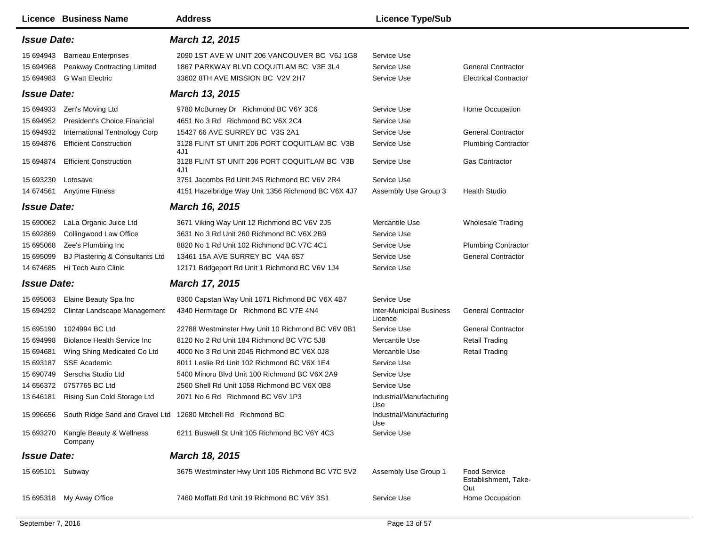|                                                                                                               | <b>Licence Business Name</b>                                                                                                                                                                                           | <b>Address</b>                                                                                                                                                                                                                                                                                                                                                                                             | <b>Licence Type/Sub</b>                                                                                                                                            |                                                                                                                                                         |
|---------------------------------------------------------------------------------------------------------------|------------------------------------------------------------------------------------------------------------------------------------------------------------------------------------------------------------------------|------------------------------------------------------------------------------------------------------------------------------------------------------------------------------------------------------------------------------------------------------------------------------------------------------------------------------------------------------------------------------------------------------------|--------------------------------------------------------------------------------------------------------------------------------------------------------------------|---------------------------------------------------------------------------------------------------------------------------------------------------------|
| <b>Issue Date:</b>                                                                                            |                                                                                                                                                                                                                        | March 12, 2015                                                                                                                                                                                                                                                                                                                                                                                             |                                                                                                                                                                    |                                                                                                                                                         |
| 15 694943<br>15 694968                                                                                        | <b>Barrieau Enterprises</b><br>Peakway Contracting Limited<br>15 694983 G Watt Electric                                                                                                                                | 2090 1ST AVE W UNIT 206 VANCOUVER BC V6J 1G8<br>1867 PARKWAY BLVD COQUITLAM BC V3E 3L4<br>33602 8TH AVE MISSION BC V2V 2H7                                                                                                                                                                                                                                                                                 | Service Use<br>Service Use<br>Service Use                                                                                                                          | <b>General Contractor</b><br><b>Electrical Contractor</b>                                                                                               |
| <b>Issue Date:</b>                                                                                            |                                                                                                                                                                                                                        | March 13, 2015                                                                                                                                                                                                                                                                                                                                                                                             |                                                                                                                                                                    |                                                                                                                                                         |
| 15 694933<br>15 694952<br>15 694932<br>15 694876<br>15 694874<br>15 693230<br><b>Issue Date:</b><br>15 690062 | Zen's Moving Ltd<br>President's Choice Financial<br>International Tentnology Corp<br><b>Efficient Construction</b><br><b>Efficient Construction</b><br>Lotosave<br>14 674561 Anytime Fitness<br>LaLa Organic Juice Ltd | 9780 McBurney Dr Richmond BC V6Y 3C6<br>4651 No 3 Rd Richmond BC V6X 2C4<br>15427 66 AVE SURREY BC V3S 2A1<br>3128 FLINT ST UNIT 206 PORT COQUITLAM BC V3B<br>4J1<br>3128 FLINT ST UNIT 206 PORT COQUITLAM BC V3B<br>4J1<br>3751 Jacombs Rd Unit 245 Richmond BC V6V 2R4<br>4151 Hazelbridge Way Unit 1356 Richmond BC V6X 4J7<br><b>March 16, 2015</b><br>3671 Viking Way Unit 12 Richmond BC V6V 2J5     | Service Use<br>Service Use<br>Service Use<br>Service Use<br>Service Use<br>Service Use<br>Assembly Use Group 3<br>Mercantile Use                                   | Home Occupation<br><b>General Contractor</b><br><b>Plumbing Contractor</b><br><b>Gas Contractor</b><br><b>Health Studio</b><br><b>Wholesale Trading</b> |
| 15 692869<br>15 695068<br>15 695099<br>14 674685                                                              | Collingwood Law Office<br>Zee's Plumbing Inc<br>BJ Plastering & Consultants Ltd<br>Hi Tech Auto Clinic                                                                                                                 | 3631 No 3 Rd Unit 260 Richmond BC V6X 2B9<br>8820 No 1 Rd Unit 102 Richmond BC V7C 4C1<br>13461 15A AVE SURREY BC V4A 6S7<br>12171 Bridgeport Rd Unit 1 Richmond BC V6V 1J4                                                                                                                                                                                                                                | Service Use<br>Service Use<br>Service Use<br>Service Use                                                                                                           | <b>Plumbing Contractor</b><br><b>General Contractor</b>                                                                                                 |
| <b>Issue Date:</b>                                                                                            |                                                                                                                                                                                                                        | <b>March 17, 2015</b>                                                                                                                                                                                                                                                                                                                                                                                      |                                                                                                                                                                    |                                                                                                                                                         |
| 15 695063<br>15 694292                                                                                        | Elaine Beauty Spa Inc<br>Clintar Landscape Management                                                                                                                                                                  | 8300 Capstan Way Unit 1071 Richmond BC V6X 4B7<br>4340 Hermitage Dr Richmond BC V7E 4N4                                                                                                                                                                                                                                                                                                                    | Service Use<br><b>Inter-Municipal Business</b><br>Licence                                                                                                          | <b>General Contractor</b>                                                                                                                               |
| 15 695190<br>15 694998<br>15 694681<br>15 693187<br>15 690749<br>13 646181                                    | 1024994 BC Ltd<br><b>Biolance Health Service Inc.</b><br>Wing Shing Medicated Co Ltd<br><b>SSE Academic</b><br>Serscha Studio Ltd<br>14 656372 0757765 BC Ltd<br>Rising Sun Cold Storage Ltd                           | 22788 Westminster Hwy Unit 10 Richmond BC V6V 0B1<br>8120 No 2 Rd Unit 184 Richmond BC V7C 5J8<br>4000 No 3 Rd Unit 2045 Richmond BC V6X 0J8<br>8011 Leslie Rd Unit 102 Richmond BC V6X 1E4<br>5400 Minoru Blvd Unit 100 Richmond BC V6X 2A9<br>2560 Shell Rd Unit 1058 Richmond BC V6X 0B8<br>2071 No 6 Rd Richmond BC V6V 1P3<br>15 996656 South Ridge Sand and Gravel Ltd 12680 Mitchell Rd Richmond BC | Service Use<br>Mercantile Use<br>Mercantile Use<br>Service Use<br>Service Use<br>Service Use<br>Industrial/Manufacturing<br>Use<br>Industrial/Manufacturing<br>Use | <b>General Contractor</b><br><b>Retail Trading</b><br><b>Retail Trading</b>                                                                             |
|                                                                                                               | 15 693270 Kangle Beauty & Wellness<br>Company                                                                                                                                                                          | 6211 Buswell St Unit 105 Richmond BC V6Y 4C3                                                                                                                                                                                                                                                                                                                                                               | Service Use                                                                                                                                                        |                                                                                                                                                         |
| <b>Issue Date:</b>                                                                                            |                                                                                                                                                                                                                        | <b>March 18, 2015</b>                                                                                                                                                                                                                                                                                                                                                                                      |                                                                                                                                                                    |                                                                                                                                                         |
| 15 695101 Subway                                                                                              |                                                                                                                                                                                                                        | 3675 Westminster Hwy Unit 105 Richmond BC V7C 5V2                                                                                                                                                                                                                                                                                                                                                          | Assembly Use Group 1                                                                                                                                               | <b>Food Service</b><br>Establishment, Take-<br>Out                                                                                                      |
|                                                                                                               | 15 695318 My Away Office                                                                                                                                                                                               | 7460 Moffatt Rd Unit 19 Richmond BC V6Y 3S1                                                                                                                                                                                                                                                                                                                                                                | Service Use                                                                                                                                                        | Home Occupation                                                                                                                                         |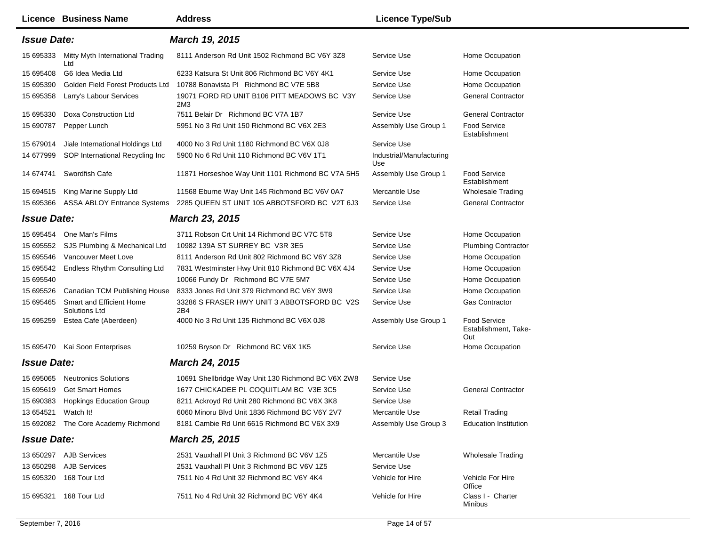|                    | Licence Business Name                     | <b>Address</b>                                     | <b>Licence Type/Sub</b>         |                                                    |
|--------------------|-------------------------------------------|----------------------------------------------------|---------------------------------|----------------------------------------------------|
| <b>Issue Date:</b> |                                           | <b>March 19, 2015</b>                              |                                 |                                                    |
| 15 695333          | Mitty Myth International Trading<br>Ltd   | 8111 Anderson Rd Unit 1502 Richmond BC V6Y 3Z8     | Service Use                     | Home Occupation                                    |
| 15 695408          | G6 Idea Media Ltd                         | 6233 Katsura St Unit 806 Richmond BC V6Y 4K1       | Service Use                     | Home Occupation                                    |
| 15 695390          | Golden Field Forest Products Ltd          | 10788 Bonavista PI Richmond BC V7E 5B8             | Service Use                     | Home Occupation                                    |
| 15 695358          | Larry's Labour Services                   | 19071 FORD RD UNIT B106 PITT MEADOWS BC V3Y<br>2M3 | Service Use                     | <b>General Contractor</b>                          |
| 15 695330          | Doxa Construction Ltd                     | 7511 Belair Dr Richmond BC V7A 1B7                 | Service Use                     | <b>General Contractor</b>                          |
| 15 690787          | Pepper Lunch                              | 5951 No 3 Rd Unit 150 Richmond BC V6X 2E3          | Assembly Use Group 1            | <b>Food Service</b><br>Establishment               |
| 15 679014          | Jiale International Holdings Ltd          | 4000 No 3 Rd Unit 1180 Richmond BC V6X 0J8         | Service Use                     |                                                    |
| 14 677999          | SOP International Recycling Inc           | 5900 No 6 Rd Unit 110 Richmond BC V6V 1T1          | Industrial/Manufacturing<br>Use |                                                    |
| 14 674741          | Swordfish Cafe                            | 11871 Horseshoe Way Unit 1101 Richmond BC V7A 5H5  | Assembly Use Group 1            | <b>Food Service</b><br>Establishment               |
| 15 694515          | King Marine Supply Ltd                    | 11568 Eburne Way Unit 145 Richmond BC V6V 0A7      | Mercantile Use                  | Wholesale Trading                                  |
| 15 695366          | <b>ASSA ABLOY Entrance Systems</b>        | 2285 QUEEN ST UNIT 105 ABBOTSFORD BC V2T 6J3       | Service Use                     | <b>General Contractor</b>                          |
| <b>Issue Date:</b> |                                           | <b>March 23, 2015</b>                              |                                 |                                                    |
| 15 695454          | One Man's Films                           | 3711 Robson Crt Unit 14 Richmond BC V7C 5T8        | Service Use                     | Home Occupation                                    |
| 15 695552          | SJS Plumbing & Mechanical Ltd             | 10982 139A ST SURREY BC V3R 3E5                    | Service Use                     | <b>Plumbing Contractor</b>                         |
| 15 695546          | Vancouver Meet Love                       | 8111 Anderson Rd Unit 802 Richmond BC V6Y 3Z8      | Service Use                     | Home Occupation                                    |
| 15 695542          | Endless Rhythm Consulting Ltd             | 7831 Westminster Hwy Unit 810 Richmond BC V6X 4J4  | Service Use                     | Home Occupation                                    |
| 15 695540          |                                           | 10066 Fundy Dr Richmond BC V7E 5M7                 | Service Use                     | Home Occupation                                    |
| 15 695526          | Canadian TCM Publishing House             | 8333 Jones Rd Unit 379 Richmond BC V6Y 3W9         | Service Use                     | Home Occupation                                    |
| 15 695465          | Smart and Efficient Home<br>Solutions Ltd | 33286 S FRASER HWY UNIT 3 ABBOTSFORD BC V2S<br>2B4 | Service Use                     | <b>Gas Contractor</b>                              |
| 15 695259          | Estea Cafe (Aberdeen)                     | 4000 No 3 Rd Unit 135 Richmond BC V6X 0J8          | Assembly Use Group 1            | <b>Food Service</b><br>Establishment, Take-<br>Out |
| 15 695470          | Kai Soon Enterprises                      | 10259 Bryson Dr Richmond BC V6X 1K5                | Service Use                     | Home Occupation                                    |
| <b>Issue Date:</b> |                                           | March 24, 2015                                     |                                 |                                                    |
| 15 695065          | <b>Neutronics Solutions</b>               | 10691 Shellbridge Way Unit 130 Richmond BC V6X 2W8 | Service Use                     |                                                    |
| 15 695619          | <b>Get Smart Homes</b>                    | 1677 CHICKADEE PL COQUITLAM BC V3E 3C5             | Service Use                     | <b>General Contractor</b>                          |
| 15 690383          | <b>Hopkings Education Group</b>           | 8211 Ackroyd Rd Unit 280 Richmond BC V6X 3K8       | Service Use                     |                                                    |
| 13 654521          | Watch It!                                 | 6060 Minoru Blvd Unit 1836 Richmond BC V6Y 2V7     | Mercantile Use                  | <b>Retail Trading</b>                              |
|                    | 15 692082 The Core Academy Richmond       | 8181 Cambie Rd Unit 6615 Richmond BC V6X 3X9       | Assembly Use Group 3            | <b>Education Institution</b>                       |
| <b>Issue Date:</b> |                                           | <b>March 25, 2015</b>                              |                                 |                                                    |
|                    | 13 650297 AJB Services                    | 2531 Vauxhall PI Unit 3 Richmond BC V6V 1Z5        | Mercantile Use                  | Wholesale Trading                                  |
| 13 650298          | <b>AJB Services</b>                       | 2531 Vauxhall PI Unit 3 Richmond BC V6V 1Z5        | Service Use                     |                                                    |
| 15 695320          | 168 Tour Ltd                              | 7511 No 4 Rd Unit 32 Richmond BC V6Y 4K4           | Vehicle for Hire                | Vehicle For Hire<br>Office                         |
| 15 695321          | 168 Tour Ltd                              | 7511 No 4 Rd Unit 32 Richmond BC V6Y 4K4           | Vehicle for Hire                | Class I - Charter<br>Minibus                       |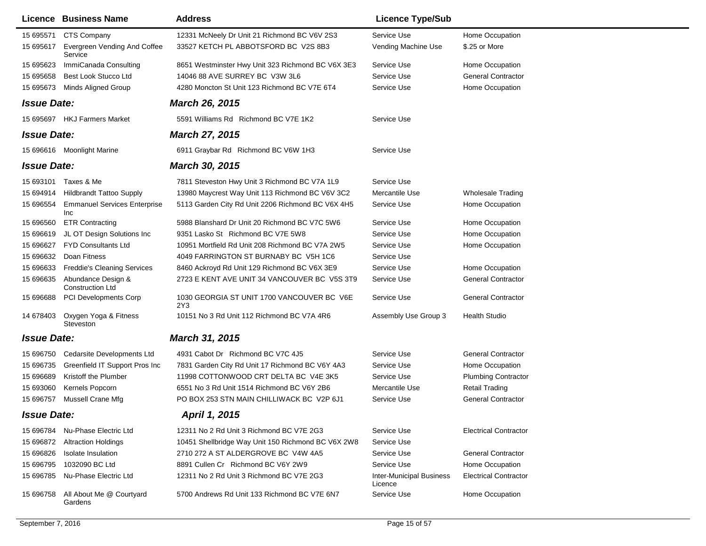|                    | Licence Business Name                         | <b>Address</b>                                     | <b>Licence Type/Sub</b>                    |                              |
|--------------------|-----------------------------------------------|----------------------------------------------------|--------------------------------------------|------------------------------|
| 15 695571          | CTS Company                                   | 12331 McNeely Dr Unit 21 Richmond BC V6V 2S3       | Service Use                                | Home Occupation              |
| 15 695617          | Evergreen Vending And Coffee<br>Service       | 33527 KETCH PL ABBOTSFORD BC V2S 8B3               | Vending Machine Use                        | \$.25 or More                |
| 15 695623          | ImmiCanada Consulting                         | 8651 Westminster Hwy Unit 323 Richmond BC V6X 3E3  | Service Use                                | Home Occupation              |
| 15 695658          | Best Look Stucco Ltd                          | 14046 88 AVE SURREY BC V3W 3L6                     | Service Use                                | <b>General Contractor</b>    |
| 15 695673          | Minds Aligned Group                           | 4280 Moncton St Unit 123 Richmond BC V7E 6T4       | Service Use                                | Home Occupation              |
| <b>Issue Date:</b> |                                               | <b>March 26, 2015</b>                              |                                            |                              |
|                    | 15 695697 HKJ Farmers Market                  | 5591 Williams Rd Richmond BC V7E 1K2               | Service Use                                |                              |
| <b>Issue Date:</b> |                                               | <b>March 27, 2015</b>                              |                                            |                              |
|                    | 15 696616 Moonlight Marine                    | 6911 Graybar Rd Richmond BC V6W 1H3                | Service Use                                |                              |
| <b>Issue Date:</b> |                                               | <b>March 30, 2015</b>                              |                                            |                              |
| 15 693101          | Taxes & Me                                    | 7811 Steveston Hwy Unit 3 Richmond BC V7A 1L9      | Service Use                                |                              |
| 15 694914          | <b>Hildbrandt Tattoo Supply</b>               | 13980 Maycrest Way Unit 113 Richmond BC V6V 3C2    | Mercantile Use                             | <b>Wholesale Trading</b>     |
| 15 696554          | <b>Emmanuel Services Enterprise</b><br>Inc    | 5113 Garden City Rd Unit 2206 Richmond BC V6X 4H5  | Service Use                                | Home Occupation              |
| 15 696560          | <b>ETR Contracting</b>                        | 5988 Blanshard Dr Unit 20 Richmond BC V7C 5W6      | Service Use                                | Home Occupation              |
| 15 696619          | JL OT Design Solutions Inc                    | 9351 Lasko St Richmond BC V7E 5W8                  | Service Use                                | Home Occupation              |
| 15 69 6627         | <b>FYD Consultants Ltd</b>                    | 10951 Mortfield Rd Unit 208 Richmond BC V7A 2W5    | Service Use                                | Home Occupation              |
| 15 696632          | Doan Fitness                                  | 4049 FARRINGTON ST BURNABY BC V5H 1C6              | Service Use                                |                              |
| 15 696633          | <b>Freddie's Cleaning Services</b>            | 8460 Ackroyd Rd Unit 129 Richmond BC V6X 3E9       | Service Use                                | Home Occupation              |
| 15 696635          | Abundance Design &<br><b>Construction Ltd</b> | 2723 E KENT AVE UNIT 34 VANCOUVER BC V5S 3T9       | Service Use                                | <b>General Contractor</b>    |
| 15 696688          | <b>PCI Developments Corp</b>                  | 1030 GEORGIA ST UNIT 1700 VANCOUVER BC V6E<br>2Y3  | Service Use                                | <b>General Contractor</b>    |
| 14 678403          | Oxygen Yoga & Fitness<br>Steveston            | 10151 No 3 Rd Unit 112 Richmond BC V7A 4R6         | Assembly Use Group 3                       | <b>Health Studio</b>         |
| <b>Issue Date:</b> |                                               | <b>March 31, 2015</b>                              |                                            |                              |
| 15 696750          | Cedarsite Developments Ltd                    | 4931 Cabot Dr Richmond BC V7C 4J5                  | Service Use                                | <b>General Contractor</b>    |
| 15 696735          | Greenfield IT Support Pros Inc                | 7831 Garden City Rd Unit 17 Richmond BC V6Y 4A3    | Service Use                                | Home Occupation              |
| 15 696689          | Kristoff the Plumber                          | 11998 COTTONWOOD CRT DELTA BC V4E 3K5              | Service Use                                | <b>Plumbing Contractor</b>   |
| 15 693060          | Kernels Popcorn                               | 6551 No 3 Rd Unit 1514 Richmond BC V6Y 2B6         | Mercantile Use                             | <b>Retail Trading</b>        |
| 15 696757          | Mussell Crane Mfg                             | PO BOX 253 STN MAIN CHILLIWACK BC V2P 6J1          | Service Use                                | <b>General Contractor</b>    |
| <b>Issue Date:</b> |                                               | April 1, 2015                                      |                                            |                              |
|                    | 15 696784 Nu-Phase Electric Ltd               | 12311 No 2 Rd Unit 3 Richmond BC V7E 2G3           | Service Use                                | <b>Electrical Contractor</b> |
| 15 696872          | <b>Altraction Holdings</b>                    | 10451 Shellbridge Way Unit 150 Richmond BC V6X 2W8 | Service Use                                |                              |
| 15 696826          | Isolate Insulation                            | 2710 272 A ST ALDERGROVE BC V4W 4A5                | Service Use                                | <b>General Contractor</b>    |
| 15 696795          | 1032090 BC Ltd                                | 8891 Cullen Cr Richmond BC V6Y 2W9                 | Service Use                                | Home Occupation              |
| 15 696785          | Nu-Phase Electric Ltd                         | 12311 No 2 Rd Unit 3 Richmond BC V7E 2G3           | <b>Inter-Municipal Business</b><br>Licence | <b>Electrical Contractor</b> |
| 15 696758          | All About Me @ Courtyard<br>Gardens           | 5700 Andrews Rd Unit 133 Richmond BC V7E 6N7       | Service Use                                | Home Occupation              |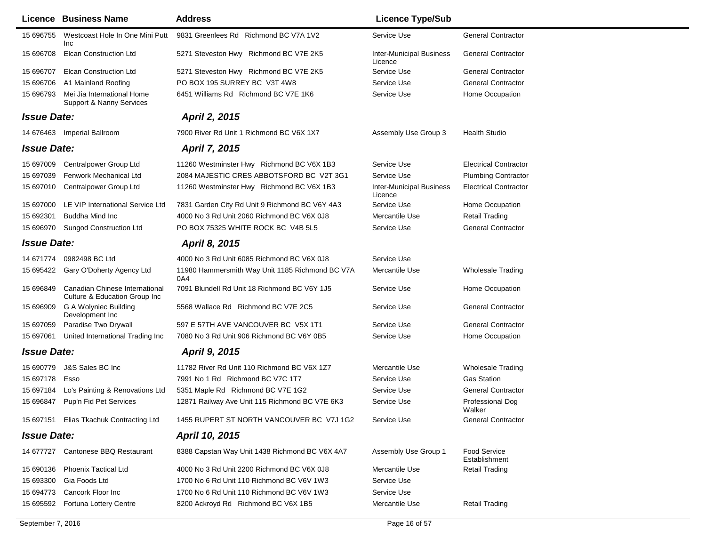|                    | Licence Business Name                                           | <b>Address</b>                                         | <b>Licence Type/Sub</b>                    |                                      |
|--------------------|-----------------------------------------------------------------|--------------------------------------------------------|--------------------------------------------|--------------------------------------|
| 15 696755          | Westcoast Hole In One Mini Putt<br>Inc                          | 9831 Greenlees Rd Richmond BC V7A 1V2                  | Service Use                                | <b>General Contractor</b>            |
| 15 696708          | <b>Elcan Construction Ltd</b>                                   | 5271 Steveston Hwy Richmond BC V7E 2K5                 | <b>Inter-Municipal Business</b><br>Licence | <b>General Contractor</b>            |
| 15 696707          | <b>Elcan Construction Ltd</b>                                   | 5271 Steveston Hwy Richmond BC V7E 2K5                 | Service Use                                | <b>General Contractor</b>            |
| 15 696706          | A1 Mainland Roofing                                             | PO BOX 195 SURREY BC V3T 4W8                           | Service Use                                | <b>General Contractor</b>            |
| 15 696793          | Mei Jia International Home<br>Support & Nanny Services          | 6451 Williams Rd Richmond BC V7E 1K6                   | Service Use                                | Home Occupation                      |
| <b>Issue Date:</b> |                                                                 | April 2, 2015                                          |                                            |                                      |
|                    | 14 676463 Imperial Ballroom                                     | 7900 River Rd Unit 1 Richmond BC V6X 1X7               | Assembly Use Group 3                       | <b>Health Studio</b>                 |
| <b>Issue Date:</b> |                                                                 | <b>April 7, 2015</b>                                   |                                            |                                      |
| 15 697009          | Centralpower Group Ltd                                          | 11260 Westminster Hwy Richmond BC V6X 1B3              | Service Use                                | <b>Electrical Contractor</b>         |
| 15 697039          | Fenwork Mechanical Ltd                                          | 2084 MAJESTIC CRES ABBOTSFORD BC V2T 3G1               | Service Use                                | <b>Plumbing Contractor</b>           |
| 15 697010          | Centralpower Group Ltd                                          | 11260 Westminster Hwy Richmond BC V6X 1B3              | <b>Inter-Municipal Business</b><br>Licence | <b>Electrical Contractor</b>         |
| 15 697000          | LE VIP International Service Ltd                                | 7831 Garden City Rd Unit 9 Richmond BC V6Y 4A3         | Service Use                                | Home Occupation                      |
| 15 692301          | Buddha Mind Inc                                                 | 4000 No 3 Rd Unit 2060 Richmond BC V6X 0J8             | Mercantile Use                             | Retail Trading                       |
| 15 696970          | <b>Sungod Construction Ltd</b>                                  | PO BOX 75325 WHITE ROCK BC V4B 5L5                     | Service Use                                | <b>General Contractor</b>            |
| <b>Issue Date:</b> |                                                                 | April 8, 2015                                          |                                            |                                      |
| 14 671774          | 0982498 BC Ltd                                                  | 4000 No 3 Rd Unit 6085 Richmond BC V6X 0J8             | Service Use                                |                                      |
| 15 695422          | Gary O'Doherty Agency Ltd                                       | 11980 Hammersmith Way Unit 1185 Richmond BC V7A<br>0A4 | Mercantile Use                             | <b>Wholesale Trading</b>             |
| 15 696849          | Canadian Chinese International<br>Culture & Education Group Inc | 7091 Blundell Rd Unit 18 Richmond BC V6Y 1J5           | Service Use                                | Home Occupation                      |
| 15 696909          | G A Wolyniec Building<br>Development Inc                        | 5568 Wallace Rd Richmond BC V7E 2C5                    | Service Use                                | <b>General Contractor</b>            |
| 15 697059          | Paradise Two Drywall                                            | 597 E 57TH AVE VANCOUVER BC V5X 1T1                    | Service Use                                | <b>General Contractor</b>            |
| 15 697061          | United International Trading Inc                                | 7080 No 3 Rd Unit 906 Richmond BC V6Y 0B5              | Service Use                                | Home Occupation                      |
| <b>Issue Date:</b> |                                                                 | <b>April 9, 2015</b>                                   |                                            |                                      |
| 15 690779          | J&S Sales BC Inc                                                | 11782 River Rd Unit 110 Richmond BC V6X 1Z7            | Mercantile Use                             | <b>Wholesale Trading</b>             |
| 15 697178          | Esso                                                            | 7991 No 1 Rd Richmond BC V7C 1T7                       | Service Use                                | <b>Gas Station</b>                   |
| 15 697184          | Lo's Painting & Renovations Ltd                                 | 5351 Maple Rd Richmond BC V7E 1G2                      | Service Use                                | <b>General Contractor</b>            |
| 15 696847          | Pup'n Fid Pet Services                                          | 12871 Railway Ave Unit 115 Richmond BC V7E 6K3         | Service Use                                | Professional Dog<br>Walker           |
|                    | 15 697151 Elias Tkachuk Contracting Ltd                         | 1455 RUPERT ST NORTH VANCOUVER BC V7J 1G2              | Service Use                                | <b>General Contractor</b>            |
| <b>Issue Date:</b> |                                                                 | April 10, 2015                                         |                                            |                                      |
|                    | 14 677727 Cantonese BBQ Restaurant                              | 8388 Capstan Way Unit 1438 Richmond BC V6X 4A7         | Assembly Use Group 1                       | <b>Food Service</b><br>Establishment |
| 15 690136          | Phoenix Tactical Ltd                                            | 4000 No 3 Rd Unit 2200 Richmond BC V6X 0J8             | Mercantile Use                             | <b>Retail Trading</b>                |
| 15 693300          | Gia Foods Ltd                                                   | 1700 No 6 Rd Unit 110 Richmond BC V6V 1W3              | Service Use                                |                                      |
| 15 694773          | Cancork Floor Inc                                               | 1700 No 6 Rd Unit 110 Richmond BC V6V 1W3              | Service Use                                |                                      |
|                    | 15 695592 Fortuna Lottery Centre                                | 8200 Ackroyd Rd Richmond BC V6X 1B5                    | Mercantile Use                             | <b>Retail Trading</b>                |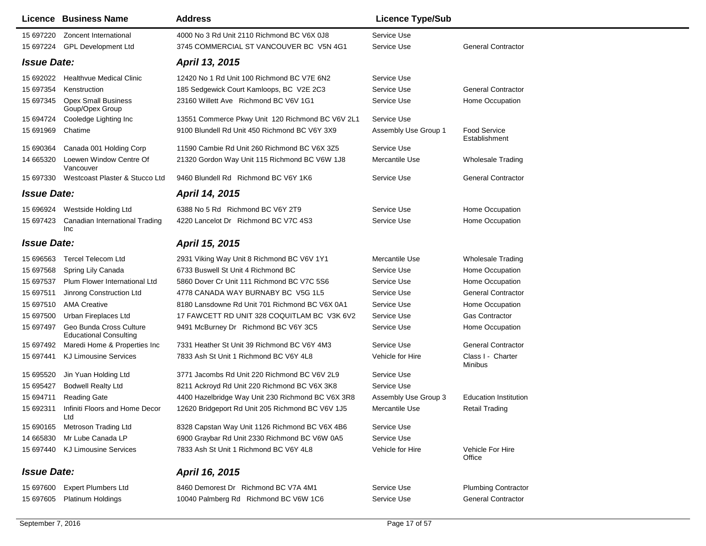|                    | <b>Licence Business Name</b>                             | <b>Address</b>                                    | <b>Licence Type/Sub</b> |                                      |
|--------------------|----------------------------------------------------------|---------------------------------------------------|-------------------------|--------------------------------------|
| 15 697220          | Zoncent International                                    | 4000 No 3 Rd Unit 2110 Richmond BC V6X 0J8        | Service Use             |                                      |
|                    | 15 697224 GPL Development Ltd                            | 3745 COMMERCIAL ST VANCOUVER BC V5N 4G1           | Service Use             | <b>General Contractor</b>            |
| <b>Issue Date:</b> |                                                          | April 13, 2015                                    |                         |                                      |
| 15 692022          | Healthvue Medical Clinic                                 | 12420 No 1 Rd Unit 100 Richmond BC V7E 6N2        | Service Use             |                                      |
| 15 697354          | Kenstruction                                             | 185 Sedgewick Court Kamloops, BC V2E 2C3          | Service Use             | <b>General Contractor</b>            |
| 15 697345          | <b>Opex Small Business</b><br>Goup/Opex Group            | 23160 Willett Ave Richmond BC V6V 1G1             | Service Use             | Home Occupation                      |
| 15 694724          | Cooledge Lighting Inc                                    | 13551 Commerce Pkwy Unit 120 Richmond BC V6V 2L1  | Service Use             |                                      |
| 15 691969          | Chatime                                                  | 9100 Blundell Rd Unit 450 Richmond BC V6Y 3X9     | Assembly Use Group 1    | <b>Food Service</b><br>Establishment |
| 15 690364          | Canada 001 Holding Corp                                  | 11590 Cambie Rd Unit 260 Richmond BC V6X 3Z5      | Service Use             |                                      |
| 14 665320          | Loewen Window Centre Of<br>Vancouver                     | 21320 Gordon Way Unit 115 Richmond BC V6W 1J8     | Mercantile Use          | <b>Wholesale Trading</b>             |
| 15 697330          | Westcoast Plaster & Stucco Ltd                           | 9460 Blundell Rd Richmond BC V6Y 1K6              | Service Use             | <b>General Contractor</b>            |
| <b>Issue Date:</b> |                                                          | April 14, 2015                                    |                         |                                      |
| 15 696924          | Westside Holding Ltd                                     | 6388 No 5 Rd Richmond BC V6Y 2T9                  | Service Use             | Home Occupation                      |
| 15 697423<br>Inc   | Canadian International Trading                           | 4220 Lancelot Dr Richmond BC V7C 4S3              | Service Use             | Home Occupation                      |
| <b>Issue Date:</b> |                                                          | April 15, 2015                                    |                         |                                      |
| 15 696563          | <b>Tercel Telecom Ltd</b>                                | 2931 Viking Way Unit 8 Richmond BC V6V 1Y1        | Mercantile Use          | <b>Wholesale Trading</b>             |
| 15 697568          | Spring Lily Canada                                       | 6733 Buswell St Unit 4 Richmond BC                | Service Use             | Home Occupation                      |
| 15 697537          | Plum Flower International Ltd                            | 5860 Dover Cr Unit 111 Richmond BC V7C 5S6        | Service Use             | Home Occupation                      |
| 15 697511          | Jinrong Construction Ltd                                 | 4778 CANADA WAY BURNABY BC V5G 1L5                | Service Use             | <b>General Contractor</b>            |
| 15 697510          | <b>AMA Creative</b>                                      | 8180 Lansdowne Rd Unit 701 Richmond BC V6X 0A1    | Service Use             | Home Occupation                      |
| 15 697500          | Urban Fireplaces Ltd                                     | 17 FAWCETT RD UNIT 328 COQUITLAM BC V3K 6V2       | Service Use             | <b>Gas Contractor</b>                |
| 15 697497          | Geo Bunda Cross Culture<br><b>Educational Consulting</b> | 9491 McBurney Dr Richmond BC V6Y 3C5              | Service Use             | Home Occupation                      |
| 15 697492          | Maredi Home & Properties Inc                             | 7331 Heather St Unit 39 Richmond BC V6Y 4M3       | Service Use             | <b>General Contractor</b>            |
| 15 697441          | <b>KJ Limousine Services</b>                             | 7833 Ash St Unit 1 Richmond BC V6Y 4L8            | Vehicle for Hire        | Class I - Charter<br>Minibus         |
| 15 695520          | Jin Yuan Holding Ltd                                     | 3771 Jacombs Rd Unit 220 Richmond BC V6V 2L9      | Service Use             |                                      |
| 15 695427          | <b>Bodwell Realty Ltd</b>                                | 8211 Ackroyd Rd Unit 220 Richmond BC V6X 3K8      | Service Use             |                                      |
| 15 694711          | <b>Reading Gate</b>                                      | 4400 Hazelbridge Way Unit 230 Richmond BC V6X 3R8 | Assembly Use Group 3    | <b>Education Institution</b>         |
| 15 692311          | Infiniti Floors and Home Decor<br>Ltd                    | 12620 Bridgeport Rd Unit 205 Richmond BC V6V 1J5  | Mercantile Use          | Retail Trading                       |
| 15 690165          | Metroson Trading Ltd                                     | 8328 Capstan Way Unit 1126 Richmond BC V6X 4B6    | Service Use             |                                      |
| 14 665830          | Mr Lube Canada LP                                        | 6900 Graybar Rd Unit 2330 Richmond BC V6W 0A5     | Service Use             |                                      |
|                    | 15 697440 KJ Limousine Services                          | 7833 Ash St Unit 1 Richmond BC V6Y 4L8            | Vehicle for Hire        | Vehicle For Hire<br>Office           |
| <b>Issue Date:</b> |                                                          | April 16, 2015                                    |                         |                                      |
| 15 697600          | <b>Expert Plumbers Ltd</b>                               | 8460 Demorest Dr Richmond BC V7A 4M1              | Service Use             | <b>Plumbing Contractor</b>           |
| 15 697605          | <b>Platinum Holdings</b>                                 | 10040 Palmberg Rd Richmond BC V6W 1C6             | Service Use             | <b>General Contractor</b>            |
|                    |                                                          |                                                   |                         |                                      |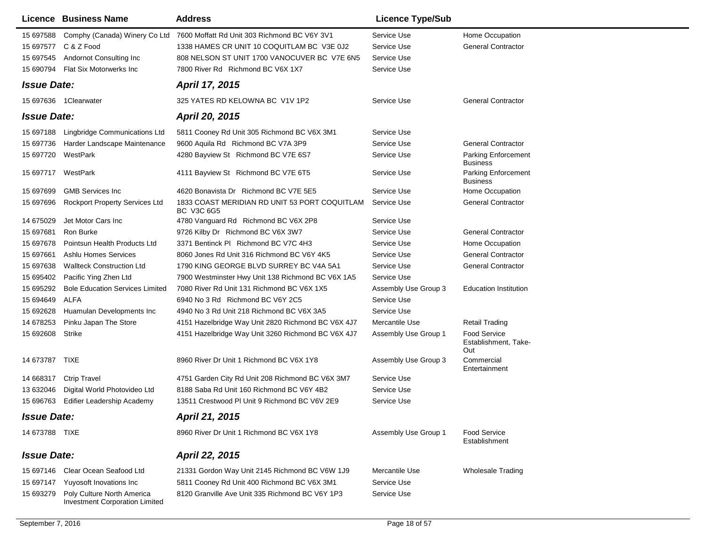|                    | Licence Business Name                                               | <b>Address</b>                                              | <b>Licence Type/Sub</b> |                                                    |
|--------------------|---------------------------------------------------------------------|-------------------------------------------------------------|-------------------------|----------------------------------------------------|
|                    | 15 697588 Comphy (Canada) Winery Co Ltd                             | 7600 Moffatt Rd Unit 303 Richmond BC V6Y 3V1                | Service Use             | Home Occupation                                    |
|                    | 15 697577 C & Z Food                                                | 1338 HAMES CR UNIT 10 COQUITLAM BC V3E 0J2                  | Service Use             | <b>General Contractor</b>                          |
| 15 697545          | Andornot Consulting Inc                                             | 808 NELSON ST UNIT 1700 VANOCUVER BC V7E 6N5                | Service Use             |                                                    |
| 15 690794          | Flat Six Motorwerks Inc                                             | 7800 River Rd Richmond BC V6X 1X7                           | Service Use             |                                                    |
| <b>Issue Date:</b> |                                                                     | April 17, 2015                                              |                         |                                                    |
|                    | 15 697636 1 Clearwater                                              | 325 YATES RD KELOWNA BC V1V 1P2                             | Service Use             | <b>General Contractor</b>                          |
| <b>Issue Date:</b> |                                                                     | April 20, 2015                                              |                         |                                                    |
| 15 697188          | Lingbridge Communications Ltd                                       | 5811 Cooney Rd Unit 305 Richmond BC V6X 3M1                 | Service Use             |                                                    |
| 15 697736          | Harder Landscape Maintenance                                        | 9600 Aquila Rd Richmond BC V7A 3P9                          | Service Use             | <b>General Contractor</b>                          |
| 15 697720          | WestPark                                                            | 4280 Bayview St Richmond BC V7E 6S7                         | Service Use             | Parking Enforcement<br><b>Business</b>             |
| 15 697717          | WestPark                                                            | 4111 Bayview St Richmond BC V7E 6T5                         | Service Use             | <b>Parking Enforcement</b><br><b>Business</b>      |
| 15 697699          | <b>GMB Services Inc</b>                                             | 4620 Bonavista Dr Richmond BC V7E 5E5                       | Service Use             | Home Occupation                                    |
| 15 697696          | Rockport Property Services Ltd                                      | 1833 COAST MERIDIAN RD UNIT 53 PORT COQUITLAM<br>BC V3C 6G5 | Service Use             | <b>General Contractor</b>                          |
| 14 675029          | Jet Motor Cars Inc                                                  | 4780 Vanguard Rd Richmond BC V6X 2P8                        | Service Use             |                                                    |
| 15 697681          | Ron Burke                                                           | 9726 Kilby Dr Richmond BC V6X 3W7                           | Service Use             | <b>General Contractor</b>                          |
| 15 697678          | Pointsun Health Products Ltd                                        | 3371 Bentinck PI Richmond BC V7C 4H3                        | Service Use             | Home Occupation                                    |
| 15 697661          | Ashlu Homes Services                                                | 8060 Jones Rd Unit 316 Richmond BC V6Y 4K5                  | Service Use             | <b>General Contractor</b>                          |
| 15 697638          | <b>Wallteck Construction Ltd</b>                                    | 1790 KING GEORGE BLVD SURREY BC V4A 5A1                     | Service Use             | <b>General Contractor</b>                          |
| 15 695402          | Pacific Ying Zhen Ltd                                               | 7900 Westminster Hwy Unit 138 Richmond BC V6X 1A5           | Service Use             |                                                    |
| 15 695292          | <b>Bole Education Services Limited</b>                              | 7080 River Rd Unit 131 Richmond BC V6X 1X5                  | Assembly Use Group 3    | <b>Education Institution</b>                       |
| 15 694649          | ALFA                                                                | 6940 No 3 Rd Richmond BC V6Y 2C5                            | Service Use             |                                                    |
| 15 692628          | Huamulan Developments Inc                                           | 4940 No 3 Rd Unit 218 Richmond BC V6X 3A5                   | Service Use             |                                                    |
| 14 678253          | Pinku Japan The Store                                               | 4151 Hazelbridge Way Unit 2820 Richmond BC V6X 4J7          | Mercantile Use          | <b>Retail Trading</b>                              |
| 15 692608          | Strike                                                              | 4151 Hazelbridge Way Unit 3260 Richmond BC V6X 4J7          | Assembly Use Group 1    | <b>Food Service</b><br>Establishment, Take-<br>Out |
| 14 673787 TIXE     |                                                                     | 8960 River Dr Unit 1 Richmond BC V6X 1Y8                    | Assembly Use Group 3    | Commercial<br>Entertainment                        |
| 14 668317          | <b>Ctrip Travel</b>                                                 | 4751 Garden City Rd Unit 208 Richmond BC V6X 3M7            | Service Use             |                                                    |
| 13 632046          | Digital World Photovideo Ltd                                        | 8188 Saba Rd Unit 160 Richmond BC V6Y 4B2                   | Service Use             |                                                    |
|                    | 15 696763 Edifier Leadership Academy                                | 13511 Crestwood PI Unit 9 Richmond BC V6V 2E9               | Service Use             |                                                    |
| <b>Issue Date:</b> |                                                                     | April 21, 2015                                              |                         |                                                    |
| 14 673788 TIXE     |                                                                     | 8960 River Dr Unit 1 Richmond BC V6X 1Y8                    | Assembly Use Group 1    | <b>Food Service</b><br>Establishment               |
| <b>Issue Date:</b> |                                                                     | April 22, 2015                                              |                         |                                                    |
| 15 697146          | Clear Ocean Seafood Ltd                                             | 21331 Gordon Way Unit 2145 Richmond BC V6W 1J9              | Mercantile Use          | <b>Wholesale Trading</b>                           |
| 15 697147          | Yuyosoft Inovations Inc                                             | 5811 Cooney Rd Unit 400 Richmond BC V6X 3M1                 | Service Use             |                                                    |
| 15 693279          | Poly Culture North America<br><b>Investment Corporation Limited</b> | 8120 Granville Ave Unit 335 Richmond BC V6Y 1P3             | Service Use             |                                                    |
|                    |                                                                     |                                                             |                         |                                                    |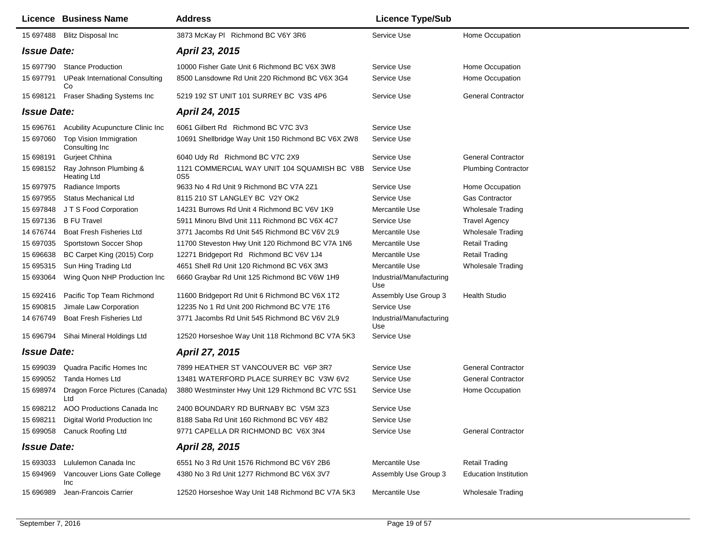|                    | <b>Licence Business Name</b>                 | <b>Address</b>                                                  | <b>Licence Type/Sub</b>         |                              |
|--------------------|----------------------------------------------|-----------------------------------------------------------------|---------------------------------|------------------------------|
|                    | 15 697488 Blitz Disposal Inc                 | 3873 McKay PI Richmond BC V6Y 3R6                               | Service Use                     | Home Occupation              |
| <b>Issue Date:</b> |                                              | April 23, 2015                                                  |                                 |                              |
| 15 697790          | <b>Stance Production</b>                     | 10000 Fisher Gate Unit 6 Richmond BC V6X 3W8                    | Service Use                     | Home Occupation              |
| 15 697791          | <b>UPeak International Consulting</b><br>Co  | 8500 Lansdowne Rd Unit 220 Richmond BC V6X 3G4                  | Service Use                     | Home Occupation              |
| 15 698121          | Fraser Shading Systems Inc                   | 5219 192 ST UNIT 101 SURREY BC V3S 4P6                          | Service Use                     | <b>General Contractor</b>    |
| <b>Issue Date:</b> |                                              | April 24, 2015                                                  |                                 |                              |
| 15 696761          | Acubility Acupuncture Clinic Inc             | 6061 Gilbert Rd Richmond BC V7C 3V3                             | Service Use                     |                              |
| 15 697060          | Top Vision Immigration<br>Consulting Inc     | 10691 Shellbridge Way Unit 150 Richmond BC V6X 2W8              | Service Use                     |                              |
| 15 698191          | Gurjeet Chhina                               | 6040 Udy Rd Richmond BC V7C 2X9                                 | Service Use                     | <b>General Contractor</b>    |
| 15 698152          | Ray Johnson Plumbing &<br><b>Heating Ltd</b> | 1121 COMMERCIAL WAY UNIT 104 SQUAMISH BC V8B<br>0S <sub>5</sub> | Service Use                     | <b>Plumbing Contractor</b>   |
| 15 697975          | Radiance Imports                             | 9633 No 4 Rd Unit 9 Richmond BC V7A 2Z1                         | Service Use                     | Home Occupation              |
| 15 697955          | <b>Status Mechanical Ltd</b>                 | 8115 210 ST LANGLEY BC V2Y OK2                                  | Service Use                     | <b>Gas Contractor</b>        |
| 15 697848          | J T S Food Corporation                       | 14231 Burrows Rd Unit 4 Richmond BC V6V 1K9                     | Mercantile Use                  | <b>Wholesale Trading</b>     |
| 15 697136          | <b>B FU Travel</b>                           | 5911 Minoru Blvd Unit 111 Richmond BC V6X 4C7                   | Service Use                     | <b>Travel Agency</b>         |
| 14 676744          | <b>Boat Fresh Fisheries Ltd</b>              | 3771 Jacombs Rd Unit 545 Richmond BC V6V 2L9                    | Mercantile Use                  | Wholesale Trading            |
| 15 697035          | Sportstown Soccer Shop                       | 11700 Steveston Hwy Unit 120 Richmond BC V7A 1N6                | Mercantile Use                  | <b>Retail Trading</b>        |
| 15 696638          | BC Carpet King (2015) Corp                   | 12271 Bridgeport Rd Richmond BC V6V 1J4                         | Mercantile Use                  | <b>Retail Trading</b>        |
| 15 695315          | Sun Hing Trading Ltd                         | 4651 Shell Rd Unit 120 Richmond BC V6X 3M3                      | Mercantile Use                  | <b>Wholesale Trading</b>     |
| 15 693064          | Wing Quon NHP Production Inc                 | 6660 Graybar Rd Unit 125 Richmond BC V6W 1H9                    | Industrial/Manufacturing<br>Use |                              |
| 15 692416          | Pacific Top Team Richmond                    | 11600 Bridgeport Rd Unit 6 Richmond BC V6X 1T2                  | Assembly Use Group 3            | <b>Health Studio</b>         |
| 15 690815          | Jimale Law Corporation                       | 12235 No 1 Rd Unit 200 Richmond BC V7E 1T6                      | Service Use                     |                              |
| 14 676749          | <b>Boat Fresh Fisheries Ltd</b>              | 3771 Jacombs Rd Unit 545 Richmond BC V6V 2L9                    | Industrial/Manufacturing<br>Use |                              |
| 15 696794          | Sihai Mineral Holdings Ltd                   | 12520 Horseshoe Way Unit 118 Richmond BC V7A 5K3                | Service Use                     |                              |
| <b>Issue Date:</b> |                                              | April 27, 2015                                                  |                                 |                              |
| 15 699039          | Quadra Pacific Homes Inc                     | 7899 HEATHER ST VANCOUVER BC V6P 3R7                            | Service Use                     | <b>General Contractor</b>    |
| 15 699052          | Tanda Homes Ltd                              | 13481 WATERFORD PLACE SURREY BC V3W 6V2                         | Service Use                     | <b>General Contractor</b>    |
| 15 698974          | Dragon Force Pictures (Canada)<br>Ltd        | 3880 Westminster Hwy Unit 129 Richmond BC V7C 5S1               | Service Use                     | Home Occupation              |
|                    | 15 698212 AOO Productions Canada Inc         | 2400 BOUNDARY RD BURNABY BC V5M 3Z3                             | Service Use                     |                              |
| 15 698211          | Digital World Production Inc                 | 8188 Saba Rd Unit 160 Richmond BC V6Y 4B2                       | Service Use                     |                              |
| 15 699058          | Canuck Roofing Ltd                           | 9771 CAPELLA DR RICHMOND BC V6X 3N4                             | Service Use                     | <b>General Contractor</b>    |
| <b>Issue Date:</b> |                                              | April 28, 2015                                                  |                                 |                              |
| 15 693033          | Lululemon Canada Inc                         | 6551 No 3 Rd Unit 1576 Richmond BC V6Y 2B6                      | Mercantile Use                  | <b>Retail Trading</b>        |
| 15 694969          | Vancouver Lions Gate College<br>Inc          | 4380 No 3 Rd Unit 1277 Richmond BC V6X 3V7                      | Assembly Use Group 3            | <b>Education Institution</b> |
| 15 696989          | Jean-Francois Carrier                        | 12520 Horseshoe Way Unit 148 Richmond BC V7A 5K3                | Mercantile Use                  | <b>Wholesale Trading</b>     |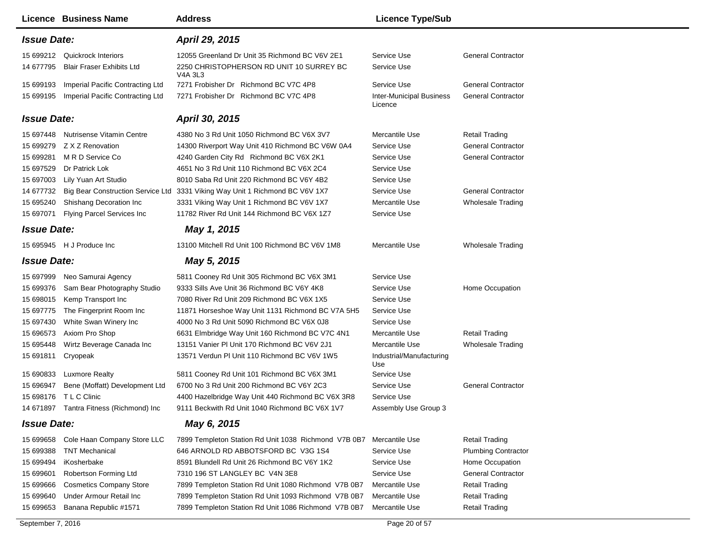|                                                                                         | Licence Business Name                                                                                                                                                              | <b>Address</b>                                                                                                                                                                                                                                                                                                                                                       | <b>Licence Type/Sub</b>                                                                         |                                                                                                                                                                                |
|-----------------------------------------------------------------------------------------|------------------------------------------------------------------------------------------------------------------------------------------------------------------------------------|----------------------------------------------------------------------------------------------------------------------------------------------------------------------------------------------------------------------------------------------------------------------------------------------------------------------------------------------------------------------|-------------------------------------------------------------------------------------------------|--------------------------------------------------------------------------------------------------------------------------------------------------------------------------------|
| <b>Issue Date:</b>                                                                      |                                                                                                                                                                                    | April 29, 2015                                                                                                                                                                                                                                                                                                                                                       |                                                                                                 |                                                                                                                                                                                |
| 14 677795                                                                               | 15 699212 Quickrock Interiors<br><b>Blair Fraser Exhibits Ltd</b>                                                                                                                  | 12055 Greenland Dr Unit 35 Richmond BC V6V 2E1<br>2250 CHRISTOPHERSON RD UNIT 10 SURREY BC<br>V4A 3L3                                                                                                                                                                                                                                                                | Service Use<br>Service Use                                                                      | <b>General Contractor</b>                                                                                                                                                      |
| 15 699193<br>15 699195                                                                  | Imperial Pacific Contracting Ltd<br>Imperial Pacific Contracting Ltd                                                                                                               | 7271 Frobisher Dr Richmond BC V7C 4P8<br>7271 Frobisher Dr Richmond BC V7C 4P8                                                                                                                                                                                                                                                                                       | Service Use<br><b>Inter-Municipal Business</b><br>Licence                                       | <b>General Contractor</b><br><b>General Contractor</b>                                                                                                                         |
| <b>Issue Date:</b>                                                                      |                                                                                                                                                                                    | April 30, 2015                                                                                                                                                                                                                                                                                                                                                       |                                                                                                 |                                                                                                                                                                                |
| 15 697448<br>15 699279<br>15 699281<br>15 697529<br>15 697003<br>14 677732              | <b>Nutrisense Vitamin Centre</b><br>Z X Z Renovation<br>M R D Service Co<br>Dr Patrick Lok<br>Lily Yuan Art Studio<br><b>Big Bear Construction Service Ltd</b>                     | 4380 No 3 Rd Unit 1050 Richmond BC V6X 3V7<br>14300 Riverport Way Unit 410 Richmond BC V6W 0A4<br>4240 Garden City Rd Richmond BC V6X 2K1<br>4651 No 3 Rd Unit 110 Richmond BC V6X 2C4<br>8010 Saba Rd Unit 220 Richmond BC V6Y 4B2<br>3331 Viking Way Unit 1 Richmond BC V6V 1X7                                                                                    | Mercantile Use<br>Service Use<br>Service Use<br>Service Use<br>Service Use<br>Service Use       | <b>Retail Trading</b><br><b>General Contractor</b><br><b>General Contractor</b><br><b>General Contractor</b>                                                                   |
| 15 695240<br>15 697071                                                                  | Shishang Decoration Inc<br>Flying Parcel Services Inc                                                                                                                              | 3331 Viking Way Unit 1 Richmond BC V6V 1X7<br>11782 River Rd Unit 144 Richmond BC V6X 1Z7                                                                                                                                                                                                                                                                            | Mercantile Use<br>Service Use                                                                   | <b>Wholesale Trading</b>                                                                                                                                                       |
| <b>Issue Date:</b>                                                                      |                                                                                                                                                                                    | May 1, 2015                                                                                                                                                                                                                                                                                                                                                          |                                                                                                 |                                                                                                                                                                                |
|                                                                                         | 15 695945 H J Produce Inc                                                                                                                                                          | 13100 Mitchell Rd Unit 100 Richmond BC V6V 1M8                                                                                                                                                                                                                                                                                                                       | Mercantile Use                                                                                  | <b>Wholesale Trading</b>                                                                                                                                                       |
| <b>Issue Date:</b>                                                                      |                                                                                                                                                                                    | May 5, 2015                                                                                                                                                                                                                                                                                                                                                          |                                                                                                 |                                                                                                                                                                                |
| 15 697999<br>15 699376<br>15 698015<br>15 697775<br>15 697430                           | Neo Samurai Agency<br>Sam Bear Photography Studio<br>Kemp Transport Inc<br>The Fingerprint Room Inc<br>White Swan Winery Inc                                                       | 5811 Cooney Rd Unit 305 Richmond BC V6X 3M1<br>9333 Sills Ave Unit 36 Richmond BC V6Y 4K8<br>7080 River Rd Unit 209 Richmond BC V6X 1X5<br>11871 Horseshoe Way Unit 1131 Richmond BC V7A 5H5<br>4000 No 3 Rd Unit 5090 Richmond BC V6X 0J8                                                                                                                           | Service Use<br>Service Use<br>Service Use<br>Service Use<br>Service Use                         | Home Occupation                                                                                                                                                                |
| 15 69 6573<br>15 695448<br>15 691811                                                    | Axiom Pro Shop<br>Wirtz Beverage Canada Inc<br>Cryopeak                                                                                                                            | 6631 Elmbridge Way Unit 160 Richmond BC V7C 4N1<br>13151 Vanier PI Unit 170 Richmond BC V6V 2J1<br>13571 Verdun PI Unit 110 Richmond BC V6V 1W5                                                                                                                                                                                                                      | Mercantile Use<br>Mercantile Use<br>Industrial/Manufacturing<br>Use                             | <b>Retail Trading</b><br><b>Wholesale Trading</b>                                                                                                                              |
| 15 690833<br>15 696947<br>15 698176                                                     | <b>Luxmore Realty</b><br>Bene (Moffatt) Development Ltd<br>T L C Clinic<br>14 671897 Tantra Fitness (Richmond) Inc                                                                 | 5811 Cooney Rd Unit 101 Richmond BC V6X 3M1<br>6700 No 3 Rd Unit 200 Richmond BC V6Y 2C3<br>4400 Hazelbridge Way Unit 440 Richmond BC V6X 3R8<br>9111 Beckwith Rd Unit 1040 Richmond BC V6X 1V7                                                                                                                                                                      | Service Use<br>Service Use<br>Service Use<br>Assembly Use Group 3                               | <b>General Contractor</b>                                                                                                                                                      |
| <b>Issue Date:</b>                                                                      |                                                                                                                                                                                    | May 6, 2015                                                                                                                                                                                                                                                                                                                                                          |                                                                                                 |                                                                                                                                                                                |
| 15 699658<br>15 699388<br>15 699494<br>15 699601<br>15 699666<br>15 699640<br>15 699653 | Cole Haan Company Store LLC<br><b>TNT Mechanical</b><br>iKosherbake<br>Robertson Forming Ltd<br><b>Cosmetics Company Store</b><br>Under Armour Retail Inc<br>Banana Republic #1571 | 7899 Templeton Station Rd Unit 1038 Richmond V7B 0B7 Mercantile Use<br>646 ARNOLD RD ABBOTSFORD BC V3G 1S4<br>8591 Blundell Rd Unit 26 Richmond BC V6Y 1K2<br>7310 196 ST LANGLEY BC V4N 3E8<br>7899 Templeton Station Rd Unit 1080 Richmond V7B 0B7<br>7899 Templeton Station Rd Unit 1093 Richmond V7B 0B7<br>7899 Templeton Station Rd Unit 1086 Richmond V7B 0B7 | Service Use<br>Service Use<br>Service Use<br>Mercantile Use<br>Mercantile Use<br>Mercantile Use | <b>Retail Trading</b><br><b>Plumbing Contractor</b><br>Home Occupation<br><b>General Contractor</b><br><b>Retail Trading</b><br><b>Retail Trading</b><br><b>Retail Trading</b> |
| September 7, 2016                                                                       |                                                                                                                                                                                    |                                                                                                                                                                                                                                                                                                                                                                      | Page 20 of 57                                                                                   |                                                                                                                                                                                |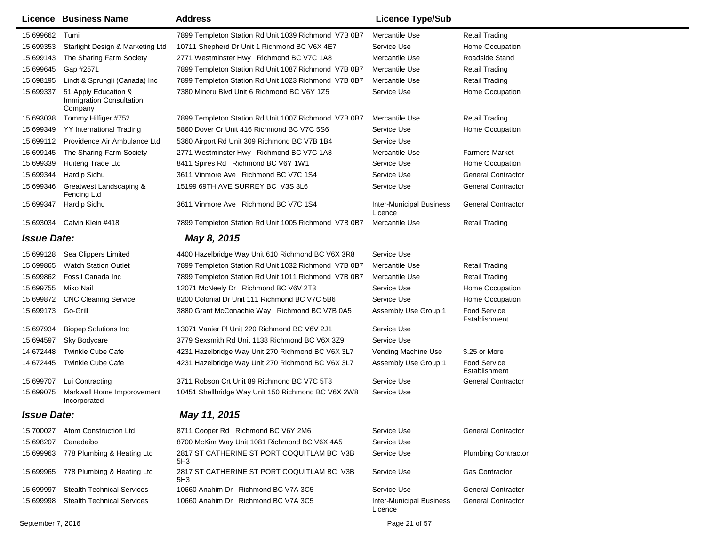|                    | <b>Licence Business Name</b>                                       | <b>Address</b>                                                | <b>Licence Type/Sub</b>                    |                                      |
|--------------------|--------------------------------------------------------------------|---------------------------------------------------------------|--------------------------------------------|--------------------------------------|
| 15 699662          | Tumi                                                               | 7899 Templeton Station Rd Unit 1039 Richmond V7B 0B7          | Mercantile Use                             | Retail Trading                       |
| 15 699353          | Starlight Design & Marketing Ltd                                   | 10711 Shepherd Dr Unit 1 Richmond BC V6X 4E7                  | Service Use                                | Home Occupation                      |
| 15 699143          | The Sharing Farm Society                                           | 2771 Westminster Hwy Richmond BC V7C 1A8                      | Mercantile Use                             | Roadside Stand                       |
| 15 699645          | Gap #2571                                                          | 7899 Templeton Station Rd Unit 1087 Richmond V7B 0B7          | Mercantile Use                             | <b>Retail Trading</b>                |
| 15 698195          | Lindt & Sprungli (Canada) Inc                                      | 7899 Templeton Station Rd Unit 1023 Richmond V7B 0B7          | Mercantile Use                             | <b>Retail Trading</b>                |
| 15 699337          | 51 Apply Education &<br><b>Immigration Consultation</b><br>Company | 7380 Minoru Blvd Unit 6 Richmond BC V6Y 1Z5                   | Service Use                                | Home Occupation                      |
| 15 693038          | Tommy Hilfiger #752                                                | 7899 Templeton Station Rd Unit 1007 Richmond V7B 0B7          | Mercantile Use                             | <b>Retail Trading</b>                |
| 15 699349          | <b>YY</b> International Trading                                    | 5860 Dover Cr Unit 416 Richmond BC V7C 5S6                    | Service Use                                | Home Occupation                      |
| 15 699112          | Providence Air Ambulance Ltd                                       | 5360 Airport Rd Unit 309 Richmond BC V7B 1B4                  | Service Use                                |                                      |
| 15 699145          | The Sharing Farm Society                                           | 2771 Westminster Hwy Richmond BC V7C 1A8                      | Mercantile Use                             | <b>Farmers Market</b>                |
| 15 699339          | Huiteng Trade Ltd                                                  | 8411 Spires Rd Richmond BC V6Y 1W1                            | Service Use                                | Home Occupation                      |
| 15 699344          | Hardip Sidhu                                                       | 3611 Vinmore Ave Richmond BC V7C 1S4                          | Service Use                                | <b>General Contractor</b>            |
| 15 699346          | Greatwest Landscaping &<br>Fencing Ltd                             | 15199 69TH AVE SURREY BC V3S 3L6                              | Service Use                                | <b>General Contractor</b>            |
| 15 699347          | Hardip Sidhu                                                       | 3611 Vinmore Ave Richmond BC V7C 1S4                          | <b>Inter-Municipal Business</b><br>Licence | <b>General Contractor</b>            |
| 15 693034          | Calvin Klein #418                                                  | 7899 Templeton Station Rd Unit 1005 Richmond V7B 0B7          | Mercantile Use                             | <b>Retail Trading</b>                |
| <b>Issue Date:</b> |                                                                    | May 8, 2015                                                   |                                            |                                      |
| 15 699128          | Sea Clippers Limited                                               | 4400 Hazelbridge Way Unit 610 Richmond BC V6X 3R8             | Service Use                                |                                      |
| 15 699865          | <b>Watch Station Outlet</b>                                        | 7899 Templeton Station Rd Unit 1032 Richmond V7B 0B7          | Mercantile Use                             | <b>Retail Trading</b>                |
| 15 699862          | Fossil Canada Inc                                                  | 7899 Templeton Station Rd Unit 1011 Richmond V7B 0B7          | Mercantile Use                             | <b>Retail Trading</b>                |
| 15 699755          | Miko Nail                                                          | 12071 McNeely Dr Richmond BC V6V 2T3                          | Service Use                                | Home Occupation                      |
| 15 699872          | <b>CNC Cleaning Service</b>                                        | 8200 Colonial Dr Unit 111 Richmond BC V7C 5B6                 | Service Use                                | Home Occupation                      |
| 15 699173          | Go-Grill                                                           | 3880 Grant McConachie Way Richmond BC V7B 0A5                 | Assembly Use Group 1                       | <b>Food Service</b><br>Establishment |
| 15 697934          | <b>Biopep Solutions Inc</b>                                        | 13071 Vanier PI Unit 220 Richmond BC V6V 2J1                  | Service Use                                |                                      |
| 15 694597          | Sky Bodycare                                                       | 3779 Sexsmith Rd Unit 1138 Richmond BC V6X 3Z9                | Service Use                                |                                      |
| 14 672448          | <b>Twinkle Cube Cafe</b>                                           | 4231 Hazelbridge Way Unit 270 Richmond BC V6X 3L7             | Vending Machine Use                        | \$.25 or More                        |
| 14 672445          | <b>Twinkle Cube Cafe</b>                                           | 4231 Hazelbridge Way Unit 270 Richmond BC V6X 3L7             | Assembly Use Group 1                       | <b>Food Service</b><br>Establishment |
| 15 699707          | Lui Contracting                                                    | 3711 Robson Crt Unit 89 Richmond BC V7C 5T8                   | Service Use                                | <b>General Contractor</b>            |
| 15 699075          | Markwell Home Imporovement<br>Incorporated                         | 10451 Shellbridge Way Unit 150 Richmond BC V6X 2W8            | Service Use                                |                                      |
| <b>Issue Date:</b> |                                                                    | May 11, 2015                                                  |                                            |                                      |
|                    | 15 700027 Atom Construction Ltd                                    | 8711 Cooper Rd Richmond BC V6Y 2M6                            | Service Use                                | <b>General Contractor</b>            |
| 15 698207          | Canadaibo                                                          | 8700 McKim Way Unit 1081 Richmond BC V6X 4A5                  | Service Use                                |                                      |
| 15 699963          | 778 Plumbing & Heating Ltd                                         | 2817 ST CATHERINE ST PORT COQUITLAM BC V3B<br>5H3             | Service Use                                | <b>Plumbing Contractor</b>           |
| 15 699965          | 778 Plumbing & Heating Ltd                                         | 2817 ST CATHERINE ST PORT COQUITLAM BC V3B<br>5H <sub>3</sub> | Service Use                                | Gas Contractor                       |
| 15 699997          | <b>Stealth Technical Services</b>                                  | 10660 Anahim Dr Richmond BC V7A 3C5                           | Service Use                                | <b>General Contractor</b>            |
| 15 699998          | <b>Stealth Technical Services</b>                                  | 10660 Anahim Dr Richmond BC V7A 3C5                           | <b>Inter-Municipal Business</b><br>Licence | <b>General Contractor</b>            |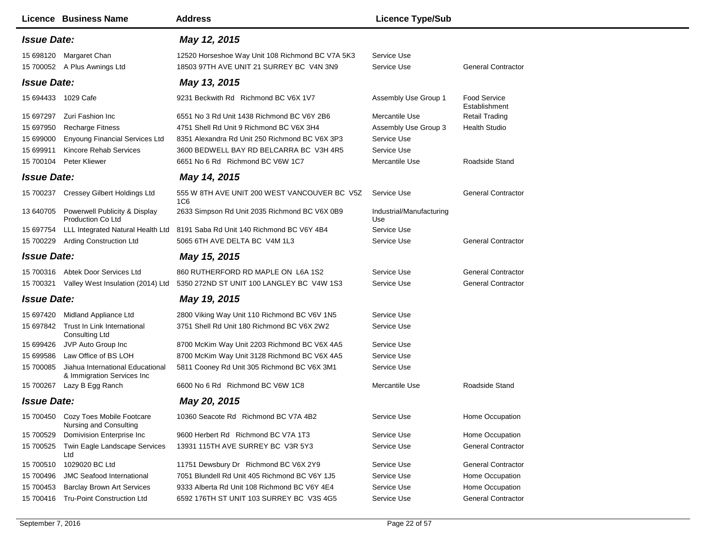| <b>Licence Business Name</b>                                                | <b>Address</b>                                           | <b>Licence Type/Sub</b>         |                                      |
|-----------------------------------------------------------------------------|----------------------------------------------------------|---------------------------------|--------------------------------------|
| <b>Issue Date:</b>                                                          | May 12, 2015                                             |                                 |                                      |
| 15 698120 Margaret Chan                                                     | 12520 Horseshoe Way Unit 108 Richmond BC V7A 5K3         | Service Use<br>Service Use      | <b>General Contractor</b>            |
| 15 700052 A Plus Awnings Ltd<br><b>Issue Date:</b>                          | 18503 97TH AVE UNIT 21 SURREY BC V4N 3N9<br>May 13, 2015 |                                 |                                      |
|                                                                             |                                                          |                                 |                                      |
| 15 694433 1029 Cafe                                                         | 9231 Beckwith Rd Richmond BC V6X 1V7                     | Assembly Use Group 1            | <b>Food Service</b><br>Establishment |
| Zuri Fashion Inc<br>15 697297                                               | 6551 No 3 Rd Unit 1438 Richmond BC V6Y 2B6               | Mercantile Use                  | <b>Retail Trading</b>                |
| 15 697950<br><b>Recharge Fitness</b>                                        | 4751 Shell Rd Unit 9 Richmond BC V6X 3H4                 | Assembly Use Group 3            | <b>Health Studio</b>                 |
| 15 699000<br><b>Enyoung Financial Services Ltd</b>                          | 8351 Alexandra Rd Unit 250 Richmond BC V6X 3P3           | Service Use                     |                                      |
| 15 699911<br>Kincore Rehab Services                                         | 3600 BEDWELL BAY RD BELCARRA BC V3H 4R5                  | Service Use                     |                                      |
| 15 700104<br>Peter Kliewer                                                  | 6651 No 6 Rd Richmond BC V6W 1C7                         | Mercantile Use                  | Roadside Stand                       |
| <b>Issue Date:</b>                                                          | May 14, 2015                                             |                                 |                                      |
| 15 700237 Cressey Gilbert Holdings Ltd                                      | 555 W 8TH AVE UNIT 200 WEST VANCOUVER BC V5Z<br>1C6      | Service Use                     | <b>General Contractor</b>            |
| Powerwell Publicity & Display<br>13 640705<br>Production Co Ltd             | 2633 Simpson Rd Unit 2035 Richmond BC V6X 0B9            | Industrial/Manufacturing<br>Use |                                      |
| LLL Integrated Natural Health Ltd<br>15 697754                              | 8191 Saba Rd Unit 140 Richmond BC V6Y 4B4                | Service Use                     |                                      |
| 15 700229 Arding Construction Ltd                                           | 5065 6TH AVE DELTA BC V4M 1L3                            | Service Use                     | <b>General Contractor</b>            |
| <b>Issue Date:</b>                                                          | May 15, 2015                                             |                                 |                                      |
| 15 700316 Abtek Door Services Ltd                                           | 860 RUTHERFORD RD MAPLE ON L6A 1S2                       | Service Use                     | <b>General Contractor</b>            |
| 15 700321 Valley West Insulation (2014) Ltd                                 | 5350 272ND ST UNIT 100 LANGLEY BC V4W 1S3                | Service Use                     | <b>General Contractor</b>            |
| <b>Issue Date:</b>                                                          | May 19, 2015                                             |                                 |                                      |
| Midland Appliance Ltd<br>15 697420                                          | 2800 Viking Way Unit 110 Richmond BC V6V 1N5             | Service Use                     |                                      |
| 15 697842 Trust In Link International<br><b>Consulting Ltd</b>              | 3751 Shell Rd Unit 180 Richmond BC V6X 2W2               | Service Use                     |                                      |
| JVP Auto Group Inc<br>15 699426                                             | 8700 McKim Way Unit 2203 Richmond BC V6X 4A5             | Service Use                     |                                      |
| Law Office of BS LOH<br>15 699586                                           | 8700 McKim Way Unit 3128 Richmond BC V6X 4A5             | Service Use                     |                                      |
| Jiahua International Educational<br>15 700085<br>& Immigration Services Inc | 5811 Cooney Rd Unit 305 Richmond BC V6X 3M1              | Service Use                     |                                      |
| 15 700267 Lazy B Egg Ranch                                                  | 6600 No 6 Rd Richmond BC V6W 1C8                         | Mercantile Use                  | Roadside Stand                       |
| <b>Issue Date:</b>                                                          | May 20, 2015                                             |                                 |                                      |
| 15 700450 Cozy Toes Mobile Footcare<br>Nursing and Consulting               | 10360 Seacote Rd Richmond BC V7A 4B2                     | Service Use                     | Home Occupation                      |
| Domivision Enterprise Inc<br>15 700529                                      | 9600 Herbert Rd Richmond BC V7A 1T3                      | Service Use                     | Home Occupation                      |
| 15 700525<br>Twin Eagle Landscape Services<br>Ltd                           | 13931 115TH AVE SURREY BC V3R 5Y3                        | Service Use                     | <b>General Contractor</b>            |
| 1029020 BC Ltd<br>15 700510                                                 | 11751 Dewsbury Dr Richmond BC V6X 2Y9                    | Service Use                     | <b>General Contractor</b>            |
| 15 700496<br><b>JMC Seafood International</b>                               | 7051 Blundell Rd Unit 405 Richmond BC V6Y 1J5            | Service Use                     | Home Occupation                      |
| 15 700453<br><b>Barclay Brown Art Services</b>                              | 9333 Alberta Rd Unit 108 Richmond BC V6Y 4E4             | Service Use                     | Home Occupation                      |
| <b>Tru-Point Construction Ltd</b><br>15 700416                              | 6592 176TH ST UNIT 103 SURREY BC V3S 4G5                 | Service Use                     | <b>General Contractor</b>            |
|                                                                             |                                                          |                                 |                                      |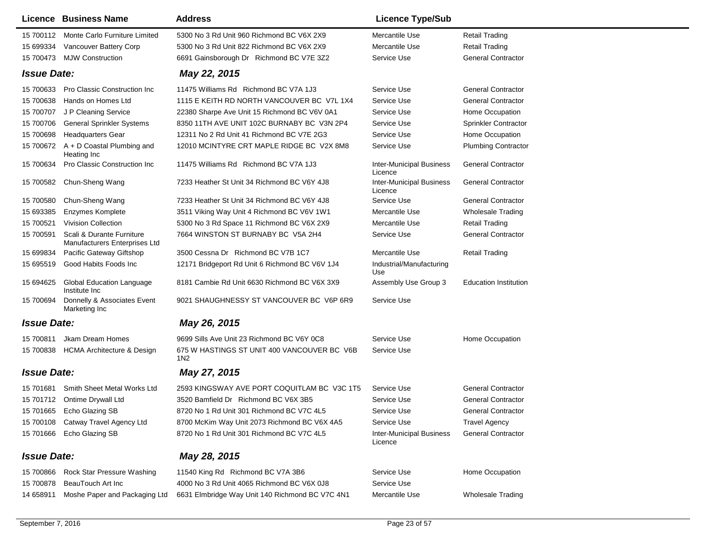| <b>Licence Business Name</b>                                            | <b>Address</b>                                     | <b>Licence Type/Sub</b>                    |                              |
|-------------------------------------------------------------------------|----------------------------------------------------|--------------------------------------------|------------------------------|
| 15 700112 Monte Carlo Furniture Limited                                 | 5300 No 3 Rd Unit 960 Richmond BC V6X 2X9          | Mercantile Use                             | <b>Retail Trading</b>        |
| Vancouver Battery Corp<br>15 699334                                     | 5300 No 3 Rd Unit 822 Richmond BC V6X 2X9          | Mercantile Use                             | Retail Trading               |
| 15 700473 MJW Construction                                              | 6691 Gainsborough Dr Richmond BC V7E 3Z2           | Service Use                                | <b>General Contractor</b>    |
| <b>Issue Date:</b>                                                      | May 22, 2015                                       |                                            |                              |
| <b>Pro Classic Construction Inc</b><br>15 700633                        | 11475 Williams Rd Richmond BC V7A 1J3              | Service Use                                | <b>General Contractor</b>    |
| Hands on Homes Ltd<br>15 700638                                         | 1115 E KEITH RD NORTH VANCOUVER BC V7L 1X4         | Service Use                                | <b>General Contractor</b>    |
| 15 700707<br>J P Cleaning Service                                       | 22380 Sharpe Ave Unit 15 Richmond BC V6V 0A1       | Service Use                                | Home Occupation              |
| <b>General Sprinkler Systems</b><br>15 700706                           | 8350 11TH AVE UNIT 102C BURNABY BC V3N 2P4         | Service Use                                | <b>Sprinkler Contractor</b>  |
| 15 700698<br><b>Headquarters Gear</b>                                   | 12311 No 2 Rd Unit 41 Richmond BC V7E 2G3          | Service Use                                | Home Occupation              |
| 15 700672 A + D Coastal Plumbing and<br>Heating Inc                     | 12010 MCINTYRE CRT MAPLE RIDGE BC V2X 8M8          | Service Use                                | <b>Plumbing Contractor</b>   |
| Pro Classic Construction Inc<br>15 700634                               | 11475 Williams Rd Richmond BC V7A 1J3              | <b>Inter-Municipal Business</b><br>Licence | <b>General Contractor</b>    |
| 15 700582 Chun-Sheng Wang                                               | 7233 Heather St Unit 34 Richmond BC V6Y 4J8        | <b>Inter-Municipal Business</b><br>Licence | <b>General Contractor</b>    |
| 15 700580<br>Chun-Sheng Wang                                            | 7233 Heather St Unit 34 Richmond BC V6Y 4J8        | Service Use                                | <b>General Contractor</b>    |
| 15 693385<br>Enzymes Komplete                                           | 3511 Viking Way Unit 4 Richmond BC V6V 1W1         | Mercantile Use                             | <b>Wholesale Trading</b>     |
| 15 700521<br><b>Vivision Collection</b>                                 | 5300 No 3 Rd Space 11 Richmond BC V6X 2X9          | Mercantile Use                             | <b>Retail Trading</b>        |
| 15 700591<br>Scali & Durante Furniture<br>Manufacturers Enterprises Ltd | 7664 WINSTON ST BURNABY BC V5A 2H4                 | Service Use                                | <b>General Contractor</b>    |
| Pacific Gateway Giftshop<br>15 699834                                   | 3500 Cessna Dr Richmond BC V7B 1C7                 | Mercantile Use                             | <b>Retail Trading</b>        |
| Good Habits Foods Inc<br>15 695519                                      | 12171 Bridgeport Rd Unit 6 Richmond BC V6V 1J4     | Industrial/Manufacturing<br>Use            |                              |
| <b>Global Education Language</b><br>15 694625<br>Institute Inc          | 8181 Cambie Rd Unit 6630 Richmond BC V6X 3X9       | Assembly Use Group 3                       | <b>Education Institution</b> |
| Donnelly & Associates Event<br>15 700694<br>Marketing Inc               | 9021 SHAUGHNESSY ST VANCOUVER BC V6P 6R9           | Service Use                                |                              |
| <b>Issue Date:</b>                                                      | May 26, 2015                                       |                                            |                              |
| Jkam Dream Homes<br>15 700811                                           | 9699 Sills Ave Unit 23 Richmond BC V6Y 0C8         | Service Use                                | Home Occupation              |
| 15 700838 HCMA Architecture & Design                                    | 675 W HASTINGS ST UNIT 400 VANCOUVER BC V6B<br>1N2 | Service Use                                |                              |
| <b>Issue Date:</b>                                                      | May 27, 2015                                       |                                            |                              |
| 15 701681<br>Smith Sheet Metal Works Ltd                                | 2593 KINGSWAY AVE PORT COQUITLAM BC V3C 1T5        | Service Use                                | <b>General Contractor</b>    |
| 15 701712 Ontime Drywall Ltd                                            | 3520 Bamfield Dr Richmond BC V6X 3B5               | Service Use                                | <b>General Contractor</b>    |
| 15 701665 Echo Glazing SB                                               | 8720 No 1 Rd Unit 301 Richmond BC V7C 4L5          | Service Use                                | <b>General Contractor</b>    |
| 15 700108 Catway Travel Agency Ltd                                      | 8700 McKim Way Unit 2073 Richmond BC V6X 4A5       | Service Use                                | <b>Travel Agency</b>         |
| Echo Glazing SB<br>15 701666                                            | 8720 No 1 Rd Unit 301 Richmond BC V7C 4L5          | <b>Inter-Municipal Business</b><br>Licence | <b>General Contractor</b>    |
| <b>Issue Date:</b>                                                      | May 28, 2015                                       |                                            |                              |
| Rock Star Pressure Washing<br>15 700866                                 | 11540 King Rd Richmond BC V7A 3B6                  | Service Use                                | Home Occupation              |
| 15 700878<br>BeauTouch Art Inc                                          | 4000 No 3 Rd Unit 4065 Richmond BC V6X 0J8         | Service Use                                |                              |
| Moshe Paper and Packaging Ltd<br>14 658911                              | 6631 Elmbridge Way Unit 140 Richmond BC V7C 4N1    | Mercantile Use                             | <b>Wholesale Trading</b>     |
|                                                                         |                                                    |                                            |                              |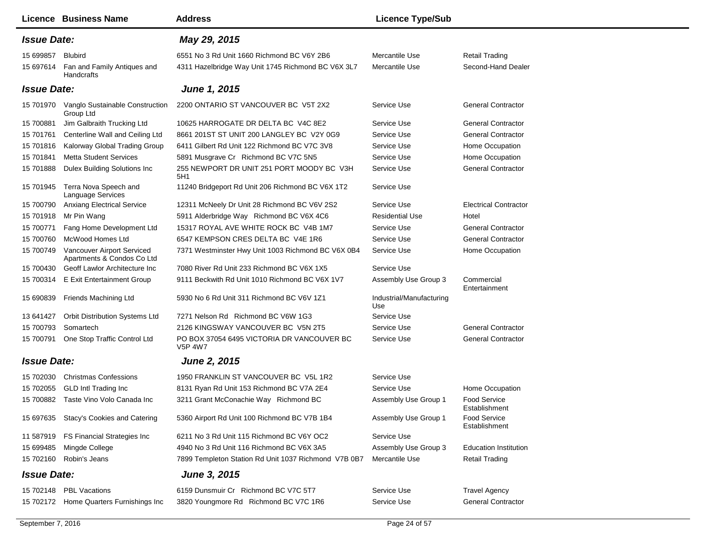| Licence Business Name                                                 | <b>Address</b>                                               | <b>Licence Type/Sub</b>         |                                      |
|-----------------------------------------------------------------------|--------------------------------------------------------------|---------------------------------|--------------------------------------|
| <b>Issue Date:</b>                                                    | May 29, 2015                                                 |                                 |                                      |
| 15 699857<br>Blubird                                                  | 6551 No 3 Rd Unit 1660 Richmond BC V6Y 2B6                   | Mercantile Use                  | <b>Retail Trading</b>                |
| Fan and Family Antiques and<br>15 697614<br>Handcrafts                | 4311 Hazelbridge Way Unit 1745 Richmond BC V6X 3L7           | Mercantile Use                  | Second-Hand Dealer                   |
| <b>Issue Date:</b>                                                    | June 1, 2015                                                 |                                 |                                      |
| 15 701970<br>Vanglo Sustainable Construction<br>Group Ltd             | 2200 ONTARIO ST VANCOUVER BC V5T 2X2                         | Service Use                     | <b>General Contractor</b>            |
| Jim Galbraith Trucking Ltd<br>15 700881                               | 10625 HARROGATE DR DELTA BC V4C 8E2                          | Service Use                     | <b>General Contractor</b>            |
| Centerline Wall and Ceiling Ltd<br>15 701761                          | 8661 201ST ST UNIT 200 LANGLEY BC V2Y 0G9                    | Service Use                     | <b>General Contractor</b>            |
| Kalorway Global Trading Group<br>15 701816                            | 6411 Gilbert Rd Unit 122 Richmond BC V7C 3V8                 | Service Use                     | Home Occupation                      |
| 15 701841<br><b>Metta Student Services</b>                            | 5891 Musgrave Cr Richmond BC V7C 5N5                         | Service Use                     | Home Occupation                      |
| 15 701888<br>Dulex Building Solutions Inc                             | 255 NEWPORT DR UNIT 251 PORT MOODY BC V3H<br>5H1             | Service Use                     | <b>General Contractor</b>            |
| 15 701945<br>Terra Nova Speech and<br><b>Language Services</b>        | 11240 Bridgeport Rd Unit 206 Richmond BC V6X 1T2             | Service Use                     |                                      |
| <b>Anxiang Electrical Service</b><br>15 700790                        | 12311 McNeely Dr Unit 28 Richmond BC V6V 2S2                 | Service Use                     | <b>Electrical Contractor</b>         |
| Mr Pin Wang<br>15 701918                                              | 5911 Alderbridge Way Richmond BC V6X 4C6                     | <b>Residential Use</b>          | Hotel                                |
| 15 700771<br>Fang Home Development Ltd                                | 15317 ROYAL AVE WHITE ROCK BC V4B 1M7                        | Service Use                     | <b>General Contractor</b>            |
| McWood Homes Ltd<br>15 700760                                         | 6547 KEMPSON CRES DELTA BC V4E 1R6                           | Service Use                     | <b>General Contractor</b>            |
| Vancouver Airport Serviced<br>15 700749<br>Apartments & Condos Co Ltd | 7371 Westminster Hwy Unit 1003 Richmond BC V6X 0B4           | Service Use                     | Home Occupation                      |
| 15 700430<br>Geoff Lawlor Architecture Inc                            | 7080 River Rd Unit 233 Richmond BC V6X 1X5                   | Service Use                     |                                      |
| <b>E Exit Entertainment Group</b><br>15 700314                        | 9111 Beckwith Rd Unit 1010 Richmond BC V6X 1V7               | Assembly Use Group 3            | Commercial<br>Entertainment          |
| 15 690839<br>Friends Machining Ltd                                    | 5930 No 6 Rd Unit 311 Richmond BC V6V 1Z1                    | Industrial/Manufacturing<br>Use |                                      |
| Orbit Distribution Systems Ltd<br>13 641427                           | 7271 Nelson Rd Richmond BC V6W 1G3                           | Service Use                     |                                      |
| Somartech<br>15 700793                                                | 2126 KINGSWAY VANCOUVER BC V5N 2T5                           | Service Use                     | <b>General Contractor</b>            |
| One Stop Traffic Control Ltd<br>15 700791                             | PO BOX 37054 6495 VICTORIA DR VANCOUVER BC<br><b>V5P 4W7</b> | Service Use                     | <b>General Contractor</b>            |
| <b>Issue Date:</b>                                                    | <b>June 2, 2015</b>                                          |                                 |                                      |
| <b>Christmas Confessions</b><br>15 702030                             | 1950 FRANKLIN ST VANCOUVER BC V5L 1R2                        | Service Use                     |                                      |
| 15 702055<br><b>GLD Intl Trading Inc</b>                              | 8131 Ryan Rd Unit 153 Richmond BC V7A 2E4                    | Service Use                     | Home Occupation                      |
| Taste Vino Volo Canada Inc<br>15 700882                               | 3211 Grant McConachie Way Richmond BC                        | Assembly Use Group 1            | Food Service<br>Establishment        |
| 15 697635 Stacy's Cookies and Catering                                | 5360 Airport Rd Unit 100 Richmond BC V7B 1B4                 | Assembly Use Group 1            | <b>Food Service</b><br>Establishment |
| FS Financial Strategies Inc<br>11 587919                              | 6211 No 3 Rd Unit 115 Richmond BC V6Y OC2                    | Service Use                     |                                      |
| 15 699485<br>Mingde College                                           | 4940 No 3 Rd Unit 116 Richmond BC V6X 3A5                    | Assembly Use Group 3            | <b>Education Institution</b>         |
| 15 702160<br>Robin's Jeans                                            | 7899 Templeton Station Rd Unit 1037 Richmond V7B 0B7         | Mercantile Use                  | <b>Retail Trading</b>                |
| <b>Issue Date:</b>                                                    | <b>June 3, 2015</b>                                          |                                 |                                      |
| 15 702148<br><b>PBL Vacations</b>                                     | 6159 Dunsmuir Cr Richmond BC V7C 5T7                         | Service Use                     | <b>Travel Agency</b>                 |
| 15 702172 Home Quarters Furnishings Inc                               | 3820 Youngmore Rd Richmond BC V7C 1R6                        | Service Use                     | <b>General Contractor</b>            |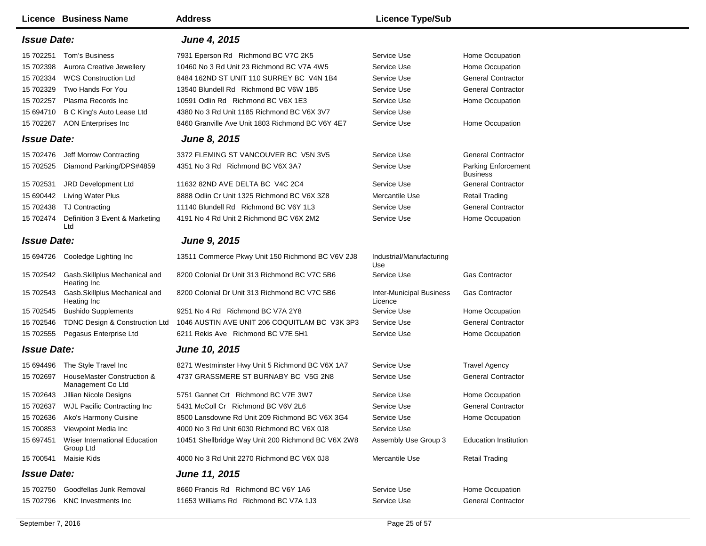| <b>Licence Business Name</b>                                               | <b>Address</b>                                                                    | <b>Licence Type/Sub</b>                    |                                                        |
|----------------------------------------------------------------------------|-----------------------------------------------------------------------------------|--------------------------------------------|--------------------------------------------------------|
| <b>Issue Date:</b>                                                         | <b>June 4, 2015</b>                                                               |                                            |                                                        |
| 15 702251<br>Tom's Business<br>15 702398<br>Aurora Creative Jewellery      | 7931 Eperson Rd Richmond BC V7C 2K5<br>10460 No 3 Rd Unit 23 Richmond BC V7A 4W5  | Service Use<br>Service Use                 | Home Occupation<br>Home Occupation                     |
| 15 702334<br><b>WCS Construction Ltd</b><br>15 702329<br>Two Hands For You | 8484 162ND ST UNIT 110 SURREY BC V4N 1B4<br>13540 Blundell Rd Richmond BC V6W 1B5 | Service Use<br>Service Use                 | <b>General Contractor</b><br><b>General Contractor</b> |
| 15 702257<br>Plasma Records Inc                                            | 10591 Odlin Rd Richmond BC V6X 1E3                                                | Service Use                                | Home Occupation                                        |
| 15 694710<br>B C King's Auto Lease Ltd                                     | 4380 No 3 Rd Unit 1185 Richmond BC V6X 3V7                                        | Service Use                                |                                                        |
| 15 702267<br><b>AON Enterprises Inc</b>                                    | 8460 Granville Ave Unit 1803 Richmond BC V6Y 4E7                                  | Service Use                                | Home Occupation                                        |
| <b>Issue Date:</b>                                                         | <b>June 8, 2015</b>                                                               |                                            |                                                        |
| 15 702476<br>Jeff Morrow Contracting                                       | 3372 FLEMING ST VANCOUVER BC V5N 3V5                                              | Service Use                                | <b>General Contractor</b>                              |
| 15 702525<br>Diamond Parking/DPS#4859                                      | 4351 No 3 Rd Richmond BC V6X 3A7                                                  | Service Use                                | <b>Parking Enforcement</b><br><b>Business</b>          |
| 15 702531<br>JRD Development Ltd                                           | 11632 82ND AVE DELTA BC V4C 2C4                                                   | Service Use                                | <b>General Contractor</b>                              |
| <b>Living Water Plus</b><br>15 690442                                      | 8888 Odlin Cr Unit 1325 Richmond BC V6X 3Z8                                       | Mercantile Use                             | <b>Retail Trading</b>                                  |
| 15 702438<br><b>TJ Contracting</b>                                         | 11140 Blundell Rd Richmond BC V6Y 1L3                                             | Service Use                                | <b>General Contractor</b>                              |
| Definition 3 Event & Marketing<br>15 702474<br>Ltd                         | 4191 No 4 Rd Unit 2 Richmond BC V6X 2M2                                           | Service Use                                | Home Occupation                                        |
| <b>Issue Date:</b>                                                         | <b>June 9, 2015</b>                                                               |                                            |                                                        |
| 15 694726 Cooledge Lighting Inc                                            | 13511 Commerce Pkwy Unit 150 Richmond BC V6V 2J8                                  | Industrial/Manufacturing<br>Use            |                                                        |
| Gasb.Skillplus Mechanical and<br>15 702542<br>Heating Inc                  | 8200 Colonial Dr Unit 313 Richmond BC V7C 5B6                                     | Service Use                                | <b>Gas Contractor</b>                                  |
| Gasb.Skillplus Mechanical and<br>15 702543<br>Heating Inc                  | 8200 Colonial Dr Unit 313 Richmond BC V7C 5B6                                     | <b>Inter-Municipal Business</b><br>Licence | <b>Gas Contractor</b>                                  |
| <b>Bushido Supplements</b><br>15 702545                                    | 9251 No 4 Rd Richmond BC V7A 2Y8                                                  | Service Use                                | Home Occupation                                        |
| 15 702546<br>TDNC Design & Construction Ltd                                | 1046 AUSTIN AVE UNIT 206 COQUITLAM BC V3K 3P3                                     | Service Use                                | <b>General Contractor</b>                              |
| 15 702555<br>Pegasus Enterprise Ltd                                        | 6211 Rekis Ave Richmond BC V7E 5H1                                                | Service Use                                | Home Occupation                                        |
| <b>Issue Date:</b>                                                         | <b>June 10, 2015</b>                                                              |                                            |                                                        |
| The Style Travel Inc<br>15 694496                                          | 8271 Westminster Hwy Unit 5 Richmond BC V6X 1A7                                   | Service Use                                | <b>Travel Agency</b>                                   |
| HouseMaster Construction &<br>15 702697<br>Management Co Ltd               | 4737 GRASSMERE ST BURNABY BC V5G 2N8                                              | Service Use                                | <b>General Contractor</b>                              |
| Jillian Nicole Designs<br>15 702643                                        | 5751 Gannet Crt Richmond BC V7E 3W7                                               | Service Use                                | Home Occupation                                        |
| 15 702637<br><b>WJL Pacific Contracting Inc</b>                            | 5431 McColl Cr Richmond BC V6V 2L6                                                | Service Use                                | <b>General Contractor</b>                              |
| 15 702636<br>Ako's Harmony Cuisine                                         | 8500 Lansdowne Rd Unit 209 Richmond BC V6X 3G4                                    | Service Use                                | Home Occupation                                        |
| 15 700853<br>Viewpoint Media Inc                                           | 4000 No 3 Rd Unit 6030 Richmond BC V6X 0J8                                        | Service Use                                |                                                        |
| 15 697451<br>Wiser International Education<br>Group Ltd                    | 10451 Shellbridge Way Unit 200 Richmond BC V6X 2W8                                | Assembly Use Group 3                       | <b>Education Institution</b>                           |
| 15 700541<br>Maisie Kids                                                   | 4000 No 3 Rd Unit 2270 Richmond BC V6X 0J8                                        | Mercantile Use                             | <b>Retail Trading</b>                                  |
| <b>Issue Date:</b>                                                         | <b>June 11, 2015</b>                                                              |                                            |                                                        |
| 15 702750<br>Goodfellas Junk Removal                                       | 8660 Francis Rd Richmond BC V6Y 1A6                                               | Service Use                                | Home Occupation                                        |
| 15 702796<br><b>KNC Investments Inc.</b>                                   | 11653 Williams Rd Richmond BC V7A 1J3                                             | Service Use                                | <b>General Contractor</b>                              |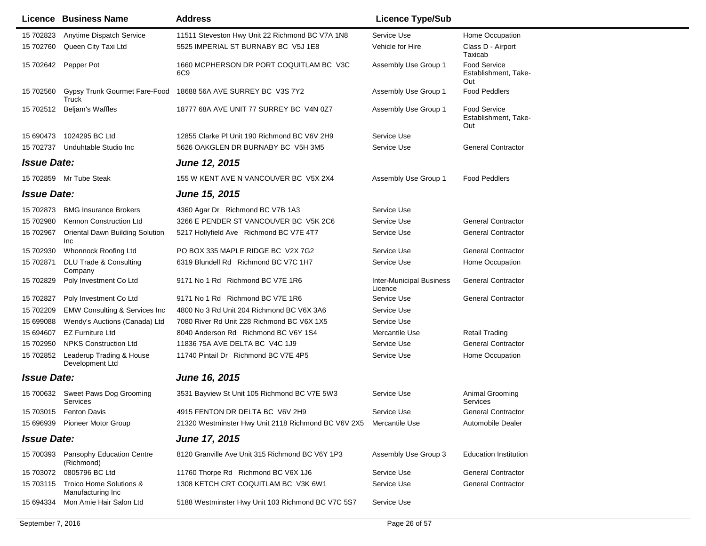|                    | <b>Licence Business Name</b>                           | <b>Address</b>                                                     | <b>Licence Type/Sub</b>                    |                                                    |
|--------------------|--------------------------------------------------------|--------------------------------------------------------------------|--------------------------------------------|----------------------------------------------------|
| 15 702823          | Anytime Dispatch Service                               | 11511 Steveston Hwy Unit 22 Richmond BC V7A 1N8                    | Service Use                                | Home Occupation                                    |
| 15 702760          | Queen City Taxi Ltd                                    | 5525 IMPERIAL ST BURNABY BC V5J 1E8                                | Vehicle for Hire                           | Class D - Airport<br>Taxicab                       |
| 15 702642          | Pepper Pot                                             | 1660 MCPHERSON DR PORT COQUITLAM BC V3C<br>6C9                     | Assembly Use Group 1                       | <b>Food Service</b><br>Establishment, Take-<br>Out |
| 15 702560          | Gypsy Trunk Gourmet Fare-Food<br>Truck                 | 18688 56A AVE SURREY BC V3S 7Y2                                    | Assembly Use Group 1                       | <b>Food Peddlers</b>                               |
| 15 702512          | Beljam's Waffles                                       | 18777 68A AVE UNIT 77 SURREY BC V4N 0Z7                            | Assembly Use Group 1                       | <b>Food Service</b><br>Establishment, Take-<br>Out |
| 15 690473          | 1024295 BC Ltd                                         | 12855 Clarke PI Unit 190 Richmond BC V6V 2H9                       | Service Use                                |                                                    |
| 15 702737          | Unduhtable Studio Inc                                  | 5626 OAKGLEN DR BURNABY BC V5H 3M5                                 | Service Use                                | <b>General Contractor</b>                          |
| <b>Issue Date:</b> |                                                        | <b>June 12, 2015</b>                                               |                                            |                                                    |
|                    | 15 702859 Mr Tube Steak                                | 155 W KENT AVE N VANCOUVER BC V5X 2X4                              | Assembly Use Group 1                       | <b>Food Peddlers</b>                               |
| <b>Issue Date:</b> |                                                        | <b>June 15, 2015</b>                                               |                                            |                                                    |
| 15 702873          | <b>BMG Insurance Brokers</b>                           | 4360 Agar Dr Richmond BC V7B 1A3                                   | Service Use                                |                                                    |
| 15 702980          | Kennon Construction Ltd                                | 3266 E PENDER ST VANCOUVER BC V5K 2C6                              | Service Use                                | <b>General Contractor</b>                          |
| 15 702967          | Oriental Dawn Building Solution<br>Inc                 | 5217 Hollyfield Ave Richmond BC V7E 4T7                            | Service Use                                | <b>General Contractor</b>                          |
| 15 702930          | <b>Whonnock Roofing Ltd</b>                            | PO BOX 335 MAPLE RIDGE BC V2X 7G2                                  | Service Use                                | <b>General Contractor</b>                          |
| 15 702871          | <b>DLU Trade &amp; Consulting</b><br>Company           | 6319 Blundell Rd Richmond BC V7C 1H7                               | Service Use                                | Home Occupation                                    |
| 15 702829          | Poly Investment Co Ltd                                 | 9171 No 1 Rd Richmond BC V7E 1R6                                   | <b>Inter-Municipal Business</b><br>Licence | <b>General Contractor</b>                          |
| 15 702827          | Poly Investment Co Ltd                                 | 9171 No 1 Rd Richmond BC V7E 1R6                                   | Service Use                                | <b>General Contractor</b>                          |
| 15 702209          | <b>EMW Consulting &amp; Services Inc</b>               | 4800 No 3 Rd Unit 204 Richmond BC V6X 3A6                          | Service Use                                |                                                    |
| 15 699088          | Wendy's Auctions (Canada) Ltd                          | 7080 River Rd Unit 228 Richmond BC V6X 1X5                         | Service Use                                |                                                    |
| 15 694607          | <b>EZ Furniture Ltd</b>                                | 8040 Anderson Rd Richmond BC V6Y 1S4                               | Mercantile Use                             | <b>Retail Trading</b>                              |
| 15 702950          | <b>NPKS Construction Ltd</b>                           | 11836 75A AVE DELTA BC V4C 1J9                                     | Service Use                                | <b>General Contractor</b>                          |
| 15 702852          | Leaderup Trading & House<br>Development Ltd            | 11740 Pintail Dr Richmond BC V7E 4P5                               | Service Use                                | Home Occupation                                    |
| <b>Issue Date:</b> |                                                        | June 16, 2015                                                      |                                            |                                                    |
| 15 700632          | Sweet Paws Dog Grooming<br>Services                    | 3531 Bayview St Unit 105 Richmond BC V7E 5W3                       | Service Use                                | Animal Grooming<br>Services                        |
|                    | 15 703015 Fenton Davis                                 | 4915 FENTON DR DELTA BC V6V 2H9                                    | Service Use                                | <b>General Contractor</b>                          |
|                    | 15 696939 Pioneer Motor Group                          | 21320 Westminster Hwy Unit 2118 Richmond BC V6V 2X5 Mercantile Use |                                            | Automobile Dealer                                  |
| <b>Issue Date:</b> |                                                        | <b>June 17, 2015</b>                                               |                                            |                                                    |
| 15 700393          | <b>Pansophy Education Centre</b><br>(Richmond)         | 8120 Granville Ave Unit 315 Richmond BC V6Y 1P3                    | Assembly Use Group 3                       | <b>Education Institution</b>                       |
| 15 703072          | 0805796 BC Ltd                                         | 11760 Thorpe Rd Richmond BC V6X 1J6                                | Service Use                                | <b>General Contractor</b>                          |
|                    | 15 703115 Troico Home Solutions &<br>Manufacturing Inc | 1308 KETCH CRT COQUITLAM BC V3K 6W1                                | Service Use                                | <b>General Contractor</b>                          |
| 15 694334          | Mon Amie Hair Salon Ltd                                | 5188 Westminster Hwy Unit 103 Richmond BC V7C 5S7                  | Service Use                                |                                                    |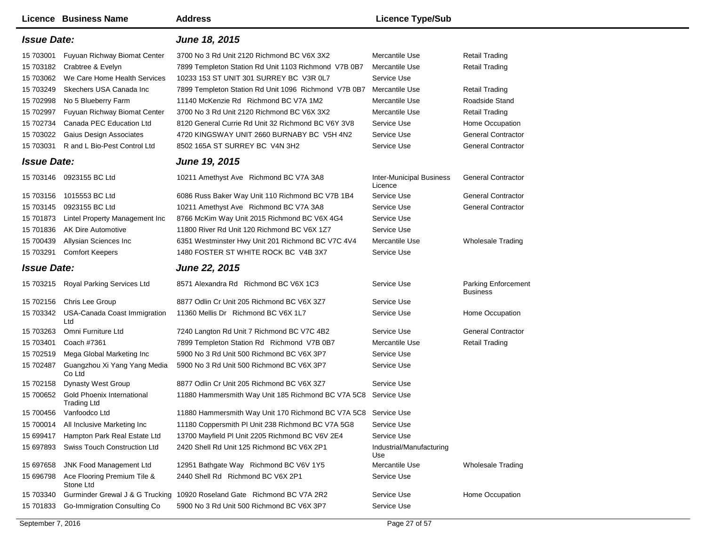|                        | Licence Business Name                                                       | <b>Address</b>                                                                                     | <b>Licence Type/Sub</b>                    |                                                        |
|------------------------|-----------------------------------------------------------------------------|----------------------------------------------------------------------------------------------------|--------------------------------------------|--------------------------------------------------------|
| <b>Issue Date:</b>     |                                                                             | June 18, 2015                                                                                      |                                            |                                                        |
| 15 703001              | Fuyuan Richway Biomat Center<br>15 703182 Crabtree & Evelyn                 | 3700 No 3 Rd Unit 2120 Richmond BC V6X 3X2<br>7899 Templeton Station Rd Unit 1103 Richmond V7B 0B7 | Mercantile Use<br>Mercantile Use           | <b>Retail Trading</b><br>Retail Trading                |
| 15 703249              | 15 703062 We Care Home Health Services<br>Skechers USA Canada Inc           | 10233 153 ST UNIT 301 SURREY BC V3R 0L7<br>7899 Templeton Station Rd Unit 1096 Richmond V7B 0B7    | Service Use<br>Mercantile Use              | Retail Trading                                         |
| 15 702998<br>15 702997 | No 5 Blueberry Farm<br>Fuyuan Richway Biomat Center                         | 11140 McKenzie Rd Richmond BC V7A 1M2<br>3700 No 3 Rd Unit 2120 Richmond BC V6X 3X2                | Mercantile Use<br>Mercantile Use           | Roadside Stand<br>Retail Trading                       |
| 15 702734              | Canada PEC Education Ltd                                                    | 8120 General Currie Rd Unit 32 Richmond BC V6Y 3V8                                                 | Service Use                                | Home Occupation                                        |
|                        | 15 703022 Gaius Design Associates<br>15 703031 R and L Bio-Pest Control Ltd | 4720 KINGSWAY UNIT 2660 BURNABY BC V5H 4N2<br>8502 165A ST SURREY BC V4N 3H2                       | Service Use<br>Service Use                 | <b>General Contractor</b><br><b>General Contractor</b> |
| <b>Issue Date:</b>     |                                                                             | June 19, 2015                                                                                      |                                            |                                                        |
|                        | 15 703146 0923155 BC Ltd                                                    | 10211 Amethyst Ave Richmond BC V7A 3A8                                                             | <b>Inter-Municipal Business</b><br>Licence | <b>General Contractor</b>                              |
| 15 703156              | 1015553 BC Ltd                                                              | 6086 Russ Baker Way Unit 110 Richmond BC V7B 1B4                                                   | Service Use                                | <b>General Contractor</b>                              |
| 15 703145              | 0923155 BC Ltd                                                              | 10211 Amethyst Ave Richmond BC V7A 3A8                                                             | Service Use                                | <b>General Contractor</b>                              |
| 15 701873              | Lintel Property Management Inc                                              | 8766 McKim Way Unit 2015 Richmond BC V6X 4G4                                                       | Service Use                                |                                                        |
| 15 701836              | AK Dire Automotive                                                          | 11800 River Rd Unit 120 Richmond BC V6X 1Z7                                                        | Service Use                                |                                                        |
| 15 700439              | Allysian Sciences Inc                                                       | 6351 Westminster Hwy Unit 201 Richmond BC V7C 4V4                                                  | Mercantile Use                             | <b>Wholesale Trading</b>                               |
| 15 703291              | <b>Comfort Keepers</b>                                                      | 1480 FOSTER ST WHITE ROCK BC V4B 3X7                                                               | Service Use                                |                                                        |
| <b>Issue Date:</b>     |                                                                             | <b>June 22, 2015</b>                                                                               |                                            |                                                        |
|                        |                                                                             |                                                                                                    |                                            |                                                        |
|                        | 15 703215 Royal Parking Services Ltd                                        | 8571 Alexandra Rd Richmond BC V6X 1C3                                                              | Service Use                                | Parking Enforcement<br><b>Business</b>                 |
| 15 702156              | Chris Lee Group                                                             | 8877 Odlin Cr Unit 205 Richmond BC V6X 3Z7                                                         | Service Use                                |                                                        |
|                        | 15 703342 USA-Canada Coast Immigration<br>Ltd                               | 11360 Mellis Dr Richmond BC V6X 1L7                                                                | Service Use                                | Home Occupation                                        |
| 15 703263              | Omni Furniture Ltd                                                          | 7240 Langton Rd Unit 7 Richmond BC V7C 4B2                                                         | Service Use                                | <b>General Contractor</b>                              |
| 15 703401              | Coach #7361                                                                 | 7899 Templeton Station Rd Richmond V7B 0B7                                                         | Mercantile Use                             | <b>Retail Trading</b>                                  |
| 15 702519              | Mega Global Marketing Inc                                                   | 5900 No 3 Rd Unit 500 Richmond BC V6X 3P7                                                          | Service Use                                |                                                        |
| 15 702487              | Guangzhou Xi Yang Yang Media<br>Co Ltd                                      | 5900 No 3 Rd Unit 500 Richmond BC V6X 3P7                                                          | Service Use                                |                                                        |
| 15 702158              | <b>Dynasty West Group</b>                                                   | 8877 Odlin Cr Unit 205 Richmond BC V6X 3Z7                                                         | Service Use                                |                                                        |
| 15 700652              | <b>Gold Phoenix International</b><br>Trading Ltd                            | 11880 Hammersmith Way Unit 185 Richmond BC V7A 5C8                                                 | Service Use                                |                                                        |
| 15 700456              | Vanfoodco Ltd                                                               | 11880 Hammersmith Way Unit 170 Richmond BC V7A 5C8                                                 | Service Use                                |                                                        |
| 15 700014              | All Inclusive Marketing Inc                                                 | 11180 Coppersmith PI Unit 238 Richmond BC V7A 5G8                                                  | Service Use                                |                                                        |
| 15 699417              | Hampton Park Real Estate Ltd                                                | 13700 Mayfield PI Unit 2205 Richmond BC V6V 2E4                                                    | Service Use                                |                                                        |
|                        | 15 697893 Swiss Touch Construction Ltd                                      | 2420 Shell Rd Unit 125 Richmond BC V6X 2P1                                                         | Industrial/Manufacturing<br>Use            |                                                        |
| 15 697658              | JNK Food Management Ltd                                                     | 12951 Bathgate Way Richmond BC V6V 1Y5                                                             | Mercantile Use                             | <b>Wholesale Trading</b>                               |
| 15 696798              | Ace Flooring Premium Tile &<br>Stone Ltd                                    | 2440 Shell Rd Richmond BC V6X 2P1                                                                  | Service Use                                |                                                        |
| 15 703340              | Gurminder Grewal J & G Trucking<br>Go-Immigration Consulting Co             | 10920 Roseland Gate Richmond BC V7A 2R2<br>5900 No 3 Rd Unit 500 Richmond BC V6X 3P7               | Service Use                                | Home Occupation                                        |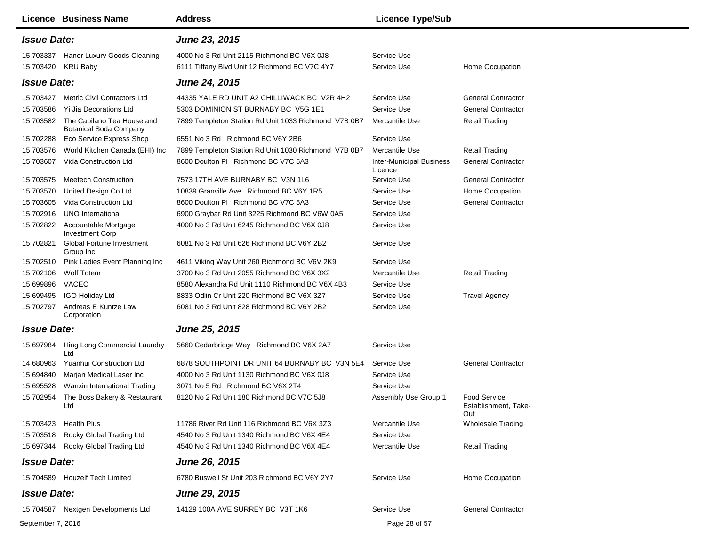|                    | <b>Licence Business Name</b>                                | <b>Address</b>                                       | <b>Licence Type/Sub</b>                    |                                                    |
|--------------------|-------------------------------------------------------------|------------------------------------------------------|--------------------------------------------|----------------------------------------------------|
| <b>Issue Date:</b> |                                                             | June 23, 2015                                        |                                            |                                                    |
| 15 703337          | Hanor Luxury Goods Cleaning                                 | 4000 No 3 Rd Unit 2115 Richmond BC V6X 0J8           | Service Use                                |                                                    |
| 15 703420          | <b>KRU Baby</b>                                             | 6111 Tiffany Blvd Unit 12 Richmond BC V7C 4Y7        | Service Use                                | Home Occupation                                    |
| <b>Issue Date:</b> |                                                             | <b>June 24, 2015</b>                                 |                                            |                                                    |
| 15 703427          | <b>Metric Civil Contactors Ltd</b>                          | 44335 YALE RD UNIT A2 CHILLIWACK BC V2R 4H2          | Service Use                                | <b>General Contractor</b>                          |
| 15 703586          | Yi Jia Decorations Ltd                                      | 5303 DOMINION ST BURNABY BC V5G 1E1                  | Service Use                                | <b>General Contractor</b>                          |
| 15 703582          | The Capilano Tea House and<br><b>Botanical Soda Company</b> | 7899 Templeton Station Rd Unit 1033 Richmond V7B 0B7 | Mercantile Use                             | <b>Retail Trading</b>                              |
| 15 702288          | <b>Eco Service Express Shop</b>                             | 6551 No 3 Rd Richmond BC V6Y 2B6                     | Service Use                                |                                                    |
| 15 703576          | World Kitchen Canada (EHI) Inc                              | 7899 Templeton Station Rd Unit 1030 Richmond V7B 0B7 | Mercantile Use                             | <b>Retail Trading</b>                              |
| 15 703607          | Vida Construction Ltd                                       | 8600 Doulton PI Richmond BC V7C 5A3                  | <b>Inter-Municipal Business</b><br>Licence | <b>General Contractor</b>                          |
| 15 703575          | <b>Meetech Construction</b>                                 | 7573 17TH AVE BURNABY BC V3N 1L6                     | Service Use                                | <b>General Contractor</b>                          |
| 15 703570          | United Design Co Ltd                                        | 10839 Granville Ave Richmond BC V6Y 1R5              | Service Use                                | Home Occupation                                    |
| 15 703605          | Vida Construction Ltd                                       | 8600 Doulton PL Richmond BC V7C 5A3                  | Service Use                                | <b>General Contractor</b>                          |
| 15 702916          | UNO International                                           | 6900 Graybar Rd Unit 3225 Richmond BC V6W 0A5        | Service Use                                |                                                    |
| 15 702822          | Accountable Mortgage<br><b>Investment Corp</b>              | 4000 No 3 Rd Unit 6245 Richmond BC V6X 0J8           | Service Use                                |                                                    |
| 15 702821          | Global Fortune Investment<br>Group Inc                      | 6081 No 3 Rd Unit 626 Richmond BC V6Y 2B2            | Service Use                                |                                                    |
| 15 702510          | Pink Ladies Event Planning Inc                              | 4611 Viking Way Unit 260 Richmond BC V6V 2K9         | Service Use                                |                                                    |
| 15 702106          | Wolf Totem                                                  | 3700 No 3 Rd Unit 2055 Richmond BC V6X 3X2           | Mercantile Use                             | <b>Retail Trading</b>                              |
| 15 699896          | VACEC                                                       | 8580 Alexandra Rd Unit 1110 Richmond BC V6X 4B3      | Service Use                                |                                                    |
| 15 699495          | <b>IGO Holiday Ltd</b>                                      | 8833 Odlin Cr Unit 220 Richmond BC V6X 3Z7           | Service Use                                | <b>Travel Agency</b>                               |
| 15 702797          | Andreas E Kuntze Law<br>Corporation                         | 6081 No 3 Rd Unit 828 Richmond BC V6Y 2B2            | Service Use                                |                                                    |
| <b>Issue Date:</b> |                                                             | June 25, 2015                                        |                                            |                                                    |
| 15 697984          | Hing Long Commercial Laundry<br>Ltd                         | 5660 Cedarbridge Way Richmond BC V6X 2A7             | Service Use                                |                                                    |
| 14 680963          | Yuanhui Construction Ltd                                    | 6878 SOUTHPOINT DR UNIT 64 BURNABY BC V3N 5E4        | Service Use                                | <b>General Contractor</b>                          |
| 15 694840          | Marjan Medical Laser Inc                                    | 4000 No 3 Rd Unit 1130 Richmond BC V6X 0J8           | Service Use                                |                                                    |
| 15 695528          | Wanxin International Trading                                | 3071 No 5 Rd Richmond BC V6X 2T4                     | Service Use                                |                                                    |
| 15 702954          | The Boss Bakery & Restaurant<br>Ltd                         | 8120 No 2 Rd Unit 180 Richmond BC V7C 5J8            | Assembly Use Group 1                       | <b>Food Service</b><br>Establishment, Take-<br>Out |
|                    | 15 703423 Health Plus                                       | 11786 River Rd Unit 116 Richmond BC V6X 3Z3          | Mercantile Use                             | Wholesale Trading                                  |
|                    | 15 703518 Rocky Global Trading Ltd                          | 4540 No 3 Rd Unit 1340 Richmond BC V6X 4E4           | Service Use                                |                                                    |
|                    | 15 697344 Rocky Global Trading Ltd                          | 4540 No 3 Rd Unit 1340 Richmond BC V6X 4E4           | Mercantile Use                             | <b>Retail Trading</b>                              |
| <b>Issue Date:</b> |                                                             | June 26, 2015                                        |                                            |                                                    |
|                    | 15 704589 Houzelf Tech Limited                              | 6780 Buswell St Unit 203 Richmond BC V6Y 2Y7         | Service Use                                | Home Occupation                                    |
| <b>Issue Date:</b> |                                                             | <b>June 29, 2015</b>                                 |                                            |                                                    |
|                    | 15 704587 Nextgen Developments Ltd                          | 14129 100A AVE SURREY BC V3T 1K6                     | Service Use                                | <b>General Contractor</b>                          |
| September 7, 2016  |                                                             |                                                      | Page 28 of 57                              |                                                    |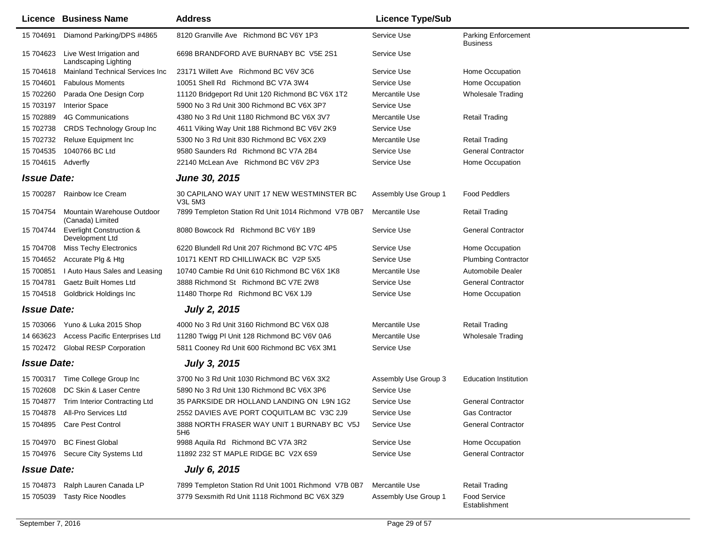|                    | <b>Licence Business Name</b>                           | <b>Address</b>                                        | <b>Licence Type/Sub</b> |                                               |
|--------------------|--------------------------------------------------------|-------------------------------------------------------|-------------------------|-----------------------------------------------|
| 15 704691          | Diamond Parking/DPS #4865                              | 8120 Granville Ave Richmond BC V6Y 1P3                | Service Use             | <b>Parking Enforcement</b><br><b>Business</b> |
| 15 704623          | Live West Irrigation and<br>Landscaping Lighting       | 6698 BRANDFORD AVE BURNABY BC V5E 2S1                 | Service Use             |                                               |
| 15 704618          | Mainland Technical Services Inc                        | 23171 Willett Ave Richmond BC V6V 3C6                 | Service Use             | Home Occupation                               |
| 15 704601          | <b>Fabulous Moments</b>                                | 10051 Shell Rd Richmond BC V7A 3W4                    | Service Use             | Home Occupation                               |
| 15 702260          | Parada One Design Corp                                 | 11120 Bridgeport Rd Unit 120 Richmond BC V6X 1T2      | Mercantile Use          | <b>Wholesale Trading</b>                      |
| 15 703197          | <b>Interior Space</b>                                  | 5900 No 3 Rd Unit 300 Richmond BC V6X 3P7             | Service Use             |                                               |
| 15 702889          | 4G Communications                                      | 4380 No 3 Rd Unit 1180 Richmond BC V6X 3V7            | Mercantile Use          | <b>Retail Trading</b>                         |
| 15 702738          | <b>CRDS Technology Group Inc</b>                       | 4611 Viking Way Unit 188 Richmond BC V6V 2K9          | Service Use             |                                               |
| 15 702732          | Reluxe Equipment Inc                                   | 5300 No 3 Rd Unit 830 Richmond BC V6X 2X9             | Mercantile Use          | <b>Retail Trading</b>                         |
| 15 704535          | 1040766 BC Ltd                                         | 9580 Saunders Rd Richmond BC V7A 2B4                  | Service Use             | <b>General Contractor</b>                     |
| 15 704615 Adverfly |                                                        | 22140 McLean Ave Richmond BC V6V 2P3                  | Service Use             | Home Occupation                               |
| <b>Issue Date:</b> |                                                        | <b>June 30, 2015</b>                                  |                         |                                               |
| 15 700287          | Rainbow Ice Cream                                      | 30 CAPILANO WAY UNIT 17 NEW WESTMINSTER BC<br>V3L 5M3 | Assembly Use Group 1    | <b>Food Peddlers</b>                          |
| 15 704754          | Mountain Warehouse Outdoor<br>(Canada) Limited         | 7899 Templeton Station Rd Unit 1014 Richmond V7B 0B7  | Mercantile Use          | <b>Retail Trading</b>                         |
| 15 704744          | <b>Everlight Construction &amp;</b><br>Development Ltd | 8080 Bowcock Rd Richmond BC V6Y 1B9                   | Service Use             | <b>General Contractor</b>                     |
| 15 704708          | Miss Techy Electronics                                 | 6220 Blundell Rd Unit 207 Richmond BC V7C 4P5         | Service Use             | Home Occupation                               |
| 15 704652          | Accurate Plg & Htg                                     | 10171 KENT RD CHILLIWACK BC V2P 5X5                   | Service Use             | <b>Plumbing Contractor</b>                    |
| 15 700851          | I Auto Haus Sales and Leasing                          | 10740 Cambie Rd Unit 610 Richmond BC V6X 1K8          | Mercantile Use          | Automobile Dealer                             |
| 15 704781          | Gaetz Built Homes Ltd                                  | 3888 Richmond St Richmond BC V7E 2W8                  | Service Use             | <b>General Contractor</b>                     |
| 15 704518          | Goldbrick Holdings Inc                                 | 11480 Thorpe Rd Richmond BC V6X 1J9                   | Service Use             | Home Occupation                               |
| <b>Issue Date:</b> |                                                        | <b>July 2, 2015</b>                                   |                         |                                               |
| 15 703066          | Yuno & Luka 2015 Shop                                  | 4000 No 3 Rd Unit 3160 Richmond BC V6X 0J8            | Mercantile Use          | <b>Retail Trading</b>                         |
| 14 663623          | Access Pacific Enterprises Ltd                         | 11280 Twigg PI Unit 128 Richmond BC V6V 0A6           | Mercantile Use          | <b>Wholesale Trading</b>                      |
|                    | 15 702472 Global RESP Corporation                      | 5811 Cooney Rd Unit 600 Richmond BC V6X 3M1           | Service Use             |                                               |
| <b>Issue Date:</b> |                                                        | <b>July 3, 2015</b>                                   |                         |                                               |
| 15 700317          | Time College Group Inc                                 | 3700 No 3 Rd Unit 1030 Richmond BC V6X 3X2            | Assembly Use Group 3    | <b>Education Institution</b>                  |
| 15 702608          | DC Skin & Laser Centre                                 | 5890 No 3 Rd Unit 130 Richmond BC V6X 3P6             | Service Use             |                                               |
|                    | 15 704877 Trim Interior Contracting Ltd                | 35 PARKSIDE DR HOLLAND LANDING ON L9N 1G2             | Service Use             | <b>General Contractor</b>                     |
|                    | 15 704878 All-Pro Services Ltd                         | 2552 DAVIES AVE PORT COQUITLAM BC V3C 2J9             | Service Use             | Gas Contractor                                |
|                    | 15 704895 Care Pest Control                            | 3888 NORTH FRASER WAY UNIT 1 BURNABY BC V5J<br>5H6    | Service Use             | <b>General Contractor</b>                     |
|                    | 15 704970 BC Finest Global                             | 9988 Aquila Rd Richmond BC V7A 3R2                    | Service Use             | Home Occupation                               |
|                    | 15 704976 Secure City Systems Ltd                      | 11892 232 ST MAPLE RIDGE BC V2X 6S9                   | Service Use             | <b>General Contractor</b>                     |
| <b>Issue Date:</b> |                                                        | <b>July 6, 2015</b>                                   |                         |                                               |
| 15 704873          | Ralph Lauren Canada LP                                 | 7899 Templeton Station Rd Unit 1001 Richmond V7B 0B7  | Mercantile Use          | <b>Retail Trading</b>                         |
| 15 705039          | <b>Tasty Rice Noodles</b>                              | 3779 Sexsmith Rd Unit 1118 Richmond BC V6X 3Z9        | Assembly Use Group 1    | <b>Food Service</b><br>Establishment          |
|                    |                                                        |                                                       |                         |                                               |

 $\overline{\phantom{0}}$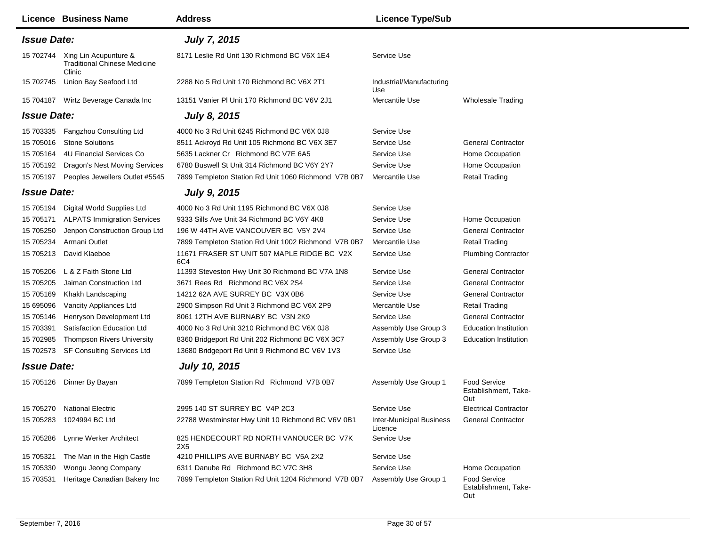|                    | <b>Licence Business Name</b>                                           | <b>Address</b>                                       | <b>Licence Type/Sub</b>             |                                                    |
|--------------------|------------------------------------------------------------------------|------------------------------------------------------|-------------------------------------|----------------------------------------------------|
| <b>Issue Date:</b> |                                                                        | <b>July 7, 2015</b>                                  |                                     |                                                    |
| 15 702744          | Xing Lin Acupunture &<br><b>Traditional Chinese Medicine</b><br>Clinic | 8171 Leslie Rd Unit 130 Richmond BC V6X 1E4          | Service Use                         |                                                    |
| 15 702745          | Union Bay Seafood Ltd                                                  | 2288 No 5 Rd Unit 170 Richmond BC V6X 2T1            | Industrial/Manufacturing<br>Use     |                                                    |
| 15 704187          | Wirtz Beverage Canada Inc                                              | 13151 Vanier PI Unit 170 Richmond BC V6V 2J1         | Mercantile Use                      | <b>Wholesale Trading</b>                           |
| <b>Issue Date:</b> |                                                                        | <b>July 8, 2015</b>                                  |                                     |                                                    |
| 15 703335          | Fangzhou Consulting Ltd                                                | 4000 No 3 Rd Unit 6245 Richmond BC V6X 0J8           | Service Use                         |                                                    |
| 15 705016          | <b>Stone Solutions</b>                                                 | 8511 Ackroyd Rd Unit 105 Richmond BC V6X 3E7         | Service Use                         | <b>General Contractor</b>                          |
| 15 705164          | 4U Financial Services Co                                               | 5635 Lackner Cr Richmond BC V7E 6A5                  | Service Use                         | Home Occupation                                    |
| 15 705192          | Dragon's Nest Moving Services                                          | 6780 Buswell St Unit 314 Richmond BC V6Y 2Y7         | Service Use                         | Home Occupation                                    |
| 15 705197          | Peoples Jewellers Outlet #5545                                         | 7899 Templeton Station Rd Unit 1060 Richmond V7B 0B7 | Mercantile Use                      | <b>Retail Trading</b>                              |
| <b>Issue Date:</b> |                                                                        | <b>July 9, 2015</b>                                  |                                     |                                                    |
| 15 705194          | Digital World Supplies Ltd                                             | 4000 No 3 Rd Unit 1195 Richmond BC V6X 0J8           | Service Use                         |                                                    |
| 15 705171          | <b>ALPATS Immigration Services</b>                                     | 9333 Sills Ave Unit 34 Richmond BC V6Y 4K8           | Service Use                         | Home Occupation                                    |
| 15 705250          | Jenpon Construction Group Ltd                                          | 196 W 44TH AVE VANCOUVER BC V5Y 2V4                  | Service Use                         | <b>General Contractor</b>                          |
| 15 705234          | Armani Outlet                                                          | 7899 Templeton Station Rd Unit 1002 Richmond V7B 0B7 | Mercantile Use                      | <b>Retail Trading</b>                              |
| 15 705213          | David Klaeboe                                                          | 11671 FRASER ST UNIT 507 MAPLE RIDGE BC V2X<br>6C4   | Service Use                         | <b>Plumbing Contractor</b>                         |
| 15 705206          | L & Z Faith Stone Ltd                                                  | 11393 Steveston Hwy Unit 30 Richmond BC V7A 1N8      | Service Use                         | <b>General Contractor</b>                          |
| 15 705205          | Jaiman Construction Ltd                                                | 3671 Rees Rd Richmond BC V6X 2S4                     | Service Use                         | <b>General Contractor</b>                          |
| 15 705169          | Khakh Landscaping                                                      | 14212 62A AVE SURREY BC V3X 0B6                      | Service Use                         | <b>General Contractor</b>                          |
| 15 695096          | Vancity Appliances Ltd                                                 | 2900 Simpson Rd Unit 3 Richmond BC V6X 2P9           | Mercantile Use                      | <b>Retail Trading</b>                              |
| 15 705146          | Henryson Development Ltd                                               | 8061 12TH AVE BURNABY BC V3N 2K9                     | Service Use                         | <b>General Contractor</b>                          |
| 15 703391          | Satisfaction Education Ltd                                             | 4000 No 3 Rd Unit 3210 Richmond BC V6X 0J8           | Assembly Use Group 3                | <b>Education Institution</b>                       |
| 15 702985          | <b>Thompson Rivers University</b>                                      | 8360 Bridgeport Rd Unit 202 Richmond BC V6X 3C7      | Assembly Use Group 3                | <b>Education Institution</b>                       |
| 15 702573          | SF Consulting Services Ltd                                             | 13680 Bridgeport Rd Unit 9 Richmond BC V6V 1V3       | Service Use                         |                                                    |
| <b>Issue Date:</b> |                                                                        | <b>July 10, 2015</b>                                 |                                     |                                                    |
|                    | 15 705126 Dinner By Bayan                                              | 7899 Templeton Station Rd Richmond V7B 0B7           | Assembly Use Group 1                | <b>Food Service</b><br>Establishment, Take-<br>Out |
|                    | 15 705270 National Electric                                            | 2995 140 ST SURREY BC V4P 2C3                        | Service Use                         | <b>Electrical Contractor</b>                       |
| 15 705283          | 1024994 BC Ltd                                                         | 22788 Westminster Hwy Unit 10 Richmond BC V6V 0B1    | Inter-Municipal Business<br>Licence | <b>General Contractor</b>                          |
| 15 705286          | Lynne Werker Architect                                                 | 825 HENDECOURT RD NORTH VANOUCER BC V7K<br>2X5       | Service Use                         |                                                    |
| 15 705321          | The Man in the High Castle                                             | 4210 PHILLIPS AVE BURNABY BC V5A 2X2                 | Service Use                         |                                                    |
| 15 705330          | Wongu Jeong Company                                                    | 6311 Danube Rd Richmond BC V7C 3H8                   | Service Use                         | Home Occupation                                    |
| 15 703531          | Heritage Canadian Bakery Inc                                           | 7899 Templeton Station Rd Unit 1204 Richmond V7B 0B7 | Assembly Use Group 1                | Food Service<br>Establishment, Take-<br>Out        |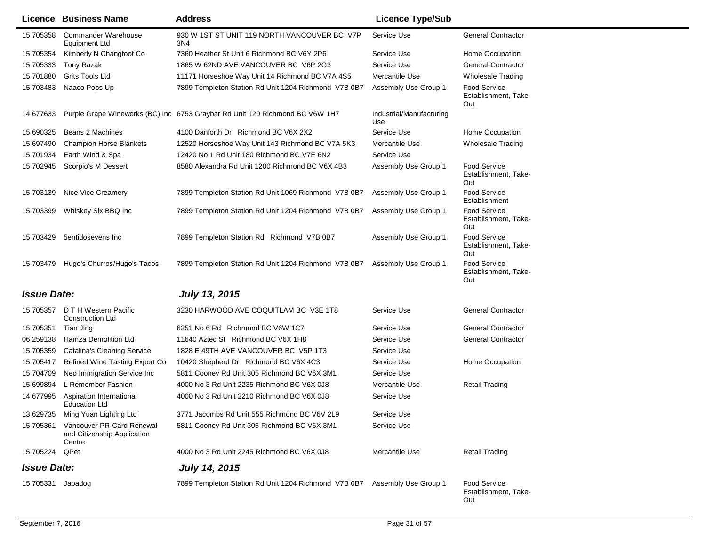|                    | <b>Licence Business Name</b>                                       | <b>Address</b>                                                               | <b>Licence Type/Sub</b>         |                                                    |
|--------------------|--------------------------------------------------------------------|------------------------------------------------------------------------------|---------------------------------|----------------------------------------------------|
| 15 705358          | Commander Warehouse<br><b>Equipment Ltd</b>                        | 930 W 1ST ST UNIT 119 NORTH VANCOUVER BC V7P<br>3N4                          | Service Use                     | <b>General Contractor</b>                          |
| 15 705354          | Kimberly N Changfoot Co                                            | 7360 Heather St Unit 6 Richmond BC V6Y 2P6                                   | Service Use                     | Home Occupation                                    |
| 15 705333          | Tony Razak                                                         | 1865 W 62ND AVE VANCOUVER BC V6P 2G3                                         | Service Use                     | <b>General Contractor</b>                          |
| 15 701880          | Grits Tools Ltd                                                    | 11171 Horseshoe Way Unit 14 Richmond BC V7A 4S5                              | Mercantile Use                  | <b>Wholesale Trading</b>                           |
| 15 703483          | Naaco Pops Up                                                      | 7899 Templeton Station Rd Unit 1204 Richmond V7B 0B7                         | Assembly Use Group 1            | <b>Food Service</b><br>Establishment, Take-<br>Out |
| 14 677633          |                                                                    | Purple Grape Wineworks (BC) Inc 6753 Graybar Rd Unit 120 Richmond BC V6W 1H7 | Industrial/Manufacturing<br>Use |                                                    |
| 15 690325          | Beans 2 Machines                                                   | 4100 Danforth Dr Richmond BC V6X 2X2                                         | Service Use                     | Home Occupation                                    |
| 15 697490          | <b>Champion Horse Blankets</b>                                     | 12520 Horseshoe Way Unit 143 Richmond BC V7A 5K3                             | Mercantile Use                  | <b>Wholesale Trading</b>                           |
| 15 701934          | Earth Wind & Spa                                                   | 12420 No 1 Rd Unit 180 Richmond BC V7E 6N2                                   | Service Use                     |                                                    |
| 15 702945          | Scorpio's M Dessert                                                | 8580 Alexandra Rd Unit 1200 Richmond BC V6X 4B3                              | Assembly Use Group 1            | <b>Food Service</b><br>Establishment, Take-<br>Out |
| 15 703139          | Nice Vice Creamery                                                 | 7899 Templeton Station Rd Unit 1069 Richmond V7B 0B7                         | Assembly Use Group 1            | <b>Food Service</b><br>Establishment               |
| 15 703399          | Whiskey Six BBQ Inc                                                | 7899 Templeton Station Rd Unit 1204 Richmond V7B 0B7                         | Assembly Use Group 1            | <b>Food Service</b><br>Establishment, Take-<br>Out |
| 15 703429          | 5entidosevens Inc                                                  | 7899 Templeton Station Rd Richmond V7B 0B7                                   | Assembly Use Group 1            | <b>Food Service</b><br>Establishment, Take-<br>Out |
| 15 703479          | Hugo's Churros/Hugo's Tacos                                        | 7899 Templeton Station Rd Unit 1204 Richmond V7B 0B7 Assembly Use Group 1    |                                 | <b>Food Service</b><br>Establishment, Take-<br>Out |
| <b>Issue Date:</b> |                                                                    | <b>July 13, 2015</b>                                                         |                                 |                                                    |
|                    | 15 705357 D T H Western Pacific<br><b>Construction Ltd</b>         | 3230 HARWOOD AVE COQUITLAM BC V3E 1T8                                        | Service Use                     | <b>General Contractor</b>                          |
| 15 705351          | Tian Jing                                                          | 6251 No 6 Rd Richmond BC V6W 1C7                                             | Service Use                     | <b>General Contractor</b>                          |
| 06 259138          | Hamza Demolition Ltd                                               | 11640 Aztec St Richmond BC V6X 1H8                                           | Service Use                     | <b>General Contractor</b>                          |
| 15 705359          | <b>Catalina's Cleaning Service</b>                                 | 1828 E 49TH AVE VANCOUVER BC V5P 1T3                                         | Service Use                     |                                                    |
| 15 705417          | Refined Wine Tasting Export Co                                     | 10420 Shepherd Dr Richmond BC V6X 4C3                                        | Service Use                     | Home Occupation                                    |
| 15 704709          | Neo Immigration Service Inc                                        | 5811 Cooney Rd Unit 305 Richmond BC V6X 3M1                                  | Service Use                     |                                                    |
| 15 699894          | L Remember Fashion                                                 | 4000 No 3 Rd Unit 2235 Richmond BC V6X 0J8                                   | Mercantile Use                  | <b>Retail Trading</b>                              |
| 14 677995          | Aspiration International<br>Education Ltd                          | 4000 No 3 Rd Unit 2210 Richmond BC V6X 0J8                                   | Service Use                     |                                                    |
|                    | 13 629735 Ming Yuan Lighting Ltd                                   | 3771 Jacombs Rd Unit 555 Richmond BC V6V 2L9                                 | Service Use                     |                                                    |
| 15 705361          | Vancouver PR-Card Renewal<br>and Citizenship Application<br>Centre | 5811 Cooney Rd Unit 305 Richmond BC V6X 3M1                                  | Service Use                     |                                                    |
| 15 705224 QPet     |                                                                    | 4000 No 3 Rd Unit 2245 Richmond BC V6X 0J8                                   | Mercantile Use                  | <b>Retail Trading</b>                              |
| <b>Issue Date:</b> |                                                                    | <b>July 14, 2015</b>                                                         |                                 |                                                    |
| 15 705331 Japadog  |                                                                    | 7899 Templeton Station Rd Unit 1204 Richmond V7B 0B7 Assembly Use Group 1    |                                 | <b>Food Service</b><br>Establishment, Take-<br>Out |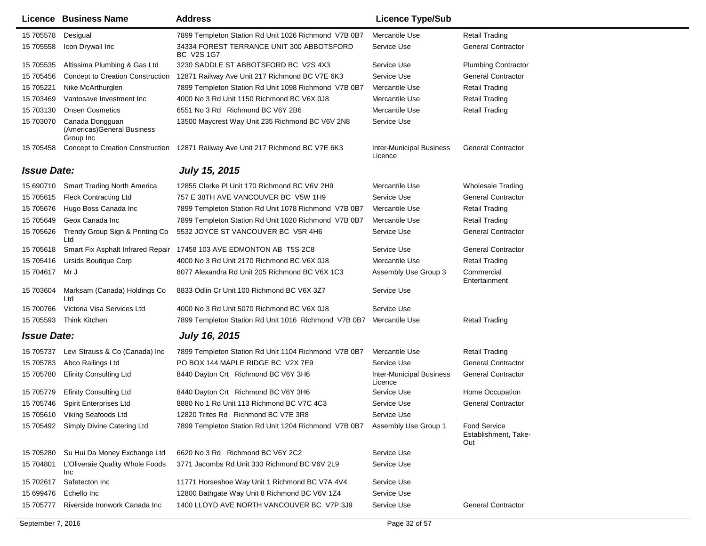|                    | <b>Licence Business Name</b>                                | <b>Address</b>                                                                  | <b>Licence Type/Sub</b>                    |                                                    |
|--------------------|-------------------------------------------------------------|---------------------------------------------------------------------------------|--------------------------------------------|----------------------------------------------------|
| 15 705578          | Desigual                                                    | 7899 Templeton Station Rd Unit 1026 Richmond V7B 0B7                            | Mercantile Use                             | <b>Retail Trading</b>                              |
| 15 705558          | Icon Drywall Inc                                            | 34334 FOREST TERRANCE UNIT 300 ABBOTSFORD<br>BC V2S 1G7                         | Service Use                                | <b>General Contractor</b>                          |
| 15 705535          | Altissima Plumbing & Gas Ltd                                | 3230 SADDLE ST ABBOTSFORD BC V2S 4X3                                            | Service Use                                | <b>Plumbing Contractor</b>                         |
| 15 705456          | Concept to Creation Construction                            | 12871 Railway Ave Unit 217 Richmond BC V7E 6K3                                  | Service Use                                | <b>General Contractor</b>                          |
| 15 705221          | Nike McArthurglen                                           | 7899 Templeton Station Rd Unit 1098 Richmond V7B 0B7                            | Mercantile Use                             | <b>Retail Trading</b>                              |
| 15 703469          | Vantosave Investment Inc                                    | 4000 No 3 Rd Unit 1150 Richmond BC V6X 0J8                                      | Mercantile Use                             | <b>Retail Trading</b>                              |
| 15 703130          | <b>Onsen Cosmetics</b>                                      | 6551 No 3 Rd Richmond BC V6Y 2B6                                                | Mercantile Use                             | Retail Trading                                     |
| 15 703070          | Canada Dongguan<br>(Americas) General Business<br>Group Inc | 13500 Maycrest Way Unit 235 Richmond BC V6V 2N8                                 | Service Use                                |                                                    |
| 15 705458          |                                                             | Concept to Creation Construction 12871 Railway Ave Unit 217 Richmond BC V7E 6K3 | <b>Inter-Municipal Business</b><br>Licence | <b>General Contractor</b>                          |
| <b>Issue Date:</b> |                                                             | <b>July 15, 2015</b>                                                            |                                            |                                                    |
| 15 690710          | <b>Smart Trading North America</b>                          | 12855 Clarke PI Unit 170 Richmond BC V6V 2H9                                    | Mercantile Use                             | <b>Wholesale Trading</b>                           |
| 15 705615          | <b>Fleck Contracting Ltd</b>                                | 757 E 38TH AVE VANCOUVER BC V5W 1H9                                             | Service Use                                | <b>General Contractor</b>                          |
| 15 705676          | Hugo Boss Canada Inc                                        | 7899 Templeton Station Rd Unit 1078 Richmond V7B 0B7                            | Mercantile Use                             | <b>Retail Trading</b>                              |
| 15 705649          | Geox Canada Inc                                             | 7899 Templeton Station Rd Unit 1020 Richmond V7B 0B7                            | Mercantile Use                             | Retail Trading                                     |
| 15 705626          | Trendy Group Sign & Printing Co<br>Ltd                      | 5532 JOYCE ST VANCOUVER BC V5R 4H6                                              | Service Use                                | <b>General Contractor</b>                          |
| 15 705618          | Smart Fix Asphalt Infrared Repair                           | 17458 103 AVE EDMONTON AB T5S 2C8                                               | Service Use                                | <b>General Contractor</b>                          |
| 15 705416          | <b>Ursids Boutique Corp</b>                                 | 4000 No 3 Rd Unit 2170 Richmond BC V6X 0J8                                      | Mercantile Use                             | <b>Retail Trading</b>                              |
| 15 704617          | Mr J                                                        | 8077 Alexandra Rd Unit 205 Richmond BC V6X 1C3                                  | Assembly Use Group 3                       | Commercial<br>Entertainment                        |
| 15 703604          | Marksam (Canada) Holdings Co<br>Ltd                         | 8833 Odlin Cr Unit 100 Richmond BC V6X 3Z7                                      | Service Use                                |                                                    |
| 15 700766          | Victoria Visa Services Ltd                                  | 4000 No 3 Rd Unit 5070 Richmond BC V6X 0J8                                      | Service Use                                |                                                    |
| 15 705593          | Think Kitchen                                               | 7899 Templeton Station Rd Unit 1016 Richmond V7B 0B7 Mercantile Use             |                                            | Retail Trading                                     |
| <b>Issue Date:</b> |                                                             | <b>July 16, 2015</b>                                                            |                                            |                                                    |
| 15 705737          | Levi Strauss & Co (Canada) Inc                              | 7899 Templeton Station Rd Unit 1104 Richmond V7B 0B7                            | Mercantile Use                             | Retail Trading                                     |
| 15 705783          | Abco Railings Ltd                                           | PO BOX 144 MAPLE RIDGE BC V2X 7E9                                               | Service Use                                | <b>General Contractor</b>                          |
| 15 705780          | <b>Efinity Consulting Ltd</b>                               | 8440 Dayton Crt Richmond BC V6Y 3H6                                             | <b>Inter-Municipal Business</b><br>Licence | <b>General Contractor</b>                          |
| 15 705779          | <b>Efinity Consulting Ltd</b>                               | 8440 Dayton Crt Richmond BC V6Y 3H6                                             | Service Use                                | Home Occupation                                    |
|                    | 15 705746 Spirit Enterprises Ltd                            | 8880 No 1 Rd Unit 113 Richmond BC V7C 4C3                                       | Service Use                                | <b>General Contractor</b>                          |
| 15 705610          | Viking Seafoods Ltd                                         | 12820 Trites Rd Richmond BC V7E 3R8                                             | Service Use                                |                                                    |
| 15 705492          | Simply Divine Catering Ltd                                  | 7899 Templeton Station Rd Unit 1204 Richmond V7B 0B7                            | Assembly Use Group 1                       | <b>Food Service</b><br>Establishment, Take-<br>Out |
| 15 705280          | Su Hui Da Money Exchange Ltd                                | 6620 No 3 Rd Richmond BC V6Y 2C2                                                | Service Use                                |                                                    |
| 15 704801          | L'Oliveraie Quality Whole Foods<br>Inc                      | 3771 Jacombs Rd Unit 330 Richmond BC V6V 2L9                                    | Service Use                                |                                                    |
| 15 702617          | Safetecton Inc                                              | 11771 Horseshoe Way Unit 1 Richmond BC V7A 4V4                                  | Service Use                                |                                                    |
| 15 699476          | Echello Inc                                                 | 12800 Bathgate Way Unit 8 Richmond BC V6V 1Z4                                   | Service Use                                |                                                    |
| 15 705777          | Riverside Ironwork Canada Inc                               | 1400 LLOYD AVE NORTH VANCOUVER BC V7P 3J9                                       | Service Use                                | <b>General Contractor</b>                          |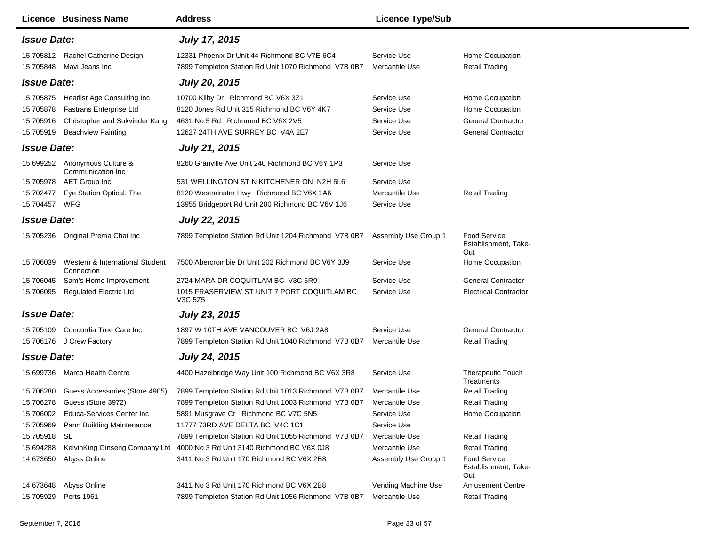| <b>Licence Business Name</b>                                                                                                                                        | <b>Address</b>                                                                                                                                           | <b>Licence Type/Sub</b>                                  |                                                                                              |
|---------------------------------------------------------------------------------------------------------------------------------------------------------------------|----------------------------------------------------------------------------------------------------------------------------------------------------------|----------------------------------------------------------|----------------------------------------------------------------------------------------------|
| <b>Issue Date:</b>                                                                                                                                                  | <b>July 17, 2015</b>                                                                                                                                     |                                                          |                                                                                              |
| 15 705812 Rachel Catherine Design<br>Mavi Jeans Inc<br>15 705848                                                                                                    | 12331 Phoenix Dr Unit 44 Richmond BC V7E 6C4<br>7899 Templeton Station Rd Unit 1070 Richmond V7B 0B7                                                     | Service Use<br>Mercantile Use                            | Home Occupation<br><b>Retail Trading</b>                                                     |
| <b>Issue Date:</b>                                                                                                                                                  | <b>July 20, 2015</b>                                                                                                                                     |                                                          |                                                                                              |
| 15 705875 Heatlist Age Consulting Inc<br><b>Fastrans Enterprise Ltd</b><br>15 705878<br>Christopher and Sukvinder Kang<br>15 705916<br>15 705919 Beachview Painting | 10700 Kilby Dr Richmond BC V6X 3Z1<br>8120 Jones Rd Unit 315 Richmond BC V6Y 4K7<br>4631 No 5 Rd Richmond BC V6X 2V5<br>12627 24TH AVE SURREY BC V4A 2E7 | Service Use<br>Service Use<br>Service Use<br>Service Use | Home Occupation<br>Home Occupation<br><b>General Contractor</b><br><b>General Contractor</b> |
| <b>Issue Date:</b>                                                                                                                                                  | <b>July 21, 2015</b>                                                                                                                                     |                                                          |                                                                                              |
| 15 699252 Anonymous Culture &<br>Communication Inc                                                                                                                  | 8260 Granville Ave Unit 240 Richmond BC V6Y 1P3                                                                                                          | Service Use                                              |                                                                                              |
| <b>AET Group Inc</b><br>15 705978<br>Eye Station Optical, The<br>15 702477<br>15 704457 WFG                                                                         | 531 WELLINGTON ST N KITCHENER ON N2H 5L6<br>8120 Westminster Hwy Richmond BC V6X 1A6<br>13955 Bridgeport Rd Unit 200 Richmond BC V6V 1J6                 | Service Use<br>Mercantile Use<br>Service Use             | <b>Retail Trading</b>                                                                        |
| <b>Issue Date:</b>                                                                                                                                                  | <b>July 22, 2015</b>                                                                                                                                     |                                                          |                                                                                              |
| 15 705236 Original Prema Chai Inc                                                                                                                                   | 7899 Templeton Station Rd Unit 1204 Richmond V7B 0B7                                                                                                     | Assembly Use Group 1                                     | <b>Food Service</b><br>Establishment, Take-<br>Out                                           |
| 15 706039<br>Western & International Student<br>Connection                                                                                                          | 7500 Abercrombie Dr Unit 202 Richmond BC V6Y 3J9                                                                                                         | Service Use                                              | Home Occupation                                                                              |
| 15 706045<br>Sam's Home Improvement                                                                                                                                 | 2724 MARA DR COQUITLAM BC V3C 5R9                                                                                                                        | Service Use                                              | <b>General Contractor</b>                                                                    |
| 15 706095 Regulated Electric Ltd                                                                                                                                    | 1015 FRASERVIEW ST UNIT 7 PORT COQUITLAM BC<br>V3C 5Z5                                                                                                   | Service Use                                              | <b>Electrical Contractor</b>                                                                 |
| <b>Issue Date:</b>                                                                                                                                                  | <b>July 23, 2015</b>                                                                                                                                     |                                                          |                                                                                              |
| 15 705109 Concordia Tree Care Inc                                                                                                                                   | 1897 W 10TH AVE VANCOUVER BC V6J 2A8                                                                                                                     | Service Use                                              | <b>General Contractor</b>                                                                    |
| 15 706176 J Crew Factory                                                                                                                                            | 7899 Templeton Station Rd Unit 1040 Richmond V7B 0B7                                                                                                     | Mercantile Use                                           | <b>Retail Trading</b>                                                                        |
| <b>Issue Date:</b>                                                                                                                                                  | <b>July 24, 2015</b>                                                                                                                                     |                                                          |                                                                                              |
| 15 699736 Marco Health Centre                                                                                                                                       | 4400 Hazelbridge Way Unit 100 Richmond BC V6X 3R8                                                                                                        | Service Use                                              | <b>Therapeutic Touch</b><br>Treatments                                                       |
| 15 706280<br>Guess Accessories (Store 4905)                                                                                                                         | 7899 Templeton Station Rd Unit 1013 Richmond V7B 0B7                                                                                                     | Mercantile Use                                           | <b>Retail Trading</b>                                                                        |
| Guess (Store 3972)<br>15 706278                                                                                                                                     | 7899 Templeton Station Rd Unit 1003 Richmond V7B 0B7                                                                                                     | Mercantile Use                                           | <b>Retail Trading</b>                                                                        |
| 15 706002 Educa-Services Center Inc                                                                                                                                 | 5891 Musgrave Cr Richmond BC V7C 5N5                                                                                                                     | Service Use                                              | Home Occupation                                                                              |
| Parm Building Maintenance<br>15 705969                                                                                                                              | 11777 73RD AVE DELTA BC V4C 1C1                                                                                                                          | Service Use                                              |                                                                                              |
| 15 705918 SL                                                                                                                                                        | 7899 Templeton Station Rd Unit 1055 Richmond V7B 0B7                                                                                                     | Mercantile Use                                           | <b>Retail Trading</b>                                                                        |
| 15 694288                                                                                                                                                           | KelvinKing Ginseng Company Ltd 4000 No 3 Rd Unit 3140 Richmond BC V6X 0J8                                                                                | Mercantile Use                                           | <b>Retail Trading</b>                                                                        |
| Abyss Online<br>14 673650                                                                                                                                           | 3411 No 3 Rd Unit 170 Richmond BC V6X 2B8                                                                                                                | Assembly Use Group 1                                     | <b>Food Service</b><br>Establishment, Take-<br>Out                                           |
| Abyss Online<br>14 673648                                                                                                                                           | 3411 No 3 Rd Unit 170 Richmond BC V6X 2B8                                                                                                                | Vending Machine Use                                      | <b>Amusement Centre</b>                                                                      |
| Ports 1961<br>15 705929                                                                                                                                             | 7899 Templeton Station Rd Unit 1056 Richmond V7B 0B7                                                                                                     | Mercantile Use                                           | <b>Retail Trading</b>                                                                        |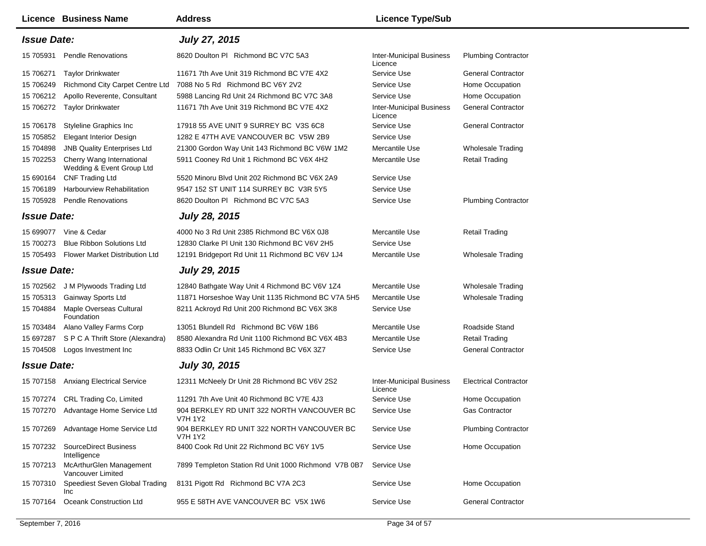|                    | <b>Licence Business Name</b>                           | <b>Address</b>                                               | <b>Licence Type/Sub</b>                    |                              |
|--------------------|--------------------------------------------------------|--------------------------------------------------------------|--------------------------------------------|------------------------------|
| <b>Issue Date:</b> |                                                        | <b>July 27, 2015</b>                                         |                                            |                              |
| 15 705931          | <b>Pendle Renovations</b>                              | 8620 Doulton PI Richmond BC V7C 5A3                          | <b>Inter-Municipal Business</b><br>Licence | <b>Plumbing Contractor</b>   |
| 15 706271          | <b>Taylor Drinkwater</b>                               | 11671 7th Ave Unit 319 Richmond BC V7E 4X2                   | Service Use                                | <b>General Contractor</b>    |
| 15 706249          | Richmond City Carpet Centre Ltd                        | 7088 No 5 Rd Richmond BC V6Y 2V2                             | Service Use                                | Home Occupation              |
| 15 706212          | Apollo Reverente, Consultant                           | 5988 Lancing Rd Unit 24 Richmond BC V7C 3A8                  | Service Use                                | Home Occupation              |
| 15 706272          | Taylor Drinkwater                                      | 11671 7th Ave Unit 319 Richmond BC V7E 4X2                   | <b>Inter-Municipal Business</b><br>Licence | <b>General Contractor</b>    |
| 15 706178          | <b>Styleline Graphics Inc</b>                          | 17918 55 AVE UNIT 9 SURREY BC V3S 6C8                        | Service Use                                | <b>General Contractor</b>    |
| 15 705852          | <b>Elegant Interior Design</b>                         | 1282 E 47TH AVE VANCOUVER BC V5W 2B9                         | Service Use                                |                              |
| 15 704898          | <b>JNB Quality Enterprises Ltd</b>                     | 21300 Gordon Way Unit 143 Richmond BC V6W 1M2                | Mercantile Use                             | <b>Wholesale Trading</b>     |
| 15 702253          | Cherry Wang International<br>Wedding & Event Group Ltd | 5911 Cooney Rd Unit 1 Richmond BC V6X 4H2                    | Mercantile Use                             | <b>Retail Trading</b>        |
| 15 690164          | <b>CNF Trading Ltd</b>                                 | 5520 Minoru Blvd Unit 202 Richmond BC V6X 2A9                | Service Use                                |                              |
| 15 70 6189         | Harbourview Rehabilitation                             | 9547 152 ST UNIT 114 SURREY BC V3R 5Y5                       | Service Use                                |                              |
| 15 705928          | <b>Pendle Renovations</b>                              | 8620 Doulton PI Richmond BC V7C 5A3                          | Service Use                                | <b>Plumbing Contractor</b>   |
| <b>Issue Date:</b> |                                                        | <b>July 28, 2015</b>                                         |                                            |                              |
|                    | 15 699077 Vine & Cedar                                 | 4000 No 3 Rd Unit 2385 Richmond BC V6X 0J8                   | Mercantile Use                             | <b>Retail Trading</b>        |
| 15 700273          | <b>Blue Ribbon Solutions Ltd</b>                       | 12830 Clarke PI Unit 130 Richmond BC V6V 2H5                 | Service Use                                |                              |
|                    | 15 705493 Flower Market Distribution Ltd               | 12191 Bridgeport Rd Unit 11 Richmond BC V6V 1J4              | Mercantile Use                             | <b>Wholesale Trading</b>     |
| <b>Issue Date:</b> |                                                        | <b>July 29, 2015</b>                                         |                                            |                              |
|                    | 15 702562 J M Plywoods Trading Ltd                     | 12840 Bathgate Way Unit 4 Richmond BC V6V 1Z4                | Mercantile Use                             | <b>Wholesale Trading</b>     |
| 15 705313          | Gainway Sports Ltd                                     | 11871 Horseshoe Way Unit 1135 Richmond BC V7A 5H5            | Mercantile Use                             | <b>Wholesale Trading</b>     |
| 15 704884          | Maple Overseas Cultural<br>Foundation                  | 8211 Ackroyd Rd Unit 200 Richmond BC V6X 3K8                 | Service Use                                |                              |
| 15 703484          | Alano Valley Farms Corp                                | 13051 Blundell Rd Richmond BC V6W 1B6                        | Mercantile Use                             | Roadside Stand               |
| 15 697287          | S P C A Thrift Store (Alexandra)                       | 8580 Alexandra Rd Unit 1100 Richmond BC V6X 4B3              | Mercantile Use                             | Retail Trading               |
|                    | 15 704508 Logos Investment Inc                         | 8833 Odlin Cr Unit 145 Richmond BC V6X 3Z7                   | Service Use                                | <b>General Contractor</b>    |
| <b>Issue Date:</b> |                                                        | <b>July 30, 2015</b>                                         |                                            |                              |
|                    | 15 707158 Anxiang Electrical Service                   | 12311 McNeely Dr Unit 28 Richmond BC V6V 2S2                 | <b>Inter-Municipal Business</b><br>Licence | <b>Electrical Contractor</b> |
| 15 707274          | <b>CRL Trading Co, Limited</b>                         | 11291 7th Ave Unit 40 Richmond BC V7E 4J3                    | Service Use                                | Home Occupation              |
|                    | 15 707270 Advantage Home Service Ltd                   | 904 BERKLEY RD UNIT 322 NORTH VANCOUVER BC<br><b>V7H 1Y2</b> | Service Use                                | <b>Gas Contractor</b>        |
| 15 707269          | Advantage Home Service Ltd                             | 904 BERKLEY RD UNIT 322 NORTH VANCOUVER BC<br><b>V7H 1Y2</b> | Service Use                                | <b>Plumbing Contractor</b>   |
| 15 707232          | <b>SourceDirect Business</b><br>Intelligence           | 8400 Cook Rd Unit 22 Richmond BC V6Y 1V5                     | Service Use                                | Home Occupation              |
| 15 707213          | McArthurGlen Management<br>Vancouver Limited           | 7899 Templeton Station Rd Unit 1000 Richmond V7B 0B7         | Service Use                                |                              |
| 15 707310          | Speediest Seven Global Trading<br>Inc                  | 8131 Pigott Rd Richmond BC V7A 2C3                           | Service Use                                | Home Occupation              |
| 15 707164          | Oceank Construction Ltd                                | 955 E 58TH AVE VANCOUVER BC V5X 1W6                          | Service Use                                | <b>General Contractor</b>    |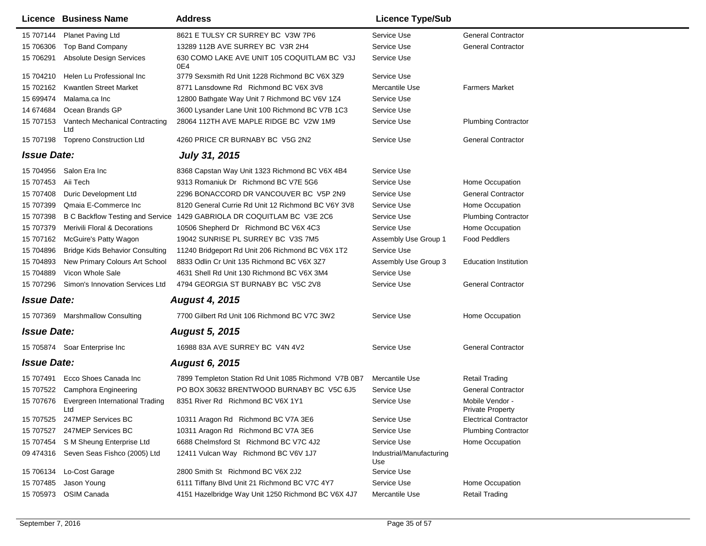|                    | <b>Licence Business Name</b>             | <b>Address</b>                                                         | <b>Licence Type/Sub</b>         |                                            |
|--------------------|------------------------------------------|------------------------------------------------------------------------|---------------------------------|--------------------------------------------|
| 15 707144          | Planet Paving Ltd                        | 8621 E TULSY CR SURREY BC V3W 7P6                                      | Service Use                     | <b>General Contractor</b>                  |
| 15 706306          | Top Band Company                         | 13289 112B AVE SURREY BC V3R 2H4                                       | Service Use                     | <b>General Contractor</b>                  |
| 15 706291          | <b>Absolute Design Services</b>          | 630 COMO LAKE AVE UNIT 105 COQUITLAM BC V3J<br>0E4                     | Service Use                     |                                            |
| 15 704210          | Helen Lu Professional Inc                | 3779 Sexsmith Rd Unit 1228 Richmond BC V6X 3Z9                         | Service Use                     |                                            |
| 15 702162          | <b>Kwantlen Street Market</b>            | 8771 Lansdowne Rd Richmond BC V6X 3V8                                  | Mercantile Use                  | <b>Farmers Market</b>                      |
| 15 699474          | Malama.ca Inc                            | 12800 Bathgate Way Unit 7 Richmond BC V6V 1Z4                          | Service Use                     |                                            |
| 14 674 684         | Ocean Brands GP                          | 3600 Lysander Lane Unit 100 Richmond BC V7B 1C3                        | Service Use                     |                                            |
| 15 707153          | Vantech Mechanical Contracting<br>Ltd    | 28064 112TH AVE MAPLE RIDGE BC V2W 1M9                                 | Service Use                     | <b>Plumbing Contractor</b>                 |
| 15 707198          | <b>Topreno Construction Ltd</b>          | 4260 PRICE CR BURNABY BC V5G 2N2                                       | Service Use                     | <b>General Contractor</b>                  |
| <b>Issue Date:</b> |                                          | <b>July 31, 2015</b>                                                   |                                 |                                            |
|                    | 15 704956 Salon Era Inc                  | 8368 Capstan Way Unit 1323 Richmond BC V6X 4B4                         | Service Use                     |                                            |
| 15 707453          | Aii Tech                                 | 9313 Romaniuk Dr Richmond BC V7E 5G6                                   | Service Use                     | Home Occupation                            |
| 15 707408          | Duric Development Ltd                    | 2296 BONACCORD DR VANCOUVER BC V5P 2N9                                 | Service Use                     | <b>General Contractor</b>                  |
| 15 707399          | Qmaia E-Commerce Inc                     | 8120 General Currie Rd Unit 12 Richmond BC V6Y 3V8                     | Service Use                     | Home Occupation                            |
| 15 707398          |                                          | B C Backflow Testing and Service 1429 GABRIOLA DR COQUITLAM BC V3E 2C6 | Service Use                     | <b>Plumbing Contractor</b>                 |
| 15 707379          | <b>Merivili Floral &amp; Decorations</b> | 10506 Shepherd Dr Richmond BC V6X 4C3                                  | Service Use                     | Home Occupation                            |
| 15 707162          | McGuire's Patty Wagon                    | 19042 SUNRISE PL SURREY BC V3S 7M5                                     | Assembly Use Group 1            | <b>Food Peddlers</b>                       |
| 15 704896          | <b>Bridge Kids Behavior Consulting</b>   | 11240 Bridgeport Rd Unit 206 Richmond BC V6X 1T2                       | Service Use                     |                                            |
| 15 704893          | New Primary Colours Art School           | 8833 Odlin Cr Unit 135 Richmond BC V6X 3Z7                             | Assembly Use Group 3            | <b>Education Institution</b>               |
| 15 704889          | Vicon Whole Sale                         | 4631 Shell Rd Unit 130 Richmond BC V6X 3M4                             | Service Use                     |                                            |
| 15 707296          | Simon's Innovation Services Ltd          | 4794 GEORGIA ST BURNABY BC V5C 2V8                                     | Service Use                     | <b>General Contractor</b>                  |
| <b>Issue Date:</b> |                                          | <b>August 4, 2015</b>                                                  |                                 |                                            |
|                    | 15 707369 Marshmallow Consulting         | 7700 Gilbert Rd Unit 106 Richmond BC V7C 3W2                           | Service Use                     | Home Occupation                            |
| <b>Issue Date:</b> |                                          | <b>August 5, 2015</b>                                                  |                                 |                                            |
|                    | 15 705874 Soar Enterprise Inc            | 16988 83A AVE SURREY BC V4N 4V2                                        | Service Use                     | <b>General Contractor</b>                  |
| <b>Issue Date:</b> |                                          | <b>August 6, 2015</b>                                                  |                                 |                                            |
| 15 707491          | Ecco Shoes Canada Inc                    | 7899 Templeton Station Rd Unit 1085 Richmond V7B 0B7                   | Mercantile Use                  | <b>Retail Trading</b>                      |
| 15 707522          | Camphora Engineering                     | PO BOX 30632 BRENTWOOD BURNABY BC V5C 6J5                              | Service Use                     | <b>General Contractor</b>                  |
| 15 707676          | Evergreen International Trading<br>Ltd   | 8351 River Rd Richmond BC V6X 1Y1                                      | Service Use                     | Mobile Vendor -<br><b>Private Property</b> |
|                    | 15 707525 247MEP Services BC             | 10311 Aragon Rd Richmond BC V7A 3E6                                    | Service Use                     | <b>Electrical Contractor</b>               |
| 15 707527          | 247MEP Services BC                       | 10311 Aragon Rd Richmond BC V7A 3E6                                    | Service Use                     | <b>Plumbing Contractor</b>                 |
|                    | 15 707454 S M Sheung Enterprise Ltd      | 6688 Chelmsford St Richmond BC V7C 4J2                                 | Service Use                     | Home Occupation                            |
|                    | 09 474316 Seven Seas Fishco (2005) Ltd   | 12411 Vulcan Way Richmond BC V6V 1J7                                   | Industrial/Manufacturing<br>Use |                                            |
| 15 706134          | Lo-Cost Garage                           | 2800 Smith St Richmond BC V6X 2J2                                      | Service Use                     |                                            |
| 15 707485          | Jason Young                              | 6111 Tiffany Blvd Unit 21 Richmond BC V7C 4Y7                          | Service Use                     | Home Occupation                            |
| 15 705973          | OSIM Canada                              | 4151 Hazelbridge Way Unit 1250 Richmond BC V6X 4J7                     | Mercantile Use                  | <b>Retail Trading</b>                      |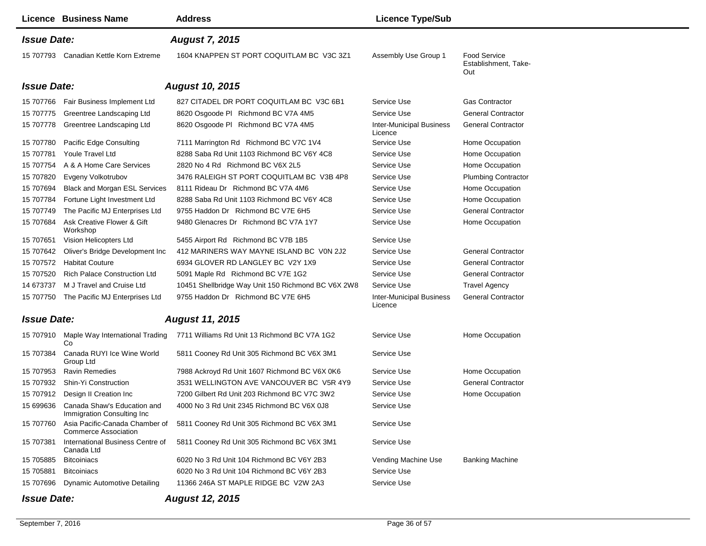|                                              | <b>Licence Business Name</b>                                  | <b>Address</b>                                     | <b>Licence Type/Sub</b>                    |                                                    |
|----------------------------------------------|---------------------------------------------------------------|----------------------------------------------------|--------------------------------------------|----------------------------------------------------|
| <b>Issue Date:</b><br><b>August 7, 2015</b>  |                                                               |                                                    |                                            |                                                    |
|                                              | 15 707793 Canadian Kettle Korn Extreme                        | 1604 KNAPPEN ST PORT COQUITLAM BC V3C 3Z1          | Assembly Use Group 1                       | <b>Food Service</b><br>Establishment, Take-<br>Out |
| <b>Issue Date:</b>                           |                                                               | <b>August 10, 2015</b>                             |                                            |                                                    |
| 15 707766                                    | Fair Business Implement Ltd                                   | 827 CITADEL DR PORT COQUITLAM BC V3C 6B1           | Service Use                                | <b>Gas Contractor</b>                              |
| 15 707775                                    | Greentree Landscaping Ltd                                     | 8620 Osgoode PI Richmond BC V7A 4M5                | Service Use                                | <b>General Contractor</b>                          |
| 15 707778                                    | Greentree Landscaping Ltd                                     | 8620 Osgoode PI Richmond BC V7A 4M5                | <b>Inter-Municipal Business</b><br>Licence | <b>General Contractor</b>                          |
| 15 707780                                    | Pacific Edge Consulting                                       | 7111 Marrington Rd Richmond BC V7C 1V4             | Service Use                                | Home Occupation                                    |
| 15 707781                                    | <b>Youle Travel Ltd</b>                                       | 8288 Saba Rd Unit 1103 Richmond BC V6Y 4C8         | Service Use                                | Home Occupation                                    |
| 15 707754                                    | A & A Home Care Services                                      | 2820 No 4 Rd Richmond BC V6X 2L5                   | Service Use                                | Home Occupation                                    |
| 15 707820                                    | Evgeny Volkotrubov                                            | 3476 RALEIGH ST PORT COQUITLAM BC V3B 4P8          | Service Use                                | <b>Plumbing Contractor</b>                         |
| 15 707694                                    | Black and Morgan ESL Services                                 | 8111 Rideau Dr Richmond BC V7A 4M6                 | Service Use                                | Home Occupation                                    |
| 15 707784                                    | Fortune Light Investment Ltd                                  | 8288 Saba Rd Unit 1103 Richmond BC V6Y 4C8         | Service Use                                | Home Occupation                                    |
| 15 707749                                    | The Pacific MJ Enterprises Ltd                                | 9755 Haddon Dr Richmond BC V7E 6H5                 | Service Use                                | <b>General Contractor</b>                          |
| 15 707684                                    | Ask Creative Flower & Gift<br>Workshop                        | 9480 Glenacres Dr Richmond BC V7A 1Y7              | Service Use                                | Home Occupation                                    |
| 15 707651                                    | Vision Helicopters Ltd                                        | 5455 Airport Rd Richmond BC V7B 1B5                | Service Use                                |                                                    |
| 15 707642                                    | Oliver's Bridge Development Inc.                              | 412 MARINERS WAY MAYNE ISLAND BC VON 2J2           | Service Use                                | <b>General Contractor</b>                          |
| 15 707572                                    | <b>Habitat Couture</b>                                        | 6934 GLOVER RD LANGLEY BC V2Y 1X9                  | Service Use                                | <b>General Contractor</b>                          |
| 15 707520                                    | <b>Rich Palace Construction Ltd</b>                           | 5091 Maple Rd Richmond BC V7E 1G2                  | Service Use                                | <b>General Contractor</b>                          |
| 14 673737                                    | M J Travel and Cruise Ltd                                     | 10451 Shellbridge Way Unit 150 Richmond BC V6X 2W8 | Service Use                                | <b>Travel Agency</b>                               |
| 15 707750                                    | The Pacific MJ Enterprises Ltd                                | 9755 Haddon Dr Richmond BC V7E 6H5                 | <b>Inter-Municipal Business</b><br>Licence | <b>General Contractor</b>                          |
| <b>Issue Date:</b>                           |                                                               | <b>August 11, 2015</b>                             |                                            |                                                    |
| 15 707910                                    | Maple Way International Trading<br>Co                         | 7711 Williams Rd Unit 13 Richmond BC V7A 1G2       | Service Use                                | Home Occupation                                    |
| 15 707384                                    | Canada RUYI Ice Wine World<br>Group Ltd                       | 5811 Cooney Rd Unit 305 Richmond BC V6X 3M1        | Service Use                                |                                                    |
| 15 707953                                    | <b>Ravin Remedies</b>                                         | 7988 Ackroyd Rd Unit 1607 Richmond BC V6X 0K6      | Service Use                                | Home Occupation                                    |
| 15 707932                                    | Shin-Yi Construction                                          | 3531 WELLINGTON AVE VANCOUVER BC V5R 4Y9           | Service Use                                | <b>General Contractor</b>                          |
| 15 707912                                    | Design II Creation Inc                                        | 7200 Gilbert Rd Unit 203 Richmond BC V7C 3W2       | Service Use                                | Home Occupation                                    |
| 15 699636                                    | Canada Shaw's Education and<br>Immigration Consulting Inc.    | 4000 No 3 Rd Unit 2345 Richmond BC V6X 0J8         | Service Use                                |                                                    |
| 15 707760                                    | Asia Pacific-Canada Chamber of<br><b>Commerce Association</b> | 5811 Cooney Rd Unit 305 Richmond BC V6X 3M1        | Service Use                                |                                                    |
| 15 707381                                    | International Business Centre of<br>Canada Ltd                | 5811 Cooney Rd Unit 305 Richmond BC V6X 3M1        | Service Use                                |                                                    |
| 15 705885                                    | <b>Bitcoiniacs</b>                                            | 6020 No 3 Rd Unit 104 Richmond BC V6Y 2B3          | Vending Machine Use                        | <b>Banking Machine</b>                             |
| 15 705881                                    | <b>Bitcoiniacs</b>                                            | 6020 No 3 Rd Unit 104 Richmond BC V6Y 2B3          | Service Use                                |                                                    |
| 15 707696                                    | <b>Dynamic Automotive Detailing</b>                           | 11366 246A ST MAPLE RIDGE BC V2W 2A3               | Service Use                                |                                                    |
| <b>August 12, 2015</b><br><b>Issue Date:</b> |                                                               |                                                    |                                            |                                                    |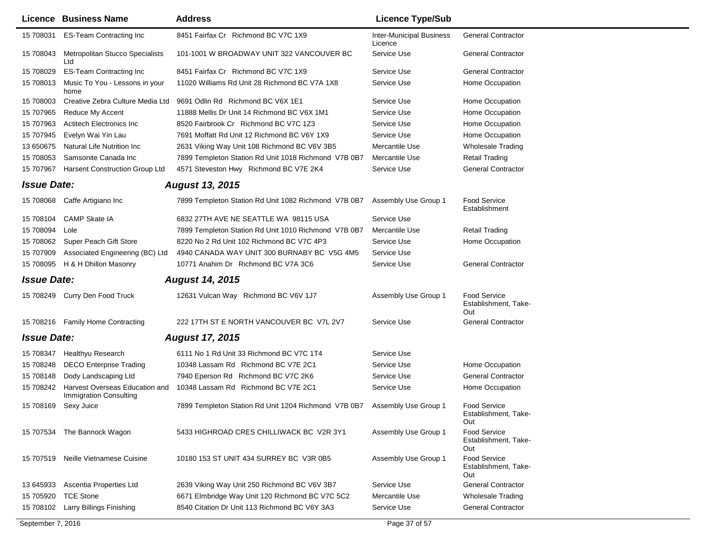|                    | Licence Business Name                                    | <b>Address</b>                                       | <b>Licence Type/Sub</b>                    |                                                    |
|--------------------|----------------------------------------------------------|------------------------------------------------------|--------------------------------------------|----------------------------------------------------|
| 15 708031          | <b>ES-Team Contracting Inc</b>                           | 8451 Fairfax Cr Richmond BC V7C 1X9                  | <b>Inter-Municipal Business</b><br>Licence | <b>General Contractor</b>                          |
| 15 708043          | Metropolitan Stucco Specialists<br>Ltd                   | 101-1001 W BROADWAY UNIT 322 VANCOUVER BC            | Service Use                                | <b>General Contractor</b>                          |
| 15 708029          | <b>ES-Team Contracting Inc</b>                           | 8451 Fairfax Cr Richmond BC V7C 1X9                  | Service Use                                | <b>General Contractor</b>                          |
| 15 708013          | Music To You - Lessons in your<br>home                   | 11020 Williams Rd Unit 28 Richmond BC V7A 1X8        | Service Use                                | Home Occupation                                    |
| 15 708003          | Creative Zebra Culture Media Ltd                         | 9691 Odlin Rd Richmond BC V6X 1E1                    | Service Use                                | Home Occupation                                    |
| 15 707965          | Reduce My Accent                                         | 11888 Mellis Dr Unit 14 Richmond BC V6X 1M1          | Service Use                                | Home Occupation                                    |
| 15 707963          | <b>Actitech Electronics Inc.</b>                         | 8520 Fairbrook Cr Richmond BC V7C 1Z3                | Service Use                                | Home Occupation                                    |
| 15 707945          | Evelyn Wai Yin Lau                                       | 7691 Moffatt Rd Unit 12 Richmond BC V6Y 1X9          | Service Use                                | Home Occupation                                    |
| 13 650675          | Natural Life Nutrition Inc                               | 2631 Viking Way Unit 108 Richmond BC V6V 3B5         | Mercantile Use                             | <b>Wholesale Trading</b>                           |
| 15 708053          | Samsonite Canada Inc                                     | 7899 Templeton Station Rd Unit 1018 Richmond V7B 0B7 | Mercantile Use                             | <b>Retail Trading</b>                              |
| 15 707967          | <b>Harsent Construction Group Ltd</b>                    | 4571 Steveston Hwy Richmond BC V7E 2K4               | Service Use                                | <b>General Contractor</b>                          |
| <b>Issue Date:</b> |                                                          | <b>August 13, 2015</b>                               |                                            |                                                    |
|                    | 15 708068 Caffe Artigiano Inc                            | 7899 Templeton Station Rd Unit 1082 Richmond V7B 0B7 | Assembly Use Group 1                       | <b>Food Service</b><br>Establishment               |
| 15 708104          | <b>CAMP Skate IA</b>                                     | 6832 27TH AVE NE SEATTLE WA 98115 USA                | Service Use                                |                                                    |
| 15 708094          | Lole                                                     | 7899 Templeton Station Rd Unit 1010 Richmond V7B 0B7 | Mercantile Use                             | <b>Retail Trading</b>                              |
| 15 708062          | Super Peach Gift Store                                   | 8220 No 2 Rd Unit 102 Richmond BC V7C 4P3            | Service Use                                | Home Occupation                                    |
| 15 707909          | Associated Engineering (BC) Ltd                          | 4940 CANADA WAY UNIT 300 BURNABY BC V5G 4M5          | Service Use                                |                                                    |
| 15 708095          | H & H Dhillon Masonry                                    | 10771 Anahim Dr Richmond BC V7A 3C6                  | Service Use                                | <b>General Contractor</b>                          |
| <b>Issue Date:</b> |                                                          | <b>August 14, 2015</b>                               |                                            |                                                    |
|                    | 15 708249 Curry Den Food Truck                           | 12631 Vulcan Way Richmond BC V6V 1J7                 | Assembly Use Group 1                       | <b>Food Service</b><br>Establishment, Take-<br>Out |
|                    | 15 708216 Family Home Contracting                        | 222 17TH ST E NORTH VANCOUVER BC V7L 2V7             | Service Use                                | <b>General Contractor</b>                          |
| <b>Issue Date:</b> |                                                          | <b>August 17, 2015</b>                               |                                            |                                                    |
| 15 708347          | Healthyu Research                                        | 6111 No 1 Rd Unit 33 Richmond BC V7C 1T4             | Service Use                                |                                                    |
| 15 708248          | <b>DECO Enterprise Trading</b>                           | 10348 Lassam Rd Richmond BC V7E 2C1                  | Service Use                                | Home Occupation                                    |
| 15 708148          | Dody Landscaping Ltd                                     | 7940 Eperson Rd Richmond BC V7C 2K6                  | Service Use                                | <b>General Contractor</b>                          |
| 15 708242          | Harvest Overseas Education and<br>Immigration Consulting | 10348 Lassam Rd Richmond BC V7E 2C1                  | Service Use                                | Home Occupation                                    |
| 15 708169          | Sexy Juice                                               | 7899 Templeton Station Rd Unit 1204 Richmond V7B 0B7 | Assembly Use Group 1                       | <b>Food Service</b><br>Establishment, Take-<br>Out |
|                    | 15 707534 The Bannock Wagon                              | 5433 HIGHROAD CRES CHILLIWACK BC V2R 3Y1             | Assembly Use Group 1                       | <b>Food Service</b><br>Establishment, Take-<br>Out |
| 15 707519          | Neille Vietnamese Cuisine                                | 10180 153 ST UNIT 434 SURREY BC V3R 0B5              | Assembly Use Group 1                       | <b>Food Service</b><br>Establishment, Take-<br>Out |
| 13 645933          | Ascentia Properties Ltd                                  | 2639 Viking Way Unit 250 Richmond BC V6V 3B7         | Service Use                                | <b>General Contractor</b>                          |
| 15 705920          | <b>TCE Stone</b>                                         | 6671 Elmbridge Way Unit 120 Richmond BC V7C 5C2      | Mercantile Use                             | <b>Wholesale Trading</b>                           |
| 15 708102          | Larry Billings Finishing                                 | 8540 Citation Dr Unit 113 Richmond BC V6Y 3A3        | Service Use                                | <b>General Contractor</b>                          |
|                    |                                                          |                                                      |                                            |                                                    |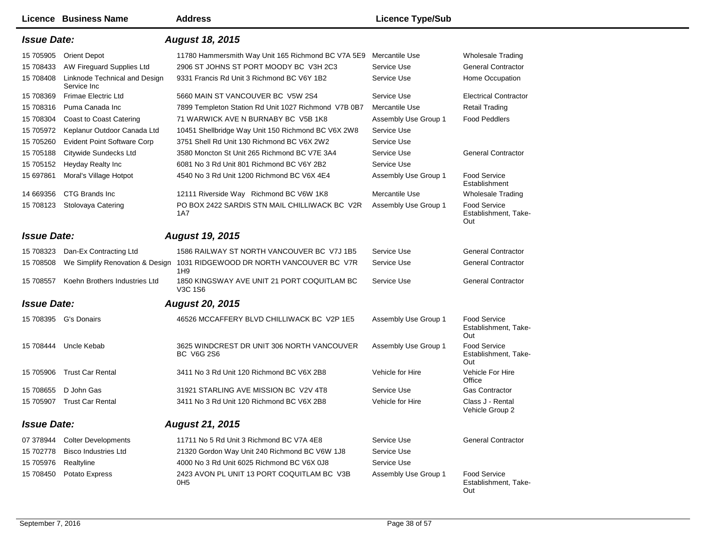|                    | Licence Business Name                        | <b>Address</b>                                                                  | <b>Licence Type/Sub</b> |                                                    |
|--------------------|----------------------------------------------|---------------------------------------------------------------------------------|-------------------------|----------------------------------------------------|
| <b>Issue Date:</b> |                                              | <b>August 18, 2015</b>                                                          |                         |                                                    |
| 15 705905          | <b>Orient Depot</b>                          | 11780 Hammersmith Way Unit 165 Richmond BC V7A 5E9                              | Mercantile Use          | Wholesale Trading                                  |
| 15 708433          | AW Fireguard Supplies Ltd                    | 2906 ST JOHNS ST PORT MOODY BC V3H 2C3                                          | Service Use             | <b>General Contractor</b>                          |
| 15 708408          | Linknode Technical and Design<br>Service Inc | 9331 Francis Rd Unit 3 Richmond BC V6Y 1B2                                      | Service Use             | Home Occupation                                    |
| 15 708369          | Frimae Electric Ltd                          | 5660 MAIN ST VANCOUVER BC V5W 2S4                                               | Service Use             | <b>Electrical Contractor</b>                       |
| 15 708316          | Puma Canada Inc                              | 7899 Templeton Station Rd Unit 1027 Richmond V7B 0B7                            | Mercantile Use          | <b>Retail Trading</b>                              |
| 15 708304          | Coast to Coast Catering                      | 71 WARWICK AVE N BURNABY BC V5B 1K8                                             | Assembly Use Group 1    | <b>Food Peddlers</b>                               |
| 15 705972          | Keplanur Outdoor Canada Ltd                  | 10451 Shellbridge Way Unit 150 Richmond BC V6X 2W8                              | Service Use             |                                                    |
| 15 705260          | <b>Evident Point Software Corp</b>           | 3751 Shell Rd Unit 130 Richmond BC V6X 2W2                                      | Service Use             |                                                    |
| 15 705188          | Citywide Sundecks Ltd                        | 3580 Moncton St Unit 265 Richmond BC V7E 3A4                                    | Service Use             | <b>General Contractor</b>                          |
| 15 705152          | Heyday Realty Inc                            | 6081 No 3 Rd Unit 801 Richmond BC V6Y 2B2                                       | Service Use             |                                                    |
| 15 697861          | Moral's Village Hotpot                       | 4540 No 3 Rd Unit 1200 Richmond BC V6X 4E4                                      | Assembly Use Group 1    | <b>Food Service</b><br>Establishment               |
| 14 669356          | CTG Brands Inc                               | 12111 Riverside Way Richmond BC V6W 1K8                                         | Mercantile Use          | <b>Wholesale Trading</b>                           |
| 15 708123          | Stolovaya Catering                           | PO BOX 2422 SARDIS STN MAIL CHILLIWACK BC V2R<br>1A7                            | Assembly Use Group 1    | <b>Food Service</b><br>Establishment, Take-<br>Out |
| <b>Issue Date:</b> |                                              | <b>August 19, 2015</b>                                                          |                         |                                                    |
| 15 708323          | Dan-Ex Contracting Ltd                       | 1586 RAILWAY ST NORTH VANCOUVER BC V7J 1B5                                      | Service Use             | <b>General Contractor</b>                          |
| 15 708508          |                                              | We Simplify Renovation & Design 1031 RIDGEWOOD DR NORTH VANCOUVER BC V7R<br>1H9 | Service Use             | <b>General Contractor</b>                          |
| 15 708557          | Koehn Brothers Industries Ltd                | 1850 KINGSWAY AVE UNIT 21 PORT COQUITLAM BC<br>V3C 1S6                          | Service Use             | <b>General Contractor</b>                          |
| <b>Issue Date:</b> |                                              | <b>August 20, 2015</b>                                                          |                         |                                                    |
|                    | 15 708395 G's Donairs                        | 46526 MCCAFFERY BLVD CHILLIWACK BC V2P 1E5                                      | Assembly Use Group 1    | <b>Food Service</b><br>Establishment, Take-<br>Out |
| 15 708444          | Uncle Kebab                                  | 3625 WINDCREST DR UNIT 306 NORTH VANCOUVER<br><b>BC V6G 2S6</b>                 | Assembly Use Group 1    | <b>Food Service</b><br>Establishment, Take-<br>Out |
| 15 705906          | <b>Trust Car Rental</b>                      | 3411 No 3 Rd Unit 120 Richmond BC V6X 2B8                                       | Vehicle for Hire        | Vehicle For Hire<br>Office                         |
| 15 708655          | D John Gas                                   | 31921 STARLING AVE MISSION BC V2V 4T8                                           | Service Use             | <b>Gas Contractor</b>                              |
| 15 705907          | Trust Car Rental                             | 3411 No 3 Rd Unit 120 Richmond BC V6X 2B8                                       | Vehicle for Hire        | Class J - Rental<br>Vehicle Group 2                |
| <b>Issue Date:</b> |                                              | <b>August 21, 2015</b>                                                          |                         |                                                    |
| 07 378944          | <b>Colter Developments</b>                   | 11711 No 5 Rd Unit 3 Richmond BC V7A 4E8                                        | Service Use             | <b>General Contractor</b>                          |
| 15 702778          | <b>Bisco Industries Ltd</b>                  | 21320 Gordon Way Unit 240 Richmond BC V6W 1J8                                   | Service Use             |                                                    |
| 15 705976          | Realtyline                                   | 4000 No 3 Rd Unit 6025 Richmond BC V6X 0J8                                      | Service Use             |                                                    |
| 15 708450          | Potato Express                               | 2423 AVON PL UNIT 13 PORT COQUITLAM BC V3B<br>OH <sub>5</sub>                   | Assembly Use Group 1    | <b>Food Service</b><br>Establishment, Take-<br>Out |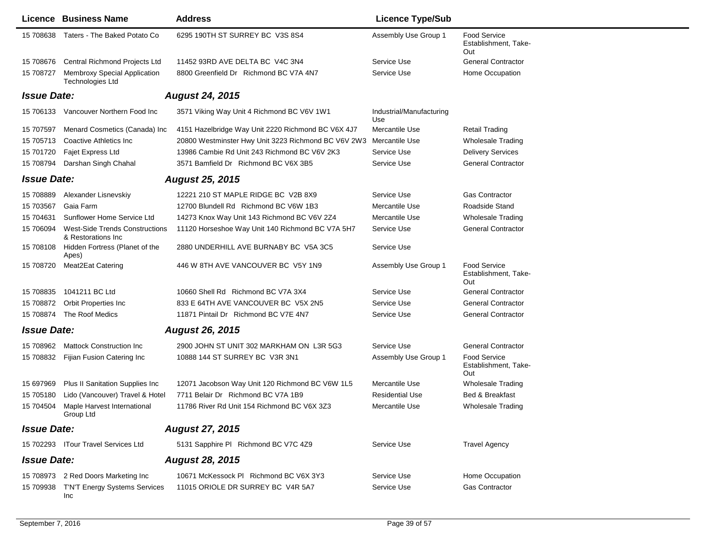|                    | Licence Business Name                                       | <b>Address</b>                                      | <b>Licence Type/Sub</b>         |                                                    |
|--------------------|-------------------------------------------------------------|-----------------------------------------------------|---------------------------------|----------------------------------------------------|
| 15 708638          | Taters - The Baked Potato Co                                | 6295 190TH ST SURREY BC V3S 8S4                     | Assembly Use Group 1            | <b>Food Service</b><br>Establishment, Take-<br>Out |
| 15 708676          | Central Richmond Projects Ltd                               | 11452 93RD AVE DELTA BC V4C 3N4                     | Service Use                     | <b>General Contractor</b>                          |
| 15 708727          | Membroxy Special Application<br><b>Technologies Ltd</b>     | 8800 Greenfield Dr Richmond BC V7A 4N7              | Service Use                     | Home Occupation                                    |
| <b>Issue Date:</b> |                                                             | <b>August 24, 2015</b>                              |                                 |                                                    |
| 15 706133          | Vancouver Northern Food Inc                                 | 3571 Viking Way Unit 4 Richmond BC V6V 1W1          | Industrial/Manufacturing<br>Use |                                                    |
| 15 707597          | Menard Cosmetics (Canada) Inc                               | 4151 Hazelbridge Way Unit 2220 Richmond BC V6X 4J7  | Mercantile Use                  | <b>Retail Trading</b>                              |
| 15 705713          | Coactive Athletics Inc.                                     | 20800 Westminster Hwy Unit 3223 Richmond BC V6V 2W3 | Mercantile Use                  | <b>Wholesale Trading</b>                           |
| 15 701720          | Fajet Express Ltd                                           | 13986 Cambie Rd Unit 243 Richmond BC V6V 2K3        | Service Use                     | <b>Delivery Services</b>                           |
| 15 708794          | Darshan Singh Chahal                                        | 3571 Bamfield Dr Richmond BC V6X 3B5                | Service Use                     | <b>General Contractor</b>                          |
| <b>Issue Date:</b> |                                                             | <b>August 25, 2015</b>                              |                                 |                                                    |
| 15 708889          | Alexander Lisnevskiy                                        | 12221 210 ST MAPLE RIDGE BC V2B 8X9                 | Service Use                     | <b>Gas Contractor</b>                              |
| 15 703567          | Gaia Farm                                                   | 12700 Blundell Rd Richmond BC V6W 1B3               | Mercantile Use                  | Roadside Stand                                     |
| 15 704631          | Sunflower Home Service Ltd                                  | 14273 Knox Way Unit 143 Richmond BC V6V 2Z4         | Mercantile Use                  | <b>Wholesale Trading</b>                           |
| 15 706094          | <b>West-Side Trends Constructions</b><br>& Restorations Inc | 11120 Horseshoe Way Unit 140 Richmond BC V7A 5H7    | Service Use                     | <b>General Contractor</b>                          |
| 15 708108          | Hidden Fortress (Planet of the<br>Apes)                     | 2880 UNDERHILL AVE BURNABY BC V5A 3C5               | Service Use                     |                                                    |
| 15 708720          | Meat2Eat Catering                                           | 446 W 8TH AVE VANCOUVER BC V5Y 1N9                  | Assembly Use Group 1            | <b>Food Service</b><br>Establishment, Take-<br>Out |
| 15 708835          | 1041211 BC Ltd                                              | 10660 Shell Rd Richmond BC V7A 3X4                  | Service Use                     | <b>General Contractor</b>                          |
| 15 708872          | Orbit Properties Inc                                        | 833 E 64TH AVE VANCOUVER BC V5X 2N5                 | Service Use                     | <b>General Contractor</b>                          |
| 15 708874          | The Roof Medics                                             | 11871 Pintail Dr Richmond BC V7E 4N7                | Service Use                     | <b>General Contractor</b>                          |
| <b>Issue Date:</b> |                                                             | <b>August 26, 2015</b>                              |                                 |                                                    |
| 15 708962          | <b>Mattock Construction Inc.</b>                            | 2900 JOHN ST UNIT 302 MARKHAM ON L3R 5G3            | Service Use                     | <b>General Contractor</b>                          |
| 15 708832          | Fijian Fusion Catering Inc                                  | 10888 144 ST SURREY BC V3R 3N1                      | Assembly Use Group 1            | <b>Food Service</b><br>Establishment, Take-<br>Out |
| 15 697969          | Plus II Sanitation Supplies Inc                             | 12071 Jacobson Way Unit 120 Richmond BC V6W 1L5     | Mercantile Use                  | <b>Wholesale Trading</b>                           |
| 15 705180          | Lido (Vancouver) Travel & Hotel                             | 7711 Belair Dr Richmond BC V7A 1B9                  | <b>Residential Use</b>          | Bed & Breakfast                                    |
| 15 704504          | Maple Harvest International<br>Group Ltd                    | 11786 River Rd Unit 154 Richmond BC V6X 3Z3         | Mercantile Use                  | <b>Wholesale Trading</b>                           |
| <b>Issue Date:</b> |                                                             | <b>August 27, 2015</b>                              |                                 |                                                    |
|                    | 15 702293 ITour Travel Services Ltd                         | 5131 Sapphire PI Richmond BC V7C 4Z9                | Service Use                     | <b>Travel Agency</b>                               |
| <b>Issue Date:</b> |                                                             | <b>August 28, 2015</b>                              |                                 |                                                    |
|                    | 15 708973 2 Red Doors Marketing Inc                         | 10671 McKessock PI Richmond BC V6X 3Y3              | Service Use                     | Home Occupation                                    |
| 15 709938          | T'N'T Energy Systems Services<br><b>Inc</b>                 | 11015 ORIOLE DR SURREY BC V4R 5A7                   | Service Use                     | <b>Gas Contractor</b>                              |

 $\overline{\phantom{0}}$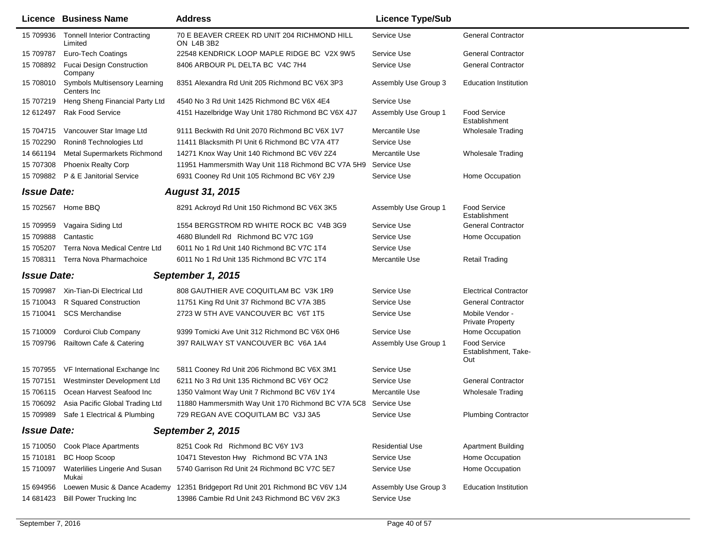|                    | Licence Business Name                               | <b>Address</b>                                                 | <b>Licence Type/Sub</b> |                                                    |
|--------------------|-----------------------------------------------------|----------------------------------------------------------------|-------------------------|----------------------------------------------------|
| 15 709936          | <b>Tonnell Interior Contracting</b><br>Limited      | 70 E BEAVER CREEK RD UNIT 204 RICHMOND HILL<br>ON L4B 3B2      | Service Use             | <b>General Contractor</b>                          |
| 15 709787          | Euro-Tech Coatings                                  | 22548 KENDRICK LOOP MAPLE RIDGE BC V2X 9W5                     | Service Use             | <b>General Contractor</b>                          |
| 15 708892          | <b>Fucai Design Construction</b><br>Company         | 8406 ARBOUR PL DELTA BC V4C 7H4                                | Service Use             | <b>General Contractor</b>                          |
| 15 708010          | <b>Symbols Multisensory Learning</b><br>Centers Inc | 8351 Alexandra Rd Unit 205 Richmond BC V6X 3P3                 | Assembly Use Group 3    | <b>Education Institution</b>                       |
| 15 707219          | Heng Sheng Financial Party Ltd                      | 4540 No 3 Rd Unit 1425 Richmond BC V6X 4E4                     | Service Use             |                                                    |
| 12 612497          | <b>Rak Food Service</b>                             | 4151 Hazelbridge Way Unit 1780 Richmond BC V6X 4J7             | Assembly Use Group 1    | <b>Food Service</b><br>Establishment               |
| 15 704715          | Vancouver Star Image Ltd                            | 9111 Beckwith Rd Unit 2070 Richmond BC V6X 1V7                 | Mercantile Use          | <b>Wholesale Trading</b>                           |
| 15 702290          | Ronin8 Technologies Ltd                             | 11411 Blacksmith PI Unit 6 Richmond BC V7A 4T7                 | Service Use             |                                                    |
| 14 661194          | Metal Supermarkets Richmond                         | 14271 Knox Way Unit 140 Richmond BC V6V 2Z4                    | Mercantile Use          | <b>Wholesale Trading</b>                           |
| 15 707308          | <b>Phoenix Realty Corp</b>                          | 11951 Hammersmith Way Unit 118 Richmond BC V7A 5H9             | Service Use             |                                                    |
| 15 709882          | P & E Janitorial Service                            | 6931 Cooney Rd Unit 105 Richmond BC V6Y 2J9                    | Service Use             | Home Occupation                                    |
| <b>Issue Date:</b> |                                                     | <b>August 31, 2015</b>                                         |                         |                                                    |
|                    | 15 702567 Home BBQ                                  | 8291 Ackroyd Rd Unit 150 Richmond BC V6X 3K5                   | Assembly Use Group 1    | <b>Food Service</b><br>Establishment               |
| 15 709959          | Vagaira Siding Ltd                                  | 1554 BERGSTROM RD WHITE ROCK BC V4B 3G9                        | Service Use             | <b>General Contractor</b>                          |
| 15 709888          | Cantastic                                           | 4680 Blundell Rd Richmond BC V7C 1G9                           | Service Use             | Home Occupation                                    |
| 15 705207          | Terra Nova Medical Centre Ltd                       | 6011 No 1 Rd Unit 140 Richmond BC V7C 1T4                      | Service Use             |                                                    |
| 15 708311          | Terra Nova Pharmachoice                             | 6011 No 1 Rd Unit 135 Richmond BC V7C 1T4                      | Mercantile Use          | <b>Retail Trading</b>                              |
| <b>Issue Date:</b> |                                                     | September 1, 2015                                              |                         |                                                    |
| 15 709987          | Xin-Tian-Di Electrical Ltd                          | 808 GAUTHIER AVE COQUITLAM BC V3K 1R9                          | Service Use             | <b>Electrical Contractor</b>                       |
| 15 710043          | R Squared Construction                              | 11751 King Rd Unit 37 Richmond BC V7A 3B5                      | Service Use             | <b>General Contractor</b>                          |
| 15 710041          | <b>SCS Merchandise</b>                              | 2723 W 5TH AVE VANCOUVER BC V6T 1T5                            | Service Use             | Mobile Vendor -<br><b>Private Property</b>         |
| 15 710009          | Corduroi Club Company                               | 9399 Tomicki Ave Unit 312 Richmond BC V6X 0H6                  | Service Use             | Home Occupation                                    |
| 15 709796          | Railtown Cafe & Catering                            | 397 RAILWAY ST VANCOUVER BC V6A 1A4                            | Assembly Use Group 1    | <b>Food Service</b><br>Establishment, Take-<br>Out |
|                    | 15 707955 VF International Exchange Inc             | 5811 Cooney Rd Unit 206 Richmond BC V6X 3M1                    | Service Use             |                                                    |
| 15 707151          | Westminster Development Ltd                         | 6211 No 3 Rd Unit 135 Richmond BC V6Y OC2                      | Service Use             | <b>General Contractor</b>                          |
|                    | 15 706115 Ocean Harvest Seafood Inc                 | 1350 Valmont Way Unit 7 Richmond BC V6V 1Y4                    | Mercantile Use          | <b>Wholesale Trading</b>                           |
|                    | 15 706092 Asia Pacific Global Trading Ltd           | 11880 Hammersmith Way Unit 170 Richmond BC V7A 5C8 Service Use |                         |                                                    |
|                    | 15 709989 Safe 1 Electrical & Plumbing              | 729 REGAN AVE COQUITLAM BC V3J 3A5                             | Service Use             | <b>Plumbing Contractor</b>                         |
| <b>Issue Date:</b> |                                                     | September 2, 2015                                              |                         |                                                    |
|                    | 15 710050 Cook Place Apartments                     | 8251 Cook Rd Richmond BC V6Y 1V3                               | <b>Residential Use</b>  | <b>Apartment Building</b>                          |
| 15 710181          | <b>BC Hoop Scoop</b>                                | 10471 Steveston Hwy Richmond BC V7A 1N3                        | Service Use             | Home Occupation                                    |
| 15 710097          | Waterlilies Lingerie And Susan<br>Mukai             | 5740 Garrison Rd Unit 24 Richmond BC V7C 5E7                   | Service Use             | Home Occupation                                    |
| 15 694956          | Loewen Music & Dance Academy                        | 12351 Bridgeport Rd Unit 201 Richmond BC V6V 1J4               | Assembly Use Group 3    | <b>Education Institution</b>                       |
| 14 681423          | <b>Bill Power Trucking Inc</b>                      | 13986 Cambie Rd Unit 243 Richmond BC V6V 2K3                   | Service Use             |                                                    |
|                    |                                                     |                                                                |                         |                                                    |

٠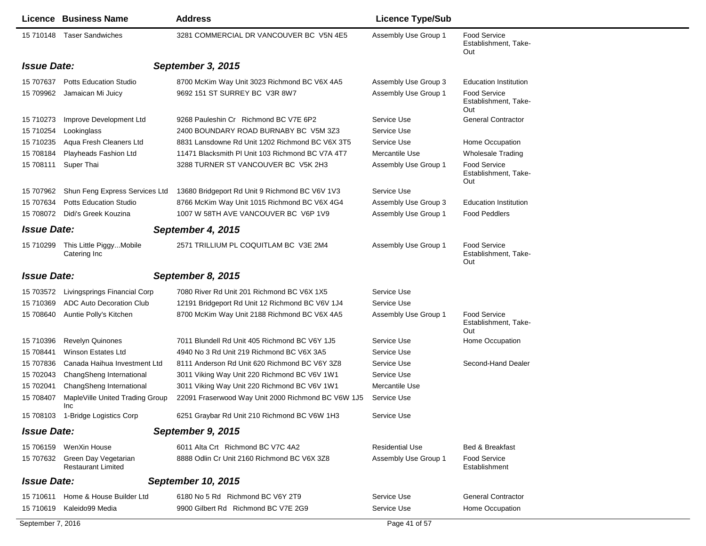|                        | <b>Licence Business Name</b>                                | <b>Address</b>                                                                 | <b>Licence Type/Sub</b>                      |                                                                                    |
|------------------------|-------------------------------------------------------------|--------------------------------------------------------------------------------|----------------------------------------------|------------------------------------------------------------------------------------|
|                        | 15 710148 Taser Sandwiches                                  | 3281 COMMERCIAL DR VANCOUVER BC V5N 4E5                                        | Assembly Use Group 1                         | Food Service<br>Establishment, Take-<br>Out                                        |
| <b>Issue Date:</b>     |                                                             | September 3, 2015                                                              |                                              |                                                                                    |
| 15 707637<br>15 709962 | <b>Potts Education Studio</b><br>Jamaican Mi Juicy          | 8700 McKim Way Unit 3023 Richmond BC V6X 4A5<br>9692 151 ST SURREY BC V3R 8W7  | Assembly Use Group 3<br>Assembly Use Group 1 | <b>Education Institution</b><br><b>Food Service</b><br>Establishment, Take-<br>Out |
| 15 710273<br>15 710254 | Improve Development Ltd<br>Lookinglass                      | 9268 Pauleshin Cr Richmond BC V7E 6P2<br>2400 BOUNDARY ROAD BURNABY BC V5M 3Z3 | Service Use<br>Service Use                   | <b>General Contractor</b>                                                          |
| 15 710235              | Aqua Fresh Cleaners Ltd                                     | 8831 Lansdowne Rd Unit 1202 Richmond BC V6X 3T5                                | Service Use                                  | Home Occupation                                                                    |
| 15 708184              | Playheads Fashion Ltd                                       | 11471 Blacksmith PI Unit 103 Richmond BC V7A 4T7                               | Mercantile Use                               | <b>Wholesale Trading</b>                                                           |
|                        | 15 708111 Super Thai                                        | 3288 TURNER ST VANCOUVER BC V5K 2H3                                            | Assembly Use Group 1                         | <b>Food Service</b><br>Establishment, Take-<br>Out                                 |
|                        | 15 707962 Shun Feng Express Services Ltd                    | 13680 Bridgeport Rd Unit 9 Richmond BC V6V 1V3                                 | Service Use                                  |                                                                                    |
| 15 707634              | <b>Potts Education Studio</b>                               | 8766 McKim Way Unit 1015 Richmond BC V6X 4G4                                   | Assembly Use Group 3                         | <b>Education Institution</b>                                                       |
|                        | 15 708072 Didi's Greek Kouzina                              | 1007 W 58TH AVE VANCOUVER BC V6P 1V9                                           | Assembly Use Group 1                         | <b>Food Peddlers</b>                                                               |
| <b>Issue Date:</b>     |                                                             | September 4, 2015                                                              |                                              |                                                                                    |
|                        | 15 710299 This Little PiggyMobile<br>Catering Inc           | 2571 TRILLIUM PL COQUITLAM BC V3E 2M4                                          | Assembly Use Group 1                         | <b>Food Service</b><br>Establishment, Take-<br>Out                                 |
| <b>Issue Date:</b>     |                                                             | September 8, 2015                                                              |                                              |                                                                                    |
| 15 703572              | Livingsprings Financial Corp                                | 7080 River Rd Unit 201 Richmond BC V6X 1X5                                     | Service Use                                  |                                                                                    |
| 15 710369              | <b>ADC Auto Decoration Club</b>                             | 12191 Bridgeport Rd Unit 12 Richmond BC V6V 1J4                                | Service Use                                  |                                                                                    |
| 15 708640              | Auntie Polly's Kitchen                                      | 8700 McKim Way Unit 2188 Richmond BC V6X 4A5                                   | Assembly Use Group 1                         | <b>Food Service</b><br>Establishment, Take-<br>Out                                 |
| 15 710396              | <b>Revelyn Quinones</b>                                     | 7011 Blundell Rd Unit 405 Richmond BC V6Y 1J5                                  | Service Use                                  | Home Occupation                                                                    |
| 15 708441              | <b>Winson Estates Ltd</b>                                   | 4940 No 3 Rd Unit 219 Richmond BC V6X 3A5                                      | Service Use                                  |                                                                                    |
| 15 707836              | Canada Haihua Investment Ltd                                | 8111 Anderson Rd Unit 620 Richmond BC V6Y 3Z8                                  | Service Use                                  | Second-Hand Dealer                                                                 |
| 15 702043              | ChangSheng International                                    | 3011 Viking Way Unit 220 Richmond BC V6V 1W1                                   | Service Use                                  |                                                                                    |
| 15 702041              | ChangSheng International                                    | 3011 Viking Way Unit 220 Richmond BC V6V 1W1                                   | Mercantile Use                               |                                                                                    |
| 15 708407              | MapleVille United Trading Group<br>Inc                      | 22091 Fraserwood Way Unit 2000 Richmond BC V6W 1J5                             | Service Use                                  |                                                                                    |
|                        | 15 708103 1-Bridge Logistics Corp                           | 6251 Graybar Rd Unit 210 Richmond BC V6W 1H3                                   | Service Use                                  |                                                                                    |
| <b>Issue Date:</b>     |                                                             | September 9, 2015                                                              |                                              |                                                                                    |
|                        | 15 706159 WenXin House                                      | 6011 Alta Crt Richmond BC V7C 4A2                                              | <b>Residential Use</b>                       | Bed & Breakfast                                                                    |
|                        | 15 707632 Green Day Vegetarian<br><b>Restaurant Limited</b> | 8888 Odlin Cr Unit 2160 Richmond BC V6X 3Z8                                    | Assembly Use Group 1                         | <b>Food Service</b><br>Establishment                                               |
| <b>Issue Date:</b>     |                                                             | September 10, 2015                                                             |                                              |                                                                                    |
| 15 710611              | Home & House Builder Ltd                                    | 6180 No 5 Rd Richmond BC V6Y 2T9                                               | Service Use                                  | <b>General Contractor</b>                                                          |
| 15 710619              | Kaleido99 Media                                             | 9900 Gilbert Rd Richmond BC V7E 2G9                                            | Service Use                                  | Home Occupation                                                                    |
| September 7, 2016      |                                                             |                                                                                | Page 41 of 57                                |                                                                                    |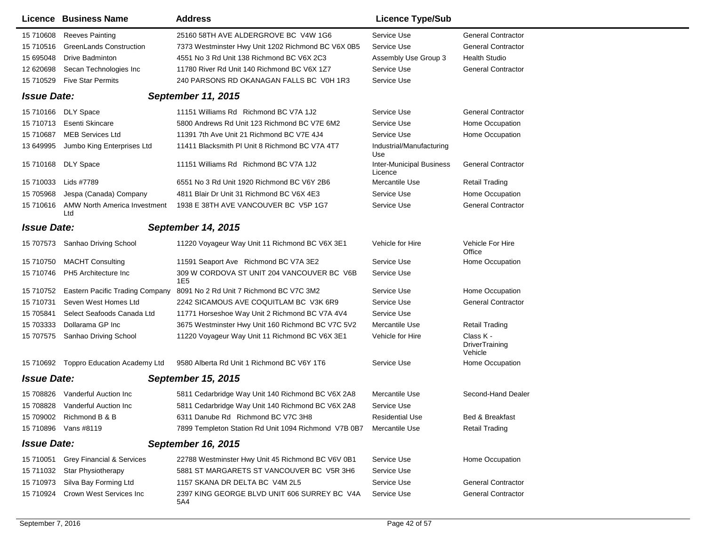|                    | <b>Licence Business Name</b>           | <b>Address</b>                                                | <b>Licence Type/Sub</b>                    |                                               |
|--------------------|----------------------------------------|---------------------------------------------------------------|--------------------------------------------|-----------------------------------------------|
| 15 710608          | <b>Reeves Painting</b>                 | 25160 58TH AVE ALDERGROVE BC V4W 1G6                          | Service Use                                | <b>General Contractor</b>                     |
| 15 710516          | GreenLands Construction                | 7373 Westminster Hwy Unit 1202 Richmond BC V6X 0B5            | Service Use                                | <b>General Contractor</b>                     |
| 15 695048          | <b>Drive Badminton</b>                 | 4551 No 3 Rd Unit 138 Richmond BC V6X 2C3                     | Assembly Use Group 3                       | <b>Health Studio</b>                          |
| 12 620698          | Secan Technologies Inc                 | 11780 River Rd Unit 140 Richmond BC V6X 1Z7                   | Service Use                                | <b>General Contractor</b>                     |
| 15 710529          | <b>Five Star Permits</b>               | 240 PARSONS RD OKANAGAN FALLS BC V0H 1R3                      | Service Use                                |                                               |
| <b>Issue Date:</b> |                                        | <b>September 11, 2015</b>                                     |                                            |                                               |
|                    | 15 710166 DLY Space                    | 11151 Williams Rd Richmond BC V7A 1J2                         | Service Use                                | <b>General Contractor</b>                     |
| 15 710713          | <b>Esenti Skincare</b>                 | 5800 Andrews Rd Unit 123 Richmond BC V7E 6M2                  | Service Use                                | Home Occupation                               |
| 15 710687          | <b>MEB Services Ltd</b>                | 11391 7th Ave Unit 21 Richmond BC V7E 4J4                     | Service Use                                | Home Occupation                               |
| 13 649995          | Jumbo King Enterprises Ltd             | 11411 Blacksmith PI Unit 8 Richmond BC V7A 4T7                | Industrial/Manufacturing<br>Use            |                                               |
| 15 710168          | DLY Space                              | 11151 Williams Rd Richmond BC V7A 1J2                         | <b>Inter-Municipal Business</b><br>Licence | <b>General Contractor</b>                     |
| 15 710033          | Lids #7789                             | 6551 No 3 Rd Unit 1920 Richmond BC V6Y 2B6                    | Mercantile Use                             | <b>Retail Trading</b>                         |
| 15 705968          | Jespa (Canada) Company                 | 4811 Blair Dr Unit 31 Richmond BC V6X 4E3                     | Service Use                                | Home Occupation                               |
| 15 710616          | AMW North America Investment<br>Ltd    | 1938 E 38TH AVE VANCOUVER BC V5P 1G7                          | Service Use                                | <b>General Contractor</b>                     |
| <b>Issue Date:</b> |                                        | <b>September 14, 2015</b>                                     |                                            |                                               |
|                    | 15 707573 Sanhao Driving School        | 11220 Voyageur Way Unit 11 Richmond BC V6X 3E1                | Vehicle for Hire                           | Vehicle For Hire<br>Office                    |
| 15 710750          | <b>MACHT Consulting</b>                | 11591 Seaport Ave Richmond BC V7A 3E2                         | Service Use                                | Home Occupation                               |
| 15 710746          | PH5 Architecture Inc                   | 309 W CORDOVA ST UNIT 204 VANCOUVER BC V6B<br>1E <sub>5</sub> | Service Use                                |                                               |
| 15 710752          | <b>Eastern Pacific Trading Company</b> | 8091 No 2 Rd Unit 7 Richmond BC V7C 3M2                       | Service Use                                | Home Occupation                               |
| 15 710731          | Seven West Homes Ltd                   | 2242 SICAMOUS AVE COQUITLAM BC V3K 6R9                        | Service Use                                | <b>General Contractor</b>                     |
| 15 705841          | Select Seafoods Canada Ltd             | 11771 Horseshoe Way Unit 2 Richmond BC V7A 4V4                | Service Use                                |                                               |
| 15 703333          | Dollarama GP Inc                       | 3675 Westminster Hwy Unit 160 Richmond BC V7C 5V2             | Mercantile Use                             | Retail Trading                                |
| 15 707575          | Sanhao Driving School                  | 11220 Voyageur Way Unit 11 Richmond BC V6X 3E1                | Vehicle for Hire                           | Class K -<br><b>DriverTraining</b><br>Vehicle |
|                    | 15 710692 Toppro Education Academy Ltd | 9580 Alberta Rd Unit 1 Richmond BC V6Y 1T6                    | Service Use                                | Home Occupation                               |
| <b>Issue Date:</b> |                                        | <b>September 15, 2015</b>                                     |                                            |                                               |
| 15 708826          | Vanderful Auction Inc                  | 5811 Cedarbridge Way Unit 140 Richmond BC V6X 2A8             | Mercantile Use                             | Second-Hand Dealer                            |
| 15 708828          | Vanderful Auction Inc                  | 5811 Cedarbridge Way Unit 140 Richmond BC V6X 2A8             | Service Use                                |                                               |
|                    | 15 709002 Richmond B & B               | 6311 Danube Rd Richmond BC V7C 3H8                            | <b>Residential Use</b>                     | Bed & Breakfast                               |
|                    | 15 710896 Vans #8119                   | 7899 Templeton Station Rd Unit 1094 Richmond V7B 0B7          | Mercantile Use                             | <b>Retail Trading</b>                         |
| <b>Issue Date:</b> |                                        | September 16, 2015                                            |                                            |                                               |
| 15 710051          | <b>Grey Financial &amp; Services</b>   | 22788 Westminster Hwy Unit 45 Richmond BC V6V 0B1             | Service Use                                | Home Occupation                               |
| 15 711032          | Star Physiotherapy                     | 5881 ST MARGARETS ST VANCOUVER BC V5R 3H6                     | Service Use                                |                                               |
| 15 710973          | Silva Bay Forming Ltd                  | 1157 SKANA DR DELTA BC V4M 2L5                                | Service Use                                | <b>General Contractor</b>                     |
| 15 710924          | Crown West Services Inc                | 2397 KING GEORGE BLVD UNIT 606 SURREY BC V4A<br>5A4           | Service Use                                | <b>General Contractor</b>                     |
|                    |                                        |                                                               |                                            |                                               |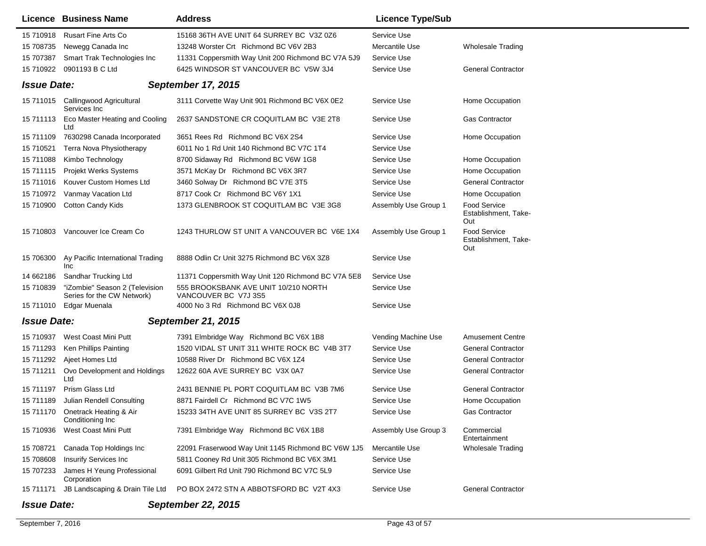|                    | Licence Business Name                                        | <b>Address</b>                                               | <b>Licence Type/Sub</b> |                                                    |
|--------------------|--------------------------------------------------------------|--------------------------------------------------------------|-------------------------|----------------------------------------------------|
| 15 710918          | <b>Rusart Fine Arts Co</b>                                   | 15168 36TH AVE UNIT 64 SURREY BC V3Z 0Z6                     | Service Use             |                                                    |
| 15 708735          | Newegg Canada Inc                                            | 13248 Worster Crt Richmond BC V6V 2B3                        | Mercantile Use          | <b>Wholesale Trading</b>                           |
| 15 707387          | Smart Trak Technologies Inc                                  | 11331 Coppersmith Way Unit 200 Richmond BC V7A 5J9           | Service Use             |                                                    |
| 15 710922          | 0901193 B C Ltd                                              | 6425 WINDSOR ST VANCOUVER BC V5W 3J4                         | Service Use             | <b>General Contractor</b>                          |
| <b>Issue Date:</b> |                                                              | <b>September 17, 2015</b>                                    |                         |                                                    |
|                    | 15 711015 Callingwood Agricultural                           | 3111 Corvette Way Unit 901 Richmond BC V6X 0E2               | Service Use             | Home Occupation                                    |
| 15 711113          | Services Inc<br>Eco Master Heating and Cooling<br>Ltd        | 2637 SANDSTONE CR COQUITLAM BC V3E 2T8                       | Service Use             | <b>Gas Contractor</b>                              |
| 15 711109          | 7630298 Canada Incorporated                                  | 3651 Rees Rd Richmond BC V6X 2S4                             | Service Use             | Home Occupation                                    |
| 15 710521          | Terra Nova Physiotherapy                                     | 6011 No 1 Rd Unit 140 Richmond BC V7C 1T4                    | Service Use             |                                                    |
| 15 711088          | Kimbo Technology                                             | 8700 Sidaway Rd Richmond BC V6W 1G8                          | Service Use             | Home Occupation                                    |
| 15 711115          | <b>Projekt Werks Systems</b>                                 | 3571 McKay Dr Richmond BC V6X 3R7                            | Service Use             | Home Occupation                                    |
| 15 711016          | Kouver Custom Homes Ltd                                      | 3460 Solway Dr Richmond BC V7E 3T5                           | Service Use             | <b>General Contractor</b>                          |
| 15 710972          | Vanmay Vacation Ltd                                          | 8717 Cook Cr Richmond BC V6Y 1X1                             | Service Use             | Home Occupation                                    |
| 15 710900          | <b>Cotton Candy Kids</b>                                     | 1373 GLENBROOK ST COQUITLAM BC V3E 3G8                       | Assembly Use Group 1    | <b>Food Service</b><br>Establishment, Take-<br>Out |
| 15 710803          | Vancouver Ice Cream Co                                       | 1243 THURLOW ST UNIT A VANCOUVER BC V6E 1X4                  | Assembly Use Group 1    | <b>Food Service</b><br>Establishment, Take-<br>Out |
| 15 706300          | Ay Pacific International Trading<br><b>Inc</b>               | 8888 Odlin Cr Unit 3275 Richmond BC V6X 3Z8                  | Service Use             |                                                    |
| 14 662186          | Sandhar Trucking Ltd                                         | 11371 Coppersmith Way Unit 120 Richmond BC V7A 5E8           | Service Use             |                                                    |
| 15 710839          | "iZombie" Season 2 (Television<br>Series for the CW Network) | 555 BROOKSBANK AVE UNIT 10/210 NORTH<br>VANCOUVER BC V7J 3S5 | Service Use             |                                                    |
|                    | 15 711010 Edgar Muenala                                      | 4000 No 3 Rd Richmond BC V6X 0J8                             | Service Use             |                                                    |
| <b>Issue Date:</b> |                                                              | <b>September 21, 2015</b>                                    |                         |                                                    |
| 15 710937          | West Coast Mini Putt                                         | 7391 Elmbridge Way Richmond BC V6X 1B8                       | Vending Machine Use     | <b>Amusement Centre</b>                            |
| 15 711293          | Ken Phillips Painting                                        | 1520 VIDAL ST UNIT 311 WHITE ROCK BC V4B 3T7                 | Service Use             | <b>General Contractor</b>                          |
|                    | 15 711292 Ajeet Homes Ltd                                    | 10588 River Dr Richmond BC V6X 1Z4                           | Service Use             | <b>General Contractor</b>                          |
| 15 711211          | Ovo Development and Holdings<br>Ltd                          | 12622 60A AVE SURREY BC V3X 0A7                              | Service Use             | <b>General Contractor</b>                          |
| 15 711197          | Prism Glass Ltd                                              | 2431 BENNIE PL PORT COQUITLAM BC V3B 7M6                     | Service Use             | <b>General Contractor</b>                          |
|                    | 15 711189 Julian Rendell Consulting                          | 8871 Fairdell Cr Richmond BC V7C 1W5                         | Service Use             | Home Occupation                                    |
|                    | 15 711170 Onetrack Heating & Air<br>Conditioning Inc         | 15233 34TH AVE UNIT 85 SURREY BC V3S 2T7                     | Service Use             | Gas Contractor                                     |
| 15 710936          | West Coast Mini Putt                                         | 7391 Elmbridge Way Richmond BC V6X 1B8                       | Assembly Use Group 3    | Commercial<br>Entertainment                        |
| 15 708721          | Canada Top Holdings Inc                                      | 22091 Fraserwood Way Unit 1145 Richmond BC V6W 1J5           | Mercantile Use          | <b>Wholesale Trading</b>                           |
| 15 708608          | <b>Insurify Services Inc</b>                                 | 5811 Cooney Rd Unit 305 Richmond BC V6X 3M1                  | Service Use             |                                                    |
| 15 707233          | James H Yeung Professional<br>Corporation                    | 6091 Gilbert Rd Unit 790 Richmond BC V7C 5L9                 | Service Use             |                                                    |
| 15 711171          | JB Landscaping & Drain Tile Ltd                              | PO BOX 2472 STN A ABBOTSFORD BC V2T 4X3                      | Service Use             | <b>General Contractor</b>                          |
| <b>Issue Date:</b> |                                                              | <b>September 22, 2015</b>                                    |                         |                                                    |

٠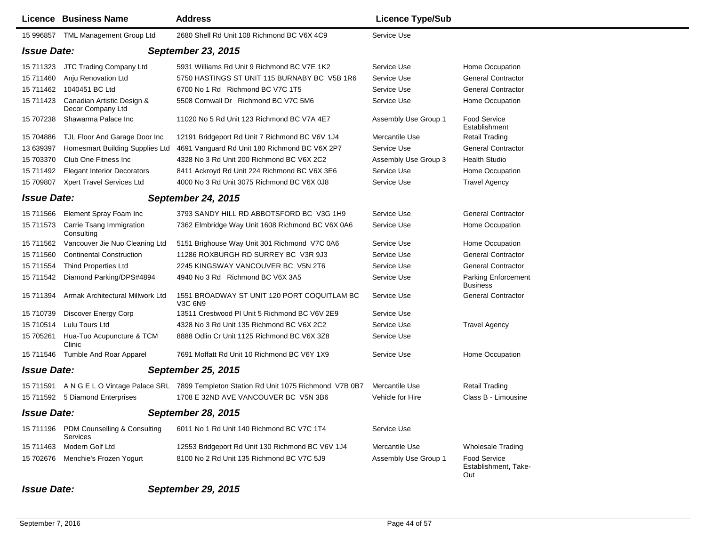|                    | <b>Licence Business Name</b>                       | <b>Address</b>                                                                                | <b>Licence Type/Sub</b> |                                                    |
|--------------------|----------------------------------------------------|-----------------------------------------------------------------------------------------------|-------------------------|----------------------------------------------------|
| 15 996857          | TML Management Group Ltd                           | 2680 Shell Rd Unit 108 Richmond BC V6X 4C9                                                    | Service Use             |                                                    |
| <b>Issue Date:</b> |                                                    | <b>September 23, 2015</b>                                                                     |                         |                                                    |
| 15 711323          | JTC Trading Company Ltd                            | 5931 Williams Rd Unit 9 Richmond BC V7E 1K2                                                   | Service Use             | Home Occupation                                    |
| 15 711460          | Anju Renovation Ltd                                | 5750 HASTINGS ST UNIT 115 BURNABY BC V5B 1R6                                                  | Service Use             | <b>General Contractor</b>                          |
| 15 711462          | 1040451 BC Ltd                                     | 6700 No 1 Rd Richmond BC V7C 1T5                                                              | Service Use             | <b>General Contractor</b>                          |
| 15 711423          | Canadian Artistic Design &<br>Decor Company Ltd    | 5508 Cornwall Dr Richmond BC V7C 5M6                                                          | Service Use             | Home Occupation                                    |
| 15 707238          | Shawarma Palace Inc                                | 11020 No 5 Rd Unit 123 Richmond BC V7A 4E7                                                    | Assembly Use Group 1    | <b>Food Service</b><br>Establishment               |
| 15 704886          | TJL Floor And Garage Door Inc                      | 12191 Bridgeport Rd Unit 7 Richmond BC V6V 1J4                                                | Mercantile Use          | <b>Retail Trading</b>                              |
| 13 639397          | Homesmart Building Supplies Ltd                    | 4691 Vanguard Rd Unit 180 Richmond BC V6X 2P7                                                 | Service Use             | <b>General Contractor</b>                          |
| 15 703370          | Club One Fitness Inc                               | 4328 No 3 Rd Unit 200 Richmond BC V6X 2C2                                                     | Assembly Use Group 3    | <b>Health Studio</b>                               |
| 15 711492          | <b>Elegant Interior Decorators</b>                 | 8411 Ackroyd Rd Unit 224 Richmond BC V6X 3E6                                                  | Service Use             | Home Occupation                                    |
| 15 709807          | Xpert Travel Services Ltd                          | 4000 No 3 Rd Unit 3075 Richmond BC V6X 0J8                                                    | Service Use             | <b>Travel Agency</b>                               |
| <b>Issue Date:</b> |                                                    | <b>September 24, 2015</b>                                                                     |                         |                                                    |
|                    | 15 711566 Element Spray Foam Inc                   | 3793 SANDY HILL RD ABBOTSFORD BC V3G 1H9                                                      | Service Use             | <b>General Contractor</b>                          |
| 15 711573          | Carrie Tsang Immigration<br>Consulting             | 7362 Elmbridge Way Unit 1608 Richmond BC V6X 0A6                                              | Service Use             | Home Occupation                                    |
| 15 711562          | Vancouver Jie Nuo Cleaning Ltd                     | 5151 Brighouse Way Unit 301 Richmond V7C 0A6                                                  | Service Use             | Home Occupation                                    |
| 15 711560          | <b>Continental Construction</b>                    | 11286 ROXBURGH RD SURREY BC V3R 9J3                                                           | Service Use             | <b>General Contractor</b>                          |
| 15 711554          | <b>Thind Properties Ltd</b>                        | 2245 KINGSWAY VANCOUVER BC V5N 2T6                                                            | Service Use             | <b>General Contractor</b>                          |
| 15 711542          | Diamond Parking/DPS#4894                           | 4940 No 3 Rd Richmond BC V6X 3A5                                                              | Service Use             | Parking Enforcement<br><b>Business</b>             |
| 15 711394          | Armak Architectural Millwork Ltd                   | 1551 BROADWAY ST UNIT 120 PORT COQUITLAM BC<br>V3C 6N9                                        | Service Use             | <b>General Contractor</b>                          |
| 15 710739          | Discover Energy Corp                               | 13511 Crestwood PI Unit 5 Richmond BC V6V 2E9                                                 | Service Use             |                                                    |
| 15 710514          | Lulu Tours Ltd                                     | 4328 No 3 Rd Unit 135 Richmond BC V6X 2C2                                                     | Service Use             | <b>Travel Agency</b>                               |
| 15 705261          | Hua-Tuo Acupuncture & TCM<br>Clinic                | 8888 Odlin Cr Unit 1125 Richmond BC V6X 3Z8                                                   | Service Use             |                                                    |
| 15 711546          | Tumble And Roar Apparel                            | 7691 Moffatt Rd Unit 10 Richmond BC V6Y 1X9                                                   | Service Use             | Home Occupation                                    |
| <b>Issue Date:</b> |                                                    | <b>September 25, 2015</b>                                                                     |                         |                                                    |
|                    |                                                    | 15 711591 A N G E L O Vintage Palace SRL 7899 Templeton Station Rd Unit 1075 Richmond V7B 0B7 | Mercantile Use          | Retail Trading                                     |
|                    | 15 711592 5 Diamond Enterprises                    | 1708 E 32ND AVE VANCOUVER BC V5N 3B6                                                          | Vehicle for Hire        | Class B - Limousine                                |
| <b>Issue Date:</b> |                                                    | <b>September 28, 2015</b>                                                                     |                         |                                                    |
|                    | 15 711196 PDM Counselling & Consulting<br>Services | 6011 No 1 Rd Unit 140 Richmond BC V7C 1T4                                                     | Service Use             |                                                    |
| 15 711463          | Modern Golf Ltd                                    | 12553 Bridgeport Rd Unit 130 Richmond BC V6V 1J4                                              | Mercantile Use          | <b>Wholesale Trading</b>                           |
|                    | 15 702676 Menchie's Frozen Yogurt                  | 8100 No 2 Rd Unit 135 Richmond BC V7C 5J9                                                     | Assembly Use Group 1    | <b>Food Service</b><br>Establishment, Take-<br>Out |
| <b>Issue Date:</b> |                                                    | <b>September 29, 2015</b>                                                                     |                         |                                                    |

September 7, 2016 Page 44 of 57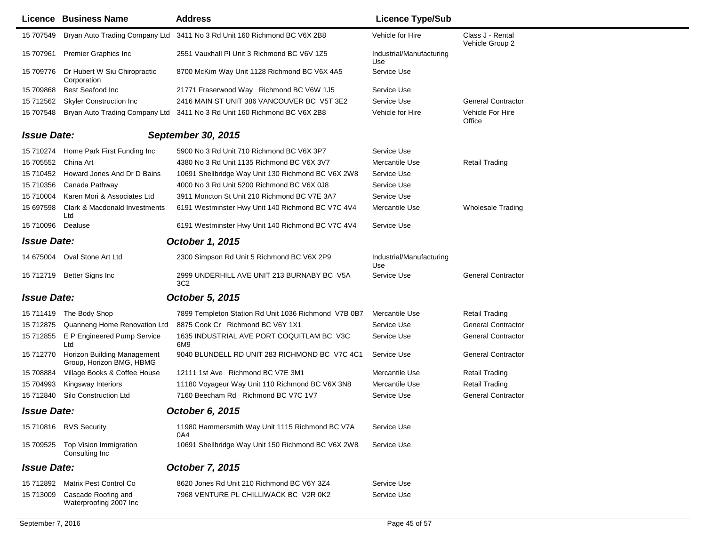|                    | Licence Business Name                                   | <b>Address</b>                                                           | <b>Licence Type/Sub</b>         |                                     |
|--------------------|---------------------------------------------------------|--------------------------------------------------------------------------|---------------------------------|-------------------------------------|
| 15 707549          |                                                         | Bryan Auto Trading Company Ltd 3411 No 3 Rd Unit 160 Richmond BC V6X 2B8 | Vehicle for Hire                | Class J - Rental<br>Vehicle Group 2 |
| 15 707961          | <b>Premier Graphics Inc</b>                             | 2551 Vauxhall PI Unit 3 Richmond BC V6V 1Z5                              | Industrial/Manufacturing<br>Use |                                     |
| 15 709776          | Dr Hubert W Siu Chiropractic<br>Corporation             | 8700 McKim Way Unit 1128 Richmond BC V6X 4A5                             | Service Use                     |                                     |
| 15 709868          | <b>Best Seafood Inc</b>                                 | 21771 Fraserwood Way Richmond BC V6W 1J5                                 | Service Use                     |                                     |
| 15 712562          | <b>Skyler Construction Inc</b>                          | 2416 MAIN ST UNIT 386 VANCOUVER BC V5T 3E2                               | Service Use                     | <b>General Contractor</b>           |
| 15 707548          |                                                         | Bryan Auto Trading Company Ltd 3411 No 3 Rd Unit 160 Richmond BC V6X 2B8 | Vehicle for Hire                | Vehicle For Hire<br>Office          |
| <b>Issue Date:</b> |                                                         | September 30, 2015                                                       |                                 |                                     |
|                    | 15 710274 Home Park First Funding Inc                   | 5900 No 3 Rd Unit 710 Richmond BC V6X 3P7                                | Service Use                     |                                     |
| 15 705552          | China Art                                               | 4380 No 3 Rd Unit 1135 Richmond BC V6X 3V7                               | Mercantile Use                  | <b>Retail Trading</b>               |
| 15 710452          | Howard Jones And Dr D Bains                             | 10691 Shellbridge Way Unit 130 Richmond BC V6X 2W8                       | Service Use                     |                                     |
| 15 710356          | Canada Pathway                                          | 4000 No 3 Rd Unit 5200 Richmond BC V6X 0J8                               | Service Use                     |                                     |
| 15 710004          | Karen Mori & Associates Ltd                             | 3911 Moncton St Unit 210 Richmond BC V7E 3A7                             | Service Use                     |                                     |
| 15 697598          | Clark & Macdonald Investments<br>Ltd                    | 6191 Westminster Hwy Unit 140 Richmond BC V7C 4V4                        | Mercantile Use                  | <b>Wholesale Trading</b>            |
| 15 710096          | Dealuse                                                 | 6191 Westminster Hwy Unit 140 Richmond BC V7C 4V4                        | Service Use                     |                                     |
| <b>Issue Date:</b> |                                                         | <b>October 1, 2015</b>                                                   |                                 |                                     |
|                    | 14 675004 Oval Stone Art Ltd                            | 2300 Simpson Rd Unit 5 Richmond BC V6X 2P9                               | Industrial/Manufacturing<br>Use |                                     |
| 15 712719          | Better Signs Inc                                        | 2999 UNDERHILL AVE UNIT 213 BURNABY BC V5A<br>3C <sub>2</sub>            | Service Use                     | <b>General Contractor</b>           |
| <b>Issue Date:</b> |                                                         | <b>October 5, 2015</b>                                                   |                                 |                                     |
|                    | 15 711419 The Body Shop                                 | 7899 Templeton Station Rd Unit 1036 Richmond V7B 0B7                     | Mercantile Use                  | <b>Retail Trading</b>               |
| 15 712875          | Quanneng Home Renovation Ltd                            | 8875 Cook Cr Richmond BC V6Y 1X1                                         | Service Use                     | <b>General Contractor</b>           |
| 15 712855          | E P Engineered Pump Service<br>Ltd                      | 1635 INDUSTRIAL AVE PORT COQUITLAM BC V3C<br>6M <sub>9</sub>             | Service Use                     | <b>General Contractor</b>           |
| 15 712770          | Horizon Building Management<br>Group, Horizon BMG, HBMG | 9040 BLUNDELL RD UNIT 283 RICHMOND BC V7C 4C1                            | Service Use                     | <b>General Contractor</b>           |
| 15 708884          | Village Books & Coffee House                            | 12111 1st Ave Richmond BC V7E 3M1                                        | Mercantile Use                  | <b>Retail Trading</b>               |
| 15 704993          | Kingsway Interiors                                      | 11180 Voyageur Way Unit 110 Richmond BC V6X 3N8                          | Mercantile Use                  | <b>Retail Trading</b>               |
| 15 712840          | Silo Construction Ltd                                   | 7160 Beecham Rd Richmond BC V7C 1V7                                      | Service Use                     | <b>General Contractor</b>           |
| <b>Issue Date:</b> |                                                         | October 6, 2015                                                          |                                 |                                     |
|                    | 15 710816 RVS Security                                  | 11980 Hammersmith Way Unit 1115 Richmond BC V7A<br>0A4                   | Service Use                     |                                     |
| 15 709525          | Top Vision Immigration<br>Consulting Inc                | 10691 Shellbridge Way Unit 150 Richmond BC V6X 2W8                       | Service Use                     |                                     |
| <b>Issue Date:</b> |                                                         | October 7, 2015                                                          |                                 |                                     |
| 15 712892          | Matrix Pest Control Co                                  | 8620 Jones Rd Unit 210 Richmond BC V6Y 3Z4                               | Service Use                     |                                     |
| 15 713009          | Cascade Roofing and<br>Waterproofing 2007 Inc           | 7968 VENTURE PL CHILLIWACK BC V2R 0K2                                    | Service Use                     |                                     |
|                    |                                                         |                                                                          |                                 |                                     |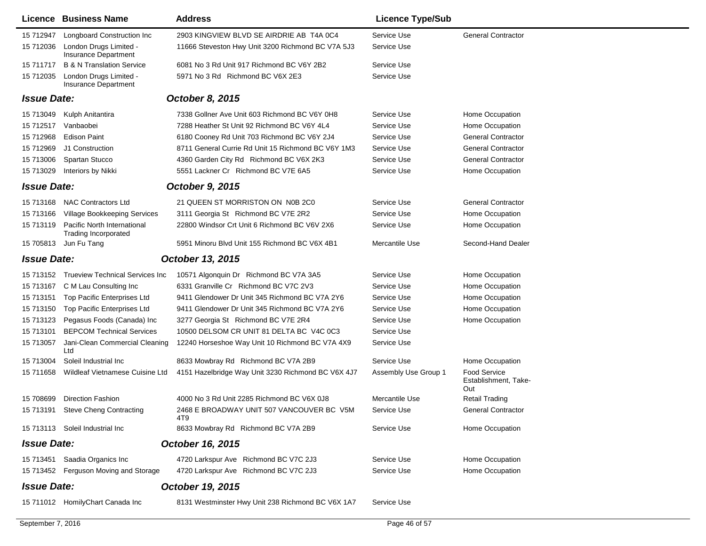|                    | Licence Business Name                                      | <b>Address</b>                                     | <b>Licence Type/Sub</b> |                                             |
|--------------------|------------------------------------------------------------|----------------------------------------------------|-------------------------|---------------------------------------------|
| 15 712947          | Longboard Construction Inc                                 | 2903 KINGVIEW BLVD SE AIRDRIE AB T4A 0C4           | Service Use             | <b>General Contractor</b>                   |
| 15 712036          | London Drugs Limited -<br>Insurance Department             | 11666 Steveston Hwy Unit 3200 Richmond BC V7A 5J3  | Service Use             |                                             |
| 15 711717          | <b>B &amp; N Translation Service</b>                       | 6081 No 3 Rd Unit 917 Richmond BC V6Y 2B2          | Service Use             |                                             |
| 15 712035          | London Drugs Limited -<br>Insurance Department             | 5971 No 3 Rd Richmond BC V6X 2E3                   | Service Use             |                                             |
| <b>Issue Date:</b> |                                                            | October 8, 2015                                    |                         |                                             |
| 15 713049          | Kulph Anitantira                                           | 7338 Gollner Ave Unit 603 Richmond BC V6Y 0H8      | Service Use             | Home Occupation                             |
| 15 712517          | Vanbaobei                                                  | 7288 Heather St Unit 92 Richmond BC V6Y 4L4        | Service Use             | Home Occupation                             |
| 15 712968          | <b>Edison Paint</b>                                        | 6180 Cooney Rd Unit 703 Richmond BC V6Y 2J4        | Service Use             | <b>General Contractor</b>                   |
| 15 712969          | J1 Construction                                            | 8711 General Currie Rd Unit 15 Richmond BC V6Y 1M3 | Service Use             | <b>General Contractor</b>                   |
| 15 713006          | Spartan Stucco                                             | 4360 Garden City Rd Richmond BC V6X 2K3            | Service Use             | <b>General Contractor</b>                   |
| 15 713029          | Interiors by Nikki                                         | 5551 Lackner Cr Richmond BC V7E 6A5                | Service Use             | Home Occupation                             |
| <b>Issue Date:</b> |                                                            | <b>October 9, 2015</b>                             |                         |                                             |
| 15 713168          | <b>NAC Contractors Ltd</b>                                 | 21 QUEEN ST MORRISTON ON N0B 2C0                   | Service Use             | <b>General Contractor</b>                   |
| 15 713166          | Village Bookkeeping Services                               | 3111 Georgia St Richmond BC V7E 2R2                | Service Use             | Home Occupation                             |
| 15 713119          | Pacific North International<br><b>Trading Incorporated</b> | 22800 Windsor Crt Unit 6 Richmond BC V6V 2X6       | Service Use             | Home Occupation                             |
| 15 705813          | Jun Fu Tang                                                | 5951 Minoru Blvd Unit 155 Richmond BC V6X 4B1      | Mercantile Use          | Second-Hand Dealer                          |
| <b>Issue Date:</b> |                                                            | October 13, 2015                                   |                         |                                             |
| 15 713152          | Trueview Technical Services Inc                            | 10571 Algonquin Dr Richmond BC V7A 3A5             | Service Use             | Home Occupation                             |
| 15 713167          | C M Lau Consulting Inc                                     | 6331 Granville Cr Richmond BC V7C 2V3              | Service Use             | Home Occupation                             |
| 15 713151          | Top Pacific Enterprises Ltd                                | 9411 Glendower Dr Unit 345 Richmond BC V7A 2Y6     | Service Use             | Home Occupation                             |
| 15 713150          | Top Pacific Enterprises Ltd                                | 9411 Glendower Dr Unit 345 Richmond BC V7A 2Y6     | Service Use             | Home Occupation                             |
| 15 713123          | Pegasus Foods (Canada) Inc                                 | 3277 Georgia St Richmond BC V7E 2R4                | Service Use             | Home Occupation                             |
| 15 713101          | <b>BEPCOM Technical Services</b>                           | 10500 DELSOM CR UNIT 81 DELTA BC V4C 0C3           | Service Use             |                                             |
| 15 713057          | Jani-Clean Commercial Cleaning<br>Ltd                      | 12240 Horseshoe Way Unit 10 Richmond BC V7A 4X9    | Service Use             |                                             |
| 15 713004          | Soleil Industrial Inc                                      | 8633 Mowbray Rd Richmond BC V7A 2B9                | Service Use             | Home Occupation                             |
| 15 711658          | Wildleaf Vietnamese Cuisine Ltd                            | 4151 Hazelbridge Way Unit 3230 Richmond BC V6X 4J7 | Assembly Use Group 1    | Food Service<br>Establishment, Take-<br>Out |
| 15 708699          | <b>Direction Fashion</b>                                   | 4000 No 3 Rd Unit 2285 Richmond BC V6X 0J8         | Mercantile Use          | Retail Trading                              |
| 15 713191          | <b>Steve Cheng Contracting</b>                             | 2468 E BROADWAY UNIT 507 VANCOUVER BC V5M<br>4T9   | Service Use             | <b>General Contractor</b>                   |
|                    | 15 713113 Soleil Industrial Inc                            | 8633 Mowbray Rd Richmond BC V7A 2B9                | Service Use             | Home Occupation                             |
| <b>Issue Date:</b> |                                                            | October 16, 2015                                   |                         |                                             |
|                    | 15 713451 Saadia Organics Inc                              | 4720 Larkspur Ave Richmond BC V7C 2J3              | Service Use             | Home Occupation                             |
|                    | 15 713452 Ferguson Moving and Storage                      | 4720 Larkspur Ave Richmond BC V7C 2J3              | Service Use             | Home Occupation                             |
| <b>Issue Date:</b> |                                                            | October 19, 2015                                   |                         |                                             |
|                    | 15 711012 HomilyChart Canada Inc                           | 8131 Westminster Hwy Unit 238 Richmond BC V6X 1A7  | Service Use             |                                             |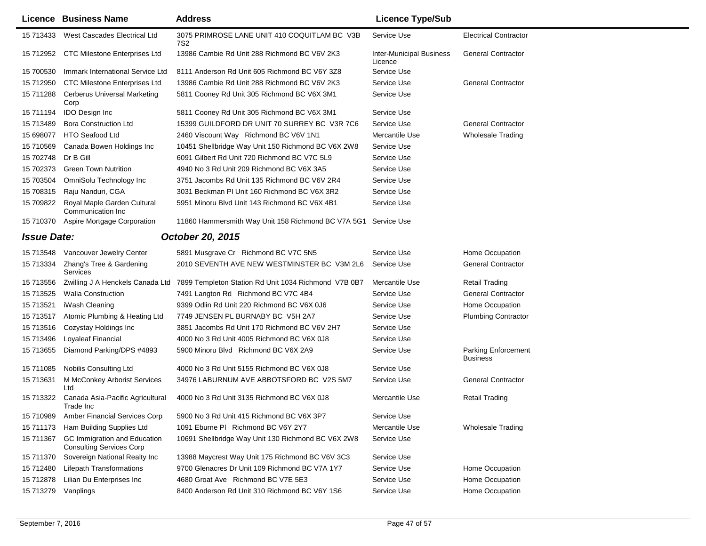|                    | Licence Business Name                                           | <b>Address</b>                                                  | <b>Licence Type/Sub</b>                    |                                        |
|--------------------|-----------------------------------------------------------------|-----------------------------------------------------------------|--------------------------------------------|----------------------------------------|
| 15 713433          | West Cascades Electrical Ltd                                    | 3075 PRIMROSE LANE UNIT 410 COQUITLAM BC V3B<br>7S <sub>2</sub> | Service Use                                | <b>Electrical Contractor</b>           |
|                    | 15 712952 CTC Milestone Enterprises Ltd                         | 13986 Cambie Rd Unit 288 Richmond BC V6V 2K3                    | <b>Inter-Municipal Business</b><br>Licence | <b>General Contractor</b>              |
| 15 700530          | Immark International Service Ltd                                | 8111 Anderson Rd Unit 605 Richmond BC V6Y 3Z8                   | Service Use                                |                                        |
| 15 712950          | <b>CTC Milestone Enterprises Ltd</b>                            | 13986 Cambie Rd Unit 288 Richmond BC V6V 2K3                    | Service Use                                | <b>General Contractor</b>              |
| 15 711288          | <b>Cerberus Universal Marketing</b><br>Corp                     | 5811 Cooney Rd Unit 305 Richmond BC V6X 3M1                     | Service Use                                |                                        |
| 15 711194          | <b>IDO Design Inc</b>                                           | 5811 Cooney Rd Unit 305 Richmond BC V6X 3M1                     | Service Use                                |                                        |
| 15 713489          | <b>Bora Construction Ltd</b>                                    | 15399 GUILDFORD DR UNIT 70 SURREY BC V3R 7C6                    | Service Use                                | <b>General Contractor</b>              |
| 15 698077          | <b>HTO Seafood Ltd</b>                                          | 2460 Viscount Way Richmond BC V6V 1N1                           | Mercantile Use                             | <b>Wholesale Trading</b>               |
| 15 710569          | Canada Bowen Holdings Inc                                       | 10451 Shellbridge Way Unit 150 Richmond BC V6X 2W8              | Service Use                                |                                        |
| 15 702748          | Dr B Gill                                                       | 6091 Gilbert Rd Unit 720 Richmond BC V7C 5L9                    | Service Use                                |                                        |
| 15 702373          | <b>Green Town Nutrition</b>                                     | 4940 No 3 Rd Unit 209 Richmond BC V6X 3A5                       | Service Use                                |                                        |
| 15 703504          | OmniSolu Technology Inc                                         | 3751 Jacombs Rd Unit 135 Richmond BC V6V 2R4                    | Service Use                                |                                        |
| 15 708315          | Raju Nanduri, CGA                                               | 3031 Beckman PI Unit 160 Richmond BC V6X 3R2                    | Service Use                                |                                        |
| 15 709822          | Royal Maple Garden Cultural<br>Communication Inc                | 5951 Minoru Blvd Unit 143 Richmond BC V6X 4B1                   | Service Use                                |                                        |
| 15 710370          | Aspire Mortgage Corporation                                     | 11860 Hammersmith Way Unit 158 Richmond BC V7A 5G1 Service Use  |                                            |                                        |
| <b>Issue Date:</b> |                                                                 | October 20, 2015                                                |                                            |                                        |
| 15 713548          | Vancouver Jewelry Center                                        | 5891 Musgrave Cr Richmond BC V7C 5N5                            | Service Use                                | Home Occupation                        |
| 15 713334          | Zhang's Tree & Gardening<br>Services                            | 2010 SEVENTH AVE NEW WESTMINSTER BC V3M 2L6                     | Service Use                                | <b>General Contractor</b>              |
| 15 713556          | Zwilling J A Henckels Canada Ltd                                | 7899 Templeton Station Rd Unit 1034 Richmond V7B 0B7            | Mercantile Use                             | Retail Trading                         |
| 15 713525          | <b>Walia Construction</b>                                       | 7491 Langton Rd Richmond BC V7C 4B4                             | Service Use                                | <b>General Contractor</b>              |
| 15 713521          | iWash Cleaning                                                  | 9399 Odlin Rd Unit 220 Richmond BC V6X 0J6                      | Service Use                                | Home Occupation                        |
| 15 713517          | Atomic Plumbing & Heating Ltd                                   | 7749 JENSEN PL BURNABY BC V5H 2A7                               | Service Use                                | <b>Plumbing Contractor</b>             |
| 15 713516          | Cozystay Holdings Inc                                           | 3851 Jacombs Rd Unit 170 Richmond BC V6V 2H7                    | Service Use                                |                                        |
| 15 713496          | <b>Loyaleaf Financial</b>                                       | 4000 No 3 Rd Unit 4005 Richmond BC V6X 0J8                      | Service Use                                |                                        |
| 15 713655          | Diamond Parking/DPS #4893                                       | 5900 Minoru Blvd Richmond BC V6X 2A9                            | Service Use                                | Parking Enforcement<br><b>Business</b> |
| 15 711085          | <b>Nobilis Consulting Ltd</b>                                   | 4000 No 3 Rd Unit 5155 Richmond BC V6X 0J8                      | Service Use                                |                                        |
| 15 713631          | M McConkey Arborist Services<br>Ltd                             | 34976 LABURNUM AVE ABBOTSFORD BC V2S 5M7                        | Service Use                                | <b>General Contractor</b>              |
| 15 713322          | Canada Asia-Pacific Agricultural<br>Trade Inc                   | 4000 No 3 Rd Unit 3135 Richmond BC V6X 0J8                      | Mercantile Use                             | <b>Retail Trading</b>                  |
| 15 710989          | <b>Amber Financial Services Corp</b>                            | 5900 No 3 Rd Unit 415 Richmond BC V6X 3P7                       | Service Use                                |                                        |
| 15 711173          | Ham Building Supplies Ltd                                       | 1091 Eburne PI Richmond BC V6Y 2Y7                              | Mercantile Use                             | <b>Wholesale Trading</b>               |
| 15 711367          | GC Immigration and Education<br><b>Consulting Services Corp</b> | 10691 Shellbridge Way Unit 130 Richmond BC V6X 2W8              | Service Use                                |                                        |
| 15 711370          | Sovereign National Realty Inc                                   | 13988 Maycrest Way Unit 175 Richmond BC V6V 3C3                 | Service Use                                |                                        |
| 15 712480          | <b>Lifepath Transformations</b>                                 | 9700 Glenacres Dr Unit 109 Richmond BC V7A 1Y7                  | Service Use                                | Home Occupation                        |
| 15 712878          | Lilian Du Enterprises Inc                                       | 4680 Groat Ave Richmond BC V7E 5E3                              | Service Use                                | Home Occupation                        |
| 15 713279          | Vanplings                                                       | 8400 Anderson Rd Unit 310 Richmond BC V6Y 1S6                   | Service Use                                | Home Occupation                        |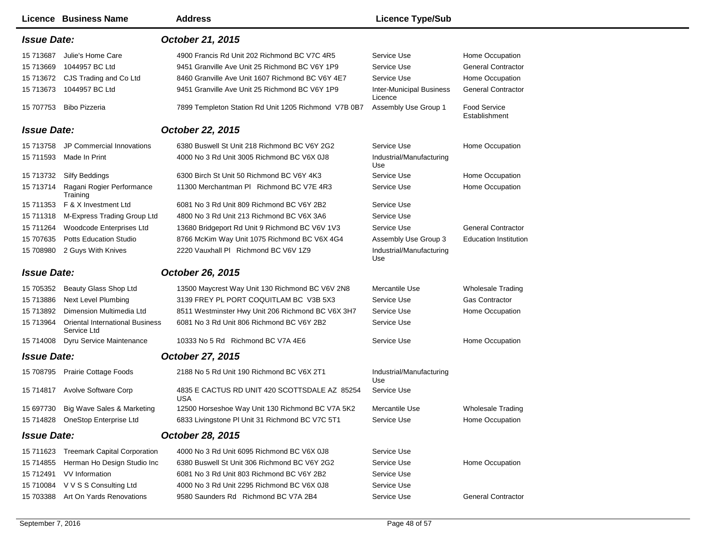|                    | <b>Licence Business Name</b>                          | <b>Address</b>                                              | <b>Licence Type/Sub</b>                    |                                      |
|--------------------|-------------------------------------------------------|-------------------------------------------------------------|--------------------------------------------|--------------------------------------|
| <b>Issue Date:</b> |                                                       | October 21, 2015                                            |                                            |                                      |
| 15 713687          | Julie's Home Care                                     | 4900 Francis Rd Unit 202 Richmond BC V7C 4R5                | Service Use                                | Home Occupation                      |
| 15 713669          | 1044957 BC Ltd                                        | 9451 Granville Ave Unit 25 Richmond BC V6Y 1P9              | Service Use                                | <b>General Contractor</b>            |
|                    | 15 713672 CJS Trading and Co Ltd                      | 8460 Granville Ave Unit 1607 Richmond BC V6Y 4E7            | Service Use                                | Home Occupation                      |
| 15 713673          | 1044957 BC Ltd                                        | 9451 Granville Ave Unit 25 Richmond BC V6Y 1P9              | <b>Inter-Municipal Business</b><br>Licence | <b>General Contractor</b>            |
|                    | 15 707753 Bibo Pizzeria                               | 7899 Templeton Station Rd Unit 1205 Richmond V7B 0B7        | Assembly Use Group 1                       | <b>Food Service</b><br>Establishment |
| <b>Issue Date:</b> |                                                       | October 22, 2015                                            |                                            |                                      |
| 15 713758          | JP Commercial Innovations                             | 6380 Buswell St Unit 218 Richmond BC V6Y 2G2                | Service Use                                | Home Occupation                      |
| 15 711593          | Made In Print                                         | 4000 No 3 Rd Unit 3005 Richmond BC V6X 0J8                  | Industrial/Manufacturing<br>Use            |                                      |
|                    | 15 713732 Silfy Beddings                              | 6300 Birch St Unit 50 Richmond BC V6Y 4K3                   | Service Use                                | Home Occupation                      |
|                    | 15 713714 Ragani Rogier Performance<br>Training       | 11300 Merchantman PI Richmond BC V7E 4R3                    | Service Use                                | Home Occupation                      |
|                    | 15 711353 F & X Investment Ltd                        | 6081 No 3 Rd Unit 809 Richmond BC V6Y 2B2                   | Service Use                                |                                      |
| 15 711318          | M-Express Trading Group Ltd                           | 4800 No 3 Rd Unit 213 Richmond BC V6X 3A6                   | Service Use                                |                                      |
| 15 711264          | Woodcode Enterprises Ltd                              | 13680 Bridgeport Rd Unit 9 Richmond BC V6V 1V3              | Service Use                                | <b>General Contractor</b>            |
| 15 707635          | <b>Potts Education Studio</b>                         | 8766 McKim Way Unit 1075 Richmond BC V6X 4G4                | Assembly Use Group 3                       | <b>Education Institution</b>         |
|                    | 15 708980 2 Guys With Knives                          | 2220 Vauxhall PI Richmond BC V6V 1Z9                        | Industrial/Manufacturing<br>Use            |                                      |
| <b>Issue Date:</b> |                                                       | October 26, 2015                                            |                                            |                                      |
| 15 705352          | Beauty Glass Shop Ltd                                 | 13500 Maycrest Way Unit 130 Richmond BC V6V 2N8             | Mercantile Use                             | <b>Wholesale Trading</b>             |
| 15 713886          | <b>Next Level Plumbing</b>                            | 3139 FREY PL PORT COQUITLAM BC V3B 5X3                      | Service Use                                | <b>Gas Contractor</b>                |
| 15 713892          | Dimension Multimedia Ltd                              | 8511 Westminster Hwy Unit 206 Richmond BC V6X 3H7           | Service Use                                | Home Occupation                      |
| 15 713964          | <b>Oriental International Business</b><br>Service Ltd | 6081 No 3 Rd Unit 806 Richmond BC V6Y 2B2                   | Service Use                                |                                      |
| 15 714008          | Dyru Service Maintenance                              | 10333 No 5 Rd Richmond BC V7A 4E6                           | Service Use                                | Home Occupation                      |
| <b>Issue Date:</b> |                                                       | October 27, 2015                                            |                                            |                                      |
|                    | 15 708795 Prairie Cottage Foods                       | 2188 No 5 Rd Unit 190 Richmond BC V6X 2T1                   | Industrial/Manufacturing<br>Use            |                                      |
|                    | 15 714817 Avolve Software Corp                        | 4835 E CACTUS RD UNIT 420 SCOTTSDALE AZ 85254<br><b>USA</b> | Service Use                                |                                      |
|                    | 15 697730 Big Wave Sales & Marketing                  | 12500 Horseshoe Way Unit 130 Richmond BC V7A 5K2            | Mercantile Use                             | <b>Wholesale Trading</b>             |
|                    | 15 714828 OneStop Enterprise Ltd                      | 6833 Livingstone PI Unit 31 Richmond BC V7C 5T1             | Service Use                                | Home Occupation                      |
| <b>Issue Date:</b> |                                                       | October 28, 2015                                            |                                            |                                      |
|                    | 15 711623 Treemark Capital Corporation                | 4000 No 3 Rd Unit 6095 Richmond BC V6X 0J8                  | Service Use                                |                                      |
| 15 714855          | Herman Ho Design Studio Inc                           | 6380 Buswell St Unit 306 Richmond BC V6Y 2G2                | Service Use                                | Home Occupation                      |
|                    | 15 712491 VV Information                              | 6081 No 3 Rd Unit 803 Richmond BC V6Y 2B2                   | Service Use                                |                                      |
|                    | 15 710084 V V S S Consulting Ltd                      | 4000 No 3 Rd Unit 2295 Richmond BC V6X 0J8                  | Service Use                                |                                      |
|                    | 15 703388 Art On Yards Renovations                    | 9580 Saunders Rd Richmond BC V7A 2B4                        | Service Use                                | <b>General Contractor</b>            |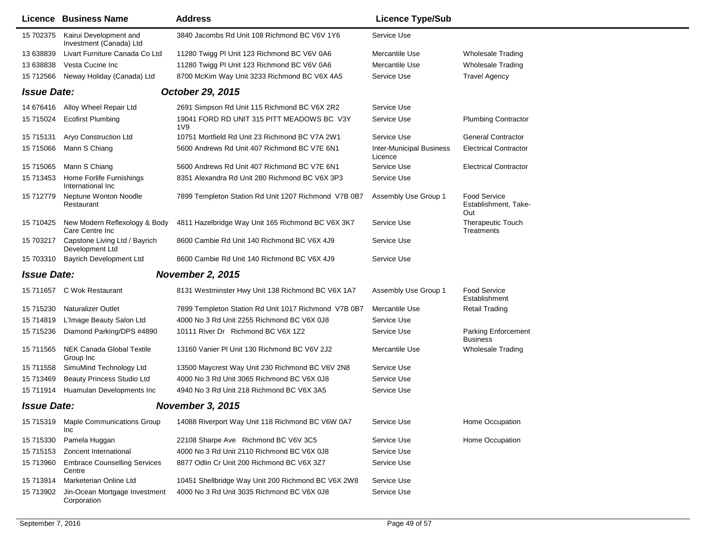|                                               | Licence Business Name                             | <b>Address</b>                                                 | <b>Licence Type/Sub</b>                    |                                                    |
|-----------------------------------------------|---------------------------------------------------|----------------------------------------------------------------|--------------------------------------------|----------------------------------------------------|
| 15 702375                                     | Kairui Development and<br>Investment (Canada) Ltd | 3840 Jacombs Rd Unit 108 Richmond BC V6V 1Y6                   | Service Use                                |                                                    |
| 13 638839                                     | Livart Furniture Canada Co Ltd                    | 11280 Twigg PI Unit 123 Richmond BC V6V 0A6                    | Mercantile Use                             | <b>Wholesale Trading</b>                           |
| 13 638838                                     | Vesta Cucine Inc                                  | 11280 Twigg PI Unit 123 Richmond BC V6V 0A6                    | Mercantile Use                             | <b>Wholesale Trading</b>                           |
| 15 712566                                     | Neway Holiday (Canada) Ltd                        | 8700 McKim Way Unit 3233 Richmond BC V6X 4A5                   | Service Use                                | <b>Travel Agency</b>                               |
| <b>Issue Date:</b>                            |                                                   | October 29, 2015                                               |                                            |                                                    |
|                                               | 14 676416 Alloy Wheel Repair Ltd                  | 2691 Simpson Rd Unit 115 Richmond BC V6X 2R2                   | Service Use                                |                                                    |
| 15 715024                                     | <b>Ecofirst Plumbing</b>                          | 19041 FORD RD UNIT 315 PITT MEADOWS BC V3Y<br>1 <sub>V</sub> 9 | Service Use                                | <b>Plumbing Contractor</b>                         |
| 15 715131                                     | <b>Aryo Construction Ltd</b>                      | 10751 Mortfield Rd Unit 23 Richmond BC V7A 2W1                 | Service Use                                | <b>General Contractor</b>                          |
| 15 715066                                     | Mann S Chiang                                     | 5600 Andrews Rd Unit 407 Richmond BC V7E 6N1                   | <b>Inter-Municipal Business</b><br>Licence | <b>Electrical Contractor</b>                       |
| 15 715065                                     | Mann S Chiang                                     | 5600 Andrews Rd Unit 407 Richmond BC V7E 6N1                   | Service Use                                | <b>Electrical Contractor</b>                       |
| 15 713453                                     | Home Forlife Furnishings<br>International Inc     | 8351 Alexandra Rd Unit 280 Richmond BC V6X 3P3                 | Service Use                                |                                                    |
| 15 712779                                     | Neptune Wonton Noodle<br>Restaurant               | 7899 Templeton Station Rd Unit 1207 Richmond V7B 0B7           | Assembly Use Group 1                       | <b>Food Service</b><br>Establishment, Take-<br>Out |
| 15 710425                                     | New Modern Reflexology & Body<br>Care Centre Inc  | 4811 Hazelbridge Way Unit 165 Richmond BC V6X 3K7              | Service Use                                | <b>Therapeutic Touch</b><br>Treatments             |
| 15 703217                                     | Capstone Living Ltd / Bayrich<br>Development Ltd  | 8600 Cambie Rd Unit 140 Richmond BC V6X 4J9                    | Service Use                                |                                                    |
| 15 703310                                     | <b>Bayrich Development Ltd</b>                    | 8600 Cambie Rd Unit 140 Richmond BC V6X 4J9                    | Service Use                                |                                                    |
| <b>Issue Date:</b>                            |                                                   | <b>November 2, 2015</b>                                        |                                            |                                                    |
| 15 711657                                     | C Wok Restaurant                                  | 8131 Westminster Hwy Unit 138 Richmond BC V6X 1A7              | Assembly Use Group 1                       | <b>Food Service</b><br>Establishment               |
| 15 715230                                     | <b>Naturalizer Outlet</b>                         | 7899 Templeton Station Rd Unit 1017 Richmond V7B 0B7           | Mercantile Use                             | Retail Trading                                     |
| 15 714819                                     | L'Image Beauty Salon Ltd                          | 4000 No 3 Rd Unit 2255 Richmond BC V6X 0J8                     | Service Use                                |                                                    |
| 15 715236                                     | Diamond Parking/DPS #4890                         | 10111 River Dr Richmond BC V6X 1Z2                             | Service Use                                | Parking Enforcement<br><b>Business</b>             |
| 15 711565                                     | <b>NEK Canada Global Textile</b><br>Group Inc     | 13160 Vanier PI Unit 130 Richmond BC V6V 2J2                   | Mercantile Use                             | <b>Wholesale Trading</b>                           |
| 15 711558                                     | SimuMind Technology Ltd                           | 13500 Maycrest Way Unit 230 Richmond BC V6V 2N8                | Service Use                                |                                                    |
| 15 713469                                     | <b>Beauty Princess Studio Ltd</b>                 | 4000 No 3 Rd Unit 3065 Richmond BC V6X 0J8                     | Service Use                                |                                                    |
| 15 711914                                     | Huamulan Developments Inc                         | 4940 No 3 Rd Unit 218 Richmond BC V6X 3A5                      | Service Use                                |                                                    |
| <b>Issue Date:</b><br><b>November 3, 2015</b> |                                                   |                                                                |                                            |                                                    |
| 15 715319                                     | <b>Maple Communications Group</b><br>Inc          | 14088 Riverport Way Unit 118 Richmond BC V6W 0A7               | Service Use                                | Home Occupation                                    |
| 15 715330                                     | Pamela Huggan                                     | 22108 Sharpe Ave Richmond BC V6V 3C5                           | Service Use                                | Home Occupation                                    |
| 15 715153                                     | Zoncent International                             | 4000 No 3 Rd Unit 2110 Richmond BC V6X 0J8                     | Service Use                                |                                                    |
| 15 713960                                     | <b>Embrace Counselling Services</b><br>Centre     | 8877 Odlin Cr Unit 200 Richmond BC V6X 3Z7                     | Service Use                                |                                                    |
| 15 713914                                     | Marketerian Online Ltd                            | 10451 Shellbridge Way Unit 200 Richmond BC V6X 2W8             | Service Use                                |                                                    |
| 15 713902                                     | Jin-Ocean Mortgage Investment<br>Corporation      | 4000 No 3 Rd Unit 3035 Richmond BC V6X 0J8                     | Service Use                                |                                                    |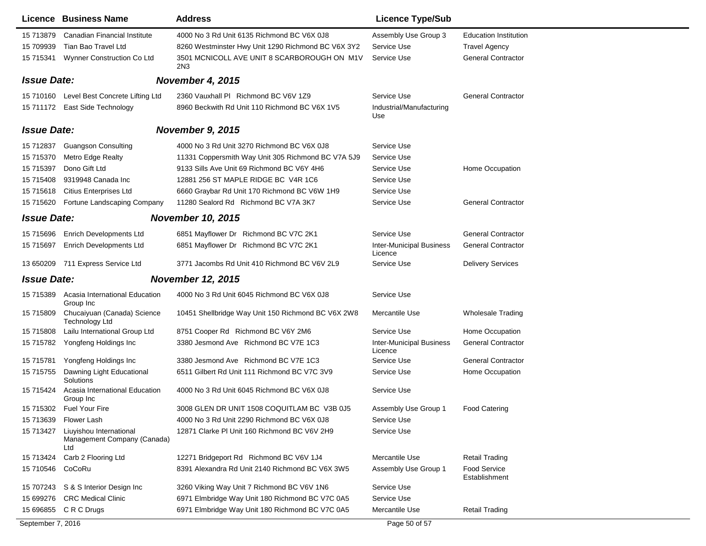|                    | Licence Business Name                                         | <b>Address</b>                                     | <b>Licence Type/Sub</b>                    |                                      |
|--------------------|---------------------------------------------------------------|----------------------------------------------------|--------------------------------------------|--------------------------------------|
| 15 713879          | Canadian Financial Institute                                  | 4000 No 3 Rd Unit 6135 Richmond BC V6X 0J8         | Assembly Use Group 3                       | <b>Education Institution</b>         |
| 15 709939          | Tian Bao Travel Ltd                                           | 8260 Westminster Hwy Unit 1290 Richmond BC V6X 3Y2 | Service Use                                | <b>Travel Agency</b>                 |
| 15 715341          | Wynner Construction Co Ltd                                    | 3501 MCNICOLL AVE UNIT 8 SCARBOROUGH ON M1V<br>2N3 | Service Use                                | <b>General Contractor</b>            |
| <b>Issue Date:</b> |                                                               | November 4, 2015                                   |                                            |                                      |
|                    | 15 710160 Level Best Concrete Lifting Ltd                     | 2360 Vauxhall PI Richmond BC V6V 1Z9               | Service Use                                | <b>General Contractor</b>            |
|                    | 15 711172 East Side Technology                                | 8960 Beckwith Rd Unit 110 Richmond BC V6X 1V5      | Industrial/Manufacturing<br>Use            |                                      |
| <b>Issue Date:</b> |                                                               | <b>November 9, 2015</b>                            |                                            |                                      |
|                    | 15 712837 Guangson Consulting                                 | 4000 No 3 Rd Unit 3270 Richmond BC V6X 0J8         | Service Use                                |                                      |
| 15 715370          | Metro Edge Realty                                             | 11331 Coppersmith Way Unit 305 Richmond BC V7A 5J9 | Service Use                                |                                      |
| 15 715397          | Dono Gift Ltd                                                 | 9133 Sills Ave Unit 69 Richmond BC V6Y 4H6         | Service Use                                | Home Occupation                      |
| 15 715408          | 9319948 Canada Inc                                            | 12881 256 ST MAPLE RIDGE BC V4R 1C6                | Service Use                                |                                      |
| 15 715 618         | <b>Citius Enterprises Ltd</b>                                 | 6660 Graybar Rd Unit 170 Richmond BC V6W 1H9       | Service Use                                |                                      |
| 15 715620          | Fortune Landscaping Company                                   | 11280 Sealord Rd Richmond BC V7A 3K7               | Service Use                                | <b>General Contractor</b>            |
| <b>Issue Date:</b> |                                                               | <b>November 10, 2015</b>                           |                                            |                                      |
| 15 715696          | <b>Enrich Developments Ltd</b>                                | 6851 Mayflower Dr Richmond BC V7C 2K1              | Service Use                                | <b>General Contractor</b>            |
| 15 715697          | <b>Enrich Developments Ltd</b>                                | 6851 Mayflower Dr Richmond BC V7C 2K1              | <b>Inter-Municipal Business</b><br>Licence | <b>General Contractor</b>            |
|                    | 13 650209 711 Express Service Ltd                             | 3771 Jacombs Rd Unit 410 Richmond BC V6V 2L9       | Service Use                                | <b>Delivery Services</b>             |
| <b>Issue Date:</b> |                                                               | <b>November 12, 2015</b>                           |                                            |                                      |
|                    | 15 715389 Acasia International Education<br>Group Inc         | 4000 No 3 Rd Unit 6045 Richmond BC V6X 0J8         | Service Use                                |                                      |
| 15 715809          | Chucaiyuan (Canada) Science<br><b>Technology Ltd</b>          | 10451 Shellbridge Way Unit 150 Richmond BC V6X 2W8 | Mercantile Use                             | <b>Wholesale Trading</b>             |
| 15 715808          | Lailu International Group Ltd                                 | 8751 Cooper Rd Richmond BC V6Y 2M6                 | Service Use                                | Home Occupation                      |
| 15 715782          | Yongfeng Holdings Inc                                         | 3380 Jesmond Ave Richmond BC V7E 1C3               | <b>Inter-Municipal Business</b><br>Licence | <b>General Contractor</b>            |
| 15 715781          | Yongfeng Holdings Inc                                         | 3380 Jesmond Ave Richmond BC V7E 1C3               | Service Use                                | <b>General Contractor</b>            |
| 15 715755          | Dawning Light Educational<br>Solutions                        | 6511 Gilbert Rd Unit 111 Richmond BC V7C 3V9       | Service Use                                | Home Occupation                      |
| 15 715424          | Acasia International Education<br>Group Inc                   | 4000 No 3 Rd Unit 6045 Richmond BC V6X 0J8         | Service Use                                |                                      |
|                    | 15 715302 Fuel Your Fire                                      | 3008 GLEN DR UNIT 1508 COQUITLAM BC V3B 0J5        | Assembly Use Group 1                       | <b>Food Catering</b>                 |
| 15 713639          | Flower Lash                                                   | 4000 No 3 Rd Unit 2290 Richmond BC V6X 0J8         | Service Use                                |                                      |
| 15 713427          | Liuyishou International<br>Management Company (Canada)<br>Ltd | 12871 Clarke PI Unit 160 Richmond BC V6V 2H9       | Service Use                                |                                      |
| 15 713424          | Carb 2 Flooring Ltd                                           | 12271 Bridgeport Rd Richmond BC V6V 1J4            | Mercantile Use                             | <b>Retail Trading</b>                |
| 15 710546 CoCoRu   |                                                               | 8391 Alexandra Rd Unit 2140 Richmond BC V6X 3W5    | Assembly Use Group 1                       | <b>Food Service</b><br>Establishment |
|                    | 15 707243 S & S Interior Design Inc                           | 3260 Viking Way Unit 7 Richmond BC V6V 1N6         | Service Use                                |                                      |
|                    | 15 699276 CRC Medical Clinic                                  | 6971 Elmbridge Way Unit 180 Richmond BC V7C 0A5    | Service Use                                |                                      |
|                    | 15 696855 C R C Drugs                                         | 6971 Elmbridge Way Unit 180 Richmond BC V7C 0A5    | Mercantile Use                             | <b>Retail Trading</b>                |
| September 7, 2016  |                                                               |                                                    | Page 50 of 57                              |                                      |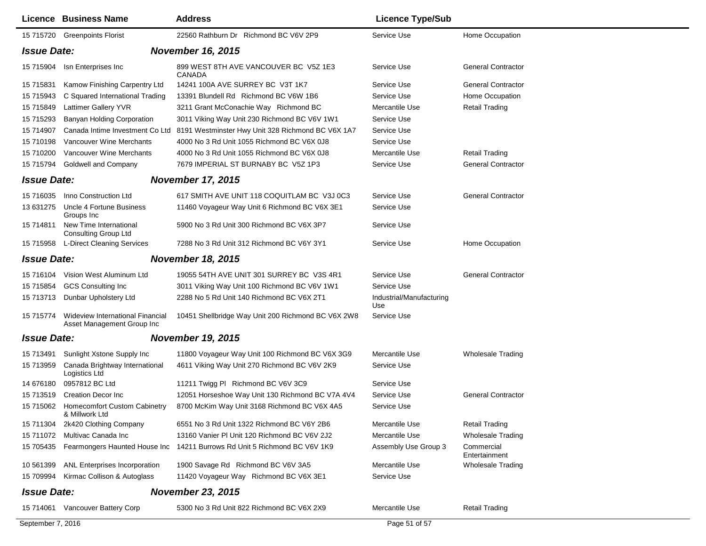|                    | Licence Business Name                                          | <b>Address</b>                                     | <b>Licence Type/Sub</b>         |                             |
|--------------------|----------------------------------------------------------------|----------------------------------------------------|---------------------------------|-----------------------------|
|                    | 15 715720 Greenpoints Florist                                  | 22560 Rathburn Dr Richmond BC V6V 2P9              | Service Use                     | Home Occupation             |
| <b>Issue Date:</b> |                                                                | <b>November 16, 2015</b>                           |                                 |                             |
|                    | 15 715904 Isn Enterprises Inc                                  | 899 WEST 8TH AVE VANCOUVER BC V5Z 1E3<br>CANADA    | Service Use                     | <b>General Contractor</b>   |
| 15 715831          | Kamow Finishing Carpentry Ltd                                  | 14241 100A AVE SURREY BC V3T 1K7                   | Service Use                     | <b>General Contractor</b>   |
| 15 715943          | C Squared International Trading                                | 13391 Blundell Rd Richmond BC V6W 1B6              | Service Use                     | Home Occupation             |
| 15 715849          | <b>Lattimer Gallery YVR</b>                                    | 3211 Grant McConachie Way Richmond BC              | Mercantile Use                  | <b>Retail Trading</b>       |
| 15 715293          | <b>Banyan Holding Corporation</b>                              | 3011 Viking Way Unit 230 Richmond BC V6V 1W1       | Service Use                     |                             |
| 15 714907          | Canada Intime Investment Co Ltd                                | 8191 Westminster Hwy Unit 328 Richmond BC V6X 1A7  | Service Use                     |                             |
| 15 710198          | <b>Vancouver Wine Merchants</b>                                | 4000 No 3 Rd Unit 1055 Richmond BC V6X 0J8         | Service Use                     |                             |
| 15 710200          | Vancouver Wine Merchants                                       | 4000 No 3 Rd Unit 1055 Richmond BC V6X 0J8         | Mercantile Use                  | <b>Retail Trading</b>       |
| 15 715794          | <b>Goldwell and Company</b>                                    | 7679 IMPERIAL ST BURNABY BC V5Z 1P3                | Service Use                     | <b>General Contractor</b>   |
| <b>Issue Date:</b> |                                                                | <b>November 17, 2015</b>                           |                                 |                             |
| 15 716035          | Inno Construction Ltd                                          | 617 SMITH AVE UNIT 118 COQUITLAM BC V3J 0C3        | Service Use                     | <b>General Contractor</b>   |
| 13 631275          | Uncle 4 Fortune Business<br>Groups Inc                         | 11460 Voyageur Way Unit 6 Richmond BC V6X 3E1      | Service Use                     |                             |
| 15 714811          | New Time International<br><b>Consulting Group Ltd</b>          | 5900 No 3 Rd Unit 300 Richmond BC V6X 3P7          | Service Use                     |                             |
|                    | 15 715958 L-Direct Cleaning Services                           | 7288 No 3 Rd Unit 312 Richmond BC V6Y 3Y1          | Service Use                     | Home Occupation             |
| <b>Issue Date:</b> |                                                                | <b>November 18, 2015</b>                           |                                 |                             |
| 15 716104          | Vision West Aluminum Ltd                                       | 19055 54TH AVE UNIT 301 SURREY BC V3S 4R1          | Service Use                     | <b>General Contractor</b>   |
| 15 715854          | <b>GCS Consulting Inc</b>                                      | 3011 Viking Way Unit 100 Richmond BC V6V 1W1       | Service Use                     |                             |
| 15 713713          | Dunbar Upholstery Ltd                                          | 2288 No 5 Rd Unit 140 Richmond BC V6X 2T1          | Industrial/Manufacturing<br>Use |                             |
| 15 715774          | Wideview International Financial<br>Asset Management Group Inc | 10451 Shellbridge Way Unit 200 Richmond BC V6X 2W8 | Service Use                     |                             |
| <b>Issue Date:</b> |                                                                | <b>November 19, 2015</b>                           |                                 |                             |
| 15 713491          | Sunlight Xstone Supply Inc                                     | 11800 Voyageur Way Unit 100 Richmond BC V6X 3G9    | Mercantile Use                  | <b>Wholesale Trading</b>    |
| 15 713959          | Canada Brightway International<br>Logistics Ltd                | 4611 Viking Way Unit 270 Richmond BC V6V 2K9       | Service Use                     |                             |
| 14 676180          | 0957812 BC Ltd                                                 | 11211 Twigg PI Richmond BC V6V 3C9                 | Service Use                     |                             |
| 15 713519          | <b>Creation Decor Inc.</b>                                     | 12051 Horseshoe Way Unit 130 Richmond BC V7A 4V4   | Service Use                     | <b>General Contractor</b>   |
| 15 715062          | <b>Homecomfort Custom Cabinetry</b><br>& Millwork Ltd          | 8700 McKim Way Unit 3168 Richmond BC V6X 4A5       | Service Use                     |                             |
| 15 711304          | 2k420 Clothing Company                                         | 6551 No 3 Rd Unit 1322 Richmond BC V6Y 2B6         | Mercantile Use                  | <b>Retail Trading</b>       |
| 15 711072          | Multivac Canada Inc                                            | 13160 Vanier PI Unit 120 Richmond BC V6V 2J2       | Mercantile Use                  | <b>Wholesale Trading</b>    |
| 15 705435          | Fearmongers Haunted House Inc                                  | 14211 Burrows Rd Unit 5 Richmond BC V6V 1K9        | Assembly Use Group 3            | Commercial<br>Entertainment |
| 10 561399          | ANL Enterprises Incorporation                                  | 1900 Savage Rd Richmond BC V6V 3A5                 | Mercantile Use                  | <b>Wholesale Trading</b>    |
| 15 709994          | Kirmac Collison & Autoglass                                    | 11420 Voyageur Way Richmond BC V6X 3E1             | Service Use                     |                             |
| <b>Issue Date:</b> |                                                                | <b>November 23, 2015</b>                           |                                 |                             |
|                    | 15 714061 Vancouver Battery Corp                               | 5300 No 3 Rd Unit 822 Richmond BC V6X 2X9          | Mercantile Use                  | <b>Retail Trading</b>       |
| September 7, 2016  |                                                                |                                                    | Page 51 of 57                   |                             |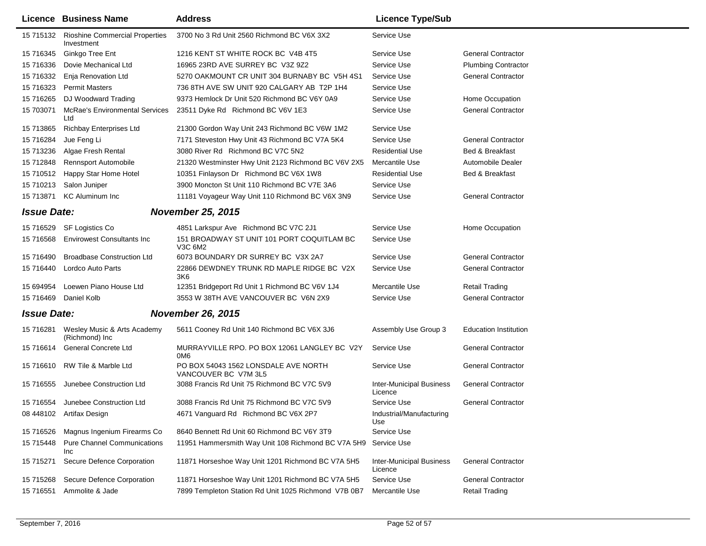|                                                | Licence Business Name                               | <b>Address</b>                                                  | <b>Licence Type/Sub</b>                    |                              |
|------------------------------------------------|-----------------------------------------------------|-----------------------------------------------------------------|--------------------------------------------|------------------------------|
| 15 715132                                      | <b>Rioshine Commercial Properties</b><br>Investment | 3700 No 3 Rd Unit 2560 Richmond BC V6X 3X2                      | Service Use                                |                              |
| 15 716345                                      | Ginkgo Tree Ent                                     | 1216 KENT ST WHITE ROCK BC V4B 4T5                              | Service Use                                | <b>General Contractor</b>    |
| 15 716336                                      | Dovie Mechanical Ltd                                | 16965 23RD AVE SURREY BC V3Z 9Z2                                | Service Use                                | <b>Plumbing Contractor</b>   |
| 15 716332                                      | Enja Renovation Ltd                                 | 5270 OAKMOUNT CR UNIT 304 BURNABY BC V5H 4S1                    | Service Use                                | <b>General Contractor</b>    |
| 15 716323                                      | <b>Permit Masters</b>                               | 736 8TH AVE SW UNIT 920 CALGARY AB T2P 1H4                      | Service Use                                |                              |
| 15 716265                                      | DJ Woodward Trading                                 | 9373 Hemlock Dr Unit 520 Richmond BC V6Y 0A9                    | Service Use                                | Home Occupation              |
| 15 703071                                      | <b>McRae's Environmental Services</b><br>Ltd        | 23511 Dyke Rd Richmond BC V6V 1E3                               | Service Use                                | <b>General Contractor</b>    |
| 15 713865                                      | <b>Richbay Enterprises Ltd</b>                      | 21300 Gordon Way Unit 243 Richmond BC V6W 1M2                   | Service Use                                |                              |
| 15 716284                                      | Jue Feng Li                                         | 7171 Steveston Hwy Unit 43 Richmond BC V7A 5K4                  | Service Use                                | <b>General Contractor</b>    |
| 15 713236                                      | Algae Fresh Rental                                  | 3080 River Rd Richmond BC V7C 5N2                               | <b>Residential Use</b>                     | Bed & Breakfast              |
| 15 712848                                      | <b>Rennsport Automobile</b>                         | 21320 Westminster Hwy Unit 2123 Richmond BC V6V 2X5             | Mercantile Use                             | Automobile Dealer            |
| 15 710512                                      | Happy Star Home Hotel                               | 10351 Finlayson Dr Richmond BC V6X 1W8                          | <b>Residential Use</b>                     | Bed & Breakfast              |
| 15 710213                                      | Salon Juniper                                       | 3900 Moncton St Unit 110 Richmond BC V7E 3A6                    | Service Use                                |                              |
| 15 713871                                      | <b>KC Aluminum Inc</b>                              | 11181 Voyageur Way Unit 110 Richmond BC V6X 3N9                 | Service Use                                | <b>General Contractor</b>    |
| <b>Issue Date:</b>                             |                                                     | <b>November 25, 2015</b>                                        |                                            |                              |
| 15 716529                                      | SF Logistics Co                                     | 4851 Larkspur Ave Richmond BC V7C 2J1                           | Service Use                                | Home Occupation              |
| 15 71 65 68                                    | <b>Envirowest Consultants Inc</b>                   | 151 BROADWAY ST UNIT 101 PORT COQUITLAM BC<br>V3C 6M2           | Service Use                                |                              |
| 15 71 6490                                     | <b>Broadbase Construction Ltd</b>                   | 6073 BOUNDARY DR SURREY BC V3X 2A7                              | Service Use                                | <b>General Contractor</b>    |
| 15 716440                                      | Lordco Auto Parts                                   | 22866 DEWDNEY TRUNK RD MAPLE RIDGE BC V2X<br>3K6                | Service Use                                | <b>General Contractor</b>    |
| 15 694954                                      | Loewen Piano House Ltd                              | 12351 Bridgeport Rd Unit 1 Richmond BC V6V 1J4                  | Mercantile Use                             | Retail Trading               |
|                                                | 15 716469 Daniel Kolb                               | 3553 W 38TH AVE VANCOUVER BC V6N 2X9                            | Service Use                                | <b>General Contractor</b>    |
| <b>Issue Date:</b><br><b>November 26, 2015</b> |                                                     |                                                                 |                                            |                              |
| 15 716281                                      | Wesley Music & Arts Academy<br>(Richmond) Inc       | 5611 Cooney Rd Unit 140 Richmond BC V6X 3J6                     | Assembly Use Group 3                       | <b>Education Institution</b> |
| 15 716614                                      | General Concrete Ltd                                | MURRAYVILLE RPO. PO BOX 12061 LANGLEY BC V2Y<br>0M <sub>6</sub> | Service Use                                | General Contractor           |
| 15 716610                                      | RW Tile & Marble Ltd                                | PO BOX 54043 1562 LONSDALE AVE NORTH<br>VANCOUVER BC V7M 3L5    | Service Use                                | <b>General Contractor</b>    |
| 15 716555                                      | Junebee Construction Ltd                            | 3088 Francis Rd Unit 75 Richmond BC V7C 5V9                     | <b>Inter-Municipal Business</b><br>Licence | <b>General Contractor</b>    |
|                                                | 15 716554 Junebee Construction Ltd                  | 3088 Francis Rd Unit 75 Richmond BC V7C 5V9                     | Service Use                                | <b>General Contractor</b>    |
|                                                | 08 448102 Artifax Design                            | 4671 Vanguard Rd Richmond BC V6X 2P7                            | Industrial/Manufacturing<br>Use            |                              |
| 15 716526                                      | Magnus Ingenium Firearms Co                         | 8640 Bennett Rd Unit 60 Richmond BC V6Y 3T9                     | Service Use                                |                              |
| 15 715448                                      | <b>Pure Channel Communications</b><br>Inc           | 11951 Hammersmith Way Unit 108 Richmond BC V7A 5H9              | Service Use                                |                              |
| 15 715271                                      | Secure Defence Corporation                          | 11871 Horseshoe Way Unit 1201 Richmond BC V7A 5H5               | <b>Inter-Municipal Business</b><br>Licence | <b>General Contractor</b>    |
| 15 715268                                      | Secure Defence Corporation                          | 11871 Horseshoe Way Unit 1201 Richmond BC V7A 5H5               | Service Use                                | <b>General Contractor</b>    |
| 15 716551                                      | Ammolite & Jade                                     | 7899 Templeton Station Rd Unit 1025 Richmond V7B 0B7            | Mercantile Use                             | <b>Retail Trading</b>        |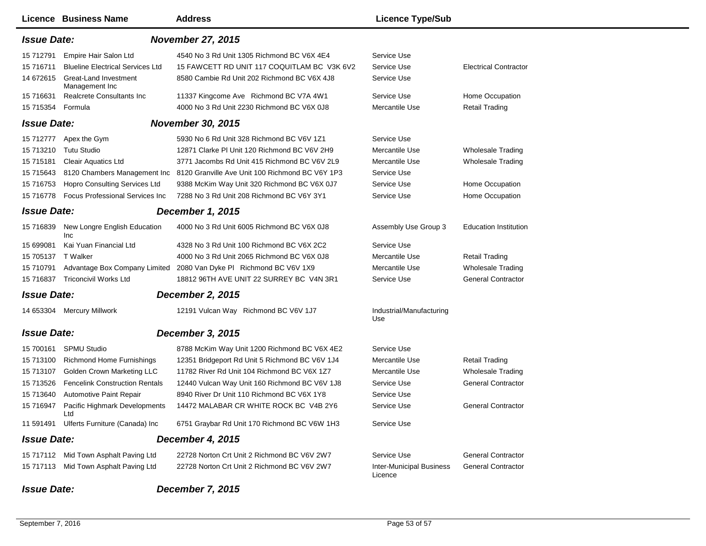|                                               | <b>Licence Business Name</b>                   | <b>Address</b>                                                               | <b>Licence Type/Sub</b>                    |                              |  |
|-----------------------------------------------|------------------------------------------------|------------------------------------------------------------------------------|--------------------------------------------|------------------------------|--|
|                                               | <b>Issue Date:</b><br><b>November 27, 2015</b> |                                                                              |                                            |                              |  |
| 15 712791                                     | Empire Hair Salon Ltd                          | 4540 No 3 Rd Unit 1305 Richmond BC V6X 4E4                                   | Service Use                                |                              |  |
| 15 71 6711                                    | <b>Blueline Electrical Services Ltd</b>        | 15 FAWCETT RD UNIT 117 COQUITLAM BC V3K 6V2                                  | Service Use                                | <b>Electrical Contractor</b> |  |
| 14 672615                                     | Great-Land Investment<br>Management Inc        | 8580 Cambie Rd Unit 202 Richmond BC V6X 4J8                                  | Service Use                                |                              |  |
| 15 71 6631                                    | Realcrete Consultants Inc                      | 11337 Kingcome Ave Richmond BC V7A 4W1                                       | Service Use                                | Home Occupation              |  |
| 15 715354 Formula                             |                                                | 4000 No 3 Rd Unit 2230 Richmond BC V6X 0J8                                   | Mercantile Use                             | <b>Retail Trading</b>        |  |
| <b>Issue Date:</b>                            |                                                | <b>November 30, 2015</b>                                                     |                                            |                              |  |
| 15 712777                                     | Apex the Gym                                   | 5930 No 6 Rd Unit 328 Richmond BC V6V 1Z1                                    | Service Use                                |                              |  |
| 15 713210                                     | <b>Tutu Studio</b>                             | 12871 Clarke PI Unit 120 Richmond BC V6V 2H9                                 | Mercantile Use                             | <b>Wholesale Trading</b>     |  |
| 15 715181                                     | <b>Cleair Aquatics Ltd</b>                     | 3771 Jacombs Rd Unit 415 Richmond BC V6V 2L9                                 | Mercantile Use                             | <b>Wholesale Trading</b>     |  |
| 15 71 5643                                    |                                                | 8120 Chambers Management Inc 8120 Granville Ave Unit 100 Richmond BC V6Y 1P3 | Service Use                                |                              |  |
| 15 716753                                     | Hopro Consulting Services Ltd                  | 9388 McKim Way Unit 320 Richmond BC V6X 0J7                                  | Service Use                                | Home Occupation              |  |
| 15 716778                                     | <b>Focus Professional Services Inc.</b>        | 7288 No 3 Rd Unit 208 Richmond BC V6Y 3Y1                                    | Service Use                                | Home Occupation              |  |
| <b>Issue Date:</b>                            |                                                | <b>December 1, 2015</b>                                                      |                                            |                              |  |
| 15 716839                                     | New Longre English Education<br>Inc            | 4000 No 3 Rd Unit 6005 Richmond BC V6X 0J8                                   | Assembly Use Group 3                       | <b>Education Institution</b> |  |
| 15 699081                                     | Kai Yuan Financial Ltd                         | 4328 No 3 Rd Unit 100 Richmond BC V6X 2C2                                    | Service Use                                |                              |  |
| 15 705137 T Walker                            |                                                | 4000 No 3 Rd Unit 2065 Richmond BC V6X 0J8                                   | Mercantile Use                             | <b>Retail Trading</b>        |  |
| 15 710791                                     |                                                | Advantage Box Company Limited 2080 Van Dyke PI Richmond BC V6V 1X9           | Mercantile Use                             | <b>Wholesale Trading</b>     |  |
| 15 716837                                     | Triconcivil Works Ltd                          | 18812 96TH AVE UNIT 22 SURREY BC V4N 3R1                                     | Service Use                                | <b>General Contractor</b>    |  |
| <b>Issue Date:</b><br><b>December 2, 2015</b> |                                                |                                                                              |                                            |                              |  |
|                                               | 14 653304 Mercury Millwork                     | 12191 Vulcan Way Richmond BC V6V 1J7                                         | Industrial/Manufacturing<br>Use            |                              |  |
| <b>Issue Date:</b><br>December 3, 2015        |                                                |                                                                              |                                            |                              |  |
| 15 700161                                     | SPMU Studio                                    | 8788 McKim Way Unit 1200 Richmond BC V6X 4E2                                 | Service Use                                |                              |  |
| 15 713100                                     | <b>Richmond Home Furnishings</b>               | 12351 Bridgeport Rd Unit 5 Richmond BC V6V 1J4                               | Mercantile Use                             | <b>Retail Trading</b>        |  |
| 15 713107                                     | Golden Crown Marketing LLC                     | 11782 River Rd Unit 104 Richmond BC V6X 1Z7                                  | Mercantile Use                             | <b>Wholesale Trading</b>     |  |
| 15 713526                                     | <b>Fencelink Construction Rentals</b>          | 12440 Vulcan Way Unit 160 Richmond BC V6V 1J8                                | Service Use                                | <b>General Contractor</b>    |  |
| 15 713640                                     | Automotive Paint Repair                        | 8940 River Dr Unit 110 Richmond BC V6X 1Y8                                   | Service Use                                |                              |  |
| 15 716947                                     | Pacific Highmark Developments<br>Ltd           | 14472 MALABAR CR WHITE ROCK BC V4B 2Y6                                       | Service Use                                | <b>General Contractor</b>    |  |
| 11 591491                                     | Ulferts Furniture (Canada) Inc                 | 6751 Graybar Rd Unit 170 Richmond BC V6W 1H3                                 | Service Use                                |                              |  |
| <b>Issue Date:</b>                            |                                                | December 4, 2015                                                             |                                            |                              |  |
|                                               | 15 717112 Mid Town Asphalt Paving Ltd          | 22728 Norton Crt Unit 2 Richmond BC V6V 2W7                                  | Service Use                                | <b>General Contractor</b>    |  |
|                                               | 15 717113 Mid Town Asphalt Paving Ltd          | 22728 Norton Crt Unit 2 Richmond BC V6V 2W7                                  | <b>Inter-Municipal Business</b><br>Licence | <b>General Contractor</b>    |  |
| <b>Issue Date:</b>                            |                                                | December 7, 2015                                                             |                                            |                              |  |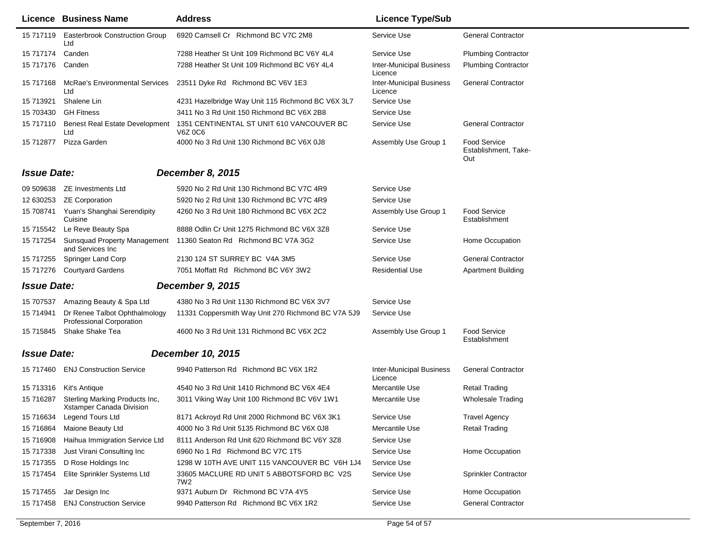|                    | Licence Business Name                                            | <b>Address</b>                                       | <b>Licence Type/Sub</b>                    |                                                    |
|--------------------|------------------------------------------------------------------|------------------------------------------------------|--------------------------------------------|----------------------------------------------------|
| 15 717119          | <b>Easterbrook Construction Group</b><br>Ltd                     | 6920 Camsell Cr Richmond BC V7C 2M8                  | Service Use                                | <b>General Contractor</b>                          |
| 15 717174          | Canden                                                           | 7288 Heather St Unit 109 Richmond BC V6Y 4L4         | Service Use                                | <b>Plumbing Contractor</b>                         |
| 15 717176          | Canden                                                           | 7288 Heather St Unit 109 Richmond BC V6Y 4L4         | <b>Inter-Municipal Business</b><br>Licence | <b>Plumbing Contractor</b>                         |
| 15 717168          | McRae's Environmental Services<br>Ltd                            | 23511 Dyke Rd Richmond BC V6V 1E3                    | <b>Inter-Municipal Business</b><br>Licence | <b>General Contractor</b>                          |
| 15 713921          | Shalene Lin                                                      | 4231 Hazelbridge Way Unit 115 Richmond BC V6X 3L7    | Service Use                                |                                                    |
| 15 703430          | <b>GH Fitness</b>                                                | 3411 No 3 Rd Unit 150 Richmond BC V6X 2B8            | Service Use                                |                                                    |
| 15 717110          | <b>Benest Real Estate Development</b><br>Ltd                     | 1351 CENTINENTAL ST UNIT 610 VANCOUVER BC<br>V6Z 0C6 | Service Use                                | <b>General Contractor</b>                          |
| 15 712877          | Pizza Garden                                                     | 4000 No 3 Rd Unit 130 Richmond BC V6X 0J8            | Assembly Use Group 1                       | <b>Food Service</b><br>Establishment, Take-<br>Out |
| <b>Issue Date:</b> |                                                                  | December 8, 2015                                     |                                            |                                                    |
|                    | 09 509638 ZE Investments Ltd                                     | 5920 No 2 Rd Unit 130 Richmond BC V7C 4R9            | Service Use                                |                                                    |
|                    | 12 630253 ZE Corporation                                         | 5920 No 2 Rd Unit 130 Richmond BC V7C 4R9            | Service Use                                |                                                    |
|                    | 15 708741 Yuan's Shanghai Serendipity<br>Cuisine                 | 4260 No 3 Rd Unit 180 Richmond BC V6X 2C2            | Assembly Use Group 1                       | <b>Food Service</b><br>Establishment               |
|                    | 15 715542 Le Reve Beauty Spa                                     | 8888 Odlin Cr Unit 1275 Richmond BC V6X 3Z8          | Service Use                                |                                                    |
| 15 717254          | <b>Sunsquad Property Management</b><br>and Services Inc.         | 11360 Seaton Rd Richmond BC V7A 3G2                  | Service Use                                | Home Occupation                                    |
| 15 717255          | <b>Springer Land Corp</b>                                        | 2130 124 ST SURREY BC V4A 3M5                        | Service Use                                | <b>General Contractor</b>                          |
|                    | 15 717276 Courtyard Gardens                                      | 7051 Moffatt Rd Richmond BC V6Y 3W2                  | <b>Residential Use</b>                     | <b>Apartment Building</b>                          |
| <b>Issue Date:</b> |                                                                  | <b>December 9, 2015</b>                              |                                            |                                                    |
| 15 707537          | Amazing Beauty & Spa Ltd                                         | 4380 No 3 Rd Unit 1130 Richmond BC V6X 3V7           | Service Use                                |                                                    |
| 15 714941          | Dr Renee Talbot Ophthalmology<br><b>Professional Corporation</b> | 11331 Coppersmith Way Unit 270 Richmond BC V7A 5J9   | Service Use                                |                                                    |
| 15 715845          | Shake Shake Tea                                                  | 4600 No 3 Rd Unit 131 Richmond BC V6X 2C2            | Assembly Use Group 1                       | <b>Food Service</b><br>Establishment               |
| <b>Issue Date:</b> |                                                                  | <b>December 10, 2015</b>                             |                                            |                                                    |
| 15 717460          | <b>ENJ Construction Service</b>                                  | 9940 Patterson Rd Richmond BC V6X 1R2                | <b>Inter-Municipal Business</b><br>Licence | <b>General Contractor</b>                          |
| 15 713316          | Kit's Antique                                                    | 4540 No 3 Rd Unit 1410 Richmond BC V6X 4E4           | Mercantile Use                             | <b>Retail Trading</b>                              |
| 15 716287          | Sterling Marking Products Inc,<br>Xstamper Canada Division       | 3011 Viking Way Unit 100 Richmond BC V6V 1W1         | Mercantile Use                             | <b>Wholesale Trading</b>                           |
| 15 716634          | Legend Tours Ltd                                                 | 8171 Ackroyd Rd Unit 2000 Richmond BC V6X 3K1        | Service Use                                | <b>Travel Agency</b>                               |
| 15 716864          | Maione Beauty Ltd                                                | 4000 No 3 Rd Unit 5135 Richmond BC V6X 0J8           | Mercantile Use                             | <b>Retail Trading</b>                              |
| 15 716908          | Haihua Immigration Service Ltd                                   | 8111 Anderson Rd Unit 620 Richmond BC V6Y 3Z8        | Service Use                                |                                                    |
| 15 717338          | Just Virani Consulting Inc                                       | 6960 No 1 Rd Richmond BC V7C 1T5                     | Service Use                                | Home Occupation                                    |
| 15 717355          | D Rose Holdings Inc                                              | 1298 W 10TH AVE UNIT 115 VANCOUVER BC V6H 1J4        | Service Use                                |                                                    |
| 15 717454          | Elite Sprinkler Systems Ltd                                      | 33605 MACLURE RD UNIT 5 ABBOTSFORD BC V2S<br>7W2     | Service Use                                | <b>Sprinkler Contractor</b>                        |
| 15 717455          | Jar Design Inc                                                   | 9371 Auburn Dr Richmond BC V7A 4Y5                   | Service Use                                | Home Occupation                                    |
| 15 717458          | <b>ENJ Construction Service</b>                                  | 9940 Patterson Rd Richmond BC V6X 1R2                | Service Use                                | <b>General Contractor</b>                          |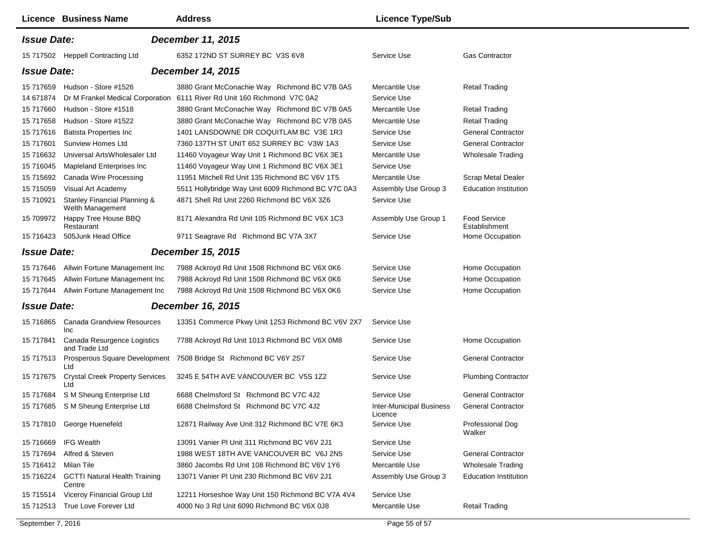|                                                | <b>Licence Business Name</b>                     | <b>Address</b>                                                                                                            | <b>Licence Type/Sub</b>                    |                                      |  |  |
|------------------------------------------------|--------------------------------------------------|---------------------------------------------------------------------------------------------------------------------------|--------------------------------------------|--------------------------------------|--|--|
| <b>Issue Date:</b><br><b>December 11, 2015</b> |                                                  |                                                                                                                           |                                            |                                      |  |  |
|                                                | 15 717502 Heppell Contracting Ltd                | 6352 172ND ST SURREY BC V3S 6V8                                                                                           | Service Use                                | <b>Gas Contractor</b>                |  |  |
| <b>Issue Date:</b>                             |                                                  | <b>December 14, 2015</b>                                                                                                  |                                            |                                      |  |  |
| 14 671874                                      | 15 717659 Hudson - Store #1526                   | 3880 Grant McConachie Way Richmond BC V7B 0A5<br>Dr M Frankel Medical Corporation 6111 River Rd Unit 160 Richmond V7C 0A2 | Mercantile Use<br>Service Use              | <b>Retail Trading</b>                |  |  |
| 15 717660                                      | Hudson - Store #1518                             | 3880 Grant McConachie Way Richmond BC V7B 0A5                                                                             | Mercantile Use                             | <b>Retail Trading</b>                |  |  |
| 15 717658                                      | Hudson - Store #1522                             | 3880 Grant McConachie Way Richmond BC V7B 0A5                                                                             | Mercantile Use                             | <b>Retail Trading</b>                |  |  |
| 15 717616                                      | <b>Batista Properties Inc</b>                    | 1401 LANSDOWNE DR COQUITLAM BC V3E 1R3                                                                                    | Service Use                                | <b>General Contractor</b>            |  |  |
| 15 717601                                      | <b>Sunview Homes Ltd</b>                         | 7360 137TH ST UNIT 652 SURREY BC V3W 1A3                                                                                  | Service Use                                | <b>General Contractor</b>            |  |  |
| 15 716632                                      | Universal ArtsWholesaler Ltd                     | 11460 Voyageur Way Unit 1 Richmond BC V6X 3E1                                                                             | Mercantile Use                             | <b>Wholesale Trading</b>             |  |  |
| 15 716045                                      | Mapleland Enterprises Inc                        | 11460 Voyageur Way Unit 1 Richmond BC V6X 3E1                                                                             | Service Use                                |                                      |  |  |
| 15 715692                                      | Canada Wire Processing                           | 11951 Mitchell Rd Unit 135 Richmond BC V6V 1T5                                                                            | Mercantile Use                             | <b>Scrap Metal Dealer</b>            |  |  |
| 15 715059                                      | Visual Art Academy                               | 5511 Hollybridge Way Unit 6009 Richmond BC V7C 0A3                                                                        | Assembly Use Group 3                       | <b>Education Institution</b>         |  |  |
| 15 710921                                      | Stanley Financial Planning &<br>Welth Management | 4871 Shell Rd Unit 2260 Richmond BC V6X 3Z6                                                                               | Service Use                                |                                      |  |  |
| 15 709972                                      | Happy Tree House BBQ<br>Restaurant               | 8171 Alexandra Rd Unit 105 Richmond BC V6X 1C3                                                                            | Assembly Use Group 1                       | <b>Food Service</b><br>Establishment |  |  |
|                                                | 15 716423 505Junk Head Office                    | 9711 Seagrave Rd Richmond BC V7A 3X7                                                                                      | Service Use                                | Home Occupation                      |  |  |
| <b>Issue Date:</b>                             |                                                  | <b>December 15, 2015</b>                                                                                                  |                                            |                                      |  |  |
| 15 717646                                      | Allwin Fortune Management Inc                    | 7988 Ackroyd Rd Unit 1508 Richmond BC V6X 0K6                                                                             | Service Use                                | Home Occupation                      |  |  |
| 15 717645                                      | Allwin Fortune Management Inc                    | 7988 Ackroyd Rd Unit 1508 Richmond BC V6X 0K6                                                                             | Service Use                                | Home Occupation                      |  |  |
|                                                | 15 717644 Allwin Fortune Management Inc          | 7988 Ackroyd Rd Unit 1508 Richmond BC V6X 0K6                                                                             | Service Use                                | Home Occupation                      |  |  |
| <b>Issue Date:</b>                             |                                                  | December 16, 2015                                                                                                         |                                            |                                      |  |  |
| 15 716865                                      | <b>Canada Grandview Resources</b><br>Inc         | 13351 Commerce Pkwy Unit 1253 Richmond BC V6V 2X7                                                                         | Service Use                                |                                      |  |  |
| 15 717841                                      | Canada Resurgence Logistics<br>and Trade Ltd     | 7788 Ackroyd Rd Unit 1013 Richmond BC V6X 0M8                                                                             | Service Use                                | Home Occupation                      |  |  |
| 15 717513                                      | Prosperous Square Development<br>Ltd             | 7508 Bridge St Richmond BC V6Y 2S7                                                                                        | Service Use                                | <b>General Contractor</b>            |  |  |
| 15 717675                                      | <b>Crystal Creek Property Services</b><br>Ltd    | 3245 E 54TH AVE VANCOUVER BC V5S 1Z2                                                                                      | Service Use                                | <b>Plumbing Contractor</b>           |  |  |
| 15 717684                                      | S M Sheung Enterprise Ltd                        | 6688 Chelmsford St Richmond BC V7C 4J2                                                                                    | Service Use                                | <b>General Contractor</b>            |  |  |
|                                                | 15 717685 S M Sheung Enterprise Ltd              | 6688 Chelmsford St Richmond BC V7C 4J2                                                                                    | <b>Inter-Municipal Business</b><br>Licence | <b>General Contractor</b>            |  |  |
|                                                | 15 717810 George Huenefeld                       | 12871 Railway Ave Unit 312 Richmond BC V7E 6K3                                                                            | Service Use                                | Professional Dog<br>Walker           |  |  |
| 15 716669                                      | <b>IFG Wealth</b>                                | 13091 Vanier PI Unit 311 Richmond BC V6V 2J1                                                                              | Service Use                                |                                      |  |  |
| 15 717694                                      | Alfred & Steven                                  | 1988 WEST 18TH AVE VANCOUVER BC V6J 2N5                                                                                   | Service Use                                | <b>General Contractor</b>            |  |  |
| 15 716412                                      | Milan Tile                                       | 3860 Jacombs Rd Unit 108 Richmond BC V6V 1Y6                                                                              | Mercantile Use                             | <b>Wholesale Trading</b>             |  |  |
| 15 716224                                      | <b>GCTTI Natural Health Training</b><br>Centre   | 13071 Vanier PI Unit 230 Richmond BC V6V 2J1                                                                              | Assembly Use Group 3                       | <b>Education Institution</b>         |  |  |
| 15 715514                                      | Viceroy Financial Group Ltd                      | 12211 Horseshoe Way Unit 150 Richmond BC V7A 4V4                                                                          | Service Use                                |                                      |  |  |
|                                                | 15 712513 True Love Forever Ltd                  | 4000 No 3 Rd Unit 6090 Richmond BC V6X 0J8                                                                                | Mercantile Use                             | <b>Retail Trading</b>                |  |  |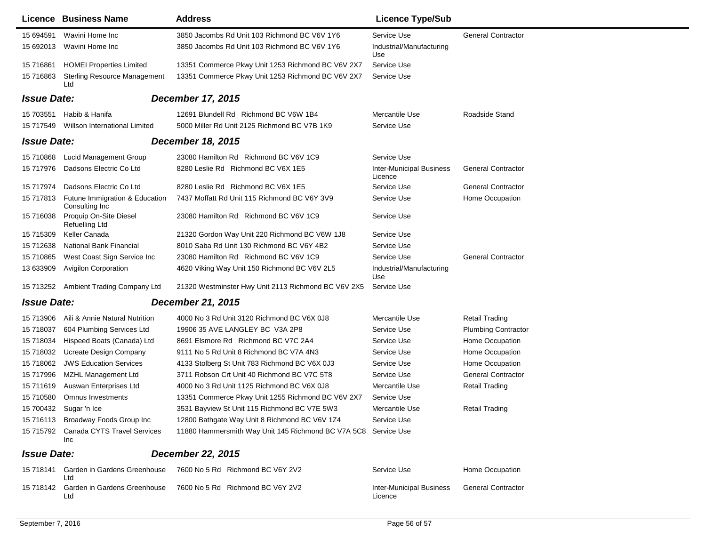|                    | Licence Business Name                            | <b>Address</b>                                                 | <b>Licence Type/Sub</b>                    |                            |
|--------------------|--------------------------------------------------|----------------------------------------------------------------|--------------------------------------------|----------------------------|
| 15 694591          | Wavini Home Inc                                  | 3850 Jacombs Rd Unit 103 Richmond BC V6V 1Y6                   | Service Use                                | <b>General Contractor</b>  |
| 15 692013          | Wavini Home Inc                                  | 3850 Jacombs Rd Unit 103 Richmond BC V6V 1Y6                   | Industrial/Manufacturing<br>Use            |                            |
| 15 71 6861         | <b>HOMEI Properties Limited</b>                  | 13351 Commerce Pkwy Unit 1253 Richmond BC V6V 2X7              | Service Use                                |                            |
| 15 716863          | <b>Sterling Resource Management</b><br>Ltd       | 13351 Commerce Pkwy Unit 1253 Richmond BC V6V 2X7              | Service Use                                |                            |
| <b>Issue Date:</b> |                                                  | <b>December 17, 2015</b>                                       |                                            |                            |
| 15 703551          | Habib & Hanifa                                   | 12691 Blundell Rd Richmond BC V6W 1B4                          | Mercantile Use                             | Roadside Stand             |
| 15 717549          | Willson International Limited                    | 5000 Miller Rd Unit 2125 Richmond BC V7B 1K9                   | Service Use                                |                            |
| <b>Issue Date:</b> |                                                  | December 18, 2015                                              |                                            |                            |
| 15 710868          | Lucid Management Group                           | 23080 Hamilton Rd Richmond BC V6V 1C9                          | Service Use                                |                            |
| 15 717976          | Dadsons Electric Co Ltd                          | 8280 Leslie Rd Richmond BC V6X 1E5                             | <b>Inter-Municipal Business</b><br>Licence | <b>General Contractor</b>  |
| 15 717974          | Dadsons Electric Co Ltd                          | 8280 Leslie Rd Richmond BC V6X 1E5                             | Service Use                                | <b>General Contractor</b>  |
| 15 717813          | Futune Immigration & Education<br>Consulting Inc | 7437 Moffatt Rd Unit 115 Richmond BC V6Y 3V9                   | Service Use                                | Home Occupation            |
| 15 716038          | Proquip On-Site Diesel<br><b>Refuelling Ltd</b>  | 23080 Hamilton Rd Richmond BC V6V 1C9                          | Service Use                                |                            |
| 15 715309          | Keller Canada                                    | 21320 Gordon Way Unit 220 Richmond BC V6W 1J8                  | Service Use                                |                            |
| 15 712638          | <b>National Bank Financial</b>                   | 8010 Saba Rd Unit 130 Richmond BC V6Y 4B2                      | Service Use                                |                            |
| 15 710865          | West Coast Sign Service Inc                      | 23080 Hamilton Rd Richmond BC V6V 1C9                          | Service Use                                | <b>General Contractor</b>  |
| 13 633909          | <b>Avigilon Corporation</b>                      | 4620 Viking Way Unit 150 Richmond BC V6V 2L5                   | Industrial/Manufacturing<br>Use            |                            |
| 15 713252          | Ambient Trading Company Ltd                      | 21320 Westminster Hwy Unit 2113 Richmond BC V6V 2X5            | Service Use                                |                            |
| <b>Issue Date:</b> |                                                  | <b>December 21, 2015</b>                                       |                                            |                            |
| 15 713906          | Aili & Annie Natural Nutrition                   | 4000 No 3 Rd Unit 3120 Richmond BC V6X 0J8                     | Mercantile Use                             | <b>Retail Trading</b>      |
| 15 718037          | 604 Plumbing Services Ltd                        | 19906 35 AVE LANGLEY BC V3A 2P8                                | Service Use                                | <b>Plumbing Contractor</b> |
| 15 718034          | Hispeed Boats (Canada) Ltd                       | 8691 Elsmore Rd Richmond BC V7C 2A4                            | Service Use                                | Home Occupation            |
| 15 718032          | <b>Ucreate Design Company</b>                    | 9111 No 5 Rd Unit 8 Richmond BC V7A 4N3                        | Service Use                                | Home Occupation            |
| 15 718062          | <b>JWS Education Services</b>                    | 4133 Stolberg St Unit 783 Richmond BC V6X 0J3                  | Service Use                                | Home Occupation            |
| 15 717996          | MZHL Management Ltd                              | 3711 Robson Crt Unit 40 Richmond BC V7C 5T8                    | Service Use                                | <b>General Contractor</b>  |
| 15 711619          | Auswan Enterprises Ltd                           | 4000 No 3 Rd Unit 1125 Richmond BC V6X 0J8                     | Mercantile Use                             | <b>Retail Trading</b>      |
| 15 710580          | Omnus Investments                                | 13351 Commerce Pkwy Unit 1255 Richmond BC V6V 2X7              | Service Use                                |                            |
|                    | 15 700432 Sugar 'n Ice                           | 3531 Bayview St Unit 115 Richmond BC V7E 5W3                   | Mercantile Use                             | <b>Retail Trading</b>      |
|                    | 15 716113 Broadway Foods Group Inc               | 12800 Bathgate Way Unit 8 Richmond BC V6V 1Z4                  | Service Use                                |                            |
| 15 715792          | <b>Canada CYTS Travel Services</b><br>Inc        | 11880 Hammersmith Way Unit 145 Richmond BC V7A 5C8 Service Use |                                            |                            |
| <b>Issue Date:</b> |                                                  | <b>December 22, 2015</b>                                       |                                            |                            |
| 15 718141          | Garden in Gardens Greenhouse<br>Ltd              | 7600 No 5 Rd Richmond BC V6Y 2V2                               | Service Use                                | Home Occupation            |
| 15 718142          | Garden in Gardens Greenhouse<br>Ltd              | 7600 No 5 Rd Richmond BC V6Y 2V2                               | <b>Inter-Municipal Business</b><br>Licence | <b>General Contractor</b>  |